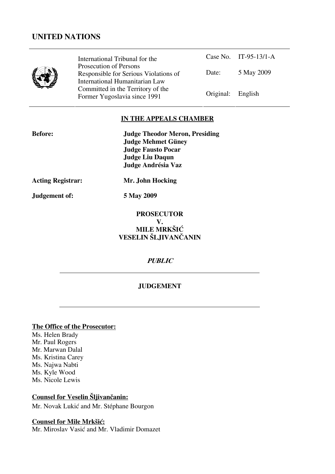

International Tribunal for the Prosecution of Persons Responsible for Serious Violations of International Humanitarian Law Committed in the Territory of the Former Yugoslavia since 1991 Original: English

Case No. IT-95-13/1-A Date: 5 May 2009

# **IN THE APPEALS CHAMBER**

| <b>Before:</b>           | <b>Judge Theodor Meron, Presiding</b><br><b>Judge Mehmet Güney</b><br><b>Judge Fausto Pocar</b><br><b>Judge Liu Daqun</b> |
|--------------------------|---------------------------------------------------------------------------------------------------------------------------|
|                          | Judge Andrésia Vaz                                                                                                        |
| <b>Acting Registrar:</b> | Mr. John Hocking                                                                                                          |
| Judgement of:            | 5 May 2009                                                                                                                |
|                          |                                                                                                                           |

# **PROSECUTOR V. MILE MRKŠIĆ VESELIN ŠLJIVANČANIN**

## **PUBLIC**

# **JUDGEMENT**

## **The Office of the Prosecutor:**

Ms. Helen Brady Mr. Paul Rogers Mr. Marwan Dalal Ms. Kristina Carey Ms. Najwa Nabti Ms. Kyle Wood Ms. Nicole Lewis

# **Counsel for Veselin Šljivančanin:**

Mr. Novak Lukić and Mr. Stéphane Bourgon

# **Counsel for Mile Mrkšić:**

Mr. Miroslav Vasić and Mr. Vladimir Domazet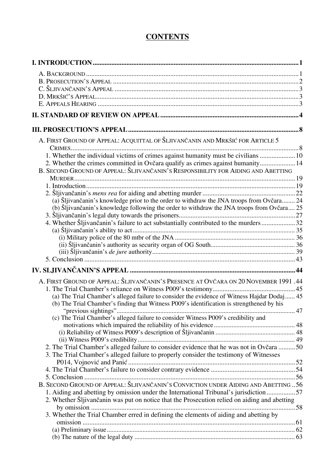# **CONTENTS**

| A. FIRST GROUND OF APPEAL: ACQUITTAL OF ŠLJIVANČANIN AND MRKŠIĆ FOR ARTICLE 5                |  |
|----------------------------------------------------------------------------------------------|--|
| 1. Whether the individual victims of crimes against humanity must be civilians  10           |  |
| 2. Whether the crimes committed in Ovčara qualify as crimes against humanity 14              |  |
| B. SECOND GROUND OF APPEAL: ŠLJIVANČANIN'S RESPONSIBILITY FOR AIDING AND ABETTING            |  |
|                                                                                              |  |
|                                                                                              |  |
| (a) Šljivančanin's knowledge prior to the order to withdraw the JNA troops from Ovčara 24    |  |
| (b) Šljivančanin's knowledge following the order to withdraw the JNA troops from Ovčara 25   |  |
|                                                                                              |  |
| 4. Whether Šljivančanin's failure to act substantially contributed to the murders 32         |  |
|                                                                                              |  |
|                                                                                              |  |
|                                                                                              |  |
|                                                                                              |  |
|                                                                                              |  |
|                                                                                              |  |
| A. FIRST GROUND OF APPEAL: ŠLJIVANČANIN'S PRESENCE AT OVČARA ON 20 NOVEMBER 1991.44          |  |
|                                                                                              |  |
| (a) The Trial Chamber's alleged failure to consider the evidence of Witness Hajdar Dodaj 45  |  |
| (b) The Trial Chamber's finding that Witness P009's identification is strengthened by his    |  |
| (c) The Trial Chamber's alleged failure to consider Witness P009's credibility and           |  |
|                                                                                              |  |
|                                                                                              |  |
|                                                                                              |  |
| 2. The Trial Chamber's alleged failure to consider evidence that he was not in Ovčara  50    |  |
| 3. The Trial Chamber's alleged failure to properly consider the testimony of Witnesses       |  |
|                                                                                              |  |
|                                                                                              |  |
| B. SECOND GROUND OF APPEAL: ŠLJIVANČANIN'S CONVICTION UNDER AIDING AND ABETTING56            |  |
| 1. Aiding and abetting by omission under the International Tribunal's jurisdiction 57        |  |
| 2. Whether Šljivančanin was put on notice that the Prosecution relied on aiding and abetting |  |
|                                                                                              |  |
| 3. Whether the Trial Chamber erred in defining the elements of aiding and abetting by        |  |
|                                                                                              |  |
|                                                                                              |  |
|                                                                                              |  |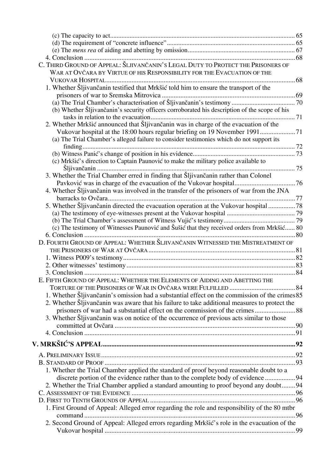| C. THIRD GROUND OF APPEAL: ŠLJIVANČANIN'S LEGAL DUTY TO PROTECT THE PRISONERS OF               |  |
|------------------------------------------------------------------------------------------------|--|
| WAR AT OVČARA BY VIRTUE OF HIS RESPONSIBILITY FOR THE EVACUATION OF THE                        |  |
|                                                                                                |  |
| 1. Whether Šljivančanin testified that Mrkšić told him to ensure the transport of the          |  |
|                                                                                                |  |
|                                                                                                |  |
| (b) Whether Šljivančanin's security officers corroborated his description of the scope of his  |  |
|                                                                                                |  |
| 2. Whether Mrkšić announced that Šljivančanin was in charge of the evacuation of the           |  |
|                                                                                                |  |
| (a) The Trial Chamber's alleged failure to consider testimonies which do not support its       |  |
|                                                                                                |  |
|                                                                                                |  |
| (c) Mrkšić's direction to Captain Paunović to make the military police available to            |  |
|                                                                                                |  |
| 3. Whether the Trial Chamber erred in finding that Šljivančanin rather than Colonel            |  |
|                                                                                                |  |
| 4. Whether Šljivančanin was involved in the transfer of the prisoners of war from the JNA      |  |
|                                                                                                |  |
|                                                                                                |  |
| 5. Whether Šljivančanin directed the evacuation operation at the Vukovar hospital 78           |  |
|                                                                                                |  |
| (c) The testimony of Witnesses Paunović and Šušić that they received orders from Mrkšić 80     |  |
|                                                                                                |  |
| D. FOURTH GROUND OF APPEAL: WHETHER ŠLJIVANČANIN WITNESSED THE MISTREATMENT OF                 |  |
|                                                                                                |  |
|                                                                                                |  |
|                                                                                                |  |
|                                                                                                |  |
|                                                                                                |  |
| E. FIFTH GROUND OF APPEAL: WHETHER THE ELEMENTS OF AIDING AND ABETTING THE                     |  |
|                                                                                                |  |
| 1. Whether Sljivančanin's omission had a substantial effect on the commission of the crimes 85 |  |
| 2. Whether Šljivančanin was aware that his failure to take additional measures to protect the  |  |
| prisoners of war had a substantial effect on the commission of the crimes 88                   |  |
| 3. Whether Sljivančanin was on notice of the occurrence of previous acts similar to those      |  |
|                                                                                                |  |
|                                                                                                |  |
|                                                                                                |  |
|                                                                                                |  |
|                                                                                                |  |
|                                                                                                |  |
| 1. Whether the Trial Chamber applied the standard of proof beyond reasonable doubt to a        |  |
| discrete portion of the evidence rather than to the complete body of evidence 94               |  |
| 2. Whether the Trial Chamber applied a standard amounting to proof beyond any doubt94          |  |
|                                                                                                |  |
|                                                                                                |  |
| 1. First Ground of Appeal: Alleged error regarding the role and responsibility of the 80 mtbr  |  |
|                                                                                                |  |
| 2. Second Ground of Appeal: Alleged errors regarding Mrkšić's role in the evacuation of the    |  |
|                                                                                                |  |
|                                                                                                |  |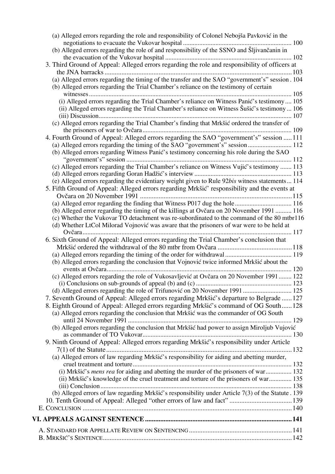| (a) Alleged errors regarding the role and responsibility of Colonel Nebojša Pavković in the         |  |
|-----------------------------------------------------------------------------------------------------|--|
| (b) Alleged errors regarding the role of and responsibility of the SSNO and Šljivančanin in         |  |
|                                                                                                     |  |
| 3. Third Ground of Appeal: Alleged errors regarding the role and responsibility of officers at      |  |
|                                                                                                     |  |
| (a) Alleged errors regarding the timing of the transfer and the SAO "government's" session. 104     |  |
| (b) Alleged errors regarding the Trial Chamber's reliance on the testimony of certain               |  |
|                                                                                                     |  |
| (i) Alleged errors regarding the Trial Chamber's reliance on Witness Panić's testimony 105          |  |
| (ii) Alleged errors regarding the Trial Chamber's reliance on Witness Šušić's testimony 106         |  |
|                                                                                                     |  |
| (c) Alleged errors regarding the Trial Chamber's finding that Mrkšić ordered the transfer of        |  |
|                                                                                                     |  |
| 4. Fourth Ground of Appeal: Alleged errors regarding the SAO "government's" session  111            |  |
| (a) Alleged errors regarding the timing of the SAO "government's" session  112                      |  |
| (b) Alleged errors regarding Witness Panić's testimony concerning his role during the SAO           |  |
|                                                                                                     |  |
| (c) Alleged errors regarding the Trial Chamber's reliance on Witness Vujić's testimony  113         |  |
|                                                                                                     |  |
| (e) Alleged errors regarding the evidentiary weight given to Rule 92bis witness statements 114      |  |
| 5. Fifth Ground of Appeal: Alleged errors regarding Mrkšić' responsibility and the events at        |  |
|                                                                                                     |  |
|                                                                                                     |  |
| (b) Alleged error regarding the timing of the killings at Ovčara on 20 November 1991  116           |  |
| (c) Whether the Vukovar TO detachment was re-subordinated to the command of the 80 mtbr116          |  |
| (d) Whether LtCol Milorad Vojnović was aware that the prisoners of war were to be held at           |  |
|                                                                                                     |  |
| 6. Sixth Ground of Appeal: Alleged errors regarding the Trial Chamber's conclusion that             |  |
|                                                                                                     |  |
|                                                                                                     |  |
| (b) Alleged errors regarding the conclusion that Vojnović twice informed Mrkšić about the           |  |
|                                                                                                     |  |
| (c) Alleged errors regarding the role of Vukosavljević at Ovčara on 20 November 1991 122            |  |
|                                                                                                     |  |
|                                                                                                     |  |
| 7. Seventh Ground of Appeal: Alleged errors regarding Mrkšić's departure to Belgrade  127           |  |
| 8. Eighth Ground of Appeal: Alleged errors regarding Mrkšić's command of OG South 128               |  |
| (a) Alleged errors regarding the conclusion that Mrkšić was the commander of OG South               |  |
|                                                                                                     |  |
| (b) Alleged errors regarding the conclusion that Mrkšić had power to assign Miroljub Vujović        |  |
|                                                                                                     |  |
| 9. Ninth Ground of Appeal: Alleged errors regarding Mrkšić's responsibility under Article           |  |
|                                                                                                     |  |
| (a) Alleged errors of law regarding Mrkšić's responsibility for aiding and abetting murder,         |  |
|                                                                                                     |  |
| (i) Mrkšić's mens rea for aiding and abetting the murder of the prisoners of war 132                |  |
| (ii) Mrkšić's knowledge of the cruel treatment and torture of the prisoners of war 135              |  |
|                                                                                                     |  |
| (b) Alleged errors of law regarding Mrkšić's responsibility under Article 7(3) of the Statute . 139 |  |
|                                                                                                     |  |
|                                                                                                     |  |
|                                                                                                     |  |
|                                                                                                     |  |
|                                                                                                     |  |
|                                                                                                     |  |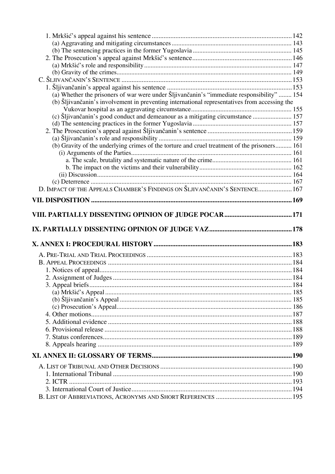| (a) Whether the prisoners of war were under Šljivančanin's "immediate responsibility"  154    |  |
|-----------------------------------------------------------------------------------------------|--|
| (b) Šljivančanin's involvement in preventing international representatives from accessing the |  |
|                                                                                               |  |
| (c) Šljivančanin's good conduct and demeanour as a mitigating circumstance  157               |  |
|                                                                                               |  |
|                                                                                               |  |
| (b) Gravity of the underlying crimes of the torture and cruel treatment of the prisoners 161  |  |
|                                                                                               |  |
|                                                                                               |  |
|                                                                                               |  |
|                                                                                               |  |
|                                                                                               |  |
| D. IMPACT OF THE APPEALS CHAMBER'S FINDINGS ON ŠLJIVANČANIN'S SENTENCE 167                    |  |
|                                                                                               |  |
|                                                                                               |  |
|                                                                                               |  |
|                                                                                               |  |
|                                                                                               |  |
|                                                                                               |  |
|                                                                                               |  |
|                                                                                               |  |
|                                                                                               |  |
|                                                                                               |  |
|                                                                                               |  |
|                                                                                               |  |
|                                                                                               |  |
|                                                                                               |  |
|                                                                                               |  |
|                                                                                               |  |
|                                                                                               |  |
|                                                                                               |  |
|                                                                                               |  |
|                                                                                               |  |
|                                                                                               |  |
|                                                                                               |  |
|                                                                                               |  |
|                                                                                               |  |
|                                                                                               |  |
|                                                                                               |  |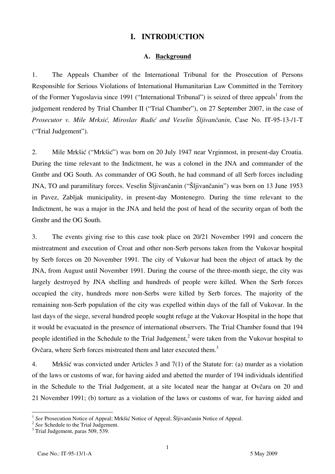# **I. INTRODUCTION**

#### **A. Background**

1. The Appeals Chamber of the International Tribunal for the Prosecution of Persons Responsible for Serious Violations of International Humanitarian Law Committed in the Territory of the Former Yugoslavia since 1991 ("International Tribunal") is seized of three appeals<sup>1</sup> from the judgement rendered by Trial Chamber II ("Trial Chamber"), on 27 September 2007, in the case of *Prosecutor v. Mile Mrksi}, Miroslav Radi} and Veselin Šljivančanin*, Case No. IT-95-13-/1-T ("Trial Judgement").

2. Mile Mrkšić ("Mrkšić") was born on 20 July 1947 near Vrginmost, in present-day Croatia. During the time relevant to the Indictment, he was a colonel in the JNA and commander of the Gmtbr and OG South. As commander of OG South, he had command of all Serb forces including JNA, TO and paramilitary forces. Veselin Šljivančanin ("Šljivančanin") was born on 13 June 1953 in Pavez, Zabljak municipality, in present-day Montenegro. During the time relevant to the Indictment, he was a major in the JNA and held the post of head of the security organ of both the Gmtbr and the OG South.

3. The events giving rise to this case took place on 20/21 November 1991 and concern the mistreatment and execution of Croat and other non-Serb persons taken from the Vukovar hospital by Serb forces on 20 November 1991. The city of Vukovar had been the object of attack by the JNA, from August until November 1991. During the course of the three-month siege, the city was largely destroyed by JNA shelling and hundreds of people were killed. When the Serb forces occupied the city, hundreds more non-Serbs were killed by Serb forces. The majority of the remaining non-Serb population of the city was expelled within days of the fall of Vukovar. In the last days of the siege, several hundred people sought refuge at the Vukovar Hospital in the hope that it would be evacuated in the presence of international observers. The Trial Chamber found that 194 people identified in the Schedule to the Trial Judgement,<sup>2</sup> were taken from the Vukovar hospital to Ovčara, where Serb forces mistreated them and later executed them.<sup>3</sup>

4. Mrkšić was convicted under Articles 3 and 7(1) of the Statute for: (a) murder as a violation of the laws or customs of war, for having aided and abetted the murder of 194 individuals identified in the Schedule to the Trial Judgement, at a site located near the hangar at Ovčara on 20 and 21 November 1991; (b) torture as a violation of the laws or customs of war, for having aided and

 $\overline{\phantom{a}}$ 

<sup>&</sup>lt;sup>1</sup> See Prosecution Notice of Appeal; Mrkšić Notice of Appeal; Šljivančanin Notice of Appeal. <sup>2</sup> See Schedule to the Trial Judgement.

 $3$  Trial Judgement, paras 509, 539.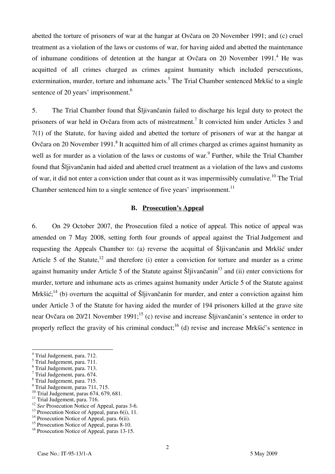abetted the torture of prisoners of war at the hangar at Ovčara on 20 November 1991; and (c) cruel treatment as a violation of the laws or customs of war, for having aided and abetted the maintenance of inhumane conditions of detention at the hangar at Ovčara on 20 November 1991.<sup>4</sup> He was acquitted of all crimes charged as crimes against humanity which included persecutions, extermination, murder, torture and inhumane acts.<sup>5</sup> The Trial Chamber sentenced Mrkšić to a single sentence of 20 years' imprisonment.<sup>6</sup>

5. The Trial Chamber found that Šljivančanin failed to discharge his legal duty to protect the prisoners of war held in Ovčara from acts of mistreatment.<sup>7</sup> It convicted him under Articles 3 and 7(1) of the Statute, for having aided and abetted the torture of prisoners of war at the hangar at Ovčara on 20 November 1991.<sup>8</sup> It acquitted him of all crimes charged as crimes against humanity as well as for murder as a violation of the laws or customs of war.<sup>9</sup> Further, while the Trial Chamber found that Šljivančanin had aided and abetted cruel treatment as a violation of the laws and customs of war, it did not enter a conviction under that count as it was impermissibly cumulative.<sup>10</sup> The Trial Chamber sentenced him to a single sentence of five years' imprisonment.<sup>11</sup>

#### **B. Prosecution's Appeal**

6. On 29 October 2007, the Prosecution filed a notice of appeal. This notice of appeal was amended on 7 May 2008, setting forth four grounds of appeal against the Trial Judgement and requesting the Appeals Chamber to: (a) reverse the acquittal of Šljivančanin and Mrkšić under Article 5 of the Statute,<sup>12</sup> and therefore (i) enter a conviction for torture and murder as a crime against humanity under Article 5 of the Statute against Šljivančanin<sup>13</sup> and (ii) enter convictions for murder, torture and inhumane acts as crimes against humanity under Article 5 of the Statute against Mrkšić;<sup>14</sup> (b) overturn the acquittal of Šljivančanin for murder, and enter a conviction against him under Article 3 of the Statute for having aided the murder of 194 prisoners killed at the grave site near Ovčara on 20/21 November 1991;<sup>15</sup> (c) revise and increase Šljivančanin's sentence in order to properly reflect the gravity of his criminal conduct;<sup>16</sup> (d) revise and increase Mrkšić's sentence in

- <sup>9</sup> Trial Judgement, paras 711, 715.
- $10$  Trial Judgement, paras 674, 679, 681.

 4 Trial Judgement, para. 712.

<sup>5</sup> Trial Judgement, para. 711.

<sup>6</sup> Trial Judgement, para. 713.

<sup>7</sup> Trial Judgement, para. 674.

<sup>8</sup> Trial Judgement, para. 715.

<sup>&</sup>lt;sup>11</sup> Trial Judgement, para. 716.<br><sup>12</sup> See Prosecution Notice of Appeal. paras 3-6.

<sup>&</sup>lt;sup>13</sup> Prosecution Notice of Appeal, paras 6(i), 11.

<sup>&</sup>lt;sup>14</sup> Prosecution Notice of Appeal, para. 6(ii).

<sup>&</sup>lt;sup>15</sup> Prosecution Notice of Appeal, paras 8-10. <sup>16</sup> Prosecution Notice of Appeal, paras 13-15.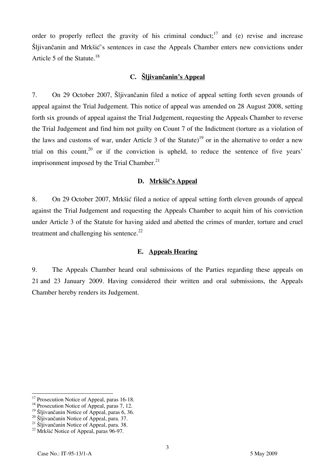order to properly reflect the gravity of his criminal conduct;<sup>17</sup> and (e) revise and increase Šljivančanin and Mrkšić's sentences in case the Appeals Chamber enters new convictions under Article 5 of the Statute.<sup>18</sup>

## **C. Šljivančanin's Appeal**

7. On 29 October 2007, Šljivančanin filed a notice of appeal setting forth seven grounds of appeal against the Trial Judgement. This notice of appeal was amended on 28 August 2008, setting forth six grounds of appeal against the Trial Judgement, requesting the Appeals Chamber to reverse the Trial Judgement and find him not guilty on Count 7 of the Indictment (torture as a violation of the laws and customs of war, under Article 3 of the Statute)<sup>19</sup> or in the alternative to order a new trial on this count,  $20$  or if the conviction is upheld, to reduce the sentence of five years' imprisonment imposed by the Trial Chamber. $^{21}$ 

## **D. Mrkšić's Appeal**

8. On 29 October 2007, Mrkšić filed a notice of appeal setting forth eleven grounds of appeal against the Trial Judgement and requesting the Appeals Chamber to acquit him of his conviction under Article 3 of the Statute for having aided and abetted the crimes of murder, torture and cruel treatment and challenging his sentence. $22$ 

#### **E. Appeals Hearing**

9. The Appeals Chamber heard oral submissions of the Parties regarding these appeals on 21 and 23 January 2009. Having considered their written and oral submissions, the Appeals Chamber hereby renders its Judgement.

 $\overline{a}$ <sup>17</sup> Prosecution Notice of Appeal, paras 16-18.

 $18$  Prosecution Notice of Appeal, paras 7, 12.

<sup>&</sup>lt;sup>19</sup> Sljivančanin Notice of Appeal, paras 6, 36.<br><sup>20</sup> Sljivančanin Notice of Appeal, para. 37.<br><sup>21</sup> Sljivančanin Notice of Appeal, para. 38.<br><sup>22</sup> Mrkšić Notice of Appeal, paras 96-97.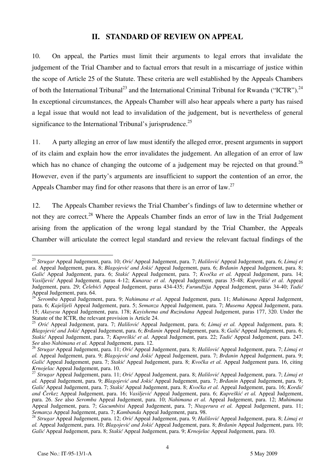# **II. STANDARD OF REVIEW ON APPEAL**

10. On appeal, the Parties must limit their arguments to legal errors that invalidate the judgement of the Trial Chamber and to factual errors that result in a miscarriage of justice within the scope of Article 25 of the Statute. These criteria are well established by the Appeals Chambers of both the International Tribunal<sup>23</sup> and the International Criminal Tribunal for Rwanda ("ICTR").<sup>24</sup> In exceptional circumstances, the Appeals Chamber will also hear appeals where a party has raised a legal issue that would not lead to invalidation of the judgement, but is nevertheless of general significance to the International Tribunal's jurisprudence.<sup>25</sup>

11. A party alleging an error of law must identify the alleged error, present arguments in support of its claim and explain how the error invalidates the judgement. An allegation of an error of law which has no chance of changing the outcome of a judgement may be rejected on that ground.<sup>26</sup> However, even if the party's arguments are insufficient to support the contention of an error, the Appeals Chamber may find for other reasons that there is an error of law.<sup>27</sup>

12. The Appeals Chamber reviews the Trial Chamber's findings of law to determine whether or not they are correct.<sup>28</sup> Where the Appeals Chamber finds an error of law in the Trial Judgement arising from the application of the wrong legal standard by the Trial Chamber, the Appeals Chamber will articulate the correct legal standard and review the relevant factual findings of the

<sup>23</sup> *Strugar* Appeal Judgement, para. 10; *Orić* Appeal Judgement, para. 7; *Halilović* Appeal Judgement, para. 6; *Limaj et al.* Appeal Judgement, para. 8; *Blagojević and Jokić* Appeal Judgement, para. 6; *Brđanin* Appeal Judgement, para. 8; *Galić* Appeal Judgement, para. 6; *Stakić* Appeal Judgement, para. 7; *Kvočka et al.* Appeal Judgement, para. 14; *Vasiljević* Appeal Judgement, paras 4-12; *Kunarac et al.* Appeal Judgement, paras 35-48; *Kupreškić et al.* Appeal Judgement, para. 29; *Čelebići* Appeal Judgement, paras 434-435; *Furundžija* Appeal Judgement, paras 34-40; *Tadić* Appeal Judgement, para. 64.

<sup>24</sup> *Seromba* Appeal Judgement, para. 9; *Nahimana et al.* Appeal Judgement, para. 11; *Muhimana* Appeal Judgement, para. 6; *Kajelijeli* Appeal Judgement, para. 5; *Semanza* Appeal Judgement, para. 7; *Musema* Appeal Judgement, para. 15; *Akayesu* Appeal Judgement, para. 178; *Kayishema and Ruzindana* Appeal Judgement, paras 177, 320. Under the Statute of the ICTR, the relevant provision is Article 24.

<sup>25</sup> *Orić* Appeal Judgement, para. 7; *Halilović* Appeal Judgement, para. 6; *Limaj et al.* Appeal Judgement, para. 8; *Blagojević and Jokić* Appeal Judgement, para. 6; *Brđanin* Appeal Judgement, para. 8; *Galić* Appeal Judgement, para. 6; *Stakić* Appeal Judgement, para. 7; *Kupreškić et al.* Appeal Judgement, para. 22; *Tadić* Appeal Judgement, para. 247. *See* also *Nahimana et al.* Appeal Judgement, para. 12.

<sup>26</sup> *Strugar* Appeal Judgement, para. 11; *Orić* Appeal Judgement, para. 8; *Halilović* Appeal Judgement, para. 7; *Limaj et al.* Appeal Judgement, para. 9; *Blagojević and Jokić* Appeal Judgement, para. 7; *Brđanin* Appeal Judgement, para. 9; *Galić* Appeal Judgement, para. 7; *Stakić* Appeal Judgement, para. 8; *Kvočka et al.* Appeal Judgement para. 16, citing

*Krnojelac* Appeal Judgement, para. 10. 27 *Strugar* Appeal Judgement, para. 11; *Ori<sup>ć</sup>* Appeal Judgement, para. 8; *Halilović* Appeal Judgement, para. 7; *Limaj et al.* Appeal Judgement, para. 9; *Blagojević and Jokić* Appeal Judgement, para. 7; *Brđanin* Appeal Judgement, para. 9; *Galić* Appeal Judgement, para. 7; *Stakić* Appeal Judgement, para. 8; *Kvočka et al.* Appeal Judgement, para. 16; *Kordi} and ^erkez* Appeal Judgement, para. 16; *Vasiljević* Appeal Judgement, para. 6; *Kupreškić et al.* Appeal Judgement, para. 26. *See* also *Seromba* Appeal Judgement, para. 10; *Nahimana et al.* Appeal Judgement, para. 12; *Muhimana* Appeal Judgement, para. 7; *Gacumbitsi* Appeal Judgement, para. 7; *Ntagerura et al.* Appeal Judgement, para. 11;

<sup>&</sup>lt;sup>28</sup> Strugar Appeal Judgement, para. 12; Oric Appeal Judgement, para. 9; Halilovic Appeal Judgement, para. 8; Limaj et *al.* Appeal Judgement, para. 10; *Blagojević and Jokić* Appeal Judgement, para. 8; *Brđanin* Appeal Judgement, para. 10; *Galić* Appeal Judgement, para. 8; *Stakić* Appeal Judgement, para. 9; *Krnojelac* Appeal Judgement, para. 10.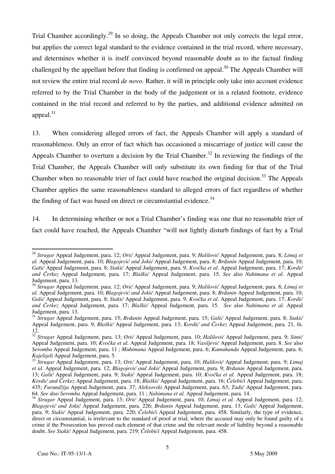Trial Chamber accordingly.<sup>29</sup> In so doing, the Appeals Chamber not only corrects the legal error, but applies the correct legal standard to the evidence contained in the trial record, where necessary, and determines whether it is itself convinced beyond reasonable doubt as to the factual finding challenged by the appellant before that finding is confirmed on appeal.<sup>30</sup> The Appeals Chamber will not review the entire trial record *de novo*. Rather, it will in principle only take into account evidence referred to by the Trial Chamber in the body of the judgement or in a related footnote, evidence contained in the trial record and referred to by the parties, and additional evidence admitted on appeal.<sup>31</sup>

13. When considering alleged errors of fact, the Appeals Chamber will apply a standard of reasonableness. Only an error of fact which has occasioned a miscarriage of justice will cause the Appeals Chamber to overturn a decision by the Trial Chamber.<sup>32</sup> In reviewing the findings of the Trial Chamber, the Appeals Chamber will only substitute its own finding for that of the Trial Chamber when no reasonable trier of fact could have reached the original decision.<sup>33</sup> The Appeals Chamber applies the same reasonableness standard to alleged errors of fact regardless of whether the finding of fact was based on direct or circumstantial evidence. $34$ 

14. In determining whether or not a Trial Chamber's finding was one that no reasonable trier of fact could have reached, the Appeals Chamber "will not lightly disturb findings of fact by a Trial

<sup>29</sup> *Strugar* Appeal Judgement, para. 12; *Orić* Appeal Judgement, para. 9; *Halilović* Appeal Judgement, para. 8; *Limaj et al.* Appeal Judgement, para. 10; *Blagojević and Jokić* Appeal Judgement, para. 8; *Brđanin* Appeal Judgement, para. 10; *Galić* Appeal Judgement, para. 8; *Stakić* Appeal Judgement, para. 9; *Kvočka et al.* Appeal Judgement, para. 17; *Kordić and ^erkez* Appeal Judgement, para. 17; *Blaškić* Appeal Judgement, para. 15. *See* also *Nahimana et al.* Appeal Judgement, para. 13.

<sup>30</sup> *Strugar* Appeal Judgement, para. 12; *Orić* Appeal Judgement, para. 9; *Halilović* Appeal Judgement, para. 8; *Limaj et al.* Appeal Judgement, para. 10; *Blagojević and Jokić* Appeal Judgement, para. 8; *Brđanin* Appeal Judgement, para. 10; *Galić* Appeal Judgement, para. 8; *Stakić* Appeal Judgement, para. 9; *Kvočka et al.* Appeal Judgement, para. 17; *Kordić and ^erkez* Appeal Judgement, para. 17; *Blaškić* Appeal Judgement, para. 15. *See* also *Nahimana et al.* Appeal Judgement, para. 13.

<sup>31</sup> *Strugar* Appeal Judgement, para. 15; *Brđanin* Appeal Judgement, para. 15; *Galić* Appeal Judgement, para. 8; *Stakić* Appeal Judgement, para. 9; *Blaškić* Appeal Judgement, para. 13; *Kordić and Čerkez* Appeal Judgement, para. 21, fn. 12.

<sup>&</sup>lt;sup>32</sup> *Strugar* Appeal Judgement, para. 13; *Orić* Appeal Judgement, para. 10; *Halilović* Appeal Judgement, para. 9; *Simić* Appeal Judgement, para. 10; *Kvočka et al.* Appeal Judgement, para. 18; *Vasiljević* Appeal Judgement, para. 8. *See* also *Seromba* Appeal Judgement, para. 11 ; *Muhimana* Appeal Judgement, para. 6; *Kamuhanda* Appeal Judgement, para. 6;

*Kajelijeli* Appeal Judgement, para. 5. 33 *Strugar* Appeal Judgement, para. 13; *Ori<sup>ć</sup>* Appeal Judgement, para. 10; *Halilović* Appeal Judgement, para. 9; *Limaj et al.* Appeal Judgement, para. 12; *Blagojević and Jokić* Appeal Judgement, para. 9; *Brđanin* Appeal Judgement, para. 13; *Galić* Appeal Judgement, para. 9; *Stakić* Appeal Judgement, para. 10; *Kvočka et al.* Appeal Judgement, para. 18; *Kordi} and ^erkez* Appeal Judgement, para. 18; *Blaškić* Appeal Judgement, para. 16; *Čelebići* Appeal Judgement, para. 435; *Furundžija* Appeal Judgement, para. 37; *Aleksovski* Appeal Judgement, para. 63; *Tadić* Appeal Judgement, para.

<sup>34</sup> Strugar Appeal Judgement, para. 13; Orić Appeal Judgement, para. 10; Limaj et al. Appeal Judgement, para. 12; *Blagojević and Jokić* Appeal Judgement, para. 226; *Brđanin* Appeal Judgement, para. 13; *Galić* Appeal Judgement, para. 9; *Stakić* Appeal Judgement, para. 220; *Čelebići* Appeal Judgement, para. 458. Similarly, the type of evidence, direct or circumstantial, is irrelevant to the standard of proof at trial, where the accused may only be found guilty of a crime if the Prosecution has proved each element of that crime and the relevant mode of liability beyond a reasonable doubt. *See Stakić* Appeal Judgement, para. 219; *Čelebići* Appeal Judgement, para. 458.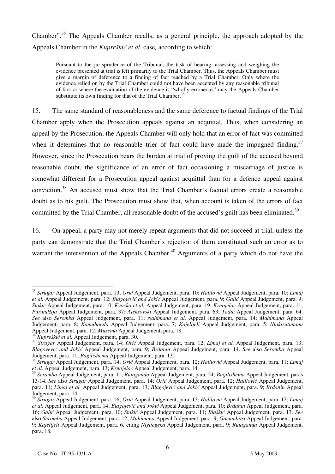Chamber".<sup>35</sup> The Appeals Chamber recalls, as a general principle, the approach adopted by the Appeals Chamber in the *Kupreškić et al.* case*,* according to which:

Pursuant to the jurisprudence of the Tribunal, the task of hearing, assessing and weighing the evidence presented at trial is left primarily to the Trial Chamber. Thus, the Appeals Chamber must give a margin of deference to a finding of fact reached by a Trial Chamber. Only where the evidence relied on by the Trial Chamber could not have been accepted by any reasonable tribunal of fact or where the evaluation of the evidence is "wholly erroneous" may the Appeals Chamber substitute its own finding for that of the Trial Chamber.<sup>36</sup>

15. The same standard of reasonableness and the same deference to factual findings of the Trial Chamber apply when the Prosecution appeals against an acquittal. Thus, when considering an appeal by the Prosecution, the Appeals Chamber will only hold that an error of fact was committed when it determines that no reasonable trier of fact could have made the impugned finding.<sup>37</sup> However, since the Prosecution bears the burden at trial of proving the guilt of the accused beyond reasonable doubt, the significance of an error of fact occasioning a miscarriage of justice is somewhat different for a Prosecution appeal against acquittal than for a defence appeal against conviction.38 An accused must show that the Trial Chamber's factual errors create a reasonable doubt as to his guilt. The Prosecution must show that, when account is taken of the errors of fact committed by the Trial Chamber, all reasonable doubt of the accused's guilt has been eliminated.<sup>39</sup>

16. On appeal, a party may not merely repeat arguments that did not succeed at trial, unless the party can demonstrate that the Trial Chamber's rejection of them constituted such an error as to warrant the intervention of the Appeals Chamber.<sup>40</sup> Arguments of a party which do not have the

 $\overline{a}$ <sup>35</sup> *Strugar* Appeal Judgement, para. 13; *Orić* Appeal Judgement, para. 10; *Halilović* Appeal Judgement, para. 10; *Limaj et al.* Appeal Judgement, para. 12; *Blagojević and Jokić* Appeal Judgement, para. 9; *Galić* Appeal Judgement, para. 9; *Stakić* Appeal Judgement, para. 10; *Kvočka et al.* Appeal Judgement, para. 19; *Krnojelac* Appeal Judgement, para. 11; *Furundžija* Appeal Judgement, para. 37; *Aleksovski* Appeal Judgement, para. 63; *Tadić* Appeal Judgement, para. 64. *See* also *Seromba* Appeal Judgement, para. 11; *Nahimana et al.* Appeal Judgement, para. 14; *Muhimana* Appeal Judgement, para. 8; *Kamuhanda* Appeal Judgement, para. 7; *Kajelijeli* Appeal Judgement, para. 5; *Ntakirutimana*  Appeal Judgement, para. 12; *Musema* Appeal Judgement, para. 18.

<sup>36</sup> *Kupreškić et al.* Appeal Judgement, para. 30. 37 *Strugar* Appeal Judgement, para. 14; *Ori<sup>ć</sup>* Appeal Judgement, para. 12; *Limaj et al.* Appeal Judgement, para. 13; *Blagovević and Jokić* Appeal Judgement, para. 9; *Brđanin* Appeal Judgement, para. 14. *See* also *Seromba* Appeal

<sup>&</sup>lt;sup>38</sup> Strugar Appeal Judgement, para. 14; Oric Appeal Judgement, para. 12; Halilovic Appeal Judgement, para. 11; Limaj *et al.* Appeal Judgement, para. 13; *Krnojelac* Appeal Judgement, para. 14.

<sup>39</sup> *Seromba* Appeal Judgement, para. 11; *Rutaganda* Appeal Judgement, para. 24; *Bagilishema* Appeal Judgement, paras 13-14. *See* also *Strugar* Appeal Judgement, para. 14; *Orić* Appeal Judgement, para. 12; *Halilović* Appeal Judgement, para. 11; *Limaj et al.* Appeal Judgement, para. 13; *Blagojević and Jokić* Appeal Judgement, para. 9; *Brđanin* Appeal Judgement, para. 14.

<sup>40</sup> *Strugar* Appeal Judgement, para. 16; *Orić* Appeal Judgement, para. 13; *Halilović* Appeal Judgement, para. 12; *Limaj et al.* Appeal Judgement, para. 14; *Blagojević and Jokić* Appeal Judgement, para. 10; *Brđanin* Appeal Judgement, para. 16; *Galić* Appeal Judgement, para. 10; *Stakić* Appeal Judgement, para. 11; *Blaškić* Appeal Judgement, para. 13. *See* also *Seromba* Appeal Judgement, para. 12; *Muhimana* Appeal Judgement, para. 9; *Gacumbitsi* Appeal Judgement, para. 9; *Kajelijeli* Appeal Judgement, para. 6, citing *Niyitegeka* Appeal Judgement, para. 9; *Rutaganda* Appeal Judgement, para. 18.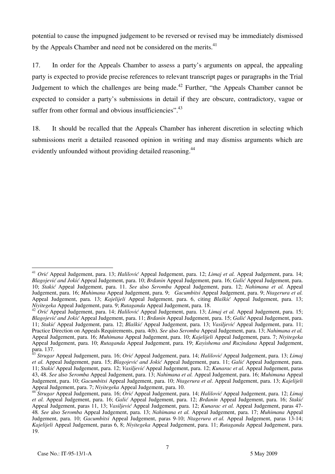potential to cause the impugned judgement to be reversed or revised may be immediately dismissed by the Appeals Chamber and need not be considered on the merits.<sup>41</sup>

17. In order for the Appeals Chamber to assess a party's arguments on appeal, the appealing party is expected to provide precise references to relevant transcript pages or paragraphs in the Trial Judgement to which the challenges are being made.<sup>42</sup> Further, "the Appeals Chamber cannot be expected to consider a party's submissions in detail if they are obscure, contradictory, vague or suffer from other formal and obvious insufficiencies".<sup>43</sup>

18. It should be recalled that the Appeals Chamber has inherent discretion in selecting which submissions merit a detailed reasoned opinion in writing and may dismiss arguments which are evidently unfounded without providing detailed reasoning.<sup>44</sup>

 $\overline{a}$ <sup>41</sup> *Orić* Appeal Judgement, para. 13; *Halilović* Appeal Judgement, para. 12; *Limaj et al.* Appeal Judgement, para. 14; *Blagojević and Jokić* Appeal Judgement, para. 10; *Brđanin* Appeal Judgement, para. 16; *Galić* Appeal Judgement, para. 10; *Stakić* Appeal Judgement, para. 11. *See* also *Seromba* Appeal Judgement, para. 12; *Nahimana et al.* Appeal Judgement, para. 16; *Muhimana* Appeal Judgement, para. 9; *Gacumbitsi* Appeal Judgement, para. 9; *Ntagerura et al.*  Appeal Judgement, para. 13; *Kajelijeli* Appeal Judgement, para. 6, citing *Blaškić* Appeal Judgement, para. 13;

<sup>&</sup>lt;sup>42</sup> Orić Appeal Judgement, para. 14; *Halilović* Appeal Judgement, para. 13; *Limaj et al.* Appeal Judgement, para. 15; *Blagojević and Jokić* Appeal Judgement, para. 11; *Brđanin* Appeal Judgement, para. 15; *Galić* Appeal Judgement, para. 11; *Stakić* Appeal Judgement, para. 12; *Blaškić* Appeal Judgement, para. 13; *Vasiljević* Appeal Judgement, para. 11; Practice Direction on Appeals Requirements, para. 4(b). *See* also *Seromba* Appeal Judgement, para. 13; *Nahimana et al.* Appeal Judgement, para. 16; *Muhimana* Appeal Judgement, para. 10; *Kajelijeli* Appeal Judgement, para. 7; *Niyitegeka*  Appeal Judgement, para. 10; *Rutaganda* Appeal Judgement, para. 19; *Kayishema and Ruzindana* Appeal Judgement, para. 137.

<sup>43</sup> *Strugar* Appeal Judgement, para. 16; *Orić* Appeal Judgement, para. 14; *Halilović* Appeal Judgement, para. 13; *Limaj et al.* Appeal Judgement, para. 15; *Blagojević and Jokić* Appeal Judgement, para. 11; *Galić* Appeal Judgement, para. 11; *Stakić* Appeal Judgement, para. 12; *Vasiljević* Appeal Judgement, para. 12; *Kunarac et al.* Appeal Judgement, paras 43, 48. *See* also *Seromba* Appeal Judgement, para. 13; *Nahimana et al.* Appeal Judgement, para. 16; *Muhimana* Appeal Judgement, para. 10; *Gacumbitsi* Appeal Judgement, para. 10; *Ntagerura et al*. Appeal Judgement, para. 13; *Kajelijeli* 

Strugar Appeal Judgement, para. 16; Orić Appeal Judgement, para. 14; Halilović Appeal Judgement, para. 12; Limaj *et al.* Appeal Judgement, para. 16; *Galić* Appeal Judgement, para. 12; *Brđanin* Appeal Judgement, para. 16; *Stakić* Appeal Judgement, paras 11, 13; *Vasiljević* Appeal Judgement, para. 12; *Kunarac et al.* Appeal Judgement, paras 47- 48*. See* also *Seromba* Appeal Judgement, para. 13; *Nahimana et al.* Appeal Judgement, para. 17; *Muhimana* Appeal Judgement, para. 10; *Gacumbitsi* Appeal Judgement, paras 9-10; *Ntagerura et al.* Appeal Judgement, paras 13-14; *Kajelijeli* Appeal Judgement, paras 6, 8; *Niyitegeka* Appeal Judgement, para. 11; *Rutaganda* Appeal Judgement, para. 19.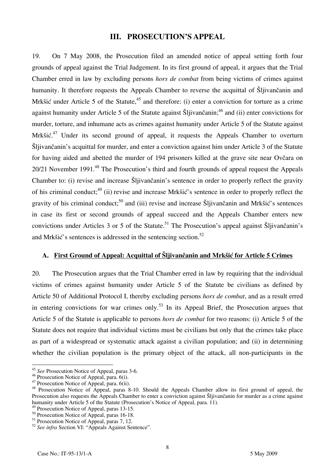## **III. PROSECUTION'S APPEAL**

19. On 7 May 2008, the Prosecution filed an amended notice of appeal setting forth four grounds of appeal against the Trial Judgement. In its first ground of appeal, it argues that the Trial Chamber erred in law by excluding persons *hors de combat* from being victims of crimes against humanity. It therefore requests the Appeals Chamber to reverse the acquittal of Slijivancanin and Mrk $\delta$ ić under Article 5 of the Statute,<sup>45</sup> and therefore: (i) enter a conviction for torture as a crime against humanity under Article 5 of the Statute against Šljivančanin;<sup>46</sup> and (ii) enter convictions for murder, torture, and inhumane acts as crimes against humanity under Article 5 of the Statute against Mrkšić.<sup>47</sup> Under its second ground of appeal, it requests the Appeals Chamber to overturn Sliivančanin's acquittal for murder, and enter a conviction against him under Article 3 of the Statute for having aided and abetted the murder of 194 prisoners killed at the grave site near Ovčara on 20/21 November 1991.<sup>48</sup> The Prosecution's third and fourth grounds of appeal request the Appeals Chamber to: (i) revise and increase Sliivančanin's sentence in order to properly reflect the gravity of his criminal conduct;<sup>49</sup> (ii) revise and increase Mrk $\delta i \delta'$ 's sentence in order to properly reflect the gravity of his criminal conduct;<sup>50</sup> and (iii) revise and increase  $\tilde{S}$ ljivančanin and Mrkšić's sentences in case its first or second grounds of appeal succeed and the Appeals Chamber enters new convictions under Articles 3 or 5 of the Statute.<sup>51</sup> The Prosecution's appeal against Šljivančanin's and Mrkšić's sentences is addressed in the sentencing section.<sup>52</sup>

# **A. First Ground of Appeal: Acquittal of Šljivančanin and Mrkšić for Article 5 Crimes**

20. The Prosecution argues that the Trial Chamber erred in law by requiring that the individual victims of crimes against humanity under Article 5 of the Statute be civilians as defined by Article 50 of Additional Protocol I, thereby excluding persons *hors de combat*, and as a result erred in entering convictions for war crimes only.<sup>53</sup> In its Appeal Brief, the Prosecution argues that Article 5 of the Statute is applicable to persons *hors de combat* for two reasons: (i) Article 5 of the Statute does not require that individual victims must be civilians but only that the crimes take place as part of a widespread or systematic attack against a civilian population; and (ii) in determining whether the civilian population is the primary object of the attack, all non-participants in the

 $\overline{a}$ <sup>45</sup> *See* Prosecution Notice of Appeal, paras 3-6.

<sup>46</sup> Prosecution Notice of Appeal, para. 6(i).

 $47$  Prosecution Notice of Appeal, para. 6(ii).

<sup>&</sup>lt;sup>48</sup> Prosecution Notice of Appeal, paras 8-10. Should the Appeals Chamber allow its first ground of appeal, the Prosecution also requests the Appeals Chamber to enter a conviction against Šljivančanin for murder as a crime against humanity under Article 5 of the Statute (Prosecution's Notice of Appeal, para. 11).

<sup>49</sup> Prosecution Notice of Appeal, paras 13-15.

<sup>&</sup>lt;sup>50</sup> Prosecution Notice of Appeal, paras 16-18.

<sup>&</sup>lt;sup>51</sup> Prosecution Notice of Appeal, paras 7, 12.

<sup>52</sup> *See infra* Section VI: "Appeals Against Sentence".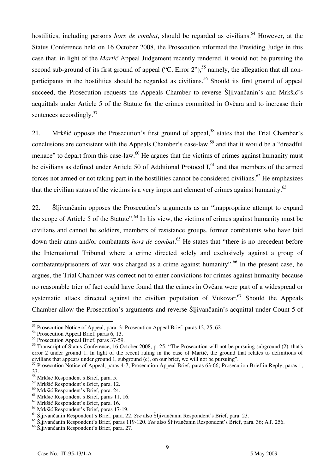hostilities, including persons *hors de combat*, should be regarded as civilians.<sup>54</sup> However, at the Status Conference held on 16 October 2008, the Prosecution informed the Presiding Judge in this case that, in light of the *Martic* Appeal Judgement recently rendered, it would not be pursuing the second sub-ground of its first ground of appeal ("C. Error 2"),<sup>55</sup> namely, the allegation that all nonparticipants in the hostilities should be regarded as civilians.<sup>56</sup> Should its first ground of appeal succeed, the Prosecution requests the Appeals Chamber to reverse Šljivančanin's and Mrkšić's acquittals under Article 5 of the Statute for the crimes committed in Ovčara and to increase their sentences accordingly.<sup>57</sup>

21. Mrkšić opposes the Prosecution's first ground of appeal.<sup>58</sup> states that the Trial Chamber's conclusions are consistent with the Appeals Chamber's case-law.<sup>59</sup> and that it would be a "dreadful" menace" to depart from this case-law. $^{60}$  He argues that the victims of crimes against humanity must be civilians as defined under Article 50 of Additional Protocol  $I<sub>1</sub><sup>61</sup>$  and that members of the armed forces not armed or not taking part in the hostilities cannot be considered civilians.<sup>62</sup> He emphasizes that the civilian status of the victims is a very important element of crimes against humanity.<sup>63</sup>

22. Šljivančanin opposes the Prosecution's arguments as an "inappropriate attempt to expand the scope of Article 5 of the Statute".<sup>64</sup> In his view, the victims of crimes against humanity must be civilians and cannot be soldiers, members of resistance groups, former combatants who have laid down their arms and/or combatants *hors de combat*. 65 He states that "there is no precedent before the International Tribunal where a crime directed solely and exclusively against a group of combatants/prisoners of war was charged as a crime against humanity".<sup>66</sup> In the present case, he argues, the Trial Chamber was correct not to enter convictions for crimes against humanity because no reasonable trier of fact could have found that the crimes in Ovčara were part of a widespread or systematic attack directed against the civilian population of Vukovar.<sup>67</sup> Should the Appeals Chamber allow the Prosecution's arguments and reverse Šljivančanin's acquittal under Count 5 of

<sup>&</sup>lt;sup>53</sup> Prosecution Notice of Appeal, para. 3; Prosecution Appeal Brief, paras 12, 25, 62.

<sup>54</sup> Prosecution Appeal Brief, paras 6, 13.

<sup>&</sup>lt;sup>55</sup> Prosecution Appeal Brief, paras 37-59.

<sup>&</sup>lt;sup>56</sup> Transcript of Status Conference, 16 October 2008, p. 25: "The Prosecution will not be pursuing subground (2), that's error 2 under ground 1. In light of the recent ruling in the case of Martić, the ground that relates to definitions of civilians that appears under ground 1, subground (c), on our brief, we will not be pursuing".

<sup>&</sup>lt;sup>57</sup> Prosecution Notice of Appeal, paras 4-7; Prosecution Appeal Brief, paras 63-66; Prosecution Brief in Reply, paras 1, 33.

<sup>58</sup> Mrkšić Respondent's Brief, para. 5.

<sup>59</sup> Mrkšić Respondent's Brief, para. 12.

<sup>60</sup> Mrkšić Respondent's Brief, para. 24.

<sup>&</sup>lt;sup>61</sup> Mrkšić Respondent's Brief, paras 11, 16.

<sup>62</sup> Mrkšić Respondent's Brief, para. 16.

<sup>63</sup> Mrkšić Respondent's Brief, paras 17-19.

<sup>64</sup> Šljivančanin Respondent's Brief, para. 22. *See* also Šljivančanin Respondent's Brief, para. 23.

<sup>65</sup> Šljivančanin Respondent's Brief, paras 119-120. *See* also Šljivančanin Respondent's Brief, para. 36; AT. 256.

<sup>66</sup> Šljivančanin Respondent's Brief, para. 27.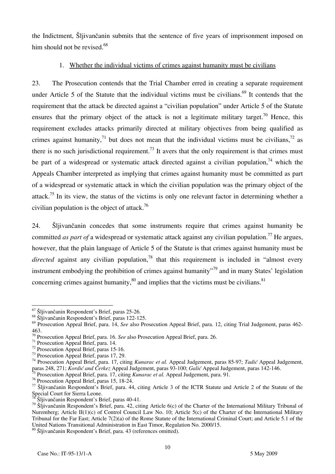the Indictment, Šljivančanin submits that the sentence of five years of imprisonment imposed on him should not be revised. $68$ 

## 1. Whether the individual victims of crimes against humanity must be civilians

23. The Prosecution contends that the Trial Chamber erred in creating a separate requirement under Article 5 of the Statute that the individual victims must be civilians.<sup>69</sup> It contends that the requirement that the attack be directed against a "civilian population" under Article 5 of the Statute ensures that the primary object of the attack is not a legitimate military target.<sup>70</sup> Hence, this requirement excludes attacks primarily directed at military objectives from being qualified as crimes against humanity,<sup>71</sup> but does not mean that the individual victims must be civilians,<sup>72</sup> as there is no such jurisdictional requirement.<sup>73</sup> It avers that the only requirement is that crimes must be part of a widespread or systematic attack directed against a civilian population,  $74$  which the Appeals Chamber interpreted as implying that crimes against humanity must be committed as part of a widespread or systematic attack in which the civilian population was the primary object of the attack.<sup>75</sup> In its view, the status of the victims is only one relevant factor in determining whether a civilian population is the object of attack.<sup>76</sup>

24. Šljivančanin concedes that some instruments require that crimes against humanity be committed *as part of* a widespread or systematic attack against any civilian population.<sup>77</sup> He argues, however, that the plain language of Article 5 of the Statute is that crimes against humanity must be *directed* against any civilian population,<sup>78</sup> that this requirement is included in "almost every instrument embodying the prohibition of crimes against humanity<sup> $\frac{79}{9}$ </sup> and in many States' legislation concerning crimes against humanity, $80$  and implies that the victims must be civilians. $81$ 

<sup>5</sup> Prosecution Appeal Brief, para. 17, citing *Kunarac et al.* Appeal Judgement, para. 91.

 $\overline{\phantom{a}}$ <sup>67</sup> Šljivančanin Respondent's Brief, paras 25-26.

<sup>68</sup> Šljivančanin Respondent's Brief, paras 122-125.

<sup>69</sup> Prosecution Appeal Brief, para. 14, *See* also Prosecution Appeal Brief, para. 12, citing Trial Judgement, paras 462- 463.

<sup>70</sup> Prosecution Appeal Brief, para. 16. *See* also Prosecution Appeal Brief, para. 26. 71 Prosecution Appeal Brief, para. 14.

 $72$  Prosecution Appeal Brief, paras 15-16.

<sup>73</sup> Prosecution Appeal Brief, paras 17, 29.

<sup>74</sup> Prosecution Appeal Brief, para. 17, citing *Kunarac et al.* Appeal Judgement, paras 85-97; *Tadić* Appeal Judgement, paras 248, 271; *Kordić and Čerkez* Appeal Judgement, paras 93-100; *Galić* Appeal Judgement, paras 142-146.

<sup>76</sup> Prosecution Appeal Brief, paras 15, 18-24.

<sup>&</sup>lt;sup>77</sup> Šljivančanin Respondent<sup>'</sup>s Brief, para. 44, citing Article 3 of the ICTR Statute and Article 2 of the Statute of the Special Court for Sierra Leone.

<sup>78</sup> Šljivančanin Respondent's Brief, paras 40-41.

<sup>&</sup>lt;sup>79</sup> Šljivančanin Respondent's Brief, para. 42, citing Article 6(c) of the Charter of the International Military Tribunal of Nuremberg; Article II(1)(c) of Control Council Law No. 10; Article 5(c) of the Charter of the International Military Tribunal for the Far East; Article 7(2)(a) of the Rome Statute of the International Criminal Court; and Article 5.1 of the United Nations Transitional Administration in East Timor, Regulation No. 2000/15.

<sup>80</sup> Šljivančanin Respondent's Brief, para. 43 (references omitted).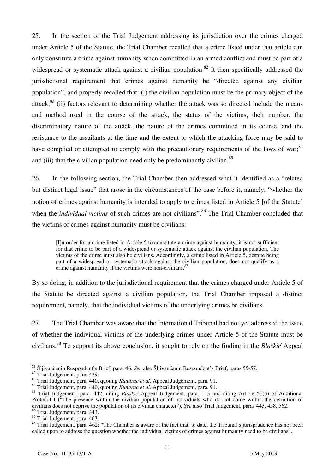25. In the section of the Trial Judgement addressing its jurisdiction over the crimes charged under Article 5 of the Statute, the Trial Chamber recalled that a crime listed under that article can only constitute a crime against humanity when committed in an armed conflict and must be part of a widespread or systematic attack against a civilian population.<sup>82</sup> It then specifically addressed the jurisdictional requirement that crimes against humanity be "directed against any civilian population", and properly recalled that: (i) the civilian population must be the primary object of the attack; $83$  (ii) factors relevant to determining whether the attack was so directed include the means and method used in the course of the attack, the status of the victims, their number, the discriminatory nature of the attack, the nature of the crimes committed in its course, and the resistance to the assailants at the time and the extent to which the attacking force may be said to have complied or attempted to comply with the precautionary requirements of the laws of war;<sup>84</sup> and (iii) that the civilian population need only be predominantly civilian.<sup>85</sup>

26. In the following section, the Trial Chamber then addressed what it identified as a "related but distinct legal issue" that arose in the circumstances of the case before it, namely, "whether the notion of crimes against humanity is intended to apply to crimes listed in Article 5 [of the Statute] when the *individual victims* of such crimes are not civilians".<sup>86</sup> The Trial Chamber concluded that the victims of crimes against humanity must be civilians:

In order for a crime listed in Article 5 to constitute a crime against humanity, it is not sufficient for that crime to be part of a widespread or systematic attack against the civilian population. The victims of the crime must also be civilians. Accordingly, a crime listed in Article 5, despite being part of a widespread or systematic attack against the civilian population, does not qualify as a crime against humanity if the victims were non-civilians.<sup>87</sup>

By so doing, in addition to the jurisdictional requirement that the crimes charged under Article 5 of the Statute be directed against a civilian population, the Trial Chamber imposed a distinct requirement, namely, that the individual victims of the underlying crimes be civilians.

27. The Trial Chamber was aware that the International Tribunal had not yet addressed the issue of whether the individual victims of the underlying crimes under Article 5 of the Statute must be civilians.88 To support its above conclusion, it sought to rely on the finding in the *Blaškić* Appeal

 $\overline{a}$ <sup>81</sup> Šljivančanin Respondent's Brief, para. 46. *See* also Šljivančanin Respondent's Brief, paras 55-57.<br><sup>82</sup> Trial Judgement, para. 429.

<sup>&</sup>lt;sup>82</sup> Trial Judgement, para. 429.<br><sup>83</sup> Trial Judgement, para. 440, quoting *Kunarac et al.* Appeal Judgement, para. 91.<br><sup>84</sup> Trial Judgement, para. 440, quoting *Kunarac et al.* Appeal Judgement, para. 91.

<sup>85</sup> Trial Judgement, para. 442, citing *Blaškić* Appeal Judgement, para. 113 and citing Article 50(3) of Additional Protocol I ("The presence within the civilian population of individuals who do not come within the definition of civilians does not deprive the population of its civilian character"). *See* also Trial Judgement, paras 443, 458, 562. 86 Trial Judgement, para. 443.

<sup>&</sup>lt;sup>87</sup> Trial Judgement, para. 463.

<sup>&</sup>lt;sup>88</sup> Trial Judgement, para. 462: "The Chamber is aware of the fact that, to date, the Tribunal's jurisprudence has not been called upon to address the question whether the individual victims of crimes against humanity need to be civilians".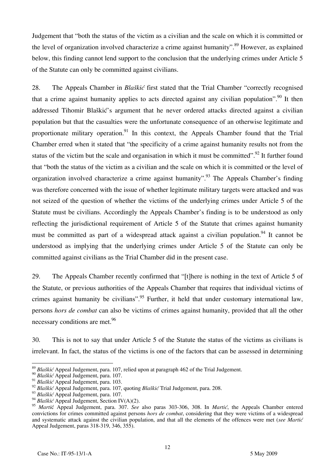Judgement that "both the status of the victim as a civilian and the scale on which it is committed or the level of organization involved characterize a crime against humanity".<sup>89</sup> However, as explained below, this finding cannot lend support to the conclusion that the underlying crimes under Article 5 of the Statute can only be committed against civilians.

28. The Appeals Chamber in *Blaškić* first stated that the Trial Chamber "correctly recognised that a crime against humanity applies to acts directed against any civilian population". <sup>90</sup> It then addressed Tihomir Blaškić's argument that he never ordered attacks directed against a civilian population but that the casualties were the unfortunate consequence of an otherwise legitimate and proportionate military operation.<sup>91</sup> In this context, the Appeals Chamber found that the Trial Chamber erred when it stated that "the specificity of a crime against humanity results not from the status of the victim but the scale and organisation in which it must be committed".<sup>92</sup> It further found that "both the status of the victim as a civilian and the scale on which it is committed or the level of organization involved characterize a crime against humanity".<sup>93</sup> The Appeals Chamber's finding was therefore concerned with the issue of whether legitimate military targets were attacked and was not seized of the question of whether the victims of the underlying crimes under Article 5 of the Statute must be civilians. Accordingly the Appeals Chamber's finding is to be understood as only reflecting the jurisdictional requirement of Article 5 of the Statute that crimes against humanity must be committed as part of a widespread attack against a civilian population.<sup>94</sup> It cannot be understood as implying that the underlying crimes under Article 5 of the Statute can only be committed against civilians as the Trial Chamber did in the present case.

29. The Appeals Chamber recently confirmed that "[t] here is nothing in the text of Article 5 of the Statute, or previous authorities of the Appeals Chamber that requires that individual victims of crimes against humanity be civilians".<sup>95</sup> Further, it held that under customary international law, persons *hors de combat* can also be victims of crimes against humanity, provided that all the other necessary conditions are met.<sup>96</sup>

30. This is not to say that under Article 5 of the Statute the status of the victims as civilians is irrelevant. In fact, the status of the victims is one of the factors that can be assessed in determining

 $\overline{a}$ <sup>89</sup> *Blaškić* Appeal Judgement, para. 107, relied upon at paragraph 462 of the Trial Judgement.

<sup>90</sup> *Blaškić* Appeal Judgement, para. 107.

<sup>91</sup> *Blaškić* Appeal Judgement, para. 103.

<sup>92</sup> *Blaškić* Appeal Judgement, para. 107, quoting *Blaškić* Trial Judgement, para. 208.

<sup>93</sup> *Blaškić* Appeal Judgement, para. 107.

<sup>94</sup> *Blaškić* Appeal Judgement, Section IV(A)(2).

<sup>&</sup>lt;sup>95</sup> *Marti*ć Appeal Judgement, para. 307. *See* also paras 303-306, 308. In *Martić*, the Appeals Chamber entered convictions for crimes committed against persons *hors de combat*, considering that they were victims of a widespread and systematic attack against the civilian population, and that all the elements of the offences were met (*see Martić* Appeal Judgement, paras 318-319, 346, 355).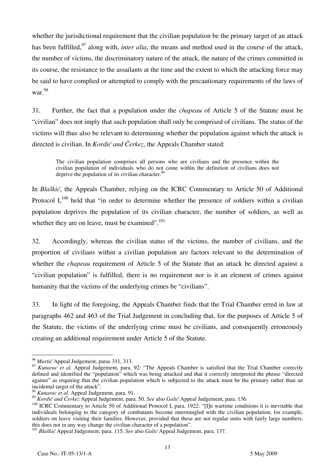whether the jurisdictional requirement that the civilian population be the primary target of an attack has been fulfilled,<sup>97</sup> along with, *inter alia*, the means and method used in the course of the attack, the number of victims, the discriminatory nature of the attack, the nature of the crimes committed in its course, the resistance to the assailants at the time and the extent to which the attacking force may be said to have complied or attempted to comply with the precautionary requirements of the laws of war.98

31. Further, the fact that a population under the *chapeau* of Article 5 of the Statute must be "civilian" does not imply that such population shall only be comprised of civilians. The status of the victims will thus also be relevant to determining whether the population against which the attack is directed is civilian. In *Kordić and Čerkez*, the Appeals Chamber stated:

The civilian population comprises all persons who are civilians and the presence within the civilian population of individuals who do not come within the definition of civilians does not deprive the population of its civilian character.<sup>99</sup>

In *Blaškić*, the Appeals Chamber, relying on the ICRC Commentary to Article 50 of Additional Protocol I, $^{100}$  held that "in order to determine whether the presence of soldiers within a civilian population deprives the population of its civilian character, the number of soldiers, as well as whether they are on leave, must be examined".<sup>101</sup>

32. Accordingly, whereas the civilian status of the victims, the number of civilians, and the proportion of civilians within a civilian population are factors relevant to the determination of whether the *chapeau* requirement of Article 5 of the Statute that an attack be directed against a "civilian population" is fulfilled, there is no requirement nor is it an element of crimes against humanity that the victims of the underlying crimes be "civilians".

33. In light of the foregoing, the Appeals Chamber finds that the Trial Chamber erred in law at paragraphs 462 and 463 of the Trial Judgement in concluding that, for the purposes of Article 5 of the Statute, the victims of the underlying crime must be civilians, and consequently erroneously creating an additional requirement under Article 5 of the Statute.

<sup>96</sup> *Martić* Appeal Judgement, paras 311, 313.

<sup>&</sup>lt;sup>97</sup> *Kunarac et al.* Appeal Judgement, para. 92: "The Appeals Chamber is satisfied that the Trial Chamber correctly defined and identified the "population" which was being attacked and that it correctly interpreted the phrase "directed against" as requiring that the civilian population which is subjected to the attack must be the primary rather than an incidental target of the attack".

<sup>&</sup>lt;sup>98</sup> *Kunarac et al.* Appeal Judgement, para. 91.<br><sup>99</sup> *Kordić and Čerkez* Appeal Judgement, para. 50. *See* also *Galić* Appeal Judgement, para. 136.

<sup>&</sup>lt;sup>100</sup> ICRC Commentary to Article 50 of Additional Protocol I, para. 1922: "[I]n wartime conditions it is inevitable that individuals belonging to the category of combatants become intermingled with the civilian population, for example, soldiers on leave visiting their families. However, provided that these are not regular units with fairly large numbers, this does not in any way change the civilian character of a population".

<sup>101</sup> *Blaškić* Appeal Judgement, para. 115. *See* also *Galić* Appeal Judgement, para. 137.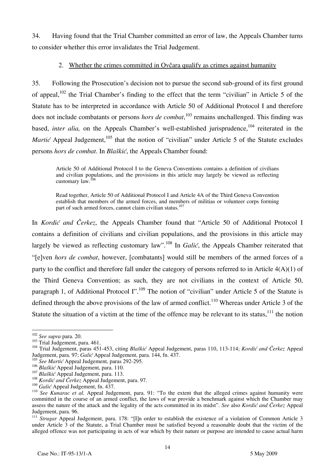34. Having found that the Trial Chamber committed an error of law, the Appeals Chamber turns to consider whether this error invalidates the Trial Judgement.

# 2. Whether the crimes committed in Ovčara qualify as crimes against humanity

35. Following the Prosecution's decision not to pursue the second sub-ground of its first ground of appeal,<sup>102</sup> the Trial Chamber's finding to the effect that the term "civilian" in Article 5 of the Statute has to be interpreted in accordance with Article 50 of Additional Protocol I and therefore does not include combatants or persons *hors de combat*, 103 remains unchallenged. This finding was based, *inter alia*, on the Appeals Chamber's well-established jurisprudence,<sup>104</sup> reiterated in the *Martić* Appeal Judgement,<sup>105</sup> that the notion of "civilian" under Article 5 of the Statute excludes persons *hors de combat*. In *Blaškić*, the Appeals Chamber found:

Article 50 of Additional Protocol I to the Geneva Conventions contains a definition of civilians and civilian populations, and the provisions in this article may largely be viewed as reflecting customary law.106

Read together, Article 50 of Additional Protocol I and Article 4A of the Third Geneva Convention establish that members of the armed forces, and members of militias or volunteer corps forming part of such armed forces, cannot claim civilian status.<sup>107</sup>

In *Kordić and Čerkez*, the Appeals Chamber found that "Article 50 of Additional Protocol I contains a definition of civilians and civilian populations, and the provisions in this article may largely be viewed as reflecting customary law".<sup>108</sup> In *Galić*, the Appeals Chamber reiterated that "[e]ven *hors de combat*, however, [combatants] would still be members of the armed forces of a party to the conflict and therefore fall under the category of persons referred to in Article 4(A)(1) of the Third Geneva Convention; as such, they are not civilians in the context of Article 50, paragraph 1, of Additional Protocol I".<sup>109</sup> The notion of "civilian" under Article 5 of the Statute is defined through the above provisions of the law of armed conflict.<sup>110</sup> Whereas under Article 3 of the Statute the situation of a victim at the time of the offence may be relevant to its status, $^{111}$  the notion

 $102$  See supra para. 20.

<sup>103</sup> Trial Judgement, para. 461.<br><sup>103</sup> Trial Judgement, para. 461.<br><sup>104</sup> Trial Judgement, paras 451-453, citing *Blaškić* Appeal Judgement, paras 110, 113-114; *Kordić and Čerkez* Appeal Judgement, para. 97; *Galić* Appeal Judgement, para. 144, fn. 437.

<sup>&</sup>lt;sup>105</sup> *See Martić* Appeal Judgement, paras 292-295.<br><sup>106</sup> *Blaškić* Appeal Judgement, para. 110.

<sup>&</sup>lt;sup>107</sup> Blaškić Appeal Judgement, para. 113.<br><sup>108</sup> *Kordić and Čerkez* Appeal Judgement, para. 97.<br><sup>109</sup> *Galić* Appeal Judgement, fn. 437.

<sup>&</sup>lt;sup>110</sup> See Kunarac et al. Appeal Judgement, para. 91: "To the extent that the alleged crimes against humanity were committed in the course of an armed conflict, the laws of war provide a benchmark against which the Chamber may assess the nature of the attack and the legality of the acts committed in its midst". *See* also *Kordić and Čerkez* Appeal Judgement, para. 96.

<sup>&</sup>lt;sup>111</sup> *Strugar* Appeal Judgement, para. 178: "[I]n order to establish the existence of a violation of Common Article 3 under Article 3 of the Statute, a Trial Chamber must be satisfied beyond a reasonable doubt that the victim of the alleged offence was not participating in acts of war which by their nature or purpose are intended to cause actual harm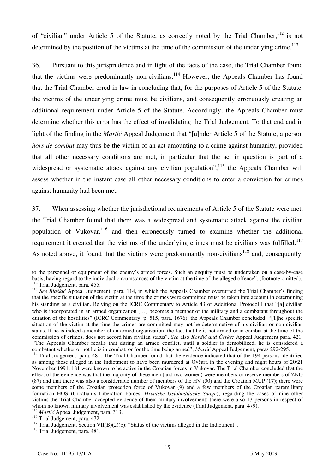of "civilian" under Article 5 of the Statute, as correctly noted by the Trial Chamber,  $^{112}$  is not determined by the position of the victims at the time of the commission of the underlying crime.<sup>113</sup>

36. Pursuant to this jurisprudence and in light of the facts of the case, the Trial Chamber found that the victims were predominantly non-civilians.<sup>114</sup> However, the Appeals Chamber has found that the Trial Chamber erred in law in concluding that, for the purposes of Article 5 of the Statute, the victims of the underlying crime must be civilians, and consequently erroneously creating an additional requirement under Article 5 of the Statute. Accordingly, the Appeals Chamber must determine whether this error has the effect of invalidating the Trial Judgement. To that end and in light of the finding in the *Martic* Appeal Judgement that "[u]nder Article 5 of the Statute, a person *hors de combat* may thus be the victim of an act amounting to a crime against humanity, provided that all other necessary conditions are met, in particular that the act in question is part of a widespread or systematic attack against any civilian population",  $115$  the Appeals Chamber will assess whether in the instant case all other necessary conditions to enter a conviction for crimes against humanity had been met.

37. When assessing whether the jurisdictional requirements of Article 5 of the Statute were met, the Trial Chamber found that there was a widespread and systematic attack against the civilian population of Vukovar,  $116$  and then erroneously turned to examine whether the additional requirement it created that the victims of the underlying crimes must be civilians was fulfilled.<sup>117</sup> As noted above, it found that the victims were predominantly non-civilians<sup>118</sup> and, consequently,

to the personnel or equipment of the enemy's armed forces. Such an enquiry must be undertaken on a case-by-case basis, having regard to the individual circumstances of the victim at the time of the alleged offence". (footn

<sup>&</sup>lt;sup>112</sup> Trial Judgement, para. 455.<br><sup>113</sup> See Blaškić Appeal Judgement, para. 114, in which the Appeals Chamber overturned the Trial Chamber's finding that the specific situation of the victim at the time the crimes were committed must be taken into account in determining his standing as a civilian. Relying on the ICRC Commentary to Article 43 of Additional Protocol I that "[a] civilian who is incorporated in an armed organization [...] becomes a member of the military and a combatant throughout the duration of the hostilities" (ICRC Commentary, p. 515, para. 1676), the Appeals Chamber concluded: "[T]he specific situation of the victim at the time the crimes are committed may not be determinative of his civilian or non-civilian status. If he is indeed a member of an armed organization, the fact that he is not armed or in combat at the time of the commission of crimes, does not accord him civilian status". *See* also *Kordić and Čerkez* Appeal Judgement para. 421: "The Appeals Chamber recalls that during an armed conflict, until a soldier is demobilized, he is considered a combatant whether or not he is in combat, or for the time being armed"; *Martic* Appeal Judgement, paras 292-29

<sup>&</sup>lt;sup>114</sup> Trial Judgement, para. 481. The Trial Chamber found that the evidence indicated that of the 194 persons identified as among those alleged in the Indictment to have been murdered at Ovčara in the evening and night hours of 20/21 November 1991, 181 were known to be active in the Croatian forces in Vukovar. The Trial Chamber concluded that the effect of the evidence was that the majority of these men (and two women) were members or reserve members of ZNG (87) and that there was also a considerable number of members of the HV (30) and the Croatian MUP (17); there were some members of the Croatian protection force of Vukovar (9) and a few members of the Croatian paramilitary formation HOS (Croatian's Liberation Forces, *Hrvatske Oslobodilacke Snage*); regarding the cases of nine other victims the Trial Chamber accepted evidence of their military involvement; there were also 13 persons in respect of whom no known military involvement was established by the evidence (Trial Judgement, para. 479).

<sup>&</sup>lt;sup>115</sup> *Martić* Appeal Judgement, para. 313.<br><sup>116</sup> Trial Judgement, para. 472.

<sup>&</sup>lt;sup>117</sup> Trial Judgement, Section VII(B)(2)(b): "Status of the victims alleged in the Indictment". <sup>118</sup> Trial Judgement, para. 481.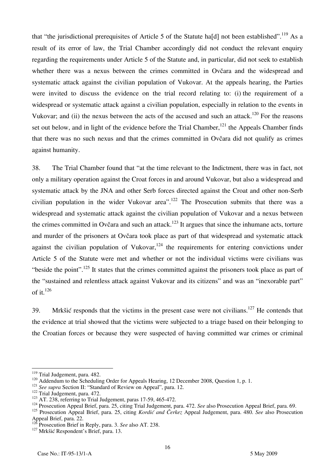that "the jurisdictional prerequisites of Article 5 of the Statute hald not been established".<sup>119</sup> As a result of its error of law, the Trial Chamber accordingly did not conduct the relevant enquiry regarding the requirements under Article 5 of the Statute and, in particular, did not seek to establish whether there was a nexus between the crimes committed in Ovčara and the widespread and systematic attack against the civilian population of Vukovar. At the appeals hearing, the Parties were invited to discuss the evidence on the trial record relating to: (i) the requirement of a widespread or systematic attack against a civilian population, especially in relation to the events in Vukovar; and (ii) the nexus between the acts of the accused and such an attack.<sup>120</sup> For the reasons set out below, and in light of the evidence before the Trial Chamber,<sup>121</sup> the Appeals Chamber finds that there was no such nexus and that the crimes committed in Ovčara did not qualify as crimes against humanity.

38. The Trial Chamber found that "at the time relevant to the Indictment, there was in fact, not only a military operation against the Croat forces in and around Vukovar, but also a widespread and systematic attack by the JNA and other Serb forces directed against the Croat and other non-Serb civilian population in the wider Vukovar area".<sup>122</sup> The Prosecution submits that there was a widespread and systematic attack against the civilian population of Vukovar and a nexus between the crimes committed in Ovčara and such an attack.<sup>123</sup> It argues that since the inhumane acts, torture and murder of the prisoners at Ovčara took place as part of that widespread and systematic attack against the civilian population of Vukovar,  $124$  the requirements for entering convictions under Article 5 of the Statute were met and whether or not the individual victims were civilians was "beside the point".<sup>125</sup> It states that the crimes committed against the prisoners took place as part of the "sustained and relentless attack against Vukovar and its citizens" and was an "inexorable part" of it. $126$ 

39. Mrkšić responds that the victims in the present case were not civilians.<sup>127</sup> He contends that the evidence at trial showed that the victims were subjected to a triage based on their belonging to the Croatian forces or because they were suspected of having committed war crimes or criminal

<sup>&</sup>lt;sup>119</sup> Trial Judgement, para. 482.

<sup>&</sup>lt;sup>120</sup> Addendum to the Scheduling Order for Appeals Hearing, 12 December 2008, Question 1, p. 1.<br><sup>121</sup> See supra Section II: "Standard of Review on Appeal", para. 12.<br><sup>122</sup> Trial Judgement, para. 472.<br><sup>122</sup> AT. 238, referr

<sup>125</sup> Prosecution Appeal Brief, para. 25, citing *Kordić and Čerkez* Appeal Judgement, para. 480. *See* also Prosecution Appeal Brief, para. 22.

<sup>126</sup> Prosecution Brief in Reply, para. 3. *See* also AT. 238. 127 Mrkšić Respondent's Brief, para. 13.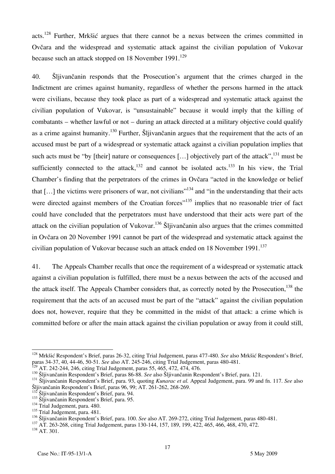acts.<sup>128</sup> Further, Mrkšić argues that there cannot be a nexus between the crimes committed in Ovčara and the widespread and systematic attack against the civilian population of Vukovar because such an attack stopped on 18 November  $1991$ <sup>129</sup>

40. Šljivančanin responds that the Prosecution's argument that the crimes charged in the Indictment are crimes against humanity, regardless of whether the persons harmed in the attack were civilians, because they took place as part of a widespread and systematic attack against the civilian population of Vukovar, is "unsustainable" because it would imply that the killing of combatants – whether lawful or not – during an attack directed at a military objective could qualify as a crime against humanity.<sup>130</sup> Further, Šliivančanin argues that the requirement that the acts of an accused must be part of a widespread or systematic attack against a civilian population implies that such acts must be "by [their] nature or consequences [...] objectively part of the attack",  $^{131}$  must be sufficiently connected to the attack,<sup>132</sup> and cannot be isolated acts.<sup>133</sup> In his view, the Trial Chamber's finding that the perpetrators of the crimes in Ovčara "acted in the knowledge or belief that  $[\dots]$  the victims were prisoners of war, not civilians<sup> $,134$ </sup> and "in the understanding that their acts were directed against members of the Croatian forces<sup>"135</sup> implies that no reasonable trier of fact could have concluded that the perpetrators must have understood that their acts were part of the attack on the civilian population of Vukovar.<sup>136</sup> Šljivančanin also argues that the crimes committed in Ovčara on 20 November 1991 cannot be part of the widespread and systematic attack against the civilian population of Vukovar because such an attack ended on 18 November 1991.<sup>137</sup>

41. The Appeals Chamber recalls that once the requirement of a widespread or systematic attack against a civilian population is fulfilled, there must be a nexus between the acts of the accused and the attack itself. The Appeals Chamber considers that, as correctly noted by the Prosecution,  $^{138}$  the requirement that the acts of an accused must be part of the "attack" against the civilian population does not, however, require that they be committed in the midst of that attack: a crime which is committed before or after the main attack against the civilian population or away from it could still,

 $\overline{a}$ 128 Mrkšić Respondent's Brief, paras 26-32, citing Trial Judgement, paras 477-480. *See* also Mrkšić Respondent's Brief, paras 34-37, 40, 44-46, 50-51. *See* also AT. 245-246, citing Trial Judgement, paras 480-481.

<sup>&</sup>lt;sup>130</sup> Šljivančanin Respondent's Brief, paras 86-88. See also Šljivančanin Respondent's Brief, para. 121.<br><sup>131</sup> Šljivančanin Respondent's Brief, para. 93, quoting *Kunarac et al.* Appeal Judgement, para. 99 and fn. 117. See

<sup>&</sup>lt;sup>132</sup> Šljivančanin Respondent's Brief, para. 94.<br><sup>133</sup> Šljivančanin Respondent's Brief, para. 95. <sup>134</sup> Trial Judgement, para. 480.

<sup>&</sup>lt;sup>135</sup> Trial Judgement, para. 481.

<sup>&</sup>lt;sup>136</sup> Šljivančanin Respondent's Brief, para. 100. See also AT. 269-272, citing Trial Judgement, paras 480-481.<br><sup>137</sup> AT. 263-268, citing Trial Judgement, paras 130-144, 157, 189, 199, 422, 465, 466, 468, 470, 472.<br><sup>138</sup> A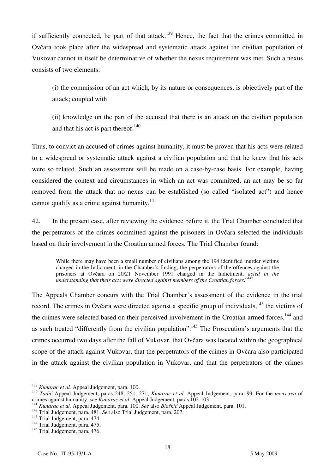if sufficiently connected, be part of that attack.<sup>139</sup> Hence, the fact that the crimes committed in Ovčara took place after the widespread and systematic attack against the civilian population of Vukovar cannot in itself be determinative of whether the nexus requirement was met. Such a nexus consists of two elements:

(i) the commission of an act which, by its nature or consequences, is objectively part of the attack; coupled with

(ii) knowledge on the part of the accused that there is an attack on the civilian population and that his act is part thereof. $140$ 

Thus, to convict an accused of crimes against humanity, it must be proven that his acts were related to a widespread or systematic attack against a civilian population and that he knew that his acts were so related. Such an assessment will be made on a case-by-case basis. For example, having considered the context and circumstances in which an act was committed, an act may be so far removed from the attack that no nexus can be established (so called "isolated act") and hence cannot qualify as a crime against humanity. $141$ 

42. In the present case, after reviewing the evidence before it, the Trial Chamber concluded that the perpetrators of the crimes committed against the prisoners in Ovčara selected the individuals based on their involvement in the Croatian armed forces. The Trial Chamber found:

While there may have been a small number of civilians among the 194 identified murder victims charged in the Indictment, in the Chamber's finding, the perpetrators of the offences against the prisoners at Ovčara on 20/21 November 1991 charged in the Indictment, *acted in the understanding that their acts were directed against members of the Croatian forces*."142

The Appeals Chamber concurs with the Trial Chamber's assessment of the evidence in the trial record. The crimes in Ovčara were directed against a specific group of individuals,<sup>143</sup> the victims of the crimes were selected based on their perceived involvement in the Croatian armed forces.<sup>144</sup> and as such treated "differently from the civilian population".<sup>145</sup> The Prosecution's arguments that the crimes occurred two days after the fall of Vukovar, that Ovčara was located within the geographical scope of the attack against Vukovar, that the perpetrators of the crimes in Ovčara also participated in the attack against the civilian population in Vukovar, and that the perpetrators of the crimes

<sup>&</sup>lt;sup>139</sup> Kunarac et al. Appeal Judgement, para. 100.

<sup>&</sup>lt;sup>140</sup> *Tadić* Appeal Judgement, paras 248, 251, 271; *Kunarac et al.* Appeal Judgement, para. 99. For the *mens rea* of crimes against humanity, *see Kunarac et al.* Appeal Judgement, paras 102-103.

<sup>&</sup>lt;sup>141</sup> Kunarac et al. Appeal Judgement, para. 100. See also Blaškić Appeal Judgement, para. 101.<br><sup>142</sup> Trial Judgement, para. 481. See also Trial Judgement, para. 207.<br><sup>143</sup> Trial Judgement, para. 474.<br><sup>143</sup> Trial Judgemen

<sup>&</sup>lt;sup>145</sup> Trial Judgement, para. 476.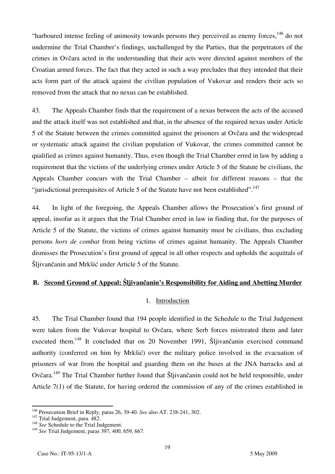"harboured intense feeling of animosity towards persons they perceived as enemy forces,  $146$  do not undermine the Trial Chamber's findings, unchallenged by the Parties, that the perpetrators of the crimes in Ovčara acted in the understanding that their acts were directed against members of the Croatian armed forces. The fact that they acted in such a way precludes that they intended that their acts form part of the attack against the civilian population of Vukovar and renders their acts so removed from the attack that no nexus can be established.

43. The Appeals Chamber finds that the requirement of a nexus between the acts of the accused and the attack itself was not established and that, in the absence of the required nexus under Article 5 of the Statute between the crimes committed against the prisoners at Ovčara and the widespread or systematic attack against the civilian population of Vukovar, the crimes committed cannot be qualified as crimes against humanity. Thus, even though the Trial Chamber erred in law by adding a requirement that the victims of the underlying crimes under Article 5 of the Statute be civilians, the Appeals Chamber concurs with the Trial Chamber – albeit for different reasons – that the "jurisdictional prerequisites of Article 5 of the Statute have not been established".<sup>147</sup>

44. In light of the foregoing, the Appeals Chamber allows the Prosecution's first ground of appeal, insofar as it argues that the Trial Chamber erred in law in finding that, for the purposes of Article 5 of the Statute, the victims of crimes against humanity must be civilians, thus excluding persons *hors de combat* from being victims of crimes against humanity. The Appeals Chamber dismisses the Prosecution's first ground of appeal in all other respects and upholds the acquittals of Sljivančanin and Mrkšić under Article 5 of the Statute.

# **B. Second Ground of Appeal: Šljivančanin's Responsibility for Aiding and Abetting Murder**

## 1. Introduction

45. The Trial Chamber found that 194 people identified in the Schedule to the Trial Judgement were taken from the Vukovar hospital to Ovčara, where Serb forces mistreated them and later executed them.<sup>148</sup> It concluded that on 20 November 1991, Šljivančanin exercised command authority (conferred on him by Mrkšić) over the military police involved in the evacuation of prisoners of war from the hospital and guarding them on the buses at the JNA barracks and at Ovčara.149 The Trial Chamber further found that Šljivančanin could not be held responsible, under Article 7(1) of the Statute, for having ordered the commission of any of the crimes established in

 $146$  Prosecution Brief in Reply, paras 26, 39-40. See also AT. 238-241, 302.

<sup>147</sup> Prosecution Brief in Reply, paras 26, <sup>147</sup> Trial Judgement, para. 482.<br><sup>148</sup> *See* Schedule to the Trial Judgement.

<sup>149</sup> *See* Trial Judgement, paras 397, 400, 659, 667.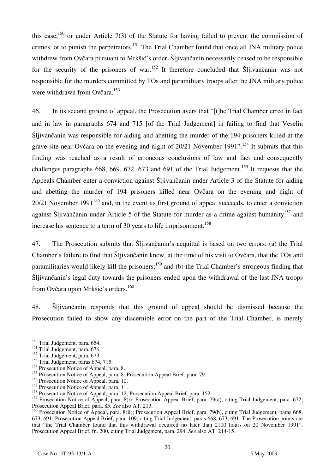this case,  $150$  or under Article 7(3) of the Statute for having failed to prevent the commission of crimes, or to punish the perpetrators.<sup>151</sup> The Trial Chamber found that once all JNA military police withdrew from Ovčara pursuant to Mrkšić's order, Šljivančanin necessarily ceased to be responsible for the security of the prisoners of war.<sup>152</sup> It therefore concluded that Sljivančanin was not responsible for the murders committed by TOs and paramilitary troops after the JNA military police were withdrawn from Ovčara.<sup>153</sup>

46. In its second ground of appeal, the Prosecution avers that "[t]he Trial Chamber erred in fact and in law in paragraphs 674 and 715 [of the Trial Judgement] in failing to find that Veselin Šljivančanin was responsible for aiding and abetting the murder of the 194 prisoners killed at the grave site near Ovčara on the evening and night of 20/21 November 1991".<sup>154</sup> It submits that this finding was reached as a result of erroneous conclusions of law and fact and consequently challenges paragraphs 668, 669, 672, 673 and 691 of the Trial Judgement.<sup>155</sup> It requests that the Appeals Chamber enter a conviction against Šljivančanin under Article 3 of the Statute for aiding and abetting the murder of 194 prisoners killed near Ovčara on the evening and night of  $20/21$  November 1991<sup>156</sup> and, in the event its first ground of appeal succeeds, to enter a conviction against Šlijvančanin under Article 5 of the Statute for murder as a crime against humanity<sup>157</sup> and increase his sentence to a term of 30 years to life imprisonment.<sup>158</sup>

47. The Prosecution submits that Šljivančanin's acquittal is based on two errors: (a) the Trial Chamber's failure to find that Šljivančanin knew, at the time of his visit to Ovčara, that the TOs and paramilitaries would likely kill the prisoners;<sup>159</sup> and (b) the Trial Chamber's erroneous finding that Šljivančanin's legal duty towards the prisoners ended upon the withdrawal of the last JNA troops from Ovčara upon Mrkšić's orders.<sup>160</sup>

48. Šljivančanin responds that this ground of appeal should be dismissed because the Prosecution failed to show any discernible error on the part of the Trial Chamber, is merely

 $\overline{\phantom{a}}$ 

<sup>&</sup>lt;sup>150</sup> Trial Judgement, para. 654.

<sup>&</sup>lt;sup>151</sup> Trial Judgement, para. 676.

 $^{152}$  Trial Judgement, para. 673.

 $^{153}$  Trial Judgement, paras 674, 715.

<sup>&</sup>lt;sup>154</sup> Prosecution Notice of Appeal, para. 8.

<sup>&</sup>lt;sup>155</sup> Prosecution Notice of Appeal, para. 8; Prosecution Appeal Brief, para. 79.

<sup>&</sup>lt;sup>156</sup> Prosecution Notice of Appeal, para. 10.

<sup>&</sup>lt;sup>157</sup> Prosecution Notice of Appeal, para. 11.

<sup>&</sup>lt;sup>158</sup> Prosecution Notice of Appeal, para. 12; Prosecution Appeal Brief, para. 152.

<sup>&</sup>lt;sup>159</sup> Prosecution Notice of Appeal, para. 8(i); Prosecution Appeal Brief, para. 79(a), citing Trial Judgement, para. 672; Prosecution Appeal Brief, para. 85. *See* also AT. 213.

<sup>&</sup>lt;sup>160</sup> Prosecution Notice of Appeal, para. 8(ii); Prosecution Appeal Brief, para. 79(b), citing Trial Judgement, paras 668, 673, 691; Prosecution Appeal Brief, para. 109, citing Trial Judgement, paras 668, 673, 691. The Prosecution points out that "the Trial Chamber found that this withdrawal occurred no later than 2100 hours on 20 November 1991". Prosecution Appeal Brief, fn. 200, citing Trial Judgement, para. 294. *See* also AT. 214-15.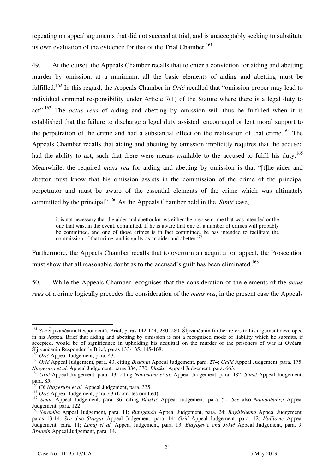repeating on appeal arguments that did not succeed at trial, and is unacceptably seeking to substitute its own evaluation of the evidence for that of the Trial Chamber.<sup>161</sup>

49. At the outset, the Appeals Chamber recalls that to enter a conviction for aiding and abetting murder by omission, at a minimum, all the basic elements of aiding and abetting must be fulfilled.<sup>162</sup> In this regard, the Appeals Chamber in *Orić* recalled that "omission proper may lead to individual criminal responsibility under Article 7(1) of the Statute where there is a legal duty to act".163 The *actus reus* of aiding and abetting by omission will thus be fulfilled when it is established that the failure to discharge a legal duty assisted, encouraged or lent moral support to the perpetration of the crime and had a substantial effect on the realisation of that crime.<sup>164</sup> The Appeals Chamber recalls that aiding and abetting by omission implicitly requires that the accused had the ability to act, such that there were means available to the accused to fulfil his duty.<sup>165</sup> Meanwhile, the required *mens rea* for aiding and abetting by omission is that "[t]he aider and abettor must know that his omission assists in the commission of the crime of the principal perpetrator and must be aware of the essential elements of the crime which was ultimately committed by the principal".<sup>166</sup> As the Appeals Chamber held in the *Simić* case,

it is not necessary that the aider and abettor knows either the precise crime that was intended or the one that was, in the event, committed. If he is aware that one of a number of crimes will probably be committed, and one of those crimes is in fact committed, he has intended to facilitate the commission of that crime, and is guilty as an aider and abetter.<sup>167</sup>

Furthermore, the Appeals Chamber recalls that to overturn an acquittal on appeal, the Prosecution must show that all reasonable doubt as to the accused's guilt has been eliminated.<sup>168</sup>

50. While the Appeals Chamber recognises that the consideration of the elements of the *actus reus* of a crime logically precedes the consideration of the *mens rea*, in the present case the Appeals

<sup>&</sup>lt;sup>161</sup> See Šljivančanin Respondent's Brief, paras 142-144, 280, 289. Šljivančanin further refers to his argument developed in his Appeal Brief that aiding and abetting by omission is not a recognised mode of liability which he submits, if accepted, would be of significance in upholding his acquittal on the murder of the prisoners of war at Ovčara: Šljivančanin Respondent's Brief, paras 133-135, 145-168.

<sup>&</sup>lt;sup>162</sup> *Orić* Appeal Judgement, para. 43.

<sup>&</sup>lt;sup>163</sup> Orić Appeal Judgement, para. 43, citing *Brdanin* Appeal Judgement, para. 274; *Galić* Appeal Judgement, para. 175; *Ntagerura et al.* Appeal Judgement, paras 334, 370; *Blaškić* Appeal Judgement, para. 663.

<sup>&</sup>lt;sup>164</sup> Orić Appeal Judgement, para. 43, citing *Nahimana et al.* Appeal Judgement, para. 482; *Simić* Appeal Judgement, para. 85.

<sup>&</sup>lt;sup>5</sup> *Cf. Ntagerura et al.* Appeal Judgement, para. 335.

<sup>&</sup>lt;sup>166</sup> *Orić* Appeal Judgement, para. 43 (footnotes omitted).

<sup>167</sup> *Simić* Appeal Judgement, para. 86, citing *Blaškić* Appeal Judgement, para. 50. *See* also *Ndindabahizi* Appeal Judgement, para. 122.

<sup>168</sup> *Seromba* Appeal Judgement, para. 11; *Rutaganda* Appeal Judgement, para. 24; *Bagilishema* Appeal Judgement, paras 13-14. *See* also *Strugar* Appeal Judgement, para. 14; *Orić* Appeal Judgement, para. 12; *Halilović* Appeal Judgement, para. 11; *Limaj et al.* Appeal Judgement, para. 13; *Blagojević and Jokić* Appeal Judgement, para. 9; *Brđanin* Appeal Judgement, para. 14.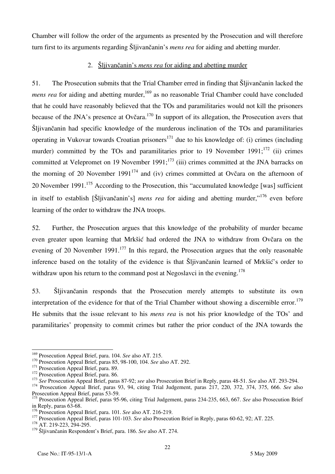Chamber will follow the order of the arguments as presented by the Prosecution and will therefore turn first to its arguments regarding Slijivančanin's *mens rea* for aiding and abetting murder.

# 2. <u>Šljivančanin's *mens rea* for aiding and abetting murder</u>

51. The Prosecution submits that the Trial Chamber erred in finding that Šljivančanin lacked the *mens rea* for aiding and abetting murder,<sup>169</sup> as no reasonable Trial Chamber could have concluded that he could have reasonably believed that the TOs and paramilitaries would not kill the prisoners because of the JNA's presence at Ovčara.<sup>170</sup> In support of its allegation, the Prosecution avers that Šljivančanin had specific knowledge of the murderous inclination of the TOs and paramilitaries operating in Vukovar towards Croatian prisoners<sup>171</sup> due to his knowledge of: (i) crimes (including murder) committed by the TOs and paramilitaries prior to 19 November 1991; $^{172}$  (ii) crimes committed at Velepromet on 19 November 1991;<sup>173</sup> (iii) crimes committed at the JNA barracks on the morning of 20 November 1991<sup>174</sup> and (iv) crimes committed at Ovčara on the afternoon of 20 November 1991.<sup>175</sup> According to the Prosecution, this "accumulated knowledge [was] sufficient in itself to establish [Šljivančanin's] *mens rea* for aiding and abetting murder,"<sup>176</sup> even before learning of the order to withdraw the JNA troops.

52. Further, the Prosecution argues that this knowledge of the probability of murder became even greater upon learning that Mrkšić had ordered the JNA to withdraw from Ovčara on the evening of 20 November 1991.<sup>177</sup> In this regard, the Prosecution argues that the only reasonable inference based on the totality of the evidence is that Šljivančanin learned of Mrkšić's order to withdraw upon his return to the command post at Negoslavci in the evening.<sup>178</sup>

53. Šljivančanin responds that the Prosecution merely attempts to substitute its own interpretation of the evidence for that of the Trial Chamber without showing a discernible error.<sup>179</sup> He submits that the issue relevant to his *mens rea* is not his prior knowledge of the TOs' and paramilitaries' propensity to commit crimes but rather the prior conduct of the JNA towards the

<sup>&</sup>lt;sup>169</sup> Prosecution Appeal Brief, para. 104. See also AT. 215.

<sup>&</sup>lt;sup>170</sup> Prosecution Appeal Brief, paras 85, 98-100, 104. See also AT. 292.<br><sup>171</sup> Prosecution Appeal Brief, para. 89.<br><sup>172</sup> Prosecution Appeal Brief, para. 86.<br><sup>173</sup> See Prosecution Appeal Brief, paras 87-92; see also Prosec Prosecution Appeal Brief, paras 53-59.

<sup>175</sup> Prosecution Appeal Brief, paras 95-96, citing Trial Judgement, paras 234-235, 663, 667. *See* also Prosecution Brief in Reply, paras  $63-68$ .<br> $176$  Prosecution Appeal Brief, para. 101. See also AT, 216-219.

<sup>177</sup> Prosecution Appeal Brief, paras 101-103. *See* also Prosecution Brief in Reply, paras 60-62, 92; AT. 225. <sup>178</sup> AT. 219-223, 294-295.

<sup>&</sup>lt;sup>179</sup> Šljivančanin Respondent's Brief, para. 186. See also AT. 274.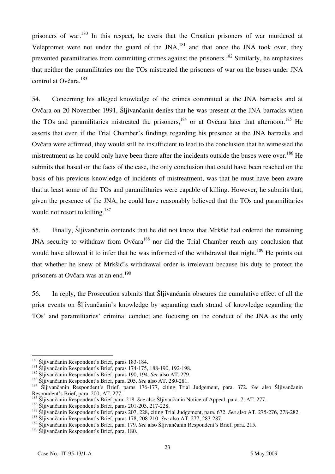prisoners of war.<sup>180</sup> In this respect, he avers that the Croatian prisoners of war murdered at Velepromet were not under the guard of the  $JNA$ ,<sup>181</sup> and that once the JNA took over, they prevented paramilitaries from committing crimes against the prisoners.<sup>182</sup> Similarly, he emphasizes that neither the paramilitaries nor the TOs mistreated the prisoners of war on the buses under JNA control at Ovčara.<sup>183</sup>

54. Concerning his alleged knowledge of the crimes committed at the JNA barracks and at Ovčara on 20 November 1991, Šljivančanin denies that he was present at the JNA barracks when the TOs and paramilitaries mistreated the prisoners,<sup>184</sup> or at Ovčara later that afternoon.<sup>185</sup> He asserts that even if the Trial Chamber's findings regarding his presence at the JNA barracks and Ovčara were affirmed, they would still be insufficient to lead to the conclusion that he witnessed the mistreatment as he could only have been there after the incidents outside the buses were over.<sup>186</sup> He submits that based on the facts of the case, the only conclusion that could have been reached on the basis of his previous knowledge of incidents of mistreatment, was that he must have been aware that at least some of the TOs and paramilitaries were capable of killing. However, he submits that, given the presence of the JNA, he could have reasonably believed that the TOs and paramilitaries would not resort to killing.<sup>187</sup>

55. Finally, Šljivančanin contends that he did not know that Mrkšić had ordered the remaining JNA security to withdraw from Ovčara<sup>188</sup> nor did the Trial Chamber reach any conclusion that would have allowed it to infer that he was informed of the withdrawal that night.<sup>189</sup> He points out that whether he knew of Mrkšić's withdrawal order is irrelevant because his duty to protect the prisoners at Ovčara was at an end.<sup>190</sup>

56. In reply, the Prosecution submits that Šljivančanin obscures the cumulative effect of all the prior events on Šljivančanin's knowledge by separating each strand of knowledge regarding the TOs' and paramilitaries' criminal conduct and focusing on the conduct of the JNA as the only

<sup>&</sup>lt;sup>180</sup> Šljivančanin Respondent's Brief, paras 183-184.

<sup>&</sup>lt;sup>181</sup> Šljivančanin Respondent's Brief, paras 174-175, 188-190, 192-198.<br><sup>182</sup> Šljivančanin Respondent's Brief, paras 190, 194. *See* also AT. 279.<br><sup>182</sup> Šljivančanin Respondent's Brief, para. 205. *See* also AT. 280-281.<br><sup></sup> Respondent's Brief, para. 200; AT. 277.

<sup>&</sup>lt;sup>185</sup> Šljivančanin Respondent's Brief para. 218. *See* also Šljivančanin Notice of Appeal, para. 7; AT. 277. <sup>186</sup> Šliivančanin Respondent's Brief, paras 201-203, 217-228.

<sup>187&</sup>lt;br>Sljivančanin Respondent's Brief, paras 207, 228, citing Trial Judgement, para. 672. See also AT. 275-276, 278-282.<br><sup>188</sup> Šljivančanin Respondent's Brief, paras 178, 208-210. See also AT. 277, 283-287.

<sup>&</sup>lt;sup>189</sup> Šljivančanin Respondent's Brief, para. 179. See also Šljivančanin Respondent's Brief, para. 215.

<sup>&</sup>lt;sup>190</sup> Šljivančanin Respondent's Brief, para. 180.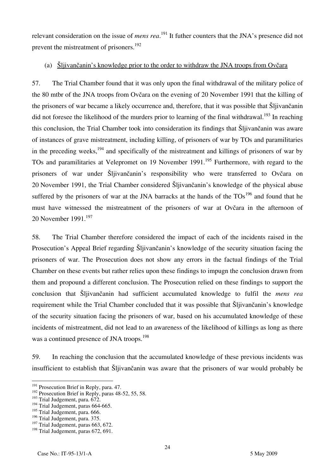relevant consideration on the issue of *mens rea*.<sup>191</sup> It futher counters that the JNA's presence did not prevent the mistreatment of prisoners.<sup>192</sup>

## (a)  $\frac{\text{S}}{\text{S}}$  Slijivančanin's knowledge prior to the order to withdraw the JNA troops from Ovčara

57. The Trial Chamber found that it was only upon the final withdrawal of the military police of the 80 mtbr of the JNA troops from Ovčara on the evening of 20 November 1991 that the killing of the prisoners of war became a likely occurrence and, therefore, that it was possible that Šljivančanin did not foresee the likelihood of the murders prior to learning of the final withdrawal.<sup>193</sup> In reaching this conclusion, the Trial Chamber took into consideration its findings that Šljivančanin was aware of instances of grave mistreatment, including killing, of prisoners of war by TOs and paramilitaries in the preceding weeks, $194$  and specifically of the mistreatment and killings of prisoners of war by TOs and paramilitaries at Velepromet on 19 November 1991.<sup>195</sup> Furthermore, with regard to the prisoners of war under Šljivančanin's responsibility who were transferred to Ovčara on 20 November 1991, the Trial Chamber considered Šljivančanin's knowledge of the physical abuse suffered by the prisoners of war at the JNA barracks at the hands of the  $TOs<sup>196</sup>$  and found that he must have witnessed the mistreatment of the prisoners of war at Ovčara in the afternoon of 20 November 1991.<sup>197</sup>

58. The Trial Chamber therefore considered the impact of each of the incidents raised in the Prosecution's Appeal Brief regarding Šljivančanin's knowledge of the security situation facing the prisoners of war. The Prosecution does not show any errors in the factual findings of the Trial Chamber on these events but rather relies upon these findings to impugn the conclusion drawn from them and propound a different conclusion. The Prosecution relied on these findings to support the conclusion that Šljivančanin had sufficient accumulated knowledge to fulfil the *mens rea* requirement while the Trial Chamber concluded that it was possible that Šljivančanin's knowledge of the security situation facing the prisoners of war, based on his accumulated knowledge of these incidents of mistreatment, did not lead to an awareness of the likelihood of killings as long as there was a continued presence of JNA troops.<sup>198</sup>

59. In reaching the conclusion that the accumulated knowledge of these previous incidents was insufficient to establish that Šljivančanin was aware that the prisoners of war would probably be

 $\overline{\phantom{a}}$ 

 $^{191}$  Prosecution Brief in Reply, para. 47.

<sup>&</sup>lt;sup>192</sup> Prosecution Brief in Reply, paras 48-52, 55, 58.

<sup>&</sup>lt;sup>193</sup> Trial Judgement, para. 672.

<sup>&</sup>lt;sup>194</sup> Trial Judgement, paras 664-665.

<sup>&</sup>lt;sup>195</sup> Trial Judgement, para. 666.

<sup>196</sup> Trial Judgement, para. 375.

<sup>&</sup>lt;sup>197</sup> Trial Judgement, paras 663, 672.

<sup>&</sup>lt;sup>198</sup> Trial Judgement, paras 672, 691.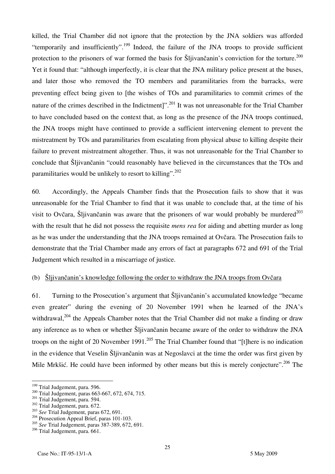killed, the Trial Chamber did not ignore that the protection by the JNA soldiers was afforded "temporarily and insufficiently".199 Indeed, the failure of the JNA troops to provide sufficient protection to the prisoners of war formed the basis for Šljivančanin's conviction for the torture.<sup>200</sup> Yet it found that: "although imperfectly, it is clear that the JNA military police present at the buses, and later those who removed the TO members and paramilitaries from the barracks, were preventing effect being given to [the wishes of TOs and paramilitaries to commit crimes of the nature of the crimes described in the Indictment]".<sup>201</sup> It was not unreasonable for the Trial Chamber to have concluded based on the context that, as long as the presence of the JNA troops continued, the JNA troops might have continued to provide a sufficient intervening element to prevent the mistreatment by TOs and paramilitaries from escalating from physical abuse to killing despite their failure to prevent mistreatment altogether. Thus, it was not unreasonable for the Trial Chamber to conclude that Šljivančanin "could reasonably have believed in the circumstances that the TOs and paramilitaries would be unlikely to resort to killing".<sup>202</sup>

60. Accordingly, the Appeals Chamber finds that the Prosecution fails to show that it was unreasonable for the Trial Chamber to find that it was unable to conclude that, at the time of his visit to Ovčara, Šljivančanin was aware that the prisoners of war would probably be murdered<sup>203</sup> with the result that he did not possess the requisite *mens rea* for aiding and abetting murder as long as he was under the understanding that the JNA troops remained at Ovčara. The Prosecution fails to demonstrate that the Trial Chamber made any errors of fact at paragraphs 672 and 691 of the Trial Judgement which resulted in a miscarriage of justice.

## (b)  $\delta$ ljivančanin's knowledge following the order to withdraw the JNA troops from Ovčara

61. Turning to the Prosecution's argument that Šljivančanin's accumulated knowledge "became even greater" during the evening of 20 November 1991 when he learned of the JNA's withdrawal,<sup>204</sup> the Appeals Chamber notes that the Trial Chamber did not make a finding or draw any inference as to when or whether Šljivančanin became aware of the order to withdraw the JNA troops on the night of 20 November 1991.<sup>205</sup> The Trial Chamber found that "[t] here is no indication in the evidence that Veselin Šljivančanin was at Negoslavci at the time the order was first given by Mile Mrkšić. He could have been informed by other means but this is merely conjecture".<sup>206</sup> The

<sup>&</sup>lt;sup>199</sup> Trial Judgement, para. 596.

<sup>&</sup>lt;sup>200</sup> Trial Judgement, paras 663-667, 672, 674, 715.<br><sup>201</sup> Trial Judgement, para. 594.<br><sup>202</sup> Trial Judgement, para. 672.<br><sup>203</sup> See Trial Judgement, paras 672, 691.<br><sup>204</sup> Prosecution Appeal Brief, paras 101-103.

<sup>205</sup> *See* Trial Judgement, paras 387-389, 672, 691.

 $206$  Trial Judgement, para. 661.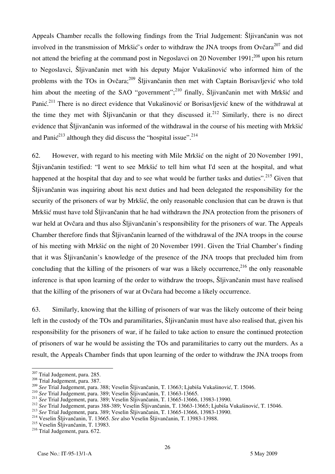Appeals Chamber recalls the following findings from the Trial Judgement: Šljivančanin was not involved in the transmission of Mrkšić's order to withdraw the JNA troops from Ovčara<sup>207</sup> and did not attend the briefing at the command post in Negoslavci on 20 November 1991; $^{208}$  upon his return to Negoslavci, Šljivančanin met with his deputy Major Vukašinović who informed him of the problems with the TOs in Ovčara;<sup>209</sup> Šliivančanin then met with Captain Borisavljević who told him about the meeting of the SAO "government";<sup>210</sup> finally, Šljivančanin met with Mrkšić and Panić.<sup>211</sup> There is no direct evidence that Vukašinović or Borisavljević knew of the withdrawal at the time they met with Sljivančanin or that they discussed it.<sup>212</sup> Similarly, there is no direct evidence that Šljivančanin was informed of the withdrawal in the course of his meeting with Mrkšić and Pani $\zeta^{213}$  although they did discuss the "hospital issue".<sup>214</sup>

62. However, with regard to his meeting with Mile Mrkšić on the night of 20 November 1991, Šljivančanin testified: "I went to see Mrkšić to tell him what I'd seen at the hospital, and what happened at the hospital that day and to see what would be further tasks and duties".<sup>215</sup> Given that Šljivančanin was inquiring about his next duties and had been delegated the responsibility for the security of the prisoners of war by Mrkšić, the only reasonable conclusion that can be drawn is that Mrkšić must have told Šljivančanin that he had withdrawn the JNA protection from the prisoners of war held at Ovčara and thus also Šljivančanin's responsibility for the prisoners of war. The Appeals Chamber therefore finds that Šljivančanin learned of the withdrawal of the JNA troops in the course of his meeting with Mrkšić on the night of 20 November 1991. Given the Trial Chamber's finding that it was Šljivančanin's knowledge of the presence of the JNA troops that precluded him from concluding that the killing of the prisoners of war was a likely occurrence,  $216$  the only reasonable inference is that upon learning of the order to withdraw the troops, Šljivančanin must have realised that the killing of the prisoners of war at Ovčara had become a likely occurrence.

63. Similarly, knowing that the killing of prisoners of war was the likely outcome of their being left in the custody of the TOs and paramilitaries, Šljivančanin must have also realised that, given his responsibility for the prisoners of war, if he failed to take action to ensure the continued protection of prisoners of war he would be assisting the TOs and paramilitaries to carry out the murders. As a result, the Appeals Chamber finds that upon learning of the order to withdraw the JNA troops from

<sup>&</sup>lt;sup>207</sup> Trial Judgement, para. 285.

<sup>&</sup>lt;sup>208</sup> Trial Judgement, para. 387.<br><sup>209</sup> See Trial Judgement, para. 388; Veselin Šljivančanin, T. 13663; Ljubiša Vukašinović, T. 15046.

<sup>&</sup>lt;sup>210</sup> See Trial Judgement, para. 389; Veselin Šljivančanin, T. 13663-13665.<br>
<sup>211</sup> See Trial Judgement, para. 389; Veselin Šljivančanin, T. 13665-13666, 13983-13990.<br>
<sup>212</sup> See Trial Judgement, paras 388-389; Veselin Šlji

<sup>&</sup>lt;sup>215</sup> Veselin Šljivančanin, T. 13983.

<sup>&</sup>lt;sup>216</sup> Trial Judgement, para. 672.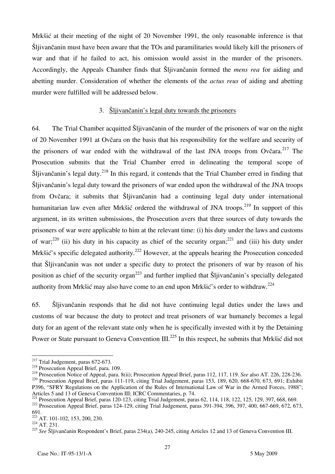Mrkšić at their meeting of the night of 20 November 1991, the only reasonable inference is that Šljivančanin must have been aware that the TOs and paramilitaries would likely kill the prisoners of war and that if he failed to act, his omission would assist in the murder of the prisoners. Accordingly, the Appeals Chamber finds that Sljivančanin formed the *mens rea* for aiding and abetting murder. Consideration of whether the elements of the *actus reus* of aiding and abetting murder were fulfilled will be addressed below.

## 3. Šljivančanin's legal duty towards the prisoners

64. The Trial Chamber acquitted Šljivančanin of the murder of the prisoners of war on the night of 20 November 1991 at Ovčara on the basis that his responsibility for the welfare and security of the prisoners of war ended with the withdrawal of the last JNA troops from Ovčara.<sup>217</sup> The Prosecution submits that the Trial Chamber erred in delineating the temporal scope of  $\text{Šljivančanin's legal duty.}$ <sup>218</sup> In this regard, it contends that the Trial Chamber erred in finding that Šljivančanin's legal duty toward the prisoners of war ended upon the withdrawal of the JNA troops from Ovčara; it submits that Šljivančanin had a continuing legal duty under international humanitarian law even after Mrkšić ordered the withdrawal of JNA troops.<sup>219</sup> In support of this argument, in its written submissions, the Prosecution avers that three sources of duty towards the prisoners of war were applicable to him at the relevant time: (i) his duty under the laws and customs of war;<sup>220</sup> (ii) his duty in his capacity as chief of the security organ;<sup>221</sup> and (iii) his duty under Mrkšić's specific delegated authority.<sup>222</sup> However, at the appeals hearing the Prosecution conceded that Šliivančanin was not under a specific duty to protect the prisoners of war by reason of his position as chief of the security organ<sup>223</sup> and further implied that  $\tilde{S}$ ljivančanin's specially delegated authority from Mrkšić may also have come to an end upon Mrkšić's order to withdraw.<sup>224</sup>

65. Šljivančanin responds that he did not have continuing legal duties under the laws and customs of war because the duty to protect and treat prisoners of war humanely becomes a legal duty for an agent of the relevant state only when he is specifically invested with it by the Detaining Power or State pursuant to Geneva Convention III.<sup>225</sup> In this respect, he submits that Mrkšić did not

<sup>&</sup>lt;sup>217</sup> Trial Judgement, paras 672-673.

<sup>&</sup>lt;sup>218</sup> Prosecution Appeal Brief, para. 109.<br><sup>219</sup> Prosecution Notice of Appeal, para. 8(ii); Prosecution Appeal Brief, paras 112, 117, 119. *See* also AT. 226, 228-236.  $^{220}$  Prosecution Appeal Brief, paras 111-119, citing Trial Judgement, paras 153, 189, 620, 668-670, 673, 691; Exhibit P396, "SFRY Regulations on the Application of the Rules of International Law of War in the Armed Forces, 1988";<br>Articles 5 and 13 of Geneva Convention III; ICRC Commentaries, p. 74.

<sup>&</sup>lt;sup>221</sup> Prosecution Appeal Brief, paras 120-123, citing Trial Judgement, paras 62, 114, 118, 122, 125, 129, 397, 668, 669.<br><sup>222</sup> Prosecution Appeal Brief, paras 124-129, citing Trial Judgement, paras 391-394, 396, 397, 400, 691.

 $\frac{223}{223}$  AT. 101-102, 153, 200, 230.<br>  $\frac{224}{24}$  AT. 231.

<sup>&</sup>lt;sup>225</sup> See Sljivančanin Respondent's Brief, paras 234(a), 240-245, citing Articles 12 and 13 of Geneva Convention III.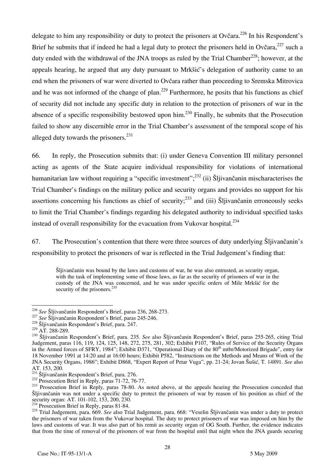delegate to him any responsibility or duty to protect the prisoners at Ovčara.<sup>226</sup> In his Respondent's Brief he submits that if indeed he had a legal duty to protect the prisoners held in Ovčara,  $227$  such a duty ended with the withdrawal of the JNA troops as ruled by the Trial Chamber<sup>228</sup>; however, at the appeals hearing, he argued that any duty pursuant to Mrkšić's delegation of authority came to an end when the prisoners of war were diverted to Ovčara rather than proceeding to Sremska Mitrovica and he was not informed of the change of plan.<sup>229</sup> Furthermore, he posits that his functions as chief of security did not include any specific duty in relation to the protection of prisoners of war in the absence of a specific responsibility bestowed upon him.230 Finally, he submits that the Prosecution failed to show any discernible error in the Trial Chamber's assessment of the temporal scope of his alleged duty towards the prisoners. $^{231}$ 

66. In reply, the Prosecution submits that: (i) under Geneva Convention III military personnel acting as agents of the State acquire individual responsibility for violations of international humanitarian law without requiring a "specific investment";<sup>232</sup> (ii) Šljivančanin mischaracterises the Trial Chamber's findings on the military police and security organs and provides no support for his assertions concerning his functions as chief of security;<sup>233</sup> and (iii) Šliivančanin erroneously seeks to limit the Trial Chamber's findings regarding his delegated authority to individual specified tasks instead of overall responsibility for the evacuation from Vukovar hospital.<sup>234</sup>

67. The Prosecution's contention that there were three sources of duty underlying Šljivančanin's responsibility to protect the prisoners of war is reflected in the Trial Judgement's finding that:

Šljivančanin was bound by the laws and customs of war, he was also entrusted, as security organ, with the task of implementing some of those laws, as far as the security of prisoners of war in the custody of the JNA was concerned, and he was under specific orders of Mile Mrkšić for the security of the prisoners. $235$ 

<sup>&</sup>lt;sup>226</sup> See Šljivančanin Respondent's Brief, paras 236, 268-273.

<sup>&</sup>lt;sup>227</sup> See Šljivančanin Respondent's Brief, paras 245-246.<br><sup>228</sup> Šljivančanin Respondent's Brief, para. 247.<br><sup>229</sup> AT. 288-289.

<sup>&</sup>lt;sup>230</sup> Šljivančanin Respondent's Brief, para. 235. See also Šljivančanin Respondent's Brief, paras 255-265, citing Trial Judgement, paras 116, 119, 124, 125, 148, 272, 275, 281, 302; Exhibit P107, "Rules of Service of the Security Organs in the Armed forces of SFRY, 1984"; Exhibit D371, "Operational Diary of the 80<sup>th</sup> mtbr/Motorized Brigade", entry for 18 November 1991 at 14:20 and at 16:00 hours; Exhibit P582, "Instructions on the Methods and Means of Work of the JNA Security Organs, 1986"; Exhibit D868, "Expert Report of Petar Vuga", pp. 21-24; Jovan [u{i}, T. 14891. *See* also AT. 153, 200.<br><sup>231</sup> Šliivančanin Respondent's Brief, para. 276.

<sup>&</sup>lt;sup>232</sup> Prosecution Brief in Reply, paras  $\frac{1}{71}$ -72, 76-77.<br><sup>233</sup> Prosecution Brief in Reply, paras 78-80. As noted above, at the appeals hearing the Prosecution conceded that Sljivančanin was not under a specific duty to protect the prisoners of war by reason of his position as chief of the security organ: AT. 101-102, 153, 200, 230.

 $234$  Prosecution Brief in Reply, paras 81-84.

<sup>&</sup>lt;sup>235</sup> Trial Judgement, para. 669. *See* also Trial Judgement, para. 668: "Veselin Šljivančanin was under a duty to protect the prisoners of war taken from the Vukovar hospital. The duty to protect prisoners of war was imposed on him by the laws and customs of war. It was also part of his remit as security organ of OG South. Further, the evidence indicates that from the time of removal of the prisoners of war from the hospital until that night when the JNA guards securing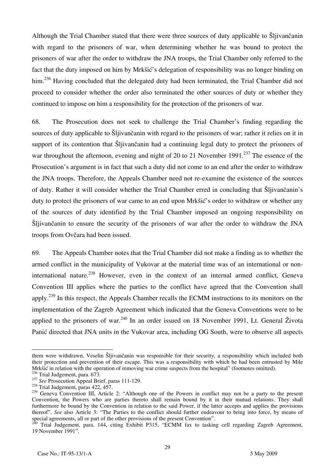Although the Trial Chamber stated that there were three sources of duty applicable to Šljivančanin with regard to the prisoners of war, when determining whether he was bound to protect the prisoners of war after the order to withdraw the JNA troops, the Trial Chamber only referred to the fact that the duty imposed on him by Mrkšić's delegation of responsibility was no longer binding on him.<sup>236</sup> Having concluded that the delegated duty had been terminated, the Trial Chamber did not proceed to consider whether the order also terminated the other sources of duty or whether they continued to impose on him a responsibility for the protection of the prisoners of war.

68. The Prosecution does not seek to challenge the Trial Chamber's finding regarding the sources of duty applicable to Šljivančanin with regard to the prisoners of war; rather it relies on it in support of its contention that Šljivančanin had a continuing legal duty to protect the prisoners of war throughout the afternoon, evening and night of 20 to 21 November 1991.<sup>237</sup> The essence of the Prosecution's argument is in fact that such a duty did not come to an end after the order to withdraw the JNA troops. Therefore, the Appeals Chamber need not re-examine the existence of the sources of duty. Rather it will consider whether the Trial Chamber erred in concluding that Šljivančanin's duty to protect the prisoners of war came to an end upon Mrkšić's order to withdraw or whether any of the sources of duty identified by the Trial Chamber imposed an ongoing responsibility on Šljivančanin to ensure the security of the prisoners of war after the order to withdraw the JNA troops from Ovčara had been issued.

69. The Appeals Chamber notes that the Trial Chamber did not make a finding as to whether the armed conflict in the municipality of Vukovar at the material time was of an international or noninternational nature.<sup>238</sup> However, even in the context of an internal armed conflict, Geneva Convention III applies where the parties to the conflict have agreed that the Convention shall apply.<sup>239</sup> In this respect, the Appeals Chamber recalls the ECMM instructions to its monitors on the implementation of the Zagreb Agreement which indicated that the Geneva Conventions were to be applied to the prisoners of war.<sup>240</sup> In an order issued on 18 November 1991, Lt. General Života Panić directed that JNA units in the Vukovar area, including OG South, were to observe all aspects

 $\overline{a}$ them were withdrawn, Veselin Sljivančanin was responsible for their security, a responsibility which included both their protection and prevention of their escape. This was a responsibility with which he had been entrusted by Mile Mrkšić in relation with the operation of removing war crime suspects from the hospital" (footnotes omitted).

<sup>&</sup>lt;sup>236</sup> Trial Judgement, para. 673.<br><sup>237</sup> *See* Prosecution Appeal Brief, paras 111-129.<br><sup>238</sup> Trial Judgement, paras 422, 457.

<sup>&</sup>lt;sup>239</sup> Geneva Convention III, Article 2: "Although one of the Powers in conflict may not be a party to the present Convention, the Powers who are parties thereto shall remain bound by it in their mutual relations. They shall furthermore be bound by the Convention in relation to the said Power, if the latter accepts and applies the provisions thereof". *See* also Article 3: "The Parties to the conflict should further endeavour to bring into force, by means of special agreements, all or part of the other provisions of the present Convention".

<sup>&</sup>lt;sup>0</sup> Trial Judgement, para. 144, citing Exhibit P315, "ECMM fax to tasking cell regarding Zagreb Agreement, 19 November 1991".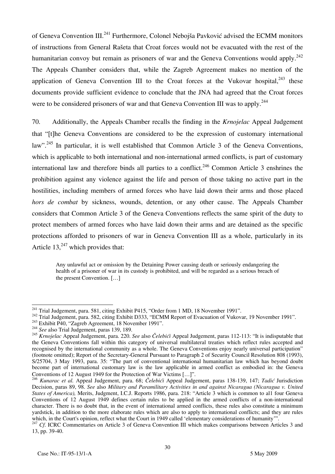of Geneva Convention III.<sup>241</sup> Furthermore, Colonel Nebojša Pavković advised the ECMM monitors of instructions from General Rašeta that Croat forces would not be evacuated with the rest of the humanitarian convoy but remain as prisoners of war and the Geneva Conventions would apply.<sup>242</sup> The Appeals Chamber considers that, while the Zagreb Agreement makes no mention of the application of Geneva Convention III to the Croat forces at the Vukovar hospital. $^{243}$  these documents provide sufficient evidence to conclude that the JNA had agreed that the Croat forces were to be considered prisoners of war and that Geneva Convention III was to apply.<sup>244</sup>

70. Additionally, the Appeals Chamber recalls the finding in the *Krnojelac* Appeal Judgement that "the Geneva Conventions are considered to be the expression of customary international law".<sup>245</sup> In particular, it is well established that Common Article 3 of the Geneva Conventions, which is applicable to both international and non-international armed conflicts, is part of customary international law and therefore binds all parties to a conflict.<sup>246</sup> Common Article 3 enshrines the prohibition against any violence against the life and person of those taking no active part in the hostilities, including members of armed forces who have laid down their arms and those placed *hors de combat* by sickness, wounds, detention, or any other cause. The Appeals Chamber considers that Common Article 3 of the Geneva Conventions reflects the same spirit of the duty to protect members of armed forces who have laid down their arms and are detained as the specific protections afforded to prisoners of war in Geneva Convention III as a whole, particularly in its Article  $13<sub>1</sub><sup>247</sup>$  which provides that:

Any unlawful act or omission by the Detaining Power causing death or seriously endangering the health of a prisoner of war in its custody is prohibited, and will be regarded as a serious breach of the present Convention. [...]

<sup>&</sup>lt;sup>241</sup> Trial Judgement, para. 581, citing Exhibit P415, "Order from 1 MD, 18 November 1991".

<sup>&</sup>lt;sup>242</sup> Trial Judgement, para. 582, citing Exhibit D333, "ECMM Report of Evacuation of Vukovar, 19 November 1991".<br><sup>243</sup> Exhibit P40, "Zagreb Agreement, 18 November 1991".<br><sup>244</sup> See also Trial Judgement, paras 139, 189.

<sup>245</sup> *Krnojelac* Appeal Judgement, para. 220. *See* also *Čelebići* Appeal Judgement, paras 112-113: "It is indisputable that the Geneva Conventions fall within this category of universal multilateral treaties which reflect rules accepted and recognised by the international community as a whole. The Geneva Conventions enjoy nearly universal participation" (footnote omitted); Report of the Secretary-General Pursuant to Paragraph 2 of Security Council Resolution 808 (1993), S/25704, 3 May 1993, para. 35: "The part of conventional international humanitarian law which has beyond doubt become part of international customary law is the law applicable in armed conflict as embodied in: the Geneva Conventions of 12 August 1949 for the Protection of War Victims [...]".

<sup>&</sup>lt;sup>46</sup> *Kunarac et al.* Appeal Judgement, para. 68; *Čelebići* Appeal Judgement, paras 138-139, 147; *Tadić* Jurisdiction Decision, paras 89, 98. *See* also *Military and Paramilitary Activities in and against Nicaragua (Nicaragua v. United States of America),* Merits, Judgment, I.C.J. Reports 1986, para. 218: "Article 3 which is common to al1 four Geneva Conventions of 12 August 1949 defines certain rules to be applied in the armed conflicts of a non-international character. There is no doubt that, in the event of international armed conflicts, these rules also constitute a minimum yardstick, in addition to the more elaborate rules which are also to apply to international conflicts; and they are rules which, in the Court's opinion, reflect what the Court in 1949 called 'elementary considerations of h

<sup>&</sup>lt;sup>247</sup> Cf. ICRC Commentaries on Article 3 of Geneva Convention III which makes comparisons between Articles 3 and 13, pp. 39-40.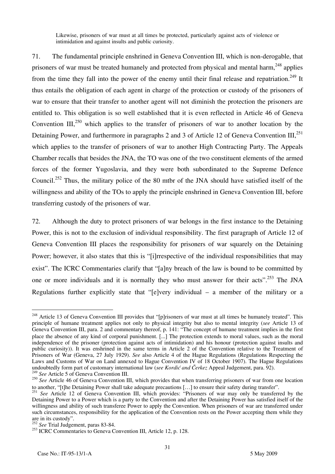Likewise, prisoners of war must at all times be protected, particularly against acts of violence or intimidation and against insults and public curiosity.

71. The fundamental principle enshrined in Geneva Convention III, which is non-derogable, that prisoners of war must be treated humanely and protected from physical and mental harm,  $248$  applies from the time they fall into the power of the enemy until their final release and repatriation.<sup>249</sup> It thus entails the obligation of each agent in charge of the protection or custody of the prisoners of war to ensure that their transfer to another agent will not diminish the protection the prisoners are entitled to. This obligation is so well established that it is even reflected in Article 46 of Geneva Convention  $III$ ,<sup>250</sup> which applies to the transfer of prisoners of war to another location by the Detaining Power, and furthermore in paragraphs 2 and 3 of Article 12 of Geneva Convention  $III$ <sup>251</sup> which applies to the transfer of prisoners of war to another High Contracting Party. The Appeals Chamber recalls that besides the JNA, the TO was one of the two constituent elements of the armed forces of the former Yugoslavia, and they were both subordinated to the Supreme Defence Council.252 Thus, the military police of the 80 mtbr of the JNA should have satisfied itself of the willingness and ability of the TOs to apply the principle enshrined in Geneva Convention III, before transferring custody of the prisoners of war.

72. Although the duty to protect prisoners of war belongs in the first instance to the Detaining Power, this is not to the exclusion of individual responsibility. The first paragraph of Article 12 of Geneva Convention III places the responsibility for prisoners of war squarely on the Detaining Power; however, it also states that this is "[i] respective of the individual responsibilities that may exist". The ICRC Commentaries clarify that "[a]ny breach of the law is bound to be committed by one or more individuals and it is normally they who must answer for their acts".<sup>253</sup> The JNA Regulations further explicitly state that " $[$ e $]$ very individual – a member of the military or a

<sup>&</sup>lt;sup>248</sup> Article 13 of Geneva Convention III provides that "[p]risoners of war must at all times be humanely treated". This principle of humane treatment applies not only to physical integrity but also to mental integrity (*see* Article 13 of Geneva Convention III, para. 2 and commentary thereof, p. 141: "The concept of humane treatment implies in the first place the absence of any kind of corporal punishment. [...] The protection extends to moral values, such as the moral independence of the prisoner (protection against acts of intimidation) and his honour (protection against insults and public curiosity)). It was enshrined in the same terms in Article 2 of the Convention relative to the Treatment of Prisoners of War (Geneva, 27 July 1929). *See* also Article 4 of the Hague Regulations (Regulations Respecting the Laws and Customs of War on Land annexed to Hague Convention IV of 18 October 1907). The Hague Regulations undoubtedly form part of customary international law (*see Kordić and Čerkez* Appeal Judgement, para. 92). <sup>249</sup> *See* Article 5 of Geneva Convention III.

<sup>&</sup>lt;sup>250</sup> See Article 46 of Geneva Convention III, which provides that when transferring prisoners of war from one location to another, "[t]he Detaining Power shall take adequate precautions [...] to ensure their safety during transfermed by the  $^{251}$  *See* Article 12 of Geneva Convention III, which provides: "Prisoners of war may only be tra

Detaining Power to a Power which is a party to the Convention and after the Detaining Power has satisfied itself of the willingness and ability of such transferee Power to apply the Convention. When prisoners of war are transferred under such circumstances, responsibility for the application of the Convention rests on the Power accepting them while they are in its custody".

<sup>252</sup> *See* Trial Judgement, paras 83-84.

<sup>&</sup>lt;sup>253</sup> ICRC Commentaries to Geneva Convention III, Article 12, p. 128.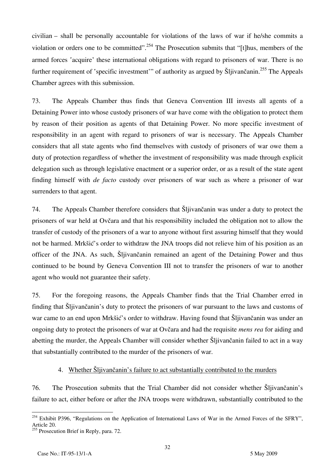civilian – shall be personally accountable for violations of the laws of war if he/she commits a violation or orders one to be committed".<sup>254</sup> The Prosecution submits that "[t]hus, members of the armed forces 'acquire' these international obligations with regard to prisoners of war. There is no further requirement of 'specific investment'" of authority as argued by Šljivančanin.<sup>255</sup> The Appeals Chamber agrees with this submission.

73. The Appeals Chamber thus finds that Geneva Convention III invests all agents of a Detaining Power into whose custody prisoners of war have come with the obligation to protect them by reason of their position as agents of that Detaining Power. No more specific investment of responsibility in an agent with regard to prisoners of war is necessary. The Appeals Chamber considers that all state agents who find themselves with custody of prisoners of war owe them a duty of protection regardless of whether the investment of responsibility was made through explicit delegation such as through legislative enactment or a superior order, or as a result of the state agent finding himself with *de facto* custody over prisoners of war such as where a prisoner of war surrenders to that agent.

74. The Appeals Chamber therefore considers that Šljivančanin was under a duty to protect the prisoners of war held at Ovčara and that his responsibility included the obligation not to allow the transfer of custody of the prisoners of a war to anyone without first assuring himself that they would not be harmed. Mrkšić's order to withdraw the JNA troops did not relieve him of his position as an officer of the JNA. As such, Šljivančanin remained an agent of the Detaining Power and thus continued to be bound by Geneva Convention III not to transfer the prisoners of war to another agent who would not guarantee their safety.

75. For the foregoing reasons, the Appeals Chamber finds that the Trial Chamber erred in finding that Šljivančanin's duty to protect the prisoners of war pursuant to the laws and customs of war came to an end upon Mrkšić's order to withdraw. Having found that Sljivančanin was under an ongoing duty to protect the prisoners of war at Ovčara and had the requisite *mens rea* for aiding and abetting the murder, the Appeals Chamber will consider whether Slijivancanin failed to act in a way that substantially contributed to the murder of the prisoners of war.

### 4. Whether Šljivančanin's failure to act substantially contributed to the murders

76. The Prosecution submits that the Trial Chamber did not consider whether Šljivančanin's failure to act, either before or after the JNA troops were withdrawn, substantially contributed to the

32

 $\overline{a}$  $254$  Exhibit P396, "Regulations on the Application of International Laws of War in the Armed Forces of the SFRY", Article 20.  $255$  Prosecution Brief in Reply, para. 72.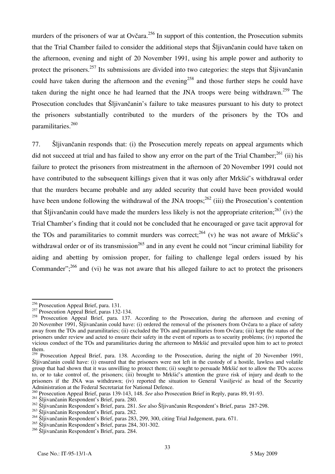murders of the prisoners of war at Ovčara.<sup>256</sup> In support of this contention, the Prosecution submits that the Trial Chamber failed to consider the additional steps that Šljivančanin could have taken on the afternoon, evening and night of 20 November 1991, using his ample power and authority to protect the prisoners.<sup>257</sup> Its submissions are divided into two categories: the steps that Šljivančanin could have taken during the afternoon and the evening<sup>258</sup> and those further steps he could have taken during the night once he had learned that the JNA troops were being withdrawn.<sup>259</sup> The Prosecution concludes that Šljivančanin's failure to take measures pursuant to his duty to protect the prisoners substantially contributed to the murders of the prisoners by the TOs and paramilitaries.260

77. Šljivančanin responds that: (i) the Prosecution merely repeats on appeal arguments which did not succeed at trial and has failed to show any error on the part of the Trial Chamber;<sup>261</sup> (ii) his failure to protect the prisoners from mistreatment in the afternoon of 20 November 1991 could not have contributed to the subsequent killings given that it was only after Mrkšić's withdrawal order that the murders became probable and any added security that could have been provided would have been undone following the withdrawal of the JNA troops;  $^{262}$  (iii) the Prosecution's contention that Šljivančanin could have made the murders less likely is not the appropriate criterion;<sup>263</sup> (iv) the Trial Chamber's finding that it could not be concluded that he encouraged or gave tacit approval for the TOs and paramilitaries to commit murders was correct;  $^{264}$  (v) he was not aware of Mrkšić's withdrawal order or of its transmission<sup>265</sup> and in any event he could not "incur criminal liability for aiding and abetting by omission proper, for failing to challenge legal orders issued by his Commander";<sup>266</sup> and (vi) he was not aware that his alleged failure to act to protect the prisoners

 $\overline{a}$  $^{256}$  Prosecution Appeal Brief, para. 131.

<sup>&</sup>lt;sup>257</sup> Prosecution Appeal Brief, paras 132-134.

<sup>&</sup>lt;sup>258</sup> Prosecution Appeal Brief, para. 137. According to the Prosecution, during the afternoon and evening of 20 November 1991, Šljivančanin could have: (i) ordered the removal of the prisoners from Ovčara to a place of safety away from the TOs and paramilitaries; (ii) excluded the TOs and paramilitaries from Ovčara; (iii) kept the status of the prisoners under review and acted to ensure their safety in the event of reports as to security problems; (iv) reported the vicious conduct of the TOs and paramilitaries during the afternoon to Mrkšić and prevailed upon him to act to protect them.

<sup>&</sup>lt;sup>259</sup> Prosecution Appeal Brief, para. 138. According to the Prosecution, during the night of 20 November 1991, Šljivančanin could have: (i) ensured that the prisoners were not left in the custody of a hostile, lawless and volatile group that had shown that it was unwilling to protect them; (ii) sought to persuade Mrkšić not to allow the TOs access to, or to take control of, the prisoners; (iii) brought to Mrkšić's attention the grave risk of injury and death to the prisoners if the JNA was withdrawn; (iv) reported the situation to General Vasiljević as head of the Security Administration at the Federal Secretariat for National Defence.

<sup>260</sup> Prosecution Appeal Brief, paras 139-143, 148. *See* also Prosecution Brief in Reply, paras 89, 91-93.

<sup>&</sup>lt;sup>261</sup> Šljivančanin Respondent's Brief, para. 280.

<sup>&</sup>lt;sup>262</sup> Šliivančanin Respondent's Brief, para. 281. See also Šljivančanin Respondent's Brief, paras 287-298.

<sup>&</sup>lt;sup>263</sup> Šliivančanin Respondent's Brief, para. 282.

 $264$  Sljivančanin Respondent's Brief, paras 283, 299, 300, citing Trial Judgement, para. 671.

<sup>&</sup>lt;sup>265</sup> Šliivančanin Respondent's Brief, paras 284, 301-302.

<sup>&</sup>lt;sup>266</sup> Šljivančanin Respondent's Brief, para. 284.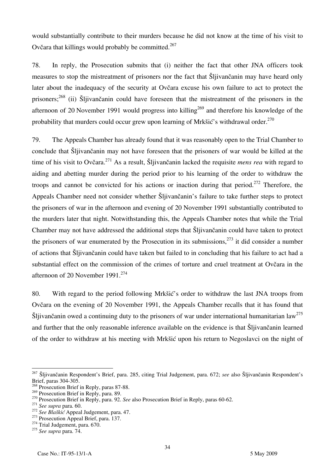would substantially contribute to their murders because he did not know at the time of his visit to Ovčara that killings would probably be committed.<sup>267</sup>

78. In reply, the Prosecution submits that (i) neither the fact that other JNA officers took measures to stop the mistreatment of prisoners nor the fact that Šljivančanin may have heard only later about the inadequacy of the security at Ovčara excuse his own failure to act to protect the prisoners;<sup>268</sup> (ii) Šljivančanin could have foreseen that the mistreatment of the prisoners in the afternoon of 20 November 1991 would progress into killing<sup>269</sup> and therefore his knowledge of the probability that murders could occur grew upon learning of Mrkšić's withdrawal order.<sup>270</sup>

79. The Appeals Chamber has already found that it was reasonably open to the Trial Chamber to conclude that Šljivančanin may not have foreseen that the prisoners of war would be killed at the time of his visit to Ovčara.271 As a result, Šljivančanin lacked the requisite *mens rea* with regard to aiding and abetting murder during the period prior to his learning of the order to withdraw the troops and cannot be convicted for his actions or inaction during that period.<sup>272</sup> Therefore, the Appeals Chamber need not consider whether Šljivančanin's failure to take further steps to protect the prisoners of war in the afternoon and evening of 20 November 1991 substantially contributed to the murders later that night. Notwithstanding this, the Appeals Chamber notes that while the Trial Chamber may not have addressed the additional steps that Šljivančanin could have taken to protect the prisoners of war enumerated by the Prosecution in its submissions.<sup>273</sup> it did consider a number of actions that Šljivančanin could have taken but failed to in concluding that his failure to act had a substantial effect on the commission of the crimes of torture and cruel treatment at Ovčara in the afternoon of 20 November 1991.<sup>274</sup>

80. With regard to the period following Mrkšić's order to withdraw the last JNA troops from Ovčara on the evening of 20 November 1991, the Appeals Chamber recalls that it has found that Šljivančanin owed a continuing duty to the prisoners of war under international humanitarian law<sup>275</sup> and further that the only reasonable inference available on the evidence is that Šljivančanin learned of the order to withdraw at his meeting with Mrkšić upon his return to Negoslavci on the night of

 $\overline{a}$ <sup>267</sup> Šljivančanin Respondent's Brief, para. 285, citing Trial Judgement, para. 672; *see* also Šljivančanin Respondent's Brief, paras 304-305.

<sup>&</sup>lt;sup>268</sup> Prosecution Brief in Reply, paras 87-88.<br><sup>269</sup> Prosecution Brief in Reply, para. 89.

<sup>&</sup>lt;sup>270</sup> Prosecution Brief in Reply, para. 92. *See* also Prosecution Brief in Reply, paras 60-62.<br><sup>271</sup> *See supra* para. 60.<br><sup>272</sup> *See Blaškić* Appeal Judgement, para. 47.<br><sup>273</sup> Prosecution Appeal Brief, para. 137.<br><sup>274</sup>

<sup>275</sup> *See supra* para. 74.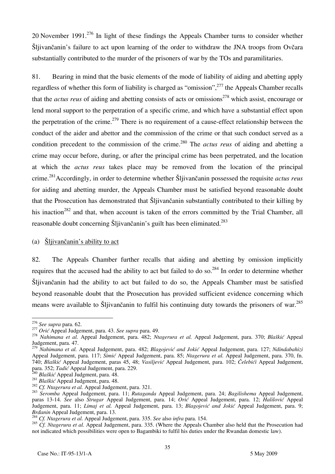20 November 1991.<sup>276</sup> In light of these findings the Appeals Chamber turns to consider whether Šljivančanin's failure to act upon learning of the order to withdraw the JNA troops from Ovčara substantially contributed to the murder of the prisoners of war by the TOs and paramilitaries.

81. Bearing in mind that the basic elements of the mode of liability of aiding and abetting apply regardless of whether this form of liability is charged as "omission",277 the Appeals Chamber recalls that the *actus reus* of aiding and abetting consists of acts or omissions<sup>278</sup> which assist, encourage or lend moral support to the perpetration of a specific crime, and which have a substantial effect upon the perpetration of the crime.<sup>279</sup> There is no requirement of a cause-effect relationship between the conduct of the aider and abettor and the commission of the crime or that such conduct served as a condition precedent to the commission of the crime.280 The *actus reus* of aiding and abetting a crime may occur before, during, or after the principal crime has been perpetrated, and the location at which the *actus reus* takes place may be removed from the location of the principal crime.281Accordingly, in order to determine whether Šljivančanin possessed the requisite *actus reus*  for aiding and abetting murder, the Appeals Chamber must be satisfied beyond reasonable doubt that the Prosecution has demonstrated that Sliivančanin substantially contributed to their killing by his inaction<sup>282</sup> and that, when account is taken of the errors committed by the Trial Chamber, all reasonable doubt concerning Šljivančanin's guilt has been eliminated.<sup>283</sup>

### (a) Šljivančanin's ability to act

82. The Appeals Chamber further recalls that aiding and abetting by omission implicitly requires that the accused had the ability to act but failed to do so.<sup>284</sup> In order to determine whether Sljivančanin had the ability to act but failed to do so, the Appeals Chamber must be satisfied beyond reasonable doubt that the Prosecution has provided sufficient evidence concerning which means were available to Šljivančanin to fulfil his continuing duty towards the prisoners of war.<sup>285</sup>

 $276$  See supra para. 62.

<sup>&</sup>lt;sup>277</sup> Orić Appeal Judgement, para. 43. See supra para. 49.<br><sup>278</sup> Nahimana et al. Appeal Judgement, para. 482; Ntagerura et al. Appeal Judgement, para. 370; Blaškić Appeal Judgement, para. 47.

<sup>279</sup> *Nahimana et al.* Appeal Judgement, para. 482; *Blagojević and Jokić* Appeal Judgement, para. 127; *Ndindabahizi*  Appeal Judgement, para. 117; *Simić* Appeal Judgement, para. 85; *Ntagerura et al.* Appeal Judgement, para. 370, fn. 740; *Blaškić* Appeal Judgement, paras 45, 48; *Vasiljević* Appeal Judgement, para. 102; *^elebi}i* Appeal Judgement,

<sup>&</sup>lt;sup>280</sup> Blaškić Appeal Judgment, para. 48.<br><sup>281</sup> Blaškić Appeal Judgment, para. 48.<br><sup>282</sup> Cf. Ntagerura et al. Appeal Judgement, para. 321.<br><sup>282</sup> Cf. Ntagerura et al. Appeal Judgement, para. 11; Rutaganda Appeal Judgement, p paras 13-14. *See* also *Strugar* Appeal Judgement, para. 14; *Orić* Appeal Judgement, para. 12; *Halilović* Appeal Judgement, para. 11; *Limaj et al.* Appeal Judgement, para. 13; *Blagojević and Jokić* Appeal Judgement, para. 9;

<sup>&</sup>lt;sup>284</sup> *Cf. Ntagerura et al.* Appeal Judgement, para. 335. See also *infra* para. 154.

<sup>&</sup>lt;sup>285</sup> *Cf. Ntagerura et al.* Appeal Judgement, para. 335. (Where the Appeals Chamber also held that the Prosecution had not indicated which possibilities were open to Bagambiki to fulfil his duties under the Rwandan domestic law).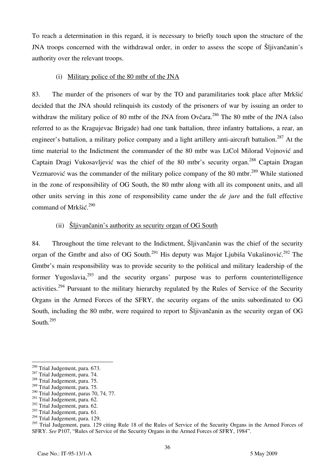To reach a determination in this regard, it is necessary to briefly touch upon the structure of the JNA troops concerned with the withdrawal order, in order to assess the scope of Slijvancanin's authority over the relevant troops.

#### (i) Military police of the 80 mtbr of the JNA

83. The murder of the prisoners of war by the TO and paramilitaries took place after Mrkšić decided that the JNA should relinquish its custody of the prisoners of war by issuing an order to withdraw the military police of 80 mtbr of the JNA from Ovčara.<sup>286</sup> The 80 mtbr of the JNA (also referred to as the Kragujevac Brigade) had one tank battalion, three infantry battalions, a rear, an engineer's battalion, a military police company and a light artillery anti-aircraft battalion.<sup>287</sup> At the time material to the Indictment the commander of the 80 mtbr was LtCol Milorad Vojnović and Captain Dragi Vukosavljević was the chief of the 80 mtbr's security organ.<sup>288</sup> Captain Dragan Vezmarović was the commander of the military police company of the 80 mtbr.<sup>289</sup> While stationed in the zone of responsibility of OG South, the 80 mtbr along with all its component units, and all other units serving in this zone of responsibility came under the *de jure* and the full effective command of Mrk $\check{\text{Si}}\check{\text{c}}$ .<sup>290</sup>

### (ii)  $\delta$ ljivančanin's authority as security organ of OG South

84. Throughout the time relevant to the Indictment, Slijivančanin was the chief of the security organ of the Gmtbr and also of OG South.<sup>291</sup> His deputy was Major Ljubiša Vukašinović.<sup>292</sup> The Gmtbr's main responsibility was to provide security to the political and military leadership of the former Yugoslavia,<sup>293</sup> and the security organs' purpose was to perform counterintelligence activities.<sup>294</sup> Pursuant to the military hierarchy regulated by the Rules of Service of the Security Organs in the Armed Forces of the SFRY, the security organs of the units subordinated to OG South, including the 80 mtbr, were required to report to Slijvančanin as the security organ of OG South.295

<sup>&</sup>lt;sup>286</sup> Trial Judgement, para. 673.

 $287$  Trial Judgement, para. 74.  $288$  Trial Judgement, para. 75.

<sup>&</sup>lt;sup>289</sup> Trial Judgement, para. 75.

<sup>290</sup> Trial Judgement, paras 70, 74*,* 77.

<sup>&</sup>lt;sup>291</sup> Trial Judgement, para. 62.

<sup>&</sup>lt;sup>292</sup> Trial Judgement, para. 62.

 $293$  Trial Judgement, para. 61.

<sup>&</sup>lt;sup>294</sup> Trial Judgement, para. 129.

<sup>&</sup>lt;sup>295</sup> Trial Judgement, para. 129 citing Rule 18 of the Rules of Service of the Security Organs in the Armed Forces of SFRY. *See* P107, "Rules of Service of the Security Organs in the Armed Forces of SFRY, 1984".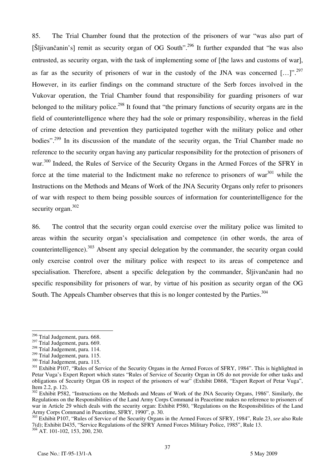85. The Trial Chamber found that the protection of the prisoners of war "was also part of  $[\text{Šlijvančanin's}]$  remit as security organ of OG South".<sup>296</sup> It further expanded that "he was also entrusted, as security organ, with the task of implementing some of [the laws and customs of war], as far as the security of prisoners of war in the custody of the JNA was concerned [...]".<sup>297</sup> However, in its earlier findings on the command structure of the Serb forces involved in the Vukovar operation, the Trial Chamber found that responsibility for guarding prisoners of war belonged to the military police.<sup>298</sup> It found that "the primary functions of security organs are in the field of counterintelligence where they had the sole or primary responsibility, whereas in the field of crime detection and prevention they participated together with the military police and other bodies".<sup>299</sup> In its discussion of the mandate of the security organ, the Trial Chamber made no reference to the security organ having any particular responsibility for the protection of prisoners of war.<sup>300</sup> Indeed, the Rules of Service of the Security Organs in the Armed Forces of the SFRY in force at the time material to the Indictment make no reference to prisoners of war $^{301}$  while the Instructions on the Methods and Means of Work of the JNA Security Organs only refer to prisoners of war with respect to them being possible sources of information for counterintelligence for the security organ.<sup>302</sup>

86. The control that the security organ could exercise over the military police was limited to areas within the security organ's specialisation and competence (in other words, the area of counterintelligence).<sup>303</sup> Absent any special delegation by the commander, the security organ could only exercise control over the military police with respect to its areas of competence and specialisation. Therefore, absent a specific delegation by the commander, Slijivančanin had no specific responsibility for prisoners of war, by virtue of his position as security organ of the OG South. The Appeals Chamber observes that this is no longer contested by the Parties.<sup>304</sup>

 $\overline{a}$ 

<sup>&</sup>lt;sup>296</sup> Trial Judgement, para. 668.

<sup>&</sup>lt;sup>297</sup> Trial Judgement, para. 669.

 $^{298}$  Trial Judgement, para. 114.<br> $^{299}$  Trial Judgement, para. 115.

 $\frac{300}{200}$  Trial Judgement, para. 115.<br><sup>301</sup> Exhibit P107, "Rules of Service of the Security Organs in the Armed Forces of SFRY, 1984". This is highlighted in Petar Vuga's Expert Report which states "Rules of Service of Security Organ in OS do not provide for other tasks and obligations of Security Organ OS in respect of the prisoners of war" (Exhibit D868, "Expert Report of Petar Vuga", Item 2.2, p. 12).

<sup>&</sup>lt;sup>302</sup> Exhibit P582, "Instructions on the Methods and Means of Work of the JNA Security Organs, 1986". Similarly, the Regulations on the Responsibilities of the Land Army Corps Command in Peacetime makes no reference to prisoners of war in Article 29 which deals with the security organ: Exhibit P580, "Regulations on the Responsibilities of the Land Army Corps Command in Peacetime, SFRY, 1990", p. 30.

<sup>303</sup> Exhibit P107, "Rules of Service of the Security Organs in the Armed Forces of SFRY, 1984", Rule 23, *see* also Rule 7(d); Exhibit D435, "Service Regulations of the SFRY Armed Forces Military Police, 1985", Rule 13.  $304$  AT. 101-102, 153, 200, 230.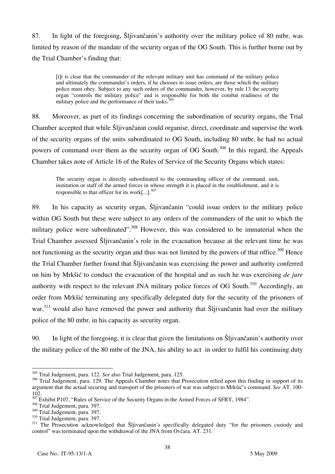87. In light of the foregoing, Šljivančanin's authority over the military police of 80 mtbr, was limited by reason of the mandate of the security organ of the OG South. This is further borne out by the Trial Chamber's finding that:

[i]t is clear that the commander of the relevant military unit has command of the military police and ultimately the commander's orders, if he chooses to issue orders, are those which the military police must obey. Subject to any such orders of the commander, however, by rule 13 the security organ "controls the military police" and is responsible for both the combat readiness of the military police and the performance of their tasks.

88. Moreover, as part of its findings concerning the subordination of security organs, the Trial Chamber accepted that while Sljivančanin could organise, direct, coordinate and supervise the work of the security organs of the units subordinated to OG South, including 80 mtbr, he had no actual powers of command over them as the security organ of OG South.<sup>306</sup> In this regard, the Appeals Chamber takes note of Article 16 of the Rules of Service of the Security Organs which states:

The security organ is directly subordinated to the commanding officer of the command, unit, institution or staff of the armed forces in whose strength it is placed in the establishment, and it is responsible to that officer for its work $\left[...\right]$ .<sup>307</sup>

89. In his capacity as security organ, Šliivančanin "could issue orders to the military police within OG South but these were subject to any orders of the commanders of the unit to which the military police were subordinated".<sup>308</sup> However, this was considered to be immaterial when the Trial Chamber assessed Šljivančanin's role in the evacuation because at the relevant time he was not functioning as the security organ and thus was not limited by the powers of that office.<sup>309</sup> Hence the Trial Chamber further found that Slijivančanin was exercising the power and authority conferred on him by Mrkšić to conduct the evacuation of the hospital and as such he was exercising *de jure* authority with respect to the relevant JNA military police forces of OG South.<sup>310</sup> Accordingly, an order from Mrkšić terminating any specifically delegated duty for the security of the prisoners of war,<sup>311</sup> would also have removed the power and authority that Šljivančanin had over the military police of the 80 mtbr, in his capacity as security organ.

90. In light of the foregoing, it is clear that given the limitations on Šliivančanin's authority over the military police of the 80 mtbr of the JNA, his ability to act in order to fulfil his continuing duty

 $\overline{a}$ 305 Trial Judgement, para. 122. *See* also Trial Judgement, para. 125.

<sup>&</sup>lt;sup>306</sup> Trial Judgement, para. 129. The Appeals Chamber notes that Prosecution relied upon this finding in support of its argument that the actual securing and transport of the prisoners of war was subject to Mrkšić's command. See AT. 100-102.

 $\frac{307}{307}$  Exhibit P107, "Rules of Service of the Security Organs in the Armed Forces of SFRY, 1984".  $\frac{308}{107}$  Trial Judgement, para. 397.

<sup>308</sup> Trial Judgement, para. 397.<br>  $\frac{309}{100}$  Trial Judgement, para. 397.<br>  $\frac{310}{100}$  Trial Judgement, para. 397.<br>  $\frac{311}{100}$  The Prosecution acknowledged that Šljivančanin's specifically delegated duty "for the pr control" was terminated upon the withdrawal of the JNA from Ovčara. AT. 231.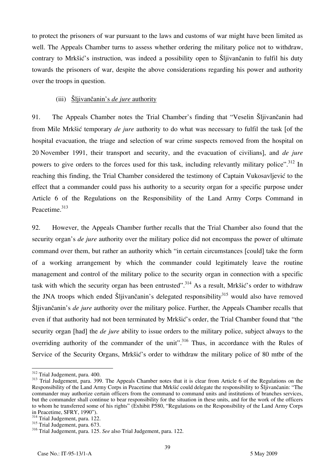to protect the prisoners of war pursuant to the laws and customs of war might have been limited as well. The Appeals Chamber turns to assess whether ordering the military police not to withdraw, contrary to Mrkšić's instruction, was indeed a possibility open to Sliivančanin to fulfil his duty towards the prisoners of war, despite the above considerations regarding his power and authority over the troops in question.

### (iii) Šljivančanin's *de jure* authority

91. The Appeals Chamber notes the Trial Chamber's finding that "Veselin Šljivančanin had from Mile Mrkšić temporary *de jure* authority to do what was necessary to fulfil the task [of the hospital evacuation, the triage and selection of war crime suspects removed from the hospital on 20 November 1991, their transport and security, and the evacuation of civilians, and *de jure* powers to give orders to the forces used for this task, including relevantly military police".<sup>312</sup> In reaching this finding, the Trial Chamber considered the testimony of Captain Vukosavljević to the effect that a commander could pass his authority to a security organ for a specific purpose under Article 6 of the Regulations on the Responsibility of the Land Army Corps Command in Peacetime.<sup>313</sup>

92. However, the Appeals Chamber further recalls that the Trial Chamber also found that the security organ's *de jure* authority over the military police did not encompass the power of ultimate command over them, but rather an authority which "in certain circumstances [could] take the form of a working arrangement by which the commander could legitimately leave the routine management and control of the military police to the security organ in connection with a specific task with which the security organ has been entrusted".<sup>314</sup> As a result, Mrkšić's order to withdraw the JNA troops which ended  $\tilde{S}$ ljivančanin's delegated responsibility<sup>315</sup> would also have removed Sljivančanin's *de jure* authority over the military police. Further, the Appeals Chamber recalls that even if that authority had not been terminated by Mrkšić's order, the Trial Chamber found that "the security organ [had] the *de jure* ability to issue orders to the military police, subject always to the overriding authority of the commander of the unit".<sup>316</sup> Thus, in accordance with the Rules of Service of the Security Organs, Mrkšić's order to withdraw the military police of 80 mtbr of the

<sup>&</sup>lt;sup>312</sup> Trial Judgement, para. 400.

<sup>&</sup>lt;sup>313</sup> Trial Judgement, para. 399. The Appeals Chamber notes that it is clear from Article 6 of the Regulations on the Responsibility of the Land Army Corps in Peacetime that Mrkšić could delegate the responsibility to Šljivančanin: "The commander may authorize certain officers from the command to command units and institutions of branches services, but the commander shall continue to bear responsibility for the situation in these units, and for the work of the officers to whom he transferred some of his rights" (Exhibit P580, "Regulations on the Responsibility of the Land Army Corps in Peacetime. SFRY, 1990").

 $314$  Trial Judgement, para. 122.

 $315$  Trial Judgement, para.  $673$ .

<sup>316</sup> Trial Judgement, para. 125. *See* also Trial Judgement, para. 122.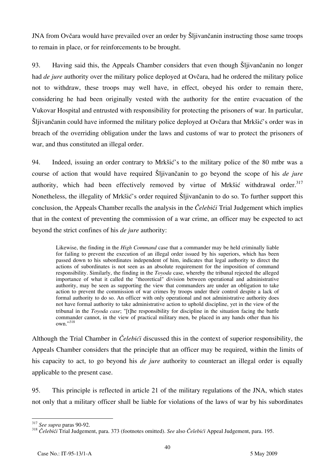JNA from Ovčara would have prevailed over an order by Šlijivančanin instructing those same troops to remain in place, or for reinforcements to be brought.

93. Having said this, the Appeals Chamber considers that even though Šljivančanin no longer had *de jure* authority over the military police deployed at Ovčara, had he ordered the military police not to withdraw, these troops may well have, in effect, obeyed his order to remain there, considering he had been originally vested with the authority for the entire evacuation of the Vukovar Hospital and entrusted with responsibility for protecting the prisoners of war. In particular, Šljivančanin could have informed the military police deployed at Ovčara that Mrkšić's order was in breach of the overriding obligation under the laws and customs of war to protect the prisoners of war, and thus constituted an illegal order.

94. Indeed, issuing an order contrary to Mrkšić's to the military police of the 80 mtbr was a course of action that would have required Šljivančanin to go beyond the scope of his *de jure*  authority, which had been effectively removed by virtue of Mrkšić withdrawal order.<sup>317</sup> Nonetheless, the illegality of Mrkšić's order required Šljivančanin to do so. To further support this conclusion, the Appeals Chamber recalls the analysis in the *Čelebi* $\acute{\epsilon}i$  Trial Judgement which implies that in the context of preventing the commission of a war crime, an officer may be expected to act beyond the strict confines of his *de jure* authority:

Likewise, the finding in the *High Command* case that a commander may be held criminally liable for failing to prevent the execution of an illegal order issued by his superiors, which has been passed down to his subordinates independent of him, indicates that legal authority to direct the actions of subordinates is not seen as an absolute requirement for the imposition of command responsibility. Similarly, the finding in the *Toyoda* case, whereby the tribunal rejected the alleged importance of what it called the "theoretical" division between operational and administrative authority, may be seen as supporting the view that commanders are under an obligation to take action to prevent the commission of war crimes by troops under their control despite a lack of formal authority to do so. An officer with only operational and not administrative authority does not have formal authority to take administrative action to uphold discipline, yet in the view of the tribunal in the *Toyoda case*; "[t]he responsibility for discipline in the situation facing the battle commander cannot, in the view of practical military men, be placed in any hands other than his own."318

Although the Trial Chamber in *Čelebi}i* discussed this in the context of superior responsibility, the Appeals Chamber considers that the principle that an officer may be required, within the limits of his capacity to act, to go beyond his *de jure* authority to counteract an illegal order is equally applicable to the present case.

95. This principle is reflected in article 21 of the military regulations of the JNA, which states not only that a military officer shall be liable for violations of the laws of war by his subordinates

 $317$  See supra paras 90-92.

<sup>&</sup>lt;sup>318</sup> Čelebići Trial Judgement, para. 373 (footnotes omitted). *See* also Čelebići Appeal Judgement, para. 195.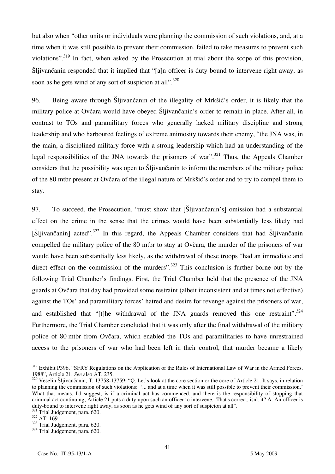but also when "other units or individuals were planning the commission of such violations, and, at a time when it was still possible to prevent their commission, failed to take measures to prevent such violations".<sup>319</sup> In fact, when asked by the Prosecution at trial about the scope of this provision, Šljivančanin responded that it implied that "[a]n officer is duty bound to intervene right away, as soon as he gets wind of any sort of suspicion at all". $^{320}$ 

96. Being aware through Šljivančanin of the illegality of Mrkšić's order, it is likely that the military police at Ovčara would have obeyed Šljivančanin's order to remain in place. After all, in contrast to TOs and paramilitary forces who generally lacked military discipline and strong leadership and who harboured feelings of extreme animosity towards their enemy, "the JNA was, in the main, a disciplined military force with a strong leadership which had an understanding of the legal responsibilities of the JNA towards the prisoners of war".<sup>321</sup> Thus, the Appeals Chamber considers that the possibility was open to Šljivančanin to inform the members of the military police of the 80 mtbr present at Ovčara of the illegal nature of Mrkšić's order and to try to compel them to stay.

97. To succeed, the Prosecution, "must show that [Šljivančanin's] omission had a substantial effect on the crime in the sense that the crimes would have been substantially less likely had  $[\text{Šlijvančanin}]$  acted".<sup>322</sup> In this regard, the Appeals Chamber considers that had  $\text{Šljivančanin}$ compelled the military police of the 80 mtbr to stay at Ovčara, the murder of the prisoners of war would have been substantially less likely, as the withdrawal of these troops "had an immediate and direct effect on the commission of the murders".<sup>323</sup> This conclusion is further borne out by the following Trial Chamber's findings. First, the Trial Chamber held that the presence of the JNA guards at Ovčara that day had provided some restraint (albeit inconsistent and at times not effective) against the TOs' and paramilitary forces' hatred and desire for revenge against the prisoners of war, and established that "[t]he withdrawal of the JNA guards removed this one restraint". $324$ Furthermore, the Trial Chamber concluded that it was only after the final withdrawal of the military police of 80 mtbr from Ovčara, which enabled the TOs and paramilitaries to have unrestrained access to the prisoners of war who had been left in their control, that murder became a likely

 $\overline{\phantom{a}}$ 

<sup>&</sup>lt;sup>319</sup> Exhibit P396, "SFRY Regulations on the Application of the Rules of International Law of War in the Armed Forces, 1988", Article 21. *See* also AT. 235.<br><sup>320</sup> Veselin Šliivančanin, T. 13758-13759: "Q. Let's look at the core section or the core of Article 21. It says, in relation

to planning the commission of such violations: '... and at a time when it was still possible to prevent their commission.' What that means, I'd suggest, is if a criminal act has commenced, and there is the responsibility of stopping that criminal act continuing, Article 21 puts a duty upon such an officer to intervene. That's correct, isn't it? A. An officer is duty-bound to intervene right away, as soon as he gets wind of any sort of suspicion at all".

 $\frac{321}{321}$  Trial Judgement, para. 620.<br>  $\frac{322}{324}$  Trial Judgement, para. 620.<br>  $\frac{324}{324}$  Trial Judgement, para. 620.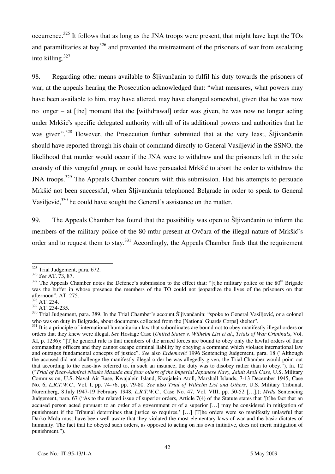occurrence.<sup>325</sup> It follows that as long as the JNA troops were present, that might have kept the TOs and paramilitaries at bay<sup>326</sup> and prevented the mistreatment of the prisoners of war from escalating into killing. $327$ 

98. Regarding other means available to Sljivančanin to fulfil his duty towards the prisoners of war, at the appeals hearing the Prosecution acknowledged that: "what measures, what powers may have been available to him, may have altered, may have changed somewhat, given that he was now no longer – at [the] moment that the [withdrawal] order was given, he was now no longer acting under Mrkšić's specific delegated authority with all of its additional powers and authorities that he was given".<sup>328</sup> However, the Prosecution further submitted that at the very least, Slijivančanin should have reported through his chain of command directly to General Vasiljević in the SSNO, the likelihood that murder would occur if the JNA were to withdraw and the prisoners left in the sole custody of this vengeful group, or could have persuaded Mrkšić to abort the order to withdraw the JNA troops.<sup>329</sup> The Appeals Chamber concurs with this submission. Had his attempts to persuade Mrkšić not been successful, when Šljivančanin telephoned Belgrade in order to speak to General Vasiljević, $330$  he could have sought the General's assistance on the matter.

99. The Appeals Chamber has found that the possibility was open to Šljivančanin to inform the members of the military police of the 80 mtbr present at Ovčara of the illegal nature of Mrkšić's order and to request them to stay.<sup>331</sup> Accordingly, the Appeals Chamber finds that the requirement

 $\overline{\phantom{a}}$ 

<sup>&</sup>lt;sup>325</sup> Trial Judgement, para. 672.

<sup>&</sup>lt;sup>326</sup> *See* AT. 73, 87.  $\overline{1}$ <br><sup>327</sup> The Appeals Chamber notes the Defence's submission to the effect that: "[t]he military police of the 80<sup>th</sup> Brigade was the buffer in whose presence the members of the TO could not jeopardize the lives of the prisoners on that afternoon". AT. 275.<br>328 AT. 224

 $\frac{328}{329}$  AT. 234.<br> $\frac{329}{10}$  AT. 234-235.

<sup>&</sup>lt;sup>330</sup> Trial Judgement, para. 389. In the Trial Chamber's account Šljivančanin: "spoke to General Vasiljević, or a colonel who was on duty in Belgrade, about documents collected from the [National Guards Corps] shelter".<br><sup>331</sup> It is a principle of international humanitarian law that subordinates are bound not to obey manifestly illegal orders

orders that they knew were illegal. *See* Hostage Case (*United States v. Wilhelm List et al*., *Trials of War Criminals*, Vol. XI, p. 1236): "The general rule is that members of the armed forces are bound to obey only the lawful orders of their commanding officers and they cannot escape criminal liability by obeying a command which violates international law and outrages fundamental concepts of justice". *See* also *Erdemović* 1996 Sentencing Judgement, para. 18 ("Although the accused did not challenge the manifestly illegal order he was allegedly given, the Trial Chamber would point out that according to the case-law referred to, in such an instance, the duty was to disobey rather than to obey."), fn. 12 ("*Trial of Rear-Admiral Nisuke Masuda and four others of the Imperial Japanese Navy, Jaluit Atoll Case*, U.S. Military Commission, U.S. Naval Air Base, Kwajalein Island, Kwajalein Atoll, Marshall Islands, 7-13 December 1945, Case No. 6, *L.R.T.W.C.*, Vol. I, pp. 74-76, pp. 79-80. *See* also *Trial of Wilhelm List and Others*, U.S. Military Tribunal, Nuremberg, 8 July 1947-19 February 1948, *L.R.T.W.C.*, Case No. 47, Vol. VIII, pp. 50-52 ….); *Mrđa* Sentencing Judgement, para. 67 ("As to the related issue of superior orders, Article 7(4) of the Statute states that 'the fact that an accused person acted pursuant to an order of a government or of a superior [...] may be considered in mitigation of punishment if the Tribunal determines that justice so requires.' [...] [T]he orders were so manifestly unlawful that Darko Mrda must have been well aware that they violated the most elementary laws of war and the basic dictates of humanity. The fact that he obeyed such orders, as opposed to acting on his own initiative, does not merit mitigation of punishment.").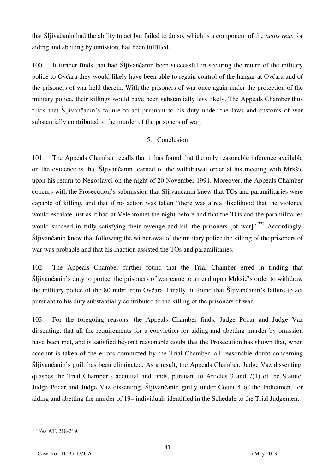that [ljiva~anin had the ability to act but failed to do so, which is a component of the *actus reus* for aiding and abetting by omission, has been fulfilled.

100. It further finds that had  $\tilde{S}$ ljivančanin been successful in securing the return of the military police to Ovčara they would likely have been able to regain control of the hangar at Ovčara and of the prisoners of war held therein. With the prisoners of war once again under the protection of the military police, their killings would have been substantially less likely. The Appeals Chamber thus finds that Šljivančanin's failure to act pursuant to his duty under the laws and customs of war substantially contributed to the murder of the prisoners of war.

## 5. Conclusion

101. The Appeals Chamber recalls that it has found that the only reasonable inference available on the evidence is that Šljivančanin learned of the withdrawal order at his meeting with Mrkšić upon his return to Negoslavci on the night of 20 November 1991. Moreover, the Appeals Chamber concurs with the Prosecution's submission that Sliivančanin knew that TOs and paramilitaries were capable of killing, and that if no action was taken "there was a real likelihood that the violence would escalate just as it had at Velepromet the night before and that the TOs and the paramilitaries would succeed in fully satisfying their revenge and kill the prisoners [of war]".<sup>332</sup> Accordingly, Sliivančanin knew that following the withdrawal of the military police the killing of the prisoners of war was probable and that his inaction assisted the TOs and paramilitaries.

102. The Appeals Chamber further found that the Trial Chamber erred in finding that Šljivančanin's duty to protect the prisoners of war came to an end upon Mrkšić's order to withdraw the military police of the 80 mtbr from Ovčara. Finally, it found that Sliivančanin's failure to act pursuant to his duty substantially contributed to the killing of the prisoners of war.

103. For the foregoing reasons, the Appeals Chamber finds, Judge Pocar and Judge Vaz dissenting, that all the requirements for a conviction for aiding and abetting murder by omission have been met, and is satisfied beyond reasonable doubt that the Prosecution has shown that, when account is taken of the errors committed by the Trial Chamber, all reasonable doubt concerning  $\delta$ ljivančanin's guilt has been eliminated. As a result, the Appeals Chamber, Judge Vaz dissenting, quashes the Trial Chamber's acquittal and finds, pursuant to Articles 3 and 7(1) of the Statute, Judge Pocar and Judge Vaz dissenting, Šljivančanin guilty under Count 4 of the Indictment for aiding and abetting the murder of 194 individuals identified in the Schedule to the Trial Judgement.

 $\overline{a}$ <sup>332</sup> *See* AT. 218-219.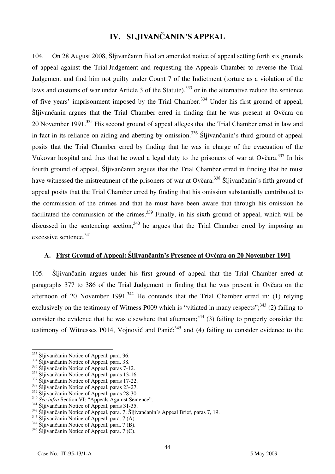# **IV. SLJIVANČANIN'S APPEAL**

104. On 28 August 2008, Šljivančanin filed an amended notice of appeal setting forth six grounds of appeal against the Trial Judgement and requesting the Appeals Chamber to reverse the Trial Judgement and find him not guilty under Count 7 of the Indictment (torture as a violation of the laws and customs of war under Article 3 of the Statute),<sup>333</sup> or in the alternative reduce the sentence of five years' imprisonment imposed by the Trial Chamber.<sup>334</sup> Under his first ground of appeal, Šljivančanin argues that the Trial Chamber erred in finding that he was present at Ovčara on 20 November 1991.<sup>335</sup> His second ground of appeal alleges that the Trial Chamber erred in law and in fact in its reliance on aiding and abetting by omission.<sup>336</sup> Slijivančanin's third ground of appeal posits that the Trial Chamber erred by finding that he was in charge of the evacuation of the Vukovar hospital and thus that he owed a legal duty to the prisoners of war at Ovčara.<sup>337</sup> In his fourth ground of appeal, Sljivančanin argues that the Trial Chamber erred in finding that he must have witnessed the mistreatment of the prisoners of war at Ovčara.<sup>338</sup> Šljivančanin's fifth ground of appeal posits that the Trial Chamber erred by finding that his omission substantially contributed to the commission of the crimes and that he must have been aware that through his omission he facilitated the commission of the crimes.<sup>339</sup> Finally, in his sixth ground of appeal, which will be discussed in the sentencing section.<sup>340</sup> he argues that the Trial Chamber erred by imposing an excessive sentence.<sup>341</sup>

## **A. First Ground of Appeal: Šljivančanin's Presence at Ovčara on 20 November 1991**

105. Šljivančanin argues under his first ground of appeal that the Trial Chamber erred at paragraphs 377 to 386 of the Trial Judgement in finding that he was present in Ovčara on the afternoon of 20 November 1991.<sup>342</sup> He contends that the Trial Chamber erred in: (1) relying exclusively on the testimony of Witness P009 which is "vitiated in many respects";  $343$  (2) failing to consider the evidence that he was elsewhere that afternoon;<sup>344</sup> (3) failing to properly consider the testimony of Witnesses P014, Vojnović and Panić;<sup>345</sup> and (4) failing to consider evidence to the

<sup>333</sup> Šljivančanin Notice of Appeal, para. 36.

 $334$   $\overline{\text{S}}$ liivančanin Notice of Appeal, para. 38.

 $335$  Šljivančanin Notice of Appeal, paras 7-12.<br> $336$  Šljivančanin Notice of Appeal, paras 13-16.

 $\frac{337}{338}$  Šljivančanin Notice of Appeal, paras 17-22.  $\frac{338}{318}$  Šljivančanin Notice of Appeal, paras 23-27.

<sup>&</sup>lt;sup>339</sup> Šljivančanin Notice of Appeal, paras 28-30.<br><sup>340</sup> See infra Section VI: "Appeals Against Sentence".<br><sup>341</sup> Šljivančanin Notice of Appeal, paras 31-35.<br><sup>342</sup> Šljivančanin Notice of Appeal, para. 7; Šljivančanin's Appea

<sup>&</sup>lt;sup>345</sup> Šljivančanin Notice of Appeal, para. 7 (C).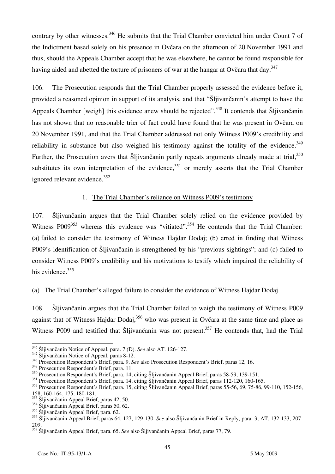contrary by other witnesses.<sup>346</sup> He submits that the Trial Chamber convicted him under Count 7 of the Indictment based solely on his presence in Ovčara on the afternoon of 20 November 1991 and thus, should the Appeals Chamber accept that he was elsewhere, he cannot be found responsible for having aided and abetted the torture of prisoners of war at the hangar at Ovčara that day.<sup>347</sup>

106. The Prosecution responds that the Trial Chamber properly assessed the evidence before it, provided a reasoned opinion in support of its analysis, and that "Šljivančanin's attempt to have the Appeals Chamber [weigh] this evidence anew should be rejected".<sup>348</sup> It contends that Šljivančanin has not shown that no reasonable trier of fact could have found that he was present in Ovčara on 20 November 1991, and that the Trial Chamber addressed not only Witness P009's credibility and reliability in substance but also weighed his testimony against the totality of the evidence.<sup>349</sup> Further, the Prosecution avers that Šljivančanin partly repeats arguments already made at trial, <sup>350</sup> substitutes its own interpretation of the evidence,  $351$  or merely asserts that the Trial Chamber ignored relevant evidence. $352$ 

## 1. The Trial Chamber's reliance on Witness P009's testimony

107. Šljivančanin argues that the Trial Chamber solely relied on the evidence provided by Witness P009<sup>353</sup> whereas this evidence was "vitiated".<sup>354</sup> He contends that the Trial Chamber: (a) failed to consider the testimony of Witness Hajdar Dodaj; (b) erred in finding that Witness P009's identification of Šljivančanin is strengthened by his "previous sightings"; and (c) failed to consider Witness P009's credibility and his motivations to testify which impaired the reliability of his evidence.<sup>355</sup>

# (a) The Trial Chamber's alleged failure to consider the evidence of Witness Hajdar Dodaj

108. Šljivančanin argues that the Trial Chamber failed to weigh the testimony of Witness P009 against that of Witness Hajdar Dodaj,<sup>356</sup> who was present in Ovčara at the same time and place as Witness P009 and testified that Šljivančanin was not present.<sup>357</sup> He contends that, had the Trial

<sup>&</sup>lt;sup>346</sup> Šliivančanin Notice of Appeal, para. 7 (D). See also AT. 126-127.

<sup>347</sup> Šljivančanin Notice of Appeal, paras 8-12.<br>
<sup>348</sup> Prosecution Respondent's Brief, para. 9. See also Prosecution Respondent's Brief, paras 12, 16.

<sup>349</sup> Prosecution Respondent's Brief, para. 11.

<sup>&</sup>lt;sup>350</sup> Prosecution Respondent's Brief, para. 14, citing Šljivančanin Appeal Brief, paras 58-59, 139-151.

<sup>&</sup>lt;sup>351</sup> Prosecution Respondent's Brief, para. 14, citing Šljivančanin Appeal Brief, paras 112-120, 160-165.

<sup>&</sup>lt;sup>352</sup> Prosecution Respondent's Brief, para. 15, citing Šljivančanin Appeal Brief, paras 55-56, 69, 75-86, 99-110, 152-156, 158, 160-164, 175, 180-181.

<sup>&</sup>lt;sup>353</sup> Šliivančanin Appeal Brief, paras 42, 50.

<sup>&</sup>lt;sup>354</sup> Šliivančanin Appeal Brief, paras 50, 62.

<sup>&</sup>lt;sup>355</sup> Šliivančanin Appeal Brief, para. 62.

<sup>356</sup> Šljivančanin Appeal Brief, paras 64, 127, 129-130. *See* also Šljivančanin Brief in Reply, para. 3; AT. 132-133, 207- 209.

<sup>357</sup> Šljivančanin Appeal Brief, para. 65. *See* also Šljivančanin Appeal Brief, paras 77, 79.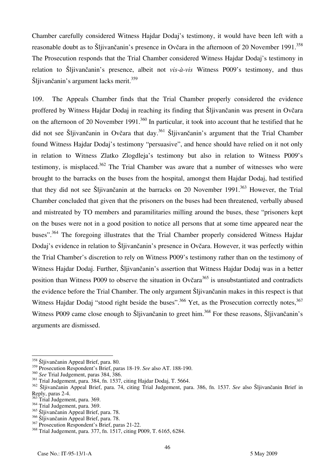Chamber carefully considered Witness Hajdar Dodaj's testimony, it would have been left with a reasonable doubt as to Šljivančanin's presence in Ovčara in the afternoon of 20 November 1991.<sup>358</sup> The Prosecution responds that the Trial Chamber considered Witness Hajdar Dodaj's testimony in relation to Šljivančanin's presence, albeit not *vis-à-vis* Witness P009's testimony, and thus Šliivančanin's argument lacks merit.<sup>359</sup>

109. The Appeals Chamber finds that the Trial Chamber properly considered the evidence proffered by Witness Hajdar Dodaj in reaching its finding that Šljivančanin was present in Ovčara on the afternoon of 20 November 1991.<sup>360</sup> In particular, it took into account that he testified that he did not see Šliivančanin in Ovčara that day.<sup>361</sup> Šliivančanin's argument that the Trial Chamber found Witness Hajdar Dodaj's testimony "persuasive", and hence should have relied on it not only in relation to Witness Zlatko Zlogdleja's testimony but also in relation to Witness P009's testimony, is misplaced.<sup>362</sup> The Trial Chamber was aware that a number of witnesses who were brought to the barracks on the buses from the hospital, amongst them Hajdar Dodaj, had testified that they did not see Sliivančanin at the barracks on 20 November 1991.<sup>363</sup> However, the Trial Chamber concluded that given that the prisoners on the buses had been threatened, verbally abused and mistreated by TO members and paramilitaries milling around the buses, these "prisoners kept on the buses were not in a good position to notice all persons that at some time appeared near the buses".364 The foregoing illustrates that the Trial Chamber properly considered Witness Hajdar Dodaj's evidence in relation to Šljivančanin's presence in Ovčara. However, it was perfectly within the Trial Chamber's discretion to rely on Witness P009's testimony rather than on the testimony of Witness Hajdar Dodaj. Further, Šljivančanin's assertion that Witness Hajdar Dodaj was in a better position than Witness P009 to observe the situation in Ovčara<sup>365</sup> is unsubstantiated and contradicts the evidence before the Trial Chamber. The only argument Šljivančanin makes in this respect is that Witness Hajdar Dodaj "stood right beside the buses".<sup>366</sup> Yet, as the Prosecution correctly notes,<sup>367</sup> Witness P009 came close enough to Šljivančanin to greet him.<sup>368</sup> For these reasons, Šljivančanin's arguments are dismissed.

<sup>366</sup> Šliivančanin Appeal Brief, para. 78.

 $\overline{a}$ <sup>358</sup> Šljivančanin Appeal Brief, para. 80.

<sup>359</sup> Prosecution Respondent's Brief, paras 18-19. *See* also AT. 188-190.

<sup>360</sup> *See* Trial Judgement, paras 384, 386.

<sup>361</sup> Trial Judgement, para. 384, fn. 1537, citing Hajdar Dodaj, T. 5664.

<sup>362</sup> Šljivančanin Appeal Brief, para. 74, citing Trial Judgement, para. 386, fn. 1537. *See* also Šljivančanin Brief in Reply, paras 2-4.

Trial Judgement, para. 369.

 $364$  Trial Judgement, para. 369.

<sup>365</sup> Šljivančanin Appeal Brief, para. 78.

<sup>&</sup>lt;sup>367</sup> Prosecution Respondent's Brief, paras 21-22.

<sup>368</sup> Trial Judgement, para. 377, fn. 1517, citing P009, T. 6165, 6284.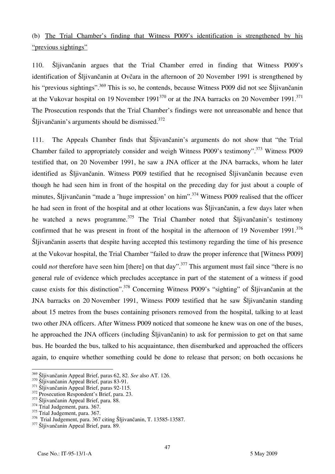# (b) The Trial Chamber's finding that Witness P009's identification is strengthened by his "previous sightings"

110. Šljivančanin argues that the Trial Chamber erred in finding that Witness P009's identification of Šljivančanin at Ovčara in the afternoon of 20 November 1991 is strengthened by his "previous sightings".<sup>369</sup> This is so, he contends, because Witness P009 did not see Šljivančanin at the Vukovar hospital on 19 November 1991<sup>370</sup> or at the JNA barracks on 20 November 1991.<sup>371</sup> The Prosecution responds that the Trial Chamber's findings were not unreasonable and hence that Šljivančanin's arguments should be dismissed.<sup>372</sup>

111. The Appeals Chamber finds that Šljivančanin's arguments do not show that "the Trial Chamber failed to appropriately consider and weigh Witness P009's testimony".<sup>373</sup> Witness P009 testified that, on 20 November 1991, he saw a JNA officer at the JNA barracks, whom he later identified as Šljivančanin. Witness P009 testified that he recognised Šljivančanin because even though he had seen him in front of the hospital on the preceding day for just about a couple of minutes, Šliivančanin "made a 'huge impression' on him".<sup>374</sup> Witness P009 realised that the officer he had seen in front of the hospital and at other locations was Šljivančanin, a few days later when he watched a news programme.<sup>375</sup> The Trial Chamber noted that Šljivančanin's testimony confirmed that he was present in front of the hospital in the afternoon of 19 November  $1991$ .<sup>376</sup> Šljivančanin asserts that despite having accepted this testimony regarding the time of his presence at the Vukovar hospital, the Trial Chamber "failed to draw the proper inference that [Witness P009] could *not* therefore have seen him [there] on that day".<sup>377</sup> This argument must fail since "there is no general rule of evidence which precludes acceptance in part of the statement of a witness if good cause exists for this distinction".378 Concerning Witness P009's "sighting" of Šljivančanin at the JNA barracks on 20 November 1991, Witness P009 testified that he saw Šljivančanin standing about 15 metres from the buses containing prisoners removed from the hospital, talking to at least two other JNA officers. After Witness P009 noticed that someone he knew was on one of the buses, he approached the JNA officers (including Šljivančanin) to ask for permission to get on that same bus. He boarded the bus, talked to his acquaintance, then disembarked and approached the officers again, to enquire whether something could be done to release that person; on both occasions he

<sup>369</sup> Šljivančanin Appeal Brief, paras 62, 82. See also AT. 126.

<sup>&</sup>lt;sup>370</sup> Šijivančanin Appeal Brief, paras 83-91.<br><sup>371</sup> Šijivančanin Appeal Brief, paras 92-115.<br><sup>372</sup> Prosecution Respondent's Brief, para. 23.<br><sup>373</sup> Šijivančanin Appeal Brief, para. 88.<br><sup>374</sup> Trial Judgement, para. 367.

 $375$  Trial Judgement, para. 367.

 $376$  Trial Judgement, para. 367 citing Šljivančanin, T. 13585-13587.<br> $377$  Šljivančanin Appeal Brief, para. 89.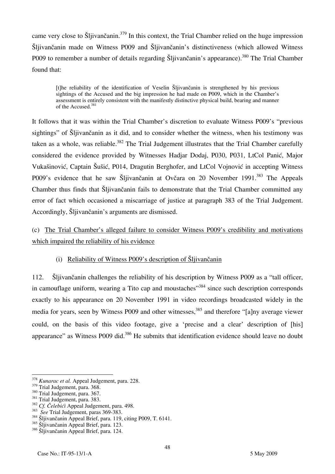came very close to Šljivančanin.<sup>379</sup> In this context, the Trial Chamber relied on the huge impression Šljivančanin made on Witness P009 and Šljivančanin's distinctiveness (which allowed Witness P009 to remember a number of details regarding Šljivančanin's appearance).<sup>380</sup> The Trial Chamber found that:

the reliability of the identification of Veselin Šljivančanin is strengthened by his previous sightings of the Accused and the big impression he had made on P009, which in the Chamber's assessment is entirely consistent with the manifestly distinctive physical build, bearing and manner of the Accused.<sup>381</sup>

It follows that it was within the Trial Chamber's discretion to evaluate Witness P009's "previous sightings" of Šljivančanin as it did, and to consider whether the witness, when his testimony was taken as a whole, was reliable.<sup>382</sup> The Trial Judgement illustrates that the Trial Chamber carefully considered the evidence provided by Witnesses Hadjar Dodaj, P030, P031, LtCol Panić, Major Vukašinović, Captain Šušić, P014, Dragutin Berghofer, and LtCol Vojnović in accepting Witness P009's evidence that he saw Šljivančanin at Ovčara on 20 November 1991.<sup>383</sup> The Appeals Chamber thus finds that Šljivančanin fails to demonstrate that the Trial Chamber committed any error of fact which occasioned a miscarriage of justice at paragraph 383 of the Trial Judgement. Accordingly, Šljivančanin's arguments are dismissed.

(c) The Trial Chamber's alleged failure to consider Witness P009's credibility and motivations which impaired the reliability of his evidence

## (i) Reliability of Witness P009's description of Šljivančanin

112. Šljivančanin challenges the reliability of his description by Witness P009 as a "tall officer, in camouflage uniform, wearing a Tito cap and moustaches<sup>"384</sup> since such description corresponds exactly to his appearance on 20 November 1991 in video recordings broadcasted widely in the media for years, seen by Witness P009 and other witnesses,<sup>385</sup> and therefore "[a]ny average viewer could, on the basis of this video footage, give a 'precise and a clear' description of [his] appearance" as Witness P009 did.<sup>386</sup> He submits that identification evidence should leave no doubt

 $\overline{a}$ 

<sup>378</sup> *Kunarac et al.* Appeal Judgement, para. 228.

<sup>&</sup>lt;sup>379</sup> Trial Judgement, para. 368.<br><sup>380</sup> Trial Judgement, para. 367.<br><sup>381</sup> Trial Judgement, para. 383.<br><sup>382</sup> Cf. Čelebići Appeal Judgement, para. 498.<br><sup>383</sup> See Trial Judgement, paras 369-383.<br><sup>384</sup> Šljivančanin Appeal Bri

<sup>&</sup>lt;sup>385</sup> Šljivančanin Appeal Brief, para. 123.

<sup>386</sup> Šljivančanin Appeal Brief, para. 124.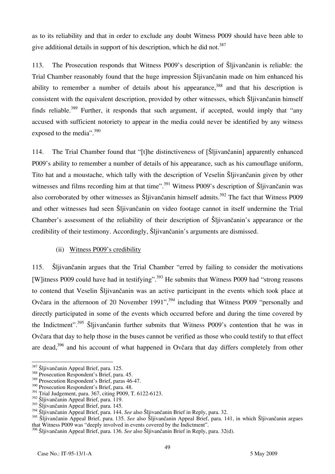as to its reliability and that in order to exclude any doubt Witness P009 should have been able to give additional details in support of his description, which he did not.<sup>387</sup>

113. The Prosecution responds that Witness P009's description of Šljivančanin is reliable: the Trial Chamber reasonably found that the huge impression Šljivančanin made on him enhanced his ability to remember a number of details about his appearance,<sup>388</sup> and that his description is consistent with the equivalent description, provided by other witnesses, which Šljivančanin himself finds reliable.<sup>389</sup> Further, it responds that such argument, if accepted, would imply that "any accused with sufficient notoriety to appear in the media could never be identified by any witness exposed to the media".  $390$ 

114. The Trial Chamber found that "[t]he distinctiveness of [SI| jivan canin] apparently enhanced P009's ability to remember a number of details of his appearance, such as his camouflage uniform, Tito hat and a moustache, which tally with the description of Veselin Šljivančanin given by other witnesses and films recording him at that time".<sup>391</sup> Witness P009's description of Šljivančanin was also corroborated by other witnesses as Šljivančanin himself admits.<sup>392</sup> The fact that Witness P009 and other witnesses had seen Šljivančanin on video footage cannot in itself undermine the Trial Chamber's assessment of the reliability of their description of Šljivančanin's appearance or the credibility of their testimony. Accordingly, Šljivančanin's arguments are dismissed.

## (ii) Witness P009's credibility

115. Šljivančanin argues that the Trial Chamber "erred by failing to consider the motivations [W]itness P009 could have had in testifying".<sup>393</sup> He submits that Witness P009 had "strong reasons to contend that Veselin Šljivančanin was an active participant in the events which took place at Ovčara in the afternoon of 20 November 1991",<sup>394</sup> including that Witness P009 "personally and directly participated in some of the events which occurred before and during the time covered by the Indictment".<sup>395</sup> Sljivančanin further submits that Witness P009's contention that he was in Ovčara that day to help those in the buses cannot be verified as those who could testify to that effect are dead.<sup>396</sup> and his account of what happened in Ovčara that day differs completely from other

<sup>387</sup> Šljivančanin Appeal Brief, para. 125.

 $\frac{388}{368}$  Prosecution Respondent's Brief, para. 45.

<sup>389</sup> Prosecution Respondent's Brief, paras 46-47.

<sup>&</sup>lt;sup>390</sup> Prosecution Respondent's Brief, para. 48.

<sup>391</sup> Trial Judgement, para. 367, citing P009, T. 6122-6123.

 $392$   $\text{Šliivančanin}$  Appeal Brief, para. 119.

<sup>393</sup> Šljivančanin Appeal Brief, para. 145.

<sup>394</sup> Šljivančanin Appeal Brief, para. 144. *See* also Šljivančanin Brief in Reply, para. 32.

<sup>395</sup> Šljivančanin Appeal Brief, para. 135. *See* also Šljivančanin Appeal Brief, para. 141, in which Šljivančanin argues that Witness P009 was "deeply involved in events covered by the Indictment".

<sup>396</sup> Šljivančanin Appeal Brief, para. 136. *See* also Šljivančanin Brief in Reply, para. 32(d).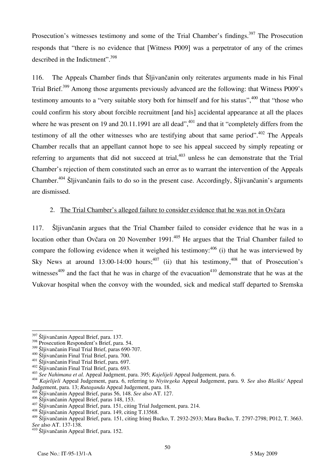Prosecution's witnesses testimony and some of the Trial Chamber's findings.<sup>397</sup> The Prosecution responds that "there is no evidence that [Witness P009] was a perpetrator of any of the crimes described in the Indictment".398

116. The Appeals Chamber finds that Šljivančanin only reiterates arguments made in his Final Trial Brief.<sup>399</sup> Among those arguments previously advanced are the following: that Witness P009's testimony amounts to a "very suitable story both for himself and for his status",<sup>400</sup> that "those who could confirm his story about forcible recruitment [and his] accidental appearance at all the places where he was present on 19 and 20.11.1991 are all dead",  $401$  and that it "completely differs from the testimony of all the other witnesses who are testifying about that same period".<sup>402</sup> The Appeals Chamber recalls that an appellant cannot hope to see his appeal succeed by simply repeating or referring to arguments that did not succeed at trial,  $403$  unless he can demonstrate that the Trial Chamber's rejection of them constituted such an error as to warrant the intervention of the Appeals Chamber.404 Šljivančanin fails to do so in the present case. Accordingly, Šljivančanin's arguments are dismissed.

### 2. The Trial Chamber's alleged failure to consider evidence that he was not in Ovčara

117. Šljivančanin argues that the Trial Chamber failed to consider evidence that he was in a location other than Ovčara on 20 November 1991.<sup>405</sup> He argues that the Trial Chamber failed to compare the following evidence when it weighed his testimony:  $406$  (i) that he was interviewed by Sky News at around  $13:00-14:00$  hours;<sup>407</sup> (ii) that his testimony,<sup>408</sup> that of Prosecution's witnesses $409$  and the fact that he was in charge of the evacuation $410$  demonstrate that he was at the Vukovar hospital when the convoy with the wounded, sick and medical staff departed to Sremska

 $\overline{a}$ 

<sup>&</sup>lt;sup>397</sup> Šljivančanin Appeal Brief, para. 137.

<sup>&</sup>lt;sup>398</sup> Prosecution Respondent's Brief, para. 54.<br><sup>399</sup> Šliivančanin Final Trial Brief, paras 690-707.

<sup>&</sup>lt;sup>400</sup> Šljivančanin Final Trial Brief, para. 700.<br><sup>401</sup> Šljivančanin Final Trial Brief, para. 697.<br><sup>402</sup> Šljivančanin Final Trial Brief, para. 693.<br><sup>403</sup> See Nahimana et al. Appeal Judgment, para. 395; Kajelijeli Appeal Jud Judgement, para. 13; *Rutaganda* Appeal Judgement, para. 18.

<sup>405</sup> Šljivančanin Appeal Brief, paras 56, 148. *See* also AT. 127.

<sup>&</sup>lt;sup>407</sup> Šljivančanin Appeal Brief, para. 151, citing Trial Judgement, para. 214.<br><sup>408</sup> Šliivančanin Appeal Brief, para. 149, citing T.13568.

<sup>409</sup> Šljivančanin Appeal Brief, para. 151, citing Irinej Bućko, T. 2932-2933; Mara Bućko, T. 2797-2798; P012, T. 3663.<br>See also AT. 137-138.

<sup>&</sup>lt;sup>410</sup> Šljivančanin Appeal Brief, para. 152.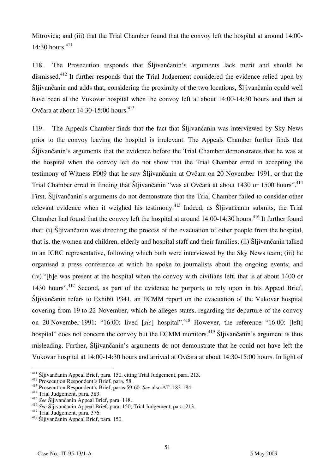Mitrovica; and (iii) that the Trial Chamber found that the convoy left the hospital at around 14:00-  $14:30$  hours.<sup>411</sup>

118. The Prosecution responds that Šljivančanin's arguments lack merit and should be dismissed.<sup>412</sup> It further responds that the Trial Judgement considered the evidence relied upon by Šljivančanin and adds that, considering the proximity of the two locations, Šljivančanin could well have been at the Vukovar hospital when the convoy left at about 14:00-14:30 hours and then at Ovčara at about  $14:30-15:00$  hours.<sup>413</sup>

119. The Appeals Chamber finds that the fact that Šljivančanin was interviewed by Sky News prior to the convoy leaving the hospital is irrelevant. The Appeals Chamber further finds that Šljivančanin's arguments that the evidence before the Trial Chamber demonstrates that he was at the hospital when the convoy left do not show that the Trial Chamber erred in accepting the testimony of Witness P009 that he saw Šljivančanin at Ovčara on 20 November 1991, or that the Trial Chamber erred in finding that Šljivančanin "was at Ovčara at about 1430 or 1500 hours".<sup>414</sup> First, Šljivančanin's arguments do not demonstrate that the Trial Chamber failed to consider other relevant evidence when it weighed his testimony.<sup>415</sup> Indeed, as Šliivančanin submits, the Trial Chamber had found that the convoy left the hospital at around  $14:00-14:30$  hours.<sup>416</sup> It further found that: (i) Šljivančanin was directing the process of the evacuation of other people from the hospital, that is, the women and children, elderly and hospital staff and their families; (ii) Šljivančanin talked to an ICRC representative, following which both were interviewed by the Sky News team; (iii) he organised a press conference at which he spoke to journalists about the ongoing events; and (iv) "he was present at the hospital when the convoy with civilians left, that is at about 1400 or 1430 hours".<sup>417</sup> Second, as part of the evidence he purports to rely upon in his Appeal Brief, Šljivančanin refers to Exhibit P341, an ECMM report on the evacuation of the Vukovar hospital covering from 19 to 22 November, which he alleges states, regarding the departure of the convoy on 20 November 1991: "16:00: lived *[sic]* hospital".<sup>418</sup> However, the reference "16:00: *[left]* hospital" does not concern the convoy but the ECMM monitors.<sup>419</sup> Šljivančanin's argument is thus misleading. Further, Šljivančanin's arguments do not demonstrate that he could not have left the Vukovar hospital at 14:00-14:30 hours and arrived at Ovčara at about 14:30-15:00 hours. In light of

<sup>&</sup>lt;sup>411</sup> Šljivančanin Appeal Brief, para. 150, citing Trial Judgement, para. 213.

<sup>&</sup>lt;sup>412</sup> Prosecution Respondent's Brief, para. 58.<br><sup>413</sup> Prosecution Respondent's Brief, paras 59-60. See also AT. 183-184.<br><sup>414</sup> Trial Judgement, para. 383.

<sup>&</sup>lt;sup>415</sup> See Šljivančanin Appeal Brief, para. 148.

<sup>416</sup> *See* [ljivan~anin Appeal Brief, para. 150; Trial Judgement, para. 213. 417 Trial Judgement, para. 376. 418 Šljivančanin Appeal Brief, para. 150.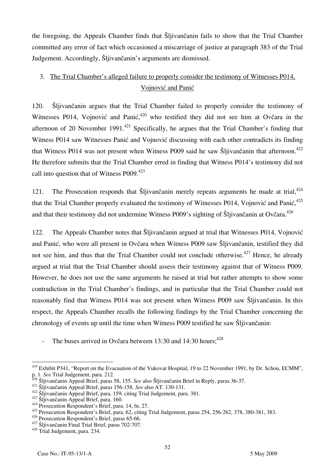the foregoing, the Appeals Chamber finds that Šljivančanin fails to show that the Trial Chamber committed any error of fact which occasioned a miscarriage of justice at paragraph 383 of the Trial Judgement. Accordingly, Šljivančanin's arguments are dismissed.

# 3. The Trial Chamber's alleged failure to properly consider the testimony of Witnesses P014, Vojnović and Panić

120. Šljivančanin argues that the Trial Chamber failed to properly consider the testimony of Witnesses P014, Vojnović and Panić,  $420$  who testified they did not see him at Ovčara in the afternoon of 20 November 1991.<sup>421</sup> Specifically, he argues that the Trial Chamber's finding that Witness P014 saw Witnesses Panić and Vojnović discussing with each other contradicts its finding that Witness P014 was not present when Witness P009 said he saw Šljivančanin that afternoon.<sup>422</sup> He therefore submits that the Trial Chamber erred in finding that Witness P014's testimony did not call into question that of Witness P009.<sup>423</sup>

121. The Prosecution responds that Šljivančanin merely repeats arguments he made at trial, $424$ that the Trial Chamber properly evaluated the testimony of Witnesses P014, Vojnović and Panić, <sup>425</sup> and that their testimony did not undermine Witness P009's sighting of Šljivančanin at Ovčara.<sup>426</sup>

122. The Appeals Chamber notes that Šljivančanin argued at trial that Witnesses P014, Vojnović and Panić, who were all present in Ovčara when Witness P009 saw Šljivančanin, testified they did not see him, and thus that the Trial Chamber could not conclude otherwise.<sup>427</sup> Hence, he already argued at trial that the Trial Chamber should assess their testimony against that of Witness P009. However, he does not use the same arguments he raised at trial but rather attempts to show some contradiction in the Trial Chamber's findings, and in particular that the Trial Chamber could not reasonably find that Witness P014 was not present when Witness P009 saw Šljivančanin. In this respect, the Appeals Chamber recalls the following findings by the Trial Chamber concerning the chronology of events up until the time when Witness P009 testified he saw Šljivančanin:

The buses arrived in Ovčara between 13:30 and 14:30 hours; $428$ 

 $\overline{\phantom{a}}$ <sup>419</sup> Exhibit P341, "Report on the Evacuation of the Vukovar Hospital, 19 to 22 November 1991, by Dr. Schou, ECMM", p. 1. See Trial Judgement, para. 212.<br><sup>420</sup> Šljivančanin Appeal Brief, paras 58, 155. See also Šljivančanin Brief in Reply, paras 36-37.<br><sup>421</sup> Šljivančanin Appeal Brief, paras 156-158. See also AT. 130-131.<br><sup>422</sup> Šljivanča

<sup>425</sup> Prosecution Respondent's Brief, para. 62, citing Trial Judgement, paras 254, 256-262, 378, 380-381, 383.

<sup>&</sup>lt;sup>426</sup> Prosecution Respondent's Brief, paras 65-66.<br><sup>427</sup> Šljivančanin Final Trial Brief, paras 702-707.<br><sup>428</sup> Trial Judgement, para. 234.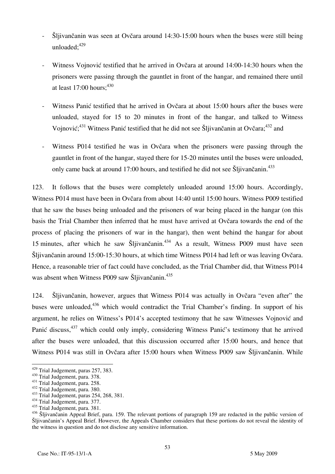- Šljivančanin was seen at Ovčara around 14:30-15:00 hours when the buses were still being unloaded: $429$
- Witness Vojnović testified that he arrived in Ovčara at around 14:00-14:30 hours when the prisoners were passing through the gauntlet in front of the hangar, and remained there until at least  $17:00$  hours:  $430$
- Witness Panić testified that he arrived in Ovčara at about 15:00 hours after the buses were unloaded, stayed for 15 to 20 minutes in front of the hangar, and talked to Witness Vojnović;<sup>431</sup> Witness Panić testified that he did not see Šljivančanin at Ovčara;<sup>432</sup> and
- Witness P014 testified he was in Ovčara when the prisoners were passing through the gauntlet in front of the hangar, stayed there for 15-20 minutes until the buses were unloaded, only came back at around 17:00 hours, and testified he did not see Šliivančanin.<sup>433</sup>

123. It follows that the buses were completely unloaded around 15:00 hours. Accordingly, Witness P014 must have been in Ovčara from about 14:40 until 15:00 hours. Witness P009 testified that he saw the buses being unloaded and the prisoners of war being placed in the hangar (on this basis the Trial Chamber then inferred that he must have arrived at Ovčara towards the end of the process of placing the prisoners of war in the hangar), then went behind the hangar for about 15 minutes, after which he saw Šlijvančanin.<sup>434</sup> As a result, Witness P009 must have seen Šljivančanin around 15:00-15:30 hours, at which time Witness P014 had left or was leaving Ovčara. Hence, a reasonable trier of fact could have concluded, as the Trial Chamber did, that Witness P014 was absent when Witness P009 saw Šljivančanin.<sup>435</sup>

124. Šljivančanin, however, argues that Witness P014 was actually in Ovčara "even after" the buses were unloaded,<sup>436</sup> which would contradict the Trial Chamber's finding. In support of his argument, he relies on Witness's P014's accepted testimony that he saw Witnesses Vojnović and Panić discuss,<sup>437</sup> which could only imply, considering Witness Panić's testimony that he arrived after the buses were unloaded, that this discussion occurred after 15:00 hours, and hence that Witness P014 was still in Ovčara after 15:00 hours when Witness P009 saw Šljivančanin. While

<sup>&</sup>lt;sup>429</sup> Trial Judgement, paras 257, 383.

<sup>&</sup>lt;sup>430</sup> Trial Judgement, para. 378.<br><sup>431</sup> Trial Judgement, para. 258.<br><sup>432</sup> Trial Judgement, para. 380.<br><sup>433</sup> Trial Judgement, para. 377.<br><sup>434</sup> Trial Judgement, para. 377.

<sup>435</sup> Trial Judgement, para. 381.

<sup>436</sup> Šljivančanin Appeal Brief, para. 159. The relevant portions of paragraph 159 are redacted in the public version of Sljivančanin's Appeal Brief. However, the Appeals Chamber considers that these portions do not reveal the identity of the witness in question and do not disclose any sensitive information.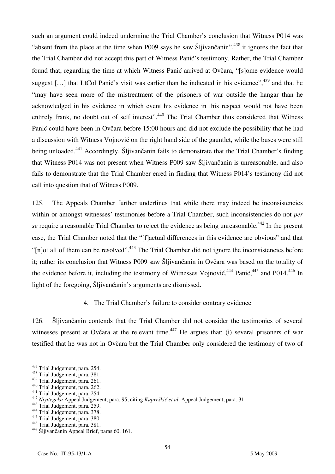such an argument could indeed undermine the Trial Chamber's conclusion that Witness P014 was "absent from the place at the time when P009 says he saw Sliivančanin",  $438$  it ignores the fact that the Trial Chamber did not accept this part of Witness Panić's testimony. Rather, the Trial Chamber found that, regarding the time at which Witness Panić arrived at Ovčara, "[s]ome evidence would suggest [...] that LtCol Panić's visit was earlier than he indicated in his evidence",<sup>439</sup> and that he "may have seen more of the mistreatment of the prisoners of war outside the hangar than he acknowledged in his evidence in which event his evidence in this respect would not have been entirely frank, no doubt out of self interest".<sup>440</sup> The Trial Chamber thus considered that Witness Panić could have been in Ovčara before 15:00 hours and did not exclude the possibility that he had a discussion with Witness Vojnović on the right hand side of the gauntlet, while the buses were still being unloaded.<sup>441</sup> Accordingly, Šliivančanin fails to demonstrate that the Trial Chamber's finding that Witness P014 was not present when Witness P009 saw Šljivančanin is unreasonable, and also fails to demonstrate that the Trial Chamber erred in finding that Witness P014's testimony did not call into question that of Witness P009.

125. The Appeals Chamber further underlines that while there may indeed be inconsistencies within or amongst witnesses' testimonies before a Trial Chamber, such inconsistencies do not *per se* require a reasonable Trial Chamber to reject the evidence as being unreasonable.<sup>442</sup> In the present case, the Trial Chamber noted that the "[f] actual differences in this evidence are obvious" and that " $[n]$  ot all of them can be resolved".<sup>443</sup> The Trial Chamber did not ignore the inconsistencies before it; rather its conclusion that Witness P009 saw Šljivančanin in Ovčara was based on the totality of the evidence before it, including the testimony of Witnesses Vojnović,<sup>444</sup> Panić,<sup>445</sup> and P014.<sup>446</sup> In light of the foregoing, Šljivančanin's arguments are dismissed**.**

#### 4. The Trial Chamber's failure to consider contrary evidence

126. Šljivančanin contends that the Trial Chamber did not consider the testimonies of several witnesses present at Ovčara at the relevant time.<sup> $447$ </sup> He argues that: (i) several prisoners of war testified that he was not in Ovčara but the Trial Chamber only considered the testimony of two of

<sup>&</sup>lt;sup>437</sup> Trial Judgement, para. 254.

<sup>&</sup>lt;sup>438</sup> Trial Judgement, para. 381.<br><sup>439</sup> Trial Judgement, para. 261.

<sup>&</sup>lt;sup>440</sup> Trial Judgement, para. 262.<br><sup>441</sup> Trial Judgement, para. 254.<br><sup>442</sup> Niyitegeka Appeal Judgement, para. 95, citing *Kupreškić et al.* Appeal Judgement, para. 31.<br><sup>443</sup> Trial Judgement, para. 259.<br><sup>443</sup> Trial Judgement

<sup>&</sup>lt;sup>445</sup> Trial Judgement, para. 380.<br><sup>446</sup> Trial Judgement, para. 381.

<sup>&</sup>lt;sup>447</sup> Šljivančanin Appeal Brief, paras 60, 161.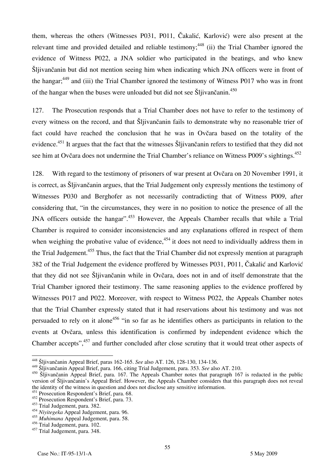them, whereas the others (Witnesses P031, P011, Čakalić, Karlović) were also present at the relevant time and provided detailed and reliable testimony;  $448$  (ii) the Trial Chamber ignored the evidence of Witness P022, a JNA soldier who participated in the beatings, and who knew Šljivančanin but did not mention seeing him when indicating which JNA officers were in front of the hangar;<sup>449</sup> and (iii) the Trial Chamber ignored the testimony of Witness P017 who was in front of the hangar when the buses were unloaded but did not see Sljivančanin.<sup>450</sup>

127. The Prosecution responds that a Trial Chamber does not have to refer to the testimony of every witness on the record, and that Šljivančanin fails to demonstrate why no reasonable trier of fact could have reached the conclusion that he was in Ovčara based on the totality of the evidence.<sup>451</sup> It argues that the fact that the witnesses Sljivančanin refers to testified that they did not see him at Ovčara does not undermine the Trial Chamber's reliance on Witness P009's sightings.<sup>452</sup>

128. With regard to the testimony of prisoners of war present at Ovčara on 20 November 1991, it is correct, as Šljivančanin argues, that the Trial Judgement only expressly mentions the testimony of Witnesses P030 and Berghofer as not necessarily contradicting that of Witness P009, after considering that, "in the circumstances, they were in no position to notice the presence of all the JNA officers outside the hangar".<sup>453</sup> However, the Appeals Chamber recalls that while a Trial Chamber is required to consider inconsistencies and any explanations offered in respect of them when weighing the probative value of evidence,<sup>454</sup> it does not need to individually address them in the Trial Judgement.<sup>455</sup> Thus, the fact that the Trial Chamber did not expressly mention at paragraph 382 of the Trial Judgement the evidence proffered by Witnesses P031, P011, Čakalić and Karlović that they did not see Šljivančanin while in Ovčara, does not in and of itself demonstrate that the Trial Chamber ignored their testimony. The same reasoning applies to the evidence proffered by Witnesses P017 and P022. Moreover, with respect to Witness P022, the Appeals Chamber notes that the Trial Chamber expressly stated that it had reservations about his testimony and was not persuaded to rely on it alone<sup>456</sup> "in so far as he identifies others as participants in relation to the events at Ovčara, unless this identification is confirmed by independent evidence which the Chamber accepts", <sup>457</sup> and further concluded after close scrutiny that it would treat other aspects of

 $\overline{\phantom{a}}$ 

<sup>448</sup> Šljivančanin Appeal Brief, paras 162-165. *See* also AT. 126, 128-130, 134-136.

<sup>449</sup> Šljivančanin Appeal Brief, para. 166, citing Trial Judgement, para. 353. *See* also AT. 210.

<sup>&</sup>lt;sup>450</sup> Šljivančanin Appeal Brief, para. 167. The Appeals Chamber notes that paragraph 167 is redacted in the public version of Šljivančanin's Appeal Brief. However, the Appeals Chamber considers that this paragraph does not reveal the identity of the witness in question and does not disclose any sensitive information.

<sup>451</sup> Prosecution Respondent's Brief, para. 68.

<sup>452</sup> Prosecution Respondent's Brief, para. 73.

<sup>453</sup> Trial Judgement, para. 382.

<sup>454</sup> *Niyitegeka* Appeal Judgement, para. 96.

<sup>455</sup> *Muhimana* Appeal Judgement, para. 58.

<sup>456</sup> Trial Judgement, para. 102.

<sup>457</sup> Trial Judgement, para. 348.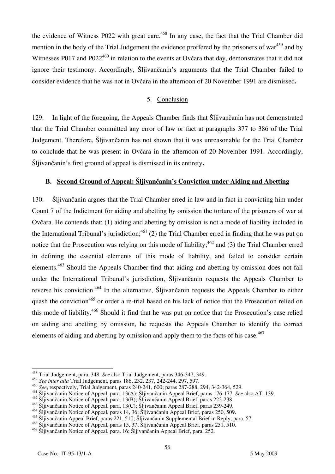the evidence of Witness P022 with great care.<sup>458</sup> In any case, the fact that the Trial Chamber did mention in the body of the Trial Judgement the evidence proffered by the prisoners of war<sup>459</sup> and by Witnesses P017 and P022<sup>460</sup> in relation to the events at Ovčara that day, demonstrates that it did not ignore their testimony. Accordingly, Šljivančanin's arguments that the Trial Chamber failed to consider evidence that he was not in Ovčara in the afternoon of 20 November 1991 are dismissed**.** 

#### 5. Conclusion

129. In light of the foregoing, the Appeals Chamber finds that Šlijvančanin has not demonstrated that the Trial Chamber committed any error of law or fact at paragraphs 377 to 386 of the Trial Judgement. Therefore, Šljivančanin has not shown that it was unreasonable for the Trial Chamber to conclude that he was present in Ovčara in the afternoon of 20 November 1991. Accordingly, Šljivančanin's first ground of appeal is dismissed in its entirety**.** 

## **B. Second Ground of Appeal: Šljivančanin's Conviction under Aiding and Abetting**

130. Šljivančanin argues that the Trial Chamber erred in law and in fact in convicting him under Count 7 of the Indictment for aiding and abetting by omission the torture of the prisoners of war at Ovčara. He contends that: (1) aiding and abetting by omission is not a mode of liability included in the International Tribunal's jurisdiction;  $461$  (2) the Trial Chamber erred in finding that he was put on notice that the Prosecution was relying on this mode of liability;  $462$  and (3) the Trial Chamber erred in defining the essential elements of this mode of liability, and failed to consider certain elements.463 Should the Appeals Chamber find that aiding and abetting by omission does not fall under the International Tribunal's jurisdiction, Šljivančanin requests the Appeals Chamber to reverse his conviction.<sup>464</sup> In the alternative, Šljivančanin requests the Appeals Chamber to either quash the conviction<sup>465</sup> or order a re-trial based on his lack of notice that the Prosecution relied on this mode of liability.466 Should it find that he was put on notice that the Prosecution's case relied on aiding and abetting by omission, he requests the Appeals Chamber to identify the correct elements of aiding and abetting by omission and apply them to the facts of his case.<sup>467</sup>

 $\overline{a}$ 

<sup>458</sup> Trial Judgement, para. 348. *See* also Trial Judgement, paras 346-347, 349.

<sup>459</sup> *See inter alia* Trial Judgement, paras 186, 232, 237, 242-244, 297, 597.

<sup>460</sup> *See*, respectively, Trial Judgement, paras 240-241, 600; paras 287-288, 294, 342-364, 529.

<sup>461</sup> Šljivančanin Notice of Appeal, para. 13(A); Šljivančanin Appeal Brief, paras 176-177. *See* also AT. 139.

<sup>462</sup> Šljivančanin Notice of Appeal, para. 13(B); Šljivančanin Appeal Brief, paras 222-238.

<sup>463</sup> Šljivančanin Notice of Appeal, para. 13(C); Šljivančanin Appeal Brief, paras 239-249.

<sup>464</sup> Šljivančanin Notice of Appeal, paras 14, 36; Šljivančanin Appeal Brief, paras 250, 509.

<sup>465</sup> Šljivančanin Appeal Brief, paras 221, 510; Šljivančanin Supplemental Brief in Reply, para. 57.

<sup>466</sup> Šljivančanin Notice of Appeal, paras 15, 37; Šljivančanin Appeal Brief, paras 251, 510.

<sup>467</sup> Šljivančanin Notice of Appeal, para. 16; Šljivančanin Appeal Brief, para. 252.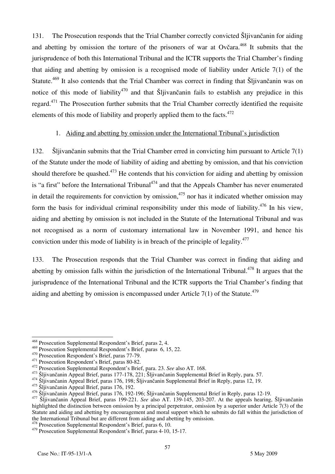131. The Prosecution responds that the Trial Chamber correctly convicted Šljivančanin for aiding and abetting by omission the torture of the prisoners of war at Ovčara.<sup>468</sup> It submits that the jurisprudence of both this International Tribunal and the ICTR supports the Trial Chamber's finding that aiding and abetting by omission is a recognised mode of liability under Article 7(1) of the Statute.<sup>469</sup> It also contends that the Trial Chamber was correct in finding that Sliivančanin was on notice of this mode of liability<sup>470</sup> and that Sljivančanin fails to establish any prejudice in this regard.<sup>471</sup> The Prosecution further submits that the Trial Chamber correctly identified the requisite elements of this mode of liability and properly applied them to the facts.<sup>472</sup>

## 1. Aiding and abetting by omission under the International Tribunal's jurisdiction

132. Šljivančanin submits that the Trial Chamber erred in convicting him pursuant to Article 7(1) of the Statute under the mode of liability of aiding and abetting by omission, and that his conviction should therefore be quashed.<sup>473</sup> He contends that his conviction for aiding and abetting by omission is "a first" before the International Tribunal<sup>474</sup> and that the Appeals Chamber has never enumerated in detail the requirements for conviction by omission,<sup>475</sup> nor has it indicated whether omission may form the basis for individual criminal responsibility under this mode of liability.<sup>476</sup> In his view, aiding and abetting by omission is not included in the Statute of the International Tribunal and was not recognised as a norm of customary international law in November 1991, and hence his conviction under this mode of liability is in breach of the principle of legality. $477$ 

133. The Prosecution responds that the Trial Chamber was correct in finding that aiding and abetting by omission falls within the jurisdiction of the International Tribunal.<sup>478</sup> It argues that the jurisprudence of the International Tribunal and the ICTR supports the Trial Chamber's finding that aiding and abetting by omission is encompassed under Article  $7(1)$  of the Statute.<sup>479</sup>

 $\overline{\phantom{a}}$ 

<sup>&</sup>lt;sup>468</sup> Prosecution Supplemental Respondent's Brief, paras 2, 4.

<sup>469</sup> Prosecution Supplemental Respondent's Brief, paras 6, 15, 22.<br>
470 Prosecution Respondent's Brief, paras 77-79.<br>
471 Prosecution Respondent's Brief, paras 80-82.<br>
472 Prosecution Supplemental Respondent's Brief, para.

<sup>475</sup> Šljivančanin Appeal Brief, paras 176, 192.<br><sup>476</sup> Šljivančanin Appeal Brief, paras 176, 192-196; Šljivančanin Supplemental Brief in Reply, paras 12-19.

<sup>&</sup>lt;sup>477</sup> Šljivančanin Appeal Brief, paras 199-221. See also AT. 139-145, 203-207. At the appeals hearing, Šljivančanin highlighted the distinction between omission by a principal perpetrator, omission by a superior under Article 7(3) of the Statute and aiding and abetting by encouragement and moral support which he submits do fall within the jurisdiction of the International Tribunal but are different from aiding and abetting by omission.

 $478$  Prosecution Supplemental Respondent's Brief, paras 6, 10.

<sup>479</sup> Prosecution Supplemental Respondent's Brief, paras 4-10, 15-17.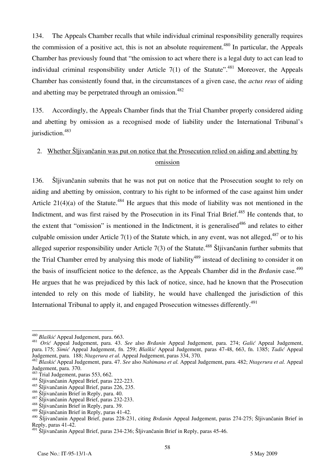134. The Appeals Chamber recalls that while individual criminal responsibility generally requires the commission of a positive act, this is not an absolute requirement.<sup>480</sup> In particular, the Appeals Chamber has previously found that "the omission to act where there is a legal duty to act can lead to individual criminal responsibility under Article  $7(1)$  of the Statute".<sup>481</sup> Moreover, the Appeals Chamber has consistently found that, in the circumstances of a given case, the *actus reus* of aiding and abetting may be perpetrated through an omission.<sup>482</sup>

135. Accordingly, the Appeals Chamber finds that the Trial Chamber properly considered aiding and abetting by omission as a recognised mode of liability under the International Tribunal's jurisdiction.<sup>483</sup>

# 2. Whether Šljivančanin was put on notice that the Prosecution relied on aiding and abetting by omission

136. Šljivančanin submits that he was not put on notice that the Prosecution sought to rely on aiding and abetting by omission, contrary to his right to be informed of the case against him under Article 21(4)(a) of the Statute.<sup>484</sup> He argues that this mode of liability was not mentioned in the Indictment, and was first raised by the Prosecution in its Final Trial Brief.<sup>485</sup> He contends that, to the extent that "omission" is mentioned in the Indictment, it is generalised<sup>486</sup> and relates to either culpable omission under Article  $7(1)$  of the Statute which, in any event, was not alleged,  $487$  or to his alleged superior responsibility under Article  $7(3)$  of the Statute.<sup>488</sup> Šljivančanin further submits that the Trial Chamber erred by analysing this mode of liability<sup>489</sup> instead of declining to consider it on the basis of insufficient notice to the defence, as the Appeals Chamber did in the *Brdanin* case.<sup>490</sup> He argues that he was prejudiced by this lack of notice, since, had he known that the Prosecution intended to rely on this mode of liability, he would have challenged the jurisdiction of this International Tribunal to apply it, and engaged Prosecution witnesses differently.<sup>491</sup>

<sup>&</sup>lt;sup>480</sup> Blaškić Appeal Judgement, para. 663.

<sup>&</sup>lt;sup>481</sup> *Orić* Appeal Judgement, para. 43. *See* also *Brdanin* Appeal Judgement, para. 274; *Galić* Appeal Judgement, para. 175; *Simić* Appeal Judgement, fn. 259; *Blaškić* Appeal Judgement, paras 47-48, 663, fn. 1385; *Tadić* Appeal Judgement, paras 47-48, 663, fn. 1385; *Tadić* Appeal

<sup>482</sup> Blaskić Appeal Judgement, para. 47. See also Nahimana et al. Appeal Judgement, para. 482; Ntagerura et al. Appeal Judgement, para. 370.<br><sup>483</sup> Trial Judgement, paras 553, 662.

<sup>&</sup>lt;sup>484</sup> Šliivančanin Appeal Brief, paras 222-223.

<sup>485</sup> Šljivančanin Appeal Brief, paras 226, 235.<br><sup>486</sup> Šljivančanin Brief in Reply, para. 40.

<sup>487</sup> Šljivančanin Appeal Brief, paras 232-233.<br><sup>488</sup> Šliivančanin Brief in Reply, para. 39.

<sup>489</sup> Šljivančanin Brief in Reply, paras 41-42.

<sup>&</sup>lt;sup>490</sup> Šljivančanin Appeal Brief, paras 228-231, citing *Brdanin* Appeal Judgement, paras 274-275; Šljivančanin Brief in Reply, paras 41-42.

<sup>&</sup>lt;sup>491</sup> Šljivančanin Appeal Brief, paras 234-236; Šljivančanin Brief in Reply, paras 45-46.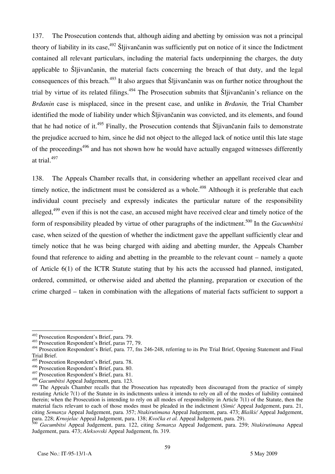137. The Prosecution contends that, although aiding and abetting by omission was not a principal theory of liability in its case,  $492$  Šlijivančanin was sufficiently put on notice of it since the Indictment contained all relevant particulars, including the material facts underpinning the charges, the duty applicable to Šljivančanin, the material facts concerning the breach of that duty, and the legal consequences of this breach.493 It also argues that Šljivančanin was on further notice throughout the trial by virtue of its related filings.<sup>494</sup> The Prosecution submits that Šljivančanin's reliance on the *Brdanin* case is misplaced, since in the present case, and unlike in *Brdanin*, the Trial Chamber identified the mode of liability under which Šljivančanin was convicted, and its elements, and found that he had notice of it.<sup>495</sup> Finally, the Prosecution contends that Sljivančanin fails to demonstrate the prejudice accrued to him, since he did not object to the alleged lack of notice until this late stage of the proceedings<sup> $496$ </sup> and has not shown how he would have actually engaged witnesses differently at trial.497

138. The Appeals Chamber recalls that, in considering whether an appellant received clear and timely notice, the indictment must be considered as a whole.<sup>498</sup> Although it is preferable that each individual count precisely and expressly indicates the particular nature of the responsibility alleged,<sup>499</sup> even if this is not the case, an accused might have received clear and timely notice of the form of responsibility pleaded by virtue of other paragraphs of the indictment.500 In the *Gacumbitsi*  case, when seized of the question of whether the indictment gave the appellant sufficiently clear and timely notice that he was being charged with aiding and abetting murder, the Appeals Chamber found that reference to aiding and abetting in the preamble to the relevant count – namely a quote of Article 6(1) of the ICTR Statute stating that by his acts the accussed had planned, instigated, ordered, committed, or otherwise aided and abetted the planning, preparation or execution of the crime charged – taken in combination with the allegations of material facts sufficient to support a

 $\overline{\phantom{a}}$ 

<sup>&</sup>lt;sup>492</sup> Prosecution Respondent's Brief, para. 79.

<sup>493</sup> Prosecution Respondent's Brief, paras 77, 79.

<sup>494</sup> Prosecution Respondent's Brief, para. 77, fns 246-248, referring to its Pre Trial Brief, Opening Statement and Final Trial Brief.

<sup>&</sup>lt;sup>495</sup> Prosecution Respondent's Brief, para. 78.

<sup>496</sup> Prosecution Respondent's Brief, para. 80.

<sup>497</sup> Prosecution Respondent's Brief, para. 81.

<sup>498</sup> *Gacumbitsi* Appeal Judgement, para. 123.

<sup>&</sup>lt;sup>499</sup> The Appeals Chamber recalls that the Prosecution has repeatedly been discouraged from the practice of simply restating Article 7(1) of the Statute in its indictments unless it intends to rely on all of the modes of liability contained therein; when the Prosecution is intending to rely on all modes of responsibility in Article 7(1) of the Statute, then the material facts relevant to each of those modes must be pleaded in the indictment (*Simic* Appeal Judgement, para. 21, citing *Semanza* Appeal Judgement, para. 357; *Ntakirutimana* Appeal Judgement, para. 473; *Blaškić* Appeal Judgement, para. 228; *Krnojelac* Appeal Judgement, para. 138; *Kvočka et al.* Appeal Judgement, para. 29).

<sup>500</sup> *Gacumbitsi* Appeal Judgement, para. 122, citing *Semanza* Appeal Judgement, para. 259; *Ntakirutimana* Appeal Judgement, para. 473; *Aleksovski* Appeal Judgement, fn. 319.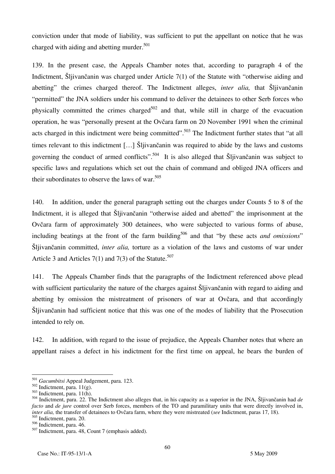conviction under that mode of liability, was sufficient to put the appellant on notice that he was charged with aiding and abetting murder. $501$ 

139. In the present case, the Appeals Chamber notes that, according to paragraph 4 of the Indictment, Šljivančanin was charged under Article 7(1) of the Statute with "otherwise aiding and abetting" the crimes charged thereof. The Indictment alleges, *inter alia,* that Šljivančanin "permitted" the JNA soldiers under his command to deliver the detainees to other Serb forces who physically committed the crimes charged<sup>502</sup> and that, while still in charge of the evacuation operation, he was "personally present at the Ovčara farm on 20 November 1991 when the criminal acts charged in this indictment were being committed".<sup>503</sup> The Indictment further states that "at all times relevant to this indictment  $[...]$  Šljivančanin was required to abide by the laws and customs governing the conduct of armed conflicts".<sup>504</sup> It is also alleged that Sljivančanin was subject to specific laws and regulations which set out the chain of command and obliged JNA officers and their subordinates to observe the laws of war.  $505$ 

140. In addition, under the general paragraph setting out the charges under Counts 5 to 8 of the Indictment, it is alleged that Šljivančanin "otherwise aided and abetted" the imprisonment at the Ovčara farm of approximately 300 detainees, who were subjected to various forms of abuse, including beatings at the front of the farm building<sup>506</sup> and that "by these acts *and omissions*" Šljivančanin committed, *inter alia,* torture as a violation of the laws and customs of war under Article 3 and Articles  $7(1)$  and  $7(3)$  of the Statute.<sup>507</sup>

141. The Appeals Chamber finds that the paragraphs of the Indictment referenced above plead with sufficient particularity the nature of the charges against Šljivančanin with regard to aiding and abetting by omission the mistreatment of prisoners of war at Ovčara, and that accordingly Šljivančanin had sufficient notice that this was one of the modes of liability that the Prosecution intended to rely on.

142. In addition, with regard to the issue of prejudice, the Appeals Chamber notes that where an appellant raises a defect in his indictment for the first time on appeal, he bears the burden of

 $\overline{a}$ <sup>501</sup> *Gacumbitsi* Appeal Judgement, para. 123.

 $502$  Indictment, para. 11(g).

 $503$  Indictment, para. 11(h).

<sup>504</sup> Indictment, para. 22. The Indictment also alleges that, in his capacity as a superior in the JNA, Šljivančanin had *de facto* and *de jure* control over Serb forces, members of the TO and paramilitary units that were directly involved in, *inter alia,* the transfer of detainees to Ovčara farm, where they were mistreated (*see* Indictment, paras 17, 18). 505 Indictment, para. 20.

 $506$  Indictment, para. 46.

<sup>507</sup> Indictment, para. 48, Count 7 (emphasis added).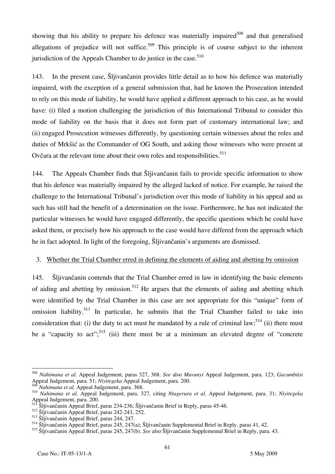showing that his ability to prepare his defence was materially impaired<sup>508</sup> and that generalised allegations of prejudice will not suffice.<sup>509</sup> This principle is of course subject to the inherent jurisdiction of the Appeals Chamber to do justice in the case.  $510$ 

143. In the present case, Šljivančanin provides little detail as to how his defence was materially impaired, with the exception of a general submission that, had he known the Prosecution intended to rely on this mode of liability, he would have applied a different approach to his case, as he would have: (i) filed a motion challenging the jurisdiction of this International Tribunal to consider this mode of liability on the basis that it does not form part of customary international law; and (ii) engaged Prosecution witnesses differently, by questioning certain witnesses about the roles and duties of Mrkšić as the Commander of OG South, and asking those witnesses who were present at Ovčara at the relevant time about their own roles and responsibilities.<sup>511</sup>

144. The Appeals Chamber finds that Šljivančanin fails to provide specific information to show that his defence was materially impaired by the alleged lacked of notice. For example, he raised the challenge to the International Tribunal's jurisdiction over this mode of liability in his appeal and as such has still had the benefit of a determination on the issue. Furthermore, he has not indicated the particular witnesses he would have engaged differently, the specific questions which he could have asked them, or precisely how his approach to the case would have differed from the approach which he in fact adopted. In light of the foregoing, Šljivančanin's arguments are dismissed.

### 3. Whether the Trial Chamber erred in defining the elements of aiding and abetting by omission

145. Šljivančanin contends that the Trial Chamber erred in law in identifying the basic elements of aiding and abetting by omission.<sup>512</sup> He argues that the elements of aiding and abetting which were identified by the Trial Chamber in this case are not appropriate for this "unique" form of omission liability.<sup>513</sup> In particular, he submits that the Trial Chamber failed to take into consideration that: (i) the duty to act must be mandated by a rule of criminal law;<sup>514</sup> (ii) there must be a "capacity to act";<sup>515</sup> (iii) there must be at a minimum an elevated degree of "concrete"

 $\overline{a}$ <sup>508</sup> *Nahimana et al.* Appeal Judgement, paras 327, 368. *See* also *Muvunyi* Appeal Judgement, para. 123; *Gacumbitsi*  Appeal Judgement, para. 51; *Niyitegeka* Appeal Judgement, para. 200.

<sup>509</sup> *Nahimana et al.* Appeal Judgement, para. 368.

<sup>510</sup> *Nahimana et al.* Appeal Judgement, para. 327, citing *Ntagerura et al*. Appeal Judgement, para. 31; *Niyitegeka* Appeal Judgement, para. 200.<br>511 X...

<sup>511</sup> Šljivančanin Appeal Brief, paras 234-236; Šljivančanin Brief in Reply, paras 45-46.

 $512$  Šljivančanin Appeal Brief, paras 242-243, 252.

<sup>513</sup> Šljivančanin Appeal Brief, paras 244, 247.

<sup>514</sup> Šljivančanin Appeal Brief, paras 245, 247(a); Šljivančanin Supplemental Brief in Reply, paras 41, 42.

<sup>&</sup>lt;sup>515</sup> Šljivančanin Appeal Brief, paras 245, 247(b). *See* also Šljivančanin Supplemental Brief in Reply, para. 43.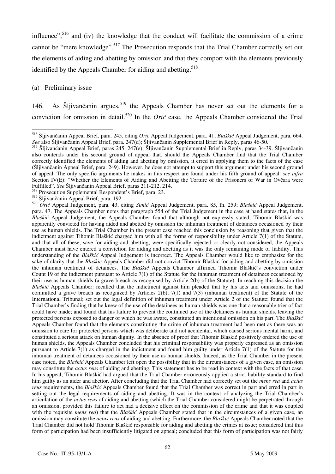influence";<sup>516</sup> and (iv) the knowledge that the conduct will facilitate the commission of a crime cannot be "mere knowledge".<sup>517</sup> The Prosecution responds that the Trial Chamber correctly set out the elements of aiding and abetting by omission and that they comport with the elements previously identified by the Appeals Chamber for aiding and abetting.<sup>518</sup>

#### (a) Preliminary issue

146. As Šljivančanin argues,<sup>519</sup> the Appeals Chamber has never set out the elements for a conviction for omission in detail.<sup>520</sup> In the *Orić* case, the Appeals Chamber considered the Trial

 $\overline{a}$ <sup>516</sup> Šljivančanin Appeal Brief, para. 245, citing *Orić* Appeal Judgement, para. 41; *Blaškić* Appeal Judgement, para. 664. *See* also Šljivančanin Appeal Brief, para. 247(d); Šljivančanin Supplemental Brief in Reply, paras 46-50.

<sup>517</sup> Šljivančanin Appeal Brief, paras 245, 247(e); Šljivančanin Supplemental Brief in Reply, paras 34-39. Šljivančanin also contends under his second ground of appeal that, should the Appeals Chamber find that the Trial Chamber correctly identified the elements of aiding and abetting by omission, it erred in applying them to the facts of the case (Šljivančanin Appeal Brief, para. 249). However, he does not attempt to support this argument under his second ground of appeal. The only specific arguments he makes in this respect are found under his fifth ground of appeal: *see infra* Section IV(E): "Whether the Elements of Aiding and Abetting the Torture of the Prisoners of War in Ovčara were Fulfilled". *See* Šljivančanin Appeal Brief, paras 211-212, 214.

<sup>518</sup> Prosecution Supplemental Respondent's Brief, para. 23.

<sup>519</sup> Šljivančanin Appeal Brief, para. 192.

<sup>520</sup> Orić Appeal Judgement, para. 43, citing *Simić* Appeal Judgement, para. 85, fn. 259; *Blaškić* Appeal Judgement, para. 47. The Appeals Chamber notes that paragraph 554 of the Trial Judgement in the case at hand states that, in the *Blaškić* Appeal Judgement, the Appeals Chamber found that although not expressly stated, Tihomir Blaškić was apparently convicted for having aided and abetted by omission the inhuman treatment of detainees occasioned by their use as human shields. The Trial Chamber in the present case reached this conclusion by reasoning that given that the indictment against Tihomir Blaškić charged him with all the forms of responsibility under Article  $7(1)$  of the Statute, and that all of these, save for aiding and abetting, were specifically rejected or clearly not considered, the Appeals Chamber must have entered a conviction for aiding and abetting as it was the only remaining mode of liability. This understanding of the *Blaškić* Appeal Judgement is incorrect. The Appeals Chamber would like to emphasize for the sake of clarity that the *Blaškić* Appeals Chamber did not convict Tihomir Blaškić for aiding and abetting by omission the inhuman treatment of detainees. The *Blaškić* Appeals Chamber affirmed Tihomir Blaškić's conviction under Count 19 of the indictment pursuant to Article  $7(1)$  of the Statute for the inhuman treatment of detainees occasioned by their use as human shields (a grave breach as recognised by Article 2(b) of the Statute). In reaching this decision the *Blaškić* Appeals Chamber: recalled that the indictment against him pleaded that by his acts and omissions, he had committed a grave breach as recognized by Articles  $2(b)$ ,  $7(1)$  and  $7(3)$  (inhuman treatment) of the Statute of the International Tribunal; set out the legal definition of inhuman treatment under Article 2 of the Statute; found that the Trial Chamber's finding that he knew of the use of the detainees as human shields was one that a reasonable trier of fact could have made; and found that his failure to prevent the continued use of the detainees as human shields, leaving the protected persons exposed to danger of which he was aware, constituted an intentional omission on his part. The *Blaškić* Appeals Chamber found that the elements constituting the crime of inhuman treatment had been met as there was an omission to care for protected persons which was deliberate and not accidental, which caused serious mental harm, and constituted a serious attack on human dignity. In the absence of proof that Tihomir Blaskić positively ordered the use of human shields, the Appeals Chamber concluded that his criminal responsibility was properly expressed as an omission pursuant to Article  $7(1)$  as charged in the indictment and found him guilty under Article  $7(1)$  of the Statute for the inhuman treatment of detainees occasioned by their use as human shields. Indeed, as the Trial Chamber in the present case noted, the *Blaškić* Appeals Chamber left open the possibility that in the circumstances of a given case, an omission may constitute the *actus reus* of aiding and abetting. This statement has to be read in context with the facts of that case. In his appeal, Tihomir Blaškić had argued that the Trial Chamber erroneously applied a strict liability standard to find him guilty as an aider and abettor. After concluding that the Trial Chamber had correctly set out the *mens rea* and *actus reus* requirements, the *Blaškić* Appeals Chamber found that the Trial Chamber was correct in part and erred in part in setting out the legal requirements of aiding and abetting. It was in the context of analyzing the Trial Chamber's articulation of the *actus reus* of aiding and abetting (which the Trial Chamber considered might be perpetrated through an omission, provided this failure to act had a decisive effect on the commission of the crime and that it was coupled with the requisite *mens rea*) that the *Blaškić* Appeals Chamber stated that in the circumstances of a given case, an omission may constitute the *actus reus* of aiding and abetting. Furthermore, the *Blaškić* Appeals Chamber noted that the Trial Chamber did not hold Tihomir Blaškić responsible for aiding and abetting the crimes at issue; considered that this form of participation had been insufficiently litigated on appeal; concluded that this form of participation was not fairly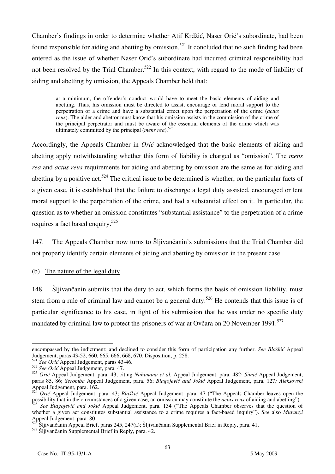Chamber's findings in order to determine whether Atif Krdžić, Naser Orić's subordinate, had been found responsible for aiding and abetting by omission.<sup>521</sup> It concluded that no such finding had been entered as the issue of whether Naser Orić's subordinate had incurred criminal responsibility had not been resolved by the Trial Chamber.<sup>522</sup> In this context, with regard to the mode of liability of aiding and abetting by omission, the Appeals Chamber held that:

at a minimum, the offender's conduct would have to meet the basic elements of aiding and abetting. Thus, his omission must be directed to assist, encourage or lend moral support to the perpetration of a crime and have a substantial effect upon the perpetration of the crime (*actus reus*). The aider and abettor must know that his omission assists in the commission of the crime of the principal perpetrator and must be aware of the essential elements of the crime which was ultimately committed by the principal (*mens rea*).<sup>523</sup>

Accordingly, the Appeals Chamber in *Orić* acknowledged that the basic elements of aiding and abetting apply notwithstanding whether this form of liability is charged as "omission". The *mens rea* and *actus reus* requirements for aiding and abetting by omission are the same as for aiding and abetting by a positive act.<sup>524</sup> The critical issue to be determined is whether, on the particular facts of a given case, it is established that the failure to discharge a legal duty assisted, encouraged or lent moral support to the perpetration of the crime, and had a substantial effect on it. In particular, the question as to whether an omission constitutes "substantial assistance" to the perpetration of a crime requires a fact based enquiry.525

147. The Appeals Chamber now turns to Šljivančanin's submissions that the Trial Chamber did not properly identify certain elements of aiding and abetting by omission in the present case.

(b) The nature of the legal duty

148. Šljivančanin submits that the duty to act, which forms the basis of omission liability, must stem from a rule of criminal law and cannot be a general duty.<sup>526</sup> He contends that this issue is of particular significance to his case, in light of his submission that he was under no specific duty mandated by criminal law to protect the prisoners of war at Ovčara on 20 November 1991.<sup>527</sup>

 $\overline{a}$ encompassed by the indictment; and declined to consider this form of participation any further. *See Bla{ki}* Appeal Judgement, paras 43-52, 660, 665, 666, 668, 670, Disposition, p. 258.

<sup>&</sup>lt;sup>521</sup> See Oric Appeal Judgement, paras 43-46.

<sup>&</sup>lt;sup>522</sup> See Oric Appeal Judgement, para. 47.

<sup>523</sup> *Orić* Appeal Judgement, para. 43, citing *Nahimana et al.* Appeal Judgement, para. 482; *Simić* Appeal Judgement, paras 85, 86; *Seromba* Appeal Judgement, para. 56; *Blagojević and Jokić* Appeal Judgement, para. 127*; Aleksovski*  Appeal Judgement, para. 162.

*Orić* Appeal Judgement, para. 43; *Blaškić* Appeal Judgement, para. 47 ("The Appeals Chamber leaves open the possibility that in the circumstances of a given case, an omission may constitute the *actus reus* of aiding and abetting"). See Blagojević and Jokić Appeal Judgement, para. 134 ("The Appeals Chamber observes that the question of whether a given act constitutes substantial assistance to a crime requires a fact-based inquiry"). *See* also *Muvunyi*  Appeal Judgement, para. 80.

<sup>526</sup> Šljivančanin Appeal Brief, paras 245, 247(a); Šljivančanin Supplemental Brief in Reply, para. 41.

<sup>&</sup>lt;sup>527</sup> Šljivančanin Supplemental Brief in Reply, para. 42.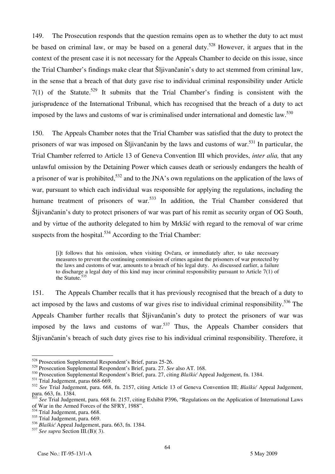149. The Prosecution responds that the question remains open as to whether the duty to act must be based on criminal law, or may be based on a general duty.<sup>528</sup> However, it argues that in the context of the present case it is not necessary for the Appeals Chamber to decide on this issue, since the Trial Chamber's findings make clear that Šljivančanin's duty to act stemmed from criminal law, in the sense that a breach of that duty gave rise to individual criminal responsibility under Article  $7(1)$  of the Statute.<sup>529</sup> It submits that the Trial Chamber's finding is consistent with the jurisprudence of the International Tribunal, which has recognised that the breach of a duty to act imposed by the laws and customs of war is criminalised under international and domestic law.<sup>530</sup>

150. The Appeals Chamber notes that the Trial Chamber was satisfied that the duty to protect the prisoners of war was imposed on Šljivančanin by the laws and customs of war.<sup>531</sup> In particular, the Trial Chamber referred to Article 13 of Geneva Convention III which provides, *inter alia,* that any unlawful omission by the Detaining Power which causes death or seriously endangers the health of a prisoner of war is prohibited,<sup>532</sup> and to the JNA's own regulations on the application of the laws of war, pursuant to which each individual was responsible for applying the regulations, including the humane treatment of prisoners of war.<sup>533</sup> In addition, the Trial Chamber considered that Šljivančanin's duty to protect prisoners of war was part of his remit as security organ of OG South, and by virtue of the authority delegated to him by Mrkšić with regard to the removal of war crime suspects from the hospital. $534$  According to the Trial Chamber:

[i]t follows that his omission, when visiting Ovčara, or immediately after, to take necessary measures to prevent the continuing commission of crimes against the prisoners of war protected by the laws and customs of war, amounts to a breach of his legal duty. As discussed earlier, a failure to discharge a legal duty of this kind may incur criminal responsibility pursuant to Article 7(1) of the Statute.<sup>535</sup>

151. The Appeals Chamber recalls that it has previously recognised that the breach of a duty to act imposed by the laws and customs of war gives rise to individual criminal responsibility.<sup>536</sup> The Appeals Chamber further recalls that Šljivančanin's duty to protect the prisoners of war was imposed by the laws and customs of war.<sup>537</sup> Thus, the Appeals Chamber considers that Šljivančanin's breach of such duty gives rise to his individual criminal responsibility. Therefore, it

 $\overline{a}$ 

<sup>&</sup>lt;sup>528</sup> Prosecution Supplemental Respondent's Brief, paras 25-26.

<sup>529</sup> Prosecution Supplemental Respondent's Brief, para. 27. *See* also AT. 168.

<sup>530</sup> Prosecution Supplemental Respondent's Brief, para. 27, citing *Blaškić* Appeal Judgement, fn. 1384.

<sup>531</sup> Trial Judgement, paras 668-669.

<sup>532</sup> *See* Trial Judgement, para. 668, fn. 2157, citing Article 13 of Geneva Convention III; *Blaškić* Appeal Judgement, para. 663, fn. 1384.

<sup>&</sup>lt;sup>3</sup> See Trial Judgement, para. 668 fn. 2157, citing Exhibit P396, "Regulations on the Application of International Laws of War in the Armed Forces of the SFRY, 1988".

 $34$  Trial Judgement, para. 668.

<sup>535</sup> Trial Judgement, para. 669.

<sup>&</sup>lt;sup>536</sup> Blaškić Appeal Judgement, para. 663, fn. 1384.

<sup>537</sup> *See supra* Section III.(B)( 3).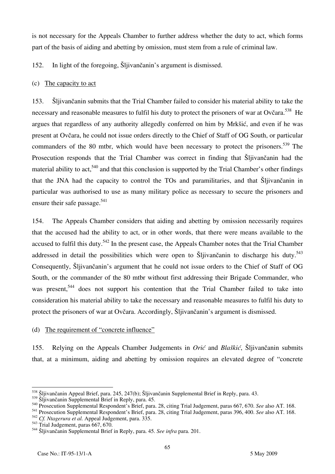is not necessary for the Appeals Chamber to further address whether the duty to act, which forms part of the basis of aiding and abetting by omission, must stem from a rule of criminal law.

152. In light of the foregoing, Šljivančanin's argument is dismissed.

# (c) The capacity to act

153. Šljivančanin submits that the Trial Chamber failed to consider his material ability to take the necessary and reasonable measures to fulfil his duty to protect the prisoners of war at Ovčara.<sup>538</sup> He argues that regardless of any authority allegedly conferred on him by Mrkšić, and even if he was present at Ovčara, he could not issue orders directly to the Chief of Staff of OG South, or particular commanders of the 80 mtbr, which would have been necessary to protect the prisoners.<sup>539</sup> The Prosecution responds that the Trial Chamber was correct in finding that Šljivančanin had the material ability to act.<sup>540</sup> and that this conclusion is supported by the Trial Chamber's other findings that the JNA had the capacity to control the TOs and paramilitaries, and that Šljivančanin in particular was authorised to use as many military police as necessary to secure the prisoners and ensure their safe passage.<sup>541</sup>

154. The Appeals Chamber considers that aiding and abetting by omission necessarily requires that the accused had the ability to act, or in other words, that there were means available to the accused to fulfil this duty.<sup>542</sup> In the present case, the Appeals Chamber notes that the Trial Chamber addressed in detail the possibilities which were open to Šljivančanin to discharge his duty.<sup>543</sup> Consequently, Šljivančanin's argument that he could not issue orders to the Chief of Staff of OG South, or the commander of the 80 mtbr without first addressing their Brigade Commander, who was present,<sup>544</sup> does not support his contention that the Trial Chamber failed to take into consideration his material ability to take the necessary and reasonable measures to fulfil his duty to protect the prisoners of war at Ovčara. Accordingly, Šljivančanin's argument is dismissed.

## (d) The requirement of "concrete influence"

155. Relying on the Appeals Chamber Judgements in *Orić* and *Blaškić*, Šljivančanin submits that, at a minimum, aiding and abetting by omission requires an elevated degree of "concrete

 $\overline{a}$ <sup>538</sup> Šljivančanin Appeal Brief, para. 245, 247(b); Šljivančanin Supplemental Brief in Reply, para. 43.

 $\frac{539}{\text{Siliyančanin Supplemental Brief in Reply, para. }45.$ 

<sup>540</sup> Prosecution Supplemental Respondent's Brief, para. 28, citing Trial Judgement, paras 667, 670. *See* also AT. 168.

<sup>541</sup> Prosecution Supplemental Respondent's Brief, para. 28, citing Trial Judgement, paras 396, 400. *See* also AT. 168.

<sup>542</sup> *Cf. Ntagerura et al.* Appeal Judgement, para. 335.

<sup>543</sup> Trial Judgement, paras 667, 670.

<sup>544</sup> Šljivančanin Supplemental Brief in Reply, para. 45. *See infra* para. 201.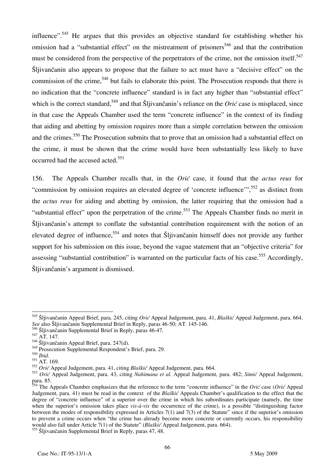influence".<sup>545</sup> He argues that this provides an objective standard for establishing whether his omission had a "substantial effect" on the mistreatment of prisoners<sup>546</sup> and that the contribution must be considered from the perspective of the perpetrators of the crime, not the omission itself.<sup>547</sup> Šljivančanin also appears to propose that the failure to act must have a "decisive effect" on the commission of the crime,<sup>548</sup> but fails to elaborate this point. The Prosecution responds that there is no indication that the "concrete influence" standard is in fact any higher than "substantial effect" which is the correct standard,<sup>549</sup> and that Šljivančanin's reliance on the *Orić* case is misplaced, since in that case the Appeals Chamber used the term "concrete influence" in the context of its finding that aiding and abetting by omission requires more than a simple correlation between the omission and the crimes.<sup>550</sup> The Prosecution submits that to prove that an omission had a substantial effect on the crime, it must be shown that the crime would have been substantially less likely to have occurred had the accused acted.<sup>551</sup>

156. The Appeals Chamber recalls that, in the *Orić* case, it found that the *actus reus* for "commission by omission requires an elevated degree of 'concrete influence'",<sup>552</sup> as distinct from the *actus reus* for aiding and abetting by omission, the latter requiring that the omission had a "substantial effect" upon the perpetration of the crime.<sup>553</sup> The Appeals Chamber finds no merit in Šljivančanin's attempt to conflate the substantial contribution requirement with the notion of an elevated degree of influence,<sup>554</sup> and notes that Sljivančanin himself does not provide any further support for his submission on this issue, beyond the vague statement that an "objective criteria" for assessing "substantial contribution" is warranted on the particular facts of his case.<sup>555</sup> Accordingly, Šljivančanin's argument is dismissed.

 $\overline{a}$ 

<sup>&</sup>lt;sup>545</sup> Šljivančanin Appeal Brief, para. 245, citing *Orić* Appeal Judgement, para. 41, *Blaškić* Appeal Judgement, para. 664. *See* also Šljivančanin Supplemental Brief in Reply, paras 46-50; AT. 145-146.

<sup>546</sup> Šljivančanin Supplemental Brief in Reply, paras 46-47.

 $547$  AT. 147.

<sup>548</sup> Šljivančanin Appeal Brief, para. 247(d).

<sup>&</sup>lt;sup>549</sup> Prosecution Supplemental Respondent's Brief, para. 29.<br><sup>550</sup> Ibid.

<sup>&</sup>lt;sup>551</sup> AT. 169.

<sup>552</sup> *Ori}* Appeal Judgement, para. 41, citing *Blaškić* Appeal Judgement, para. 664.

<sup>553</sup> *Orić* Appeal Judgement, para. 43, citing *Nahimana et al.* Appeal Judgement, para. 482; *Simić* Appeal Judgement, para. 85.

<sup>&</sup>lt;sup>554</sup> The Appeals Chamber emphasizes that the reference to the term "concrete influence" in the *Orić* case (*Orić* Appeal Judgement, para. 41) must be read in the context of the *Blaškić* Appeals Chamber's qualification to the effect that the degree of "concrete influence" of a superior over the crime in which his subordinates participate (namely, the time when the superior's omission takes place *vis-à-vis* the occurrence of the crime), is a possible "distinguishing factor between the modes of responsibility expressed in Articles 7(1) and 7(3) of the Statute" since if the superior's omission to prevent a crime occurs when "the crime has already become more concrete or currently occurs, his responsibility would also fall under Article 7(1) of the Statute" (*Blaškić* Appeal Judgement, para. 664).

<sup>555</sup> Šljivančanin Supplemental Brief in Reply, paras 47, 48.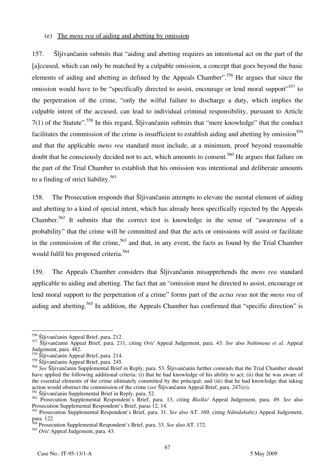#### (e) The *mens rea* of aiding and abetting by omission

157. Šljivančanin submits that "aiding and abetting requires an intentional act on the part of the falccused, which can only be matched by a culpable omission, a concept that goes beyond the basic elements of aiding and abetting as defined by the Appeals Chamber".<sup>556</sup> He argues that since the omission would have to be "specifically directed to assist, encourage or lend moral support"<sup>557</sup> to the perpetration of the crime, "only the wilful failure to discharge a duty, which implies the culpable intent of the accused, can lead to individual criminal responsibility, pursuant to Article 7(1) of the Statute".558 In this regard, Šljivančanin submits that "mere knowledge" that the conduct facilitates the commission of the crime is insufficient to establish aiding and abetting by omission<sup>559</sup> and that the applicable *mens rea* standard must include, at a minimum, proof beyond reasonable doubt that he consciously decided not to act, which amounts to consent.<sup>560</sup> He argues that failure on the part of the Trial Chamber to establish that his omission was intentional and deliberate amounts to a finding of strict liability.<sup>561</sup>

158. The Prosecution responds that Šljivančanin attempts to elevate the mental element of aiding and abetting to a kind of special intent, which has already been specifically rejected by the Appeals Chamber.562 It submits that the correct test is knowledge in the sense of "awareness of a probability" that the crime will be committed and that the acts or omissions will assist or facilitate in the commission of the crime,  $563$  and that, in any event, the facts as found by the Trial Chamber would fulfil his proposed criteria.<sup>564</sup>

159. The Appeals Chamber considers that Šljivančanin misapprehends the *mens rea* standard applicable to aiding and abetting. The fact that an "omission must be directed to assist, encourage or lend moral support to the perpetration of a crime" forms part of the *actus reus* not the *mens rea* of aiding and abetting.<sup>565</sup> In addition, the Appeals Chamber has confirmed that "specific direction" is

 $\overline{a}$ 

<sup>556</sup> Šljivančanin Appeal Brief, para. 212.

<sup>557</sup> Šljivančanin Appeal Brief, para. 211, citing *Ori}* Appeal Judgement, para. 43. *See* also *Nahimana et al.* Appeal Judgement, para. 482.

<sup>558</sup> Šljivančanin Appeal Brief, para. 214.

<sup>559</sup> Šljivančanin Appeal Brief, para. 245.

<sup>560</sup> *See* Šljivančanin Supplemental Brief in Reply, para. 53. Šljivančanin further contends that the Trial Chamber should have applied the following additional criteria: (i) that he had knowledge of his ability to act; (ii) that he was aware of the essential elements of the crime ultimately committed by the principal; and (iii) that he had knowledge that taking action would obstruct the commission of the crime (*see* Šljivančanin Appeal Brief, para. 247(e)).

<sup>561</sup> Šljivančanin Supplemental Brief in Reply, para. 52.

<sup>562</sup> Prosecution Supplemental Respondent's Brief, para. 13, citing *Blaškić* Appeal Judgement, para. 49. *See* also Prosecution Supplemental Respondent's Brief, paras 12, 14.

<sup>563</sup> Prosecution Supplemental Respondent's Brief, para. 31. *See* also AT. 169, citing *Ndindabahizi* Appeal Judgement, para. 122.

<sup>564</sup> Prosecution Supplemental Respondent's Brief, para. 33. *See* also AT. 172.

<sup>&</sup>lt;sup>565</sup> *Orić* Appeal Judgement, para. 43.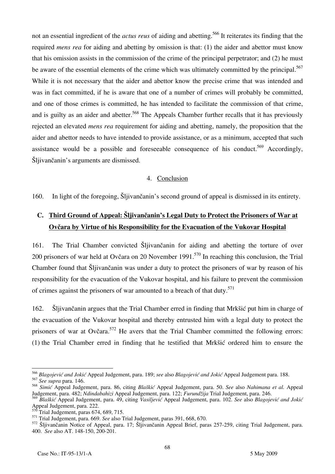not an essential ingredient of the *actus reus* of aiding and abetting.566 It reiterates its finding that the required *mens rea* for aiding and abetting by omission is that: (1) the aider and abettor must know that his omission assists in the commission of the crime of the principal perpetrator; and (2) he must be aware of the essential elements of the crime which was ultimately committed by the principal.<sup>567</sup> While it is not necessary that the aider and abettor know the precise crime that was intended and was in fact committed, if he is aware that one of a number of crimes will probably be committed, and one of those crimes is committed, he has intended to facilitate the commission of that crime, and is guilty as an aider and abetter.<sup>568</sup> The Appeals Chamber further recalls that it has previously rejected an elevated *mens rea* requirement for aiding and abetting, namely, the proposition that the aider and abettor needs to have intended to provide assistance, or as a minimum, accepted that such assistance would be a possible and foreseeable consequence of his conduct.<sup>569</sup> Accordingly, Šljivančanin's arguments are dismissed.

#### 4. Conclusion

160. In light of the foregoing, Šljivančanin's second ground of appeal is dismissed in its entirety.

# **C. Third Ground of Appeal: Šljivančanin's Legal Duty to Protect the Prisoners of War at Ovčara by Virtue of his Responsibility for the Evacuation of the Vukovar Hospital**

161. The Trial Chamber convicted Šljivančanin for aiding and abetting the torture of over 200 prisoners of war held at Ovčara on 20 November 1991.<sup>570</sup> In reaching this conclusion, the Trial Chamber found that Šljivančanin was under a duty to protect the prisoners of war by reason of his responsibility for the evacuation of the Vukovar hospital, and his failure to prevent the commission of crimes against the prisoners of war amounted to a breach of that duty.<sup>571</sup>

162. Šljivančanin argues that the Trial Chamber erred in finding that Mrkšić put him in charge of the evacuation of the Vukovar hospital and thereby entrusted him with a legal duty to protect the prisoners of war at Ovčara.<sup>572</sup> He avers that the Trial Chamber committed the following errors: (1) the Trial Chamber erred in finding that he testified that Mrkšić ordered him to ensure the

<sup>&</sup>lt;sup>566</sup> Blagojević and Jokić Appeal Judgement, para. 189; *see* also Blagojević and Jokić Appeal Judgement para. 188. <sup>567</sup> *See supra* para. 146.

<sup>568</sup> *Simić* Appeal Judgement, para. 86, citing *Blaškić* Appeal Judgement, para. 50. *See* also *Nahimana et al.* Appeal Judgement, para. 482; *Ndindabahizi* Appeal Judgement, para. 122; *Furundžija* Trial Judgement, para. 246.

<sup>&</sup>lt;sup>569</sup> Blaškić Appeal Judgement, para. 49, citing *Vasiljević* Appeal Judgement, para. 102. *See* also *Blagojević and Jokić* Appeal Judgement, para. 222.

Trial Judgement, paras 674, 689, 715.

<sup>571</sup> Trial Judgement, para. 669. *See* also Trial Judgement, paras 391, 668, 670.

<sup>572</sup> Šljivančanin Notice of Appeal, para. 17; Šljivančanin Appeal Brief, paras 257-259, citing Trial Judgement, para. 400. *See* also AT. 148-150, 200-201.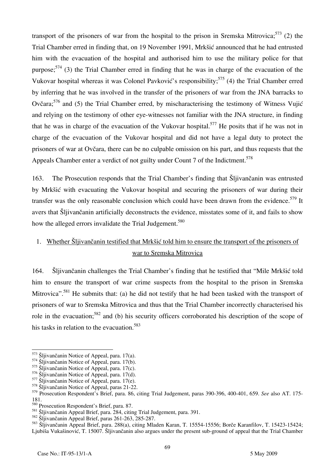transport of the prisoners of war from the hospital to the prison in Sremska Mitrovica;  $573$  (2) the Trial Chamber erred in finding that, on 19 November 1991, Mrkšić announced that he had entrusted him with the evacuation of the hospital and authorised him to use the military police for that purpose;<sup>574</sup> (3) the Trial Chamber erred in finding that he was in charge of the evacuation of the Vukovar hospital whereas it was Colonel Pavković's responsibility;<sup>575</sup> (4) the Trial Chamber erred by inferring that he was involved in the transfer of the prisoners of war from the JNA barracks to Ovčara;  $576$  and (5) the Trial Chamber erred, by mischaracterising the testimony of Witness Vujić and relying on the testimony of other eye-witnesses not familiar with the JNA structure, in finding that he was in charge of the evacuation of the Vukovar hospital.<sup>577</sup> He posits that if he was not in charge of the evacuation of the Vukovar hospital and did not have a legal duty to protect the prisoners of war at Ovčara, there can be no culpable omission on his part, and thus requests that the Appeals Chamber enter a verdict of not guilty under Count 7 of the Indictment.<sup>578</sup>

163. The Prosecution responds that the Trial Chamber's finding that Šljivančanin was entrusted by Mrkšić with evacuating the Vukovar hospital and securing the prisoners of war during their transfer was the only reasonable conclusion which could have been drawn from the evidence.<sup>579</sup> It avers that Šljivančanin artificially deconstructs the evidence, misstates some of it, and fails to show how the alleged errors invalidate the Trial Judgement.<sup>580</sup>

# 1. Whether Šljivančanin testified that Mrkšić told him to ensure the transport of the prisoners of war to Sremska Mitrovica

164. Šljivančanin challenges the Trial Chamber's finding that he testified that "Mile Mrkšić told him to ensure the transport of war crime suspects from the hospital to the prison in Sremska Mitrovica".<sup>581</sup> He submits that: (a) he did not testify that he had been tasked with the transport of prisoners of war to Sremska Mitrovica and thus that the Trial Chamber incorrectly characterised his role in the evacuation;<sup>582</sup> and (b) his security officers corroborated his description of the scope of his tasks in relation to the evacuation.<sup>583</sup>

<sup>573</sup> Šljivančanin Notice of Appeal, para. 17(a).

<sup>&</sup>lt;sup>574</sup> Šliivančanin Notice of Appeal, para. 17(b).

<sup>575</sup> Šljivančanin Notice of Appeal, para. 17(c).

<sup>576</sup> Šljivančanin Notice of Appeal, para. 17(d).

<sup>577</sup> Šljivančanin Notice of Appeal, para. 17(e).

<sup>578</sup> Šljivančanin Notice of Appeal, paras 21-22.

<sup>579</sup> Prosecution Respondent's Brief, para. 86, citing Trial Judgement, paras 390-396, 400-401, 659. *See* also AT. 175- 181.

<sup>580</sup> Prosecution Respondent's Brief, para. 87.

<sup>581</sup> Šljivančanin Appeal Brief, para. 284, citing Trial Judgement, para. 391.

<sup>582</sup> Šljivančanin Appeal Brief, paras 261-263, 285-287.

<sup>583</sup> Šljivančanin Appeal Brief, para. 288(a), citing Mladen Karan, T. 15554-15556; Borče Karanfilov, T. 15423-15424; Ljubiša Vukašinović, T. 15007. Šljivančanin also argues under the present sub-ground of appeal that the Trial Chamber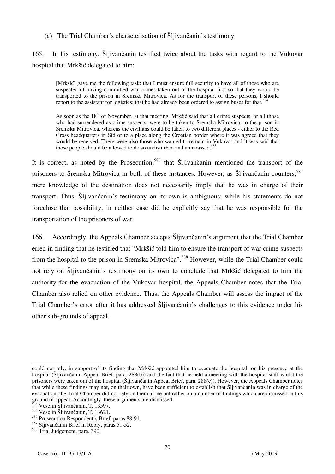### (a) The Trial Chamber's characterisation of Šljivančanin's testimony

# 165. In his testimony, Šljivančanin testified twice about the tasks with regard to the Vukovar hospital that Mrkšić delegated to him:

[Mrkšić] gave me the following task: that I must ensure full security to have all of those who are suspected of having committed war crimes taken out of the hospital first so that they would be transported to the prison in Sremska Mitrovica. As for the transport of these persons, I should report to the assistant for logistics; that he had already been ordered to assign buses for that.<sup>584</sup>

As soon as the 18<sup>th</sup> of November, at that meeting, Mrkšić said that all crime suspects, or all those who had surrendered as crime suspects, were to be taken to Sremska Mitrovica, to the prison in Sremska Mitrovica, whereas the civilians could be taken to two different places - either to the Red Cross headquarters in Sid or to a place along the Croatian border where it was agreed that they would be received. There were also those who wanted to remain in Vukovar and it was said that those people should be allowed to do so undisturbed and unharassed.<sup>585</sup>

It is correct, as noted by the Prosecution,<sup>586</sup> that Sliivančanin mentioned the transport of the prisoners to Sremska Mitrovica in both of these instances. However, as Šljivančanin counters,<sup>587</sup> mere knowledge of the destination does not necessarily imply that he was in charge of their transport. Thus, Šljivančanin's testimony on its own is ambiguous: while his statements do not foreclose that possibility, in neither case did he explicitly say that he was responsible for the transportation of the prisoners of war.

166. Accordingly, the Appeals Chamber accepts Šljivančanin's argument that the Trial Chamber erred in finding that he testified that "Mrkšić told him to ensure the transport of war crime suspects from the hospital to the prison in Sremska Mitrovica".<sup>588</sup> However, while the Trial Chamber could not rely on Šljivančanin's testimony on its own to conclude that Mrkšić delegated to him the authority for the evacuation of the Vukovar hospital, the Appeals Chamber notes that the Trial Chamber also relied on other evidence. Thus, the Appeals Chamber will assess the impact of the Trial Chamber's error after it has addressed Šljivančanin's challenges to this evidence under his other sub-grounds of appeal.

 $\overline{a}$ could not rely, in support of its finding that Mrkšić appointed him to evacuate the hospital, on his presence at the hospital (Šljivančanin Appeal Brief, para. 288(b)) and the fact that he held a meeting with the hospital staff whilst the prisoners were taken out of the hospital (Šljivančanin Appeal Brief, para. 288(c)). However, the Appeals Chamber notes that while these findings may not, on their own, have been sufficient to establish that Šljivančanin was in charge of the evacuation, the Trial Chamber did not rely on them alone but rather on a number of findings which are discussed in this ground of appeal. Accordingly, these arguments are dismissed.

 $4$  Veselin Šliivančanin, T. 13597.

<sup>585</sup> Veselin Šljivančanin, T. 13621.

<sup>586</sup> Prosecution Respondent's Brief, paras 88-91.

<sup>587</sup> Šljivančanin Brief in Reply, paras 51-52.

<sup>588</sup> Trial Judgement, para. 390.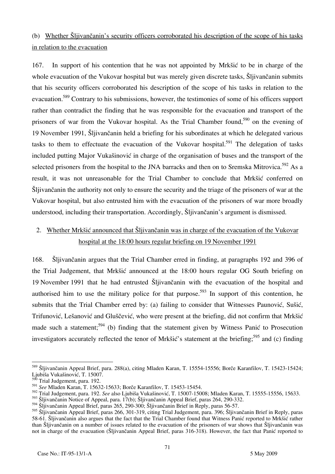# (b) Whether Šljivančanin's security officers corroborated his description of the scope of his tasks in relation to the evacuation

167. In support of his contention that he was not appointed by Mrkšić to be in charge of the whole evacuation of the Vukovar hospital but was merely given discrete tasks, Šljivančanin submits that his security officers corroborated his description of the scope of his tasks in relation to the evacuation.<sup>589</sup> Contrary to his submissions, however, the testimonies of some of his officers support rather than contradict the finding that he was responsible for the evacuation and transport of the prisoners of war from the Vukovar hospital. As the Trial Chamber found,<sup>590</sup> on the evening of 19 November 1991, Šljivančanin held a briefing for his subordinates at which he delegated various tasks to them to effectuate the evacuation of the Vukovar hospital.<sup>591</sup> The delegation of tasks included putting Major Vukašinović in charge of the organisation of buses and the transport of the selected prisoners from the hospital to the JNA barracks and then on to Sremska Mitrovica.<sup>592</sup> As a result, it was not unreasonable for the Trial Chamber to conclude that Mrkšić conferred on Šljivančanin the authority not only to ensure the security and the triage of the prisoners of war at the Vukovar hospital, but also entrusted him with the evacuation of the prisoners of war more broadly understood, including their transportation. Accordingly, Šljivančanin's argument is dismissed.

# 2. Whether Mrkšić announced that Šljivančanin was in charge of the evacuation of the Vukovar hospital at the 18:00 hours regular briefing on 19 November 1991

168. Šljivančanin argues that the Trial Chamber erred in finding, at paragraphs 192 and 396 of the Trial Judgement, that Mrkšić announced at the 18:00 hours regular OG South briefing on 19 November 1991 that he had entrusted Šljivančanin with the evacuation of the hospital and authorised him to use the military police for that purpose.<sup>593</sup> In support of this contention, he submits that the Trial Chamber erred by: (a) failing to consider that Witnesses Paunović, Sušić, Trifunović, Lešanović and Gluščević, who were present at the briefing, did not confirm that Mrkšić made such a statement;<sup>594</sup> (b) finding that the statement given by Witness Panic to Prosecution investigators accurately reflected the tenor of Mrkšić's statement at the briefing;<sup>595</sup> and (c) finding

 $\overline{a}$ 589 Šljivančanin Appeal Brief, para. 288(a), citing Mladen Karan, T. 15554-15556; Borče Karanfilov, T. 15423-15424; Ljubiša Vukašinović, T. 15007.

Trial Judgement, para. 192.

<sup>591</sup> *See* Mladen Karan, T. 15632-15633; Borče Karanfilov, T. 15453-15454.

<sup>592</sup> Trial Judgement, para. 192. *See* also Ljubiša Vukašinović, T. 15007-15008; Mladen Karan, T. 15555-15556, 15633.

<sup>593</sup> Šljivančanin Notice of Appeal, para. 17(b); Šljivančanin Appeal Brief, paras 264, 290-332.

<sup>594</sup> Šljivančanin Appeal Brief, paras 265, 290-300; Šljivančanin Brief in Reply, paras 56-57.

<sup>595</sup> Šljivančanin Appeal Brief, paras 266, 301-319, citing Trial Judgement, para. 396; Šljivančanin Brief in Reply, paras 58-61. Šljivančanin also argues that the fact that the Trial Chamber found that Witness Panić reported to Mrkšić rather than Šljivančanin on a number of issues related to the evacuation of the prisoners of war shows that Šljivančanin was not in charge of the evacuation (Šljivančanin Appeal Brief, paras 316-318). However, the fact that Panić reported to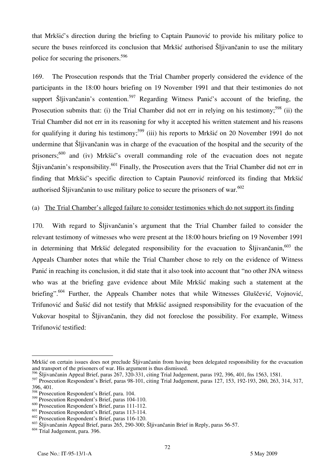that Mrkšić's direction during the briefing to Captain Paunović to provide his military police to secure the buses reinforced its conclusion that Mrkšić authorised Šljivančanin to use the military police for securing the prisoners.596

169. The Prosecution responds that the Trial Chamber properly considered the evidence of the participants in the 18:00 hours briefing on 19 November 1991 and that their testimonies do not support Šljivančanin's contention.<sup>597</sup> Regarding Witness Panić's account of the briefing, the Prosecution submits that: (i) the Trial Chamber did not err in relying on his testimony;<sup>598</sup> (ii) the Trial Chamber did not err in its reasoning for why it accepted his written statement and his reasons for qualifying it during his testimony;<sup>599</sup> (iii) his reports to Mrkšić on 20 November 1991 do not undermine that Šljivančanin was in charge of the evacuation of the hospital and the security of the prisoners;<sup>600</sup> and (iv) Mrkšić's overall commanding role of the evacuation does not negate Šljivančanin's responsibility.601 Finally, the Prosecution avers that the Trial Chamber did not err in finding that Mrkšić's specific direction to Captain Paunović reinforced its finding that Mrkšić authorised Šliivančanin to use military police to secure the prisoners of war.<sup>602</sup>

#### (a) The Trial Chamber's alleged failure to consider testimonies which do not support its finding

170. With regard to Šljivančanin's argument that the Trial Chamber failed to consider the relevant testimony of witnesses who were present at the 18:00 hours briefing on 19 November 1991 in determining that Mrkšić delegated responsibility for the evacuation to  $\tilde{S}$ ljivančanin,<sup>603</sup> the Appeals Chamber notes that while the Trial Chamber chose to rely on the evidence of Witness Panić in reaching its conclusion, it did state that it also took into account that "no other JNA witness who was at the briefing gave evidence about Mile Mrkšić making such a statement at the briefing".<sup>604</sup> Further, the Appeals Chamber notes that while Witnesses Gluščević, Vojnović, Trifunović and Šušić did not testify that Mrkšić assigned responsibility for the evacuation of the Vukovar hospital to Šljivančanin, they did not foreclose the possibility. For example, Witness Trifunović testified:

 $\overline{a}$ Mrkšić on certain issues does not preclude Šljivančanin from having been delegated responsibility for the evacuation and transport of the prisoners of war. His argument is thus dismissed.

 $^{596}$  Šljivančanin Appeal Brief, paras 267, 320-331, citing Trial Judgement, paras 192, 396, 401, fns 1563, 1581.

<sup>597</sup> Prosecution Respondent's Brief, paras 98-101, citing Trial Judgement, paras 127, 153, 192-193, 260, 263, 314, 317, 396, 401.

<sup>598</sup> Prosecution Respondent's Brief, para. 104.

 $599$  Prosecution Respondent's Brief, paras 104-110.

 $^{600}$  Prosecution Respondent's Brief, paras 111-112.

<sup>601</sup> Prosecution Respondent's Brief, paras 113-114.

<sup>602</sup> Prosecution Respondent's Brief, paras 116-120.

<sup>603</sup> Šljivančanin Appeal Brief, paras 265, 290-300; Šljivančanin Brief in Reply, paras 56-57.

 $604$  Trial Judgement, para. 396.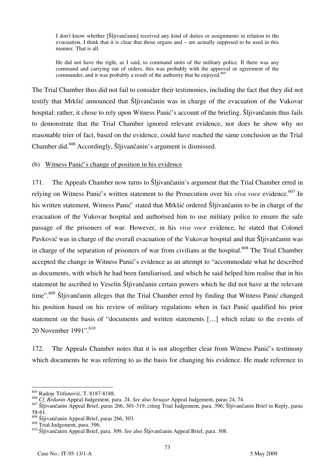I don't know whether [Šljivančanin] received any kind of duties or assignments in relation to the evacuation. I think that it is clear that those organs and – are actually supposed to be used in this manner. That is all.

He did not have the right, as I said, to command units of the military police. If there was any command and carrying out of orders, this was probably with the approval or agreement of the commander, and it was probably a result of the authority that he enjoyed.<sup>605</sup>

The Trial Chamber thus did not fail to consider their testimonies, including the fact that they did not testify that Mrkšić announced that Šljivančanin was in charge of the evacuation of the Vukovar hospital; rather, it chose to rely upon Witness Panić's account of the briefing. Šljivančanin thus fails to demonstrate that the Trial Chamber ignored relevant evidence, nor does he show why no reasonable trier of fact, based on the evidence, could have reached the same conclusion as the Trial Chamber did.606 Accordingly, Šljivančanin's argument is dismissed.

(b) Witness Panić's change of position in his evidence

171. The Appeals Chamber now turns to Šljivančanin's argument that the Trial Chamber erred in relying on Witness Panić's written statement to the Prosecution over his *viva voce* evidence.<sup>607</sup> In his written statement, Witness Panić' stated that Mrkšić ordered Šljivančanin to be in charge of the evacuation of the Vukovar hospital and authorised him to use military police to ensure the safe passage of the prisoners of war. However, in his *viva voce* evidence, he stated that Colonel Pavković was in charge of the overall evacuation of the Vukovar hospital and that Šljivančanin was in charge of the separation of prisoners of war from civilians at the hospital.<sup>608</sup> The Trial Chamber accepted the change in Witness Panić's evidence as an attempt to "accommodate what he described as documents, with which he had been familiarised, and which he said helped him realise that in his statement he ascribed to Veselin Šljivančanin certain powers which he did not have at the relevant time".<sup>609</sup> Šljivančanin alleges that the Trial Chamber erred by finding that Witness Panić changed his position based on his review of military regulations when in fact Panić qualified his prior statement on the basis of "documents and written statements [...] which relate to the events of 20 November 1991".<sup>610</sup>

172. The Appeals Chamber notes that it is not altogether clear from Witness Panic's testimony which documents he was referring to as the basis for changing his evidence. He made reference to

 $\overline{a}$ <sup>605</sup> Radoje Trifunović, T. 8187-8188.

<sup>&</sup>lt;sup>606</sup> Cf. Brdanin Appeal Judgement, para. 24. *See* also Strugar Appeal Judgement, paras 24, 74.

<sup>607</sup> Šljivančanin Appeal Brief, paras 266, 301-319, citing Trial Judgement, para. 396; Šljivančanin Brief in Reply, paras 58-61.

 $608$  Šljivančanin Appeal Brief, paras 266, 303.

<sup>609</sup> Trial Judgement, para. 396.

<sup>610</sup> Šljivančanin Appeal Brief, para. 309. *See* also Šljivančanin Appeal Brief, para. 308.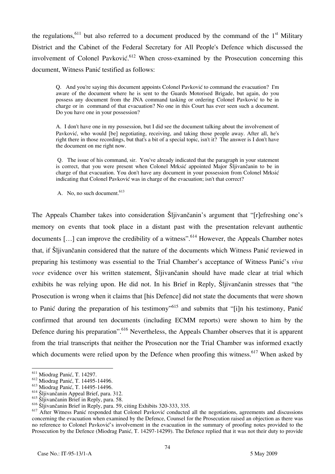the regulations,<sup>611</sup> but also referred to a document produced by the command of the  $1<sup>st</sup>$  Military District and the Cabinet of the Federal Secretary for All People's Defence which discussed the involvement of Colonel Pavković.<sup>612</sup> When cross-examined by the Prosecution concerning this document, Witness Panić testified as follows:

Q. And you're saying this document appoints Colonel Pavković to command the evacuation? I'm aware of the document where he is sent to the Guards Motorised Brigade, but again, do you possess any document from the JNA command tasking or ordering Colonel Pavković to be in charge or in command of that evacuation? No one in this Court has ever seen such a document. Do you have one in your possession?

A. I don't have one in my possession, but I did see the document talking about the involvement of Pavković, who would [be] negotiating, receiving, and taking those people away. After all, he's right there in those recordings, but that's a bit of a special topic, isn't it? The answer is I don't have the document on me right now.

 Q. The issue of his command, sir. You've already indicated that the paragraph in your statement is correct, that you were present when Colonel Mrksić appointed Major Šljivančanin to be in charge of that evacuation. You don't have any document in your possession from Colonel Mrksić indicating that Colonel Pavković was in charge of the evacuation; isn't that correct?

A. No, no such document.<sup>613</sup>

The Appeals Chamber takes into consideration Šliivančanin's argument that "refreshing one's memory on events that took place in a distant past with the presentation relevant authentic documents  $[\, \ldots \,]$  can improve the credibility of a witness".<sup>614</sup> However, the Appeals Chamber notes that, if Šljivančanin considered that the nature of the documents which Witness Panić reviewed in preparing his testimony was essential to the Trial Chamber's acceptance of Witness Panić's *viva voce* evidence over his written statement, Šljivančanin should have made clear at trial which exhibits he was relying upon. He did not. In his Brief in Reply, Šljivančanin stresses that "the Prosecution is wrong when it claims that [his Defence] did not state the documents that were shown to Panić during the preparation of his testimony"<sup>615</sup> and submits that "[i]n his testimony, Panić confirmed that around ten documents (including ECMM reports) were shown to him by the Defence during his preparation".<sup>616</sup> Nevertheless, the Appeals Chamber observes that it is apparent from the trial transcripts that neither the Prosecution nor the Trial Chamber was informed exactly which documents were relied upon by the Defence when proofing this witness.<sup>617</sup> When asked by

<sup>&</sup>lt;sup>611</sup> Miodrag Panić, T. 14297.

<sup>&</sup>lt;sup>612</sup> Miodrag Panić, T. 14495-14496.

<sup>&</sup>lt;sup>613</sup> Miodrag Panić, T. 14495-14496.

<sup>614</sup> Šljivančanin Appeal Brief, para. 312.

<sup>&</sup>lt;sup>615</sup> Šljivančanin Brief in Reply, para. 58.

<sup>616</sup> Šljivančanin Brief in Reply, para. 59, citing Exhibits 320-333, 335.

<sup>&</sup>lt;sup>617</sup> After Witness Panić responded that Colonel Pavković conducted all the negotiations, agreements and discussions concerning the evacuation when examined by the Defence, Counsel for the Prosecution raised an objection as there was no reference to Colonel Pavković's involvement in the evacuation in the summary of proofing notes provided to the Prosecution by the Defence (Miodrag Panić, T. 14297-14299). The Defence replied that it was not their duty to provide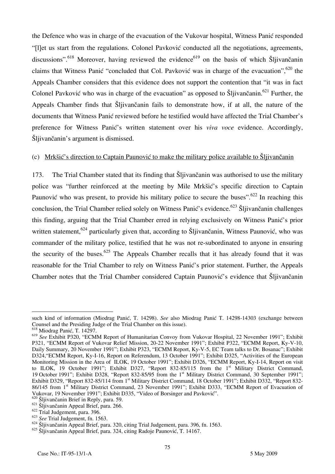the Defence who was in charge of the evacuation of the Vukovar hospital, Witness Panić responded "[let us start from the regulations. Colonel Pavković conducted all the negotiations, agreements, discussions".<sup>618</sup> Moreover, having reviewed the evidence<sup>619</sup> on the basis of which Šljivančanin claims that Witness Panić "concluded that Col. Pavković was in charge of the evacuation",  $620$  the Appeals Chamber considers that this evidence does not support the contention that "it was in fact Colonel Pavković who was in charge of the evacuation" as opposed to Šljivančanin.<sup>621</sup> Further, the Appeals Chamber finds that Šljivančanin fails to demonstrate how, if at all, the nature of the documents that Witness Panic reviewed before he testified would have affected the Trial Chamber's preference for Witness Panić's written statement over his *viva voce* evidence. Accordingly, Šljivančanin's argument is dismissed.

#### (c) Mrkšić's direction to Captain Paunović to make the military police available to Šljivančanin

173. The Trial Chamber stated that its finding that Šljivančanin was authorised to use the military police was "further reinforced at the meeting by Mile Mrkšić's specific direction to Captain Paunović who was present, to provide his military police to secure the buses".<sup>622</sup> In reaching this conclusion, the Trial Chamber relied solely on Witness Panić's evidence.<sup>623</sup> Šljivančanin challenges this finding, arguing that the Trial Chamber erred in relying exclusively on Witness Panić's prior written statement,<sup>624</sup> particularly given that, according to Šliivančanin, Witness Paunović, who was commander of the military police, testified that he was not re-subordinated to anyone in ensuring the security of the buses.<sup>625</sup> The Appeals Chamber recalls that it has already found that it was reasonable for the Trial Chamber to rely on Witness Panić's prior statement. Further, the Appeals Chamber notes that the Trial Chamber considered Captain Paunović's evidence that Šljivančanin

such kind of information (Miodrag Panić, T. 14298). *See* also Miodrag Panić T. 14298-14303 (exchange between Counsel and the Presiding Judge of the Trial Chamber on this issue).

<sup>618</sup> Miodrag Panić, T. 14297.

<sup>619</sup> *See* Exhibit P320, "ECMM Report of Humanitarian Convoy from Vukovar Hospital, 22 November 1991"; Exhibit P321, "ECMM Report of Vukovar Relief Mission, 20-22 November 1991"; Exhibit P322, "ECMM Report, Ky-V-10, Daily Summary, 20 November 1991"; Exhibit P323, "ECMM Report, Ky-V-5, EC Team talks to Dr. Bosanac"; Exhibit D324,"ECMM Report, Ky-I-16, Report on Referendum, 13 October 1991"; Exhibit D325, "Activities of the European Monitoring Mission in the Area of ILOK, 19 October 1991"; Exhibit D326, "ECMM Report, Ky-I-14, Report on visit to ILOK, 19 October 1991"; Exhibit D327, "Report 832-85/115 from the 1<sup>st</sup> Military District Command, 19 October 1991"; Exhibit D328, "Report 832-85/95 from the 1<sup>st</sup> Military District Command, 30 September 1991"; Exhibit D329, "Report 832-85/114 from 1<sup>st</sup> Military District Command, 18 October 1991"; Exhibit D332, "Report 832-86/145 from 1<sup>st</sup> Military District Command, 23 November 1991"; Exhibit D333, "ECMM Report of Evacuation of Vukovar, 19 November 1991"; Exhibit D335, "Video of Borsinger and Pavković".

 $^{0}$  Šliivančanin Brief in Reply, para. 59.

 $621$  Šljivančanin Appeal Brief, para. 266.

 $622$  Trial Judgement, para. 396.

<sup>623</sup> *See* Trial Judgement, fn. 1563.

<sup>624</sup> Šljivančanin Appeal Brief, para. 320, citing Trial Judgement, para. 396, fn. 1563.

<sup>&</sup>lt;sup>625</sup> Šljivančanin Appeal Brief, para. 324, citing Radoje Paunović, T. 14167.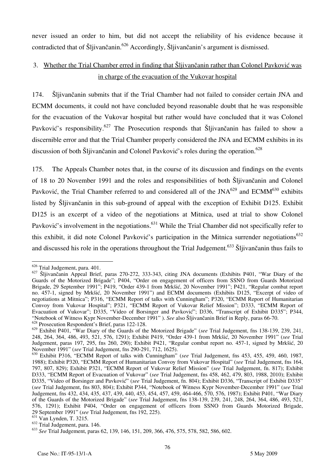never issued an order to him, but did not accept the reliability of his evidence because it contradicted that of Šljivančanin.<sup>626</sup> Accordingly, Šljivančanin's argument is dismissed.

# 3. Whether the Trial Chamber erred in finding that Sljivančanin rather than Colonel Pavković was in charge of the evacuation of the Vukovar hospital

174. Šljivančanin submits that if the Trial Chamber had not failed to consider certain JNA and ECMM documents, it could not have concluded beyond reasonable doubt that he was responsible for the evacuation of the Vukovar hospital but rather would have concluded that it was Colonel Pavković's responsibility.<sup>627</sup> The Prosecution responds that Šljivančanin has failed to show a discernible error and that the Trial Chamber properly considered the JNA and ECMM exhibits in its discussion of both Šljivančanin and Colonel Pavković's roles during the operation.<sup>628</sup>

175. The Appeals Chamber notes that, in the course of its discussion and findings on the events of 18 to 20 November 1991 and the roles and responsibilities of both Šljivančanin and Colonel Pavković, the Trial Chamber referred to and considered all of the JNA<sup>629</sup> and ECMM<sup>630</sup> exhibits listed by Šljivančanin in this sub-ground of appeal with the exception of Exhibit D125. Exhibit D125 is an excerpt of a video of the negotiations at Mitnica, used at trial to show Colonel Pavković's involvement in the negotiations.<sup>631</sup> While the Trial Chamber did not specifically refer to this exhibit, it did note Colonel Pavković's participation in the Mitnica surrender negotiations<sup>632</sup> and discussed his role in the operations throughout the Trial Judgement.<sup>633</sup> Šljivančanin thus fails to

 $\overline{a}$  $626$  Trial Judgement, para. 401.

<sup>627</sup> Šljivančanin Appeal Brief, paras 270-272, 333-343, citing JNA documents (Exhibits P401, "War Diary of the Guards of the Motorized Brigade"; P404, "Order on engagement of officers from SSNO from Guards Motorized Brigade, 29 September 1991"; P419, "Order 439-1 from Mrkšić, 20 November 1991"; P421, "Regular combat report no. 457-1, signed by Mrkšić, 20 November 1991") and ECMM documents (Exhibits D125, "Excerpt of video of negotiations at Mitnica"; P316, "ECMM Report of talks with Cunningham"; P320, "ECMM Report of Humanitarian Convoy from Vukovar Hospital"; P321, "ECMM Report of Vukovar Relief Mission"; D333, "ECMM Report of Evacuation of Vukovar"; D335, "Video of Borsinger and Pavković"; D336, "Transcript of Exhibit D335"; P344, "Notebook of Witness Kypr November-December 1991" ). *See* also Šljivančanin Brief in Reply, paras 66-70.  $^{628}$  Prosecution Respondent's Brief, paras 122-128.

<sup>629</sup> Exhibit P401, "War Diary of the Guards of the Motorized Brigade" (*see* Trial Judgement, fns 138-139, 239, 241, 248, 264, 364, 486, 493, 521, 576, 1291); Exhibit P419, "Order 439-1 from Mrkšić, 20 November 1991" (*see* Trial Judgement, paras 197, 295, fns 260, 290); Exhibit P421, "Regular combat report no. 457-1, signed by Mrkšić, 20 November 1991" (*see* Trial Judgement, fns 290-291, 712, 1625).

<sup>630</sup> Exhibit P316, "ECMM Report of talks with Cunningham" (*see* Trial Judgement, fns 453, 455, 459, 460, 1987, 1988); Exhibit P320, "ECMM Report of Humanitarian Convoy from Vukovar Hospital" (*see* Trial Judgement, fns 164, 797, 807, 829); Exhibit P321, "ECMM Report of Vukovar Relief Mission" (*see* Trial Judgement, fn. 817); Exhibit D333, "ECMM Report of Evacuation of Vukovar" (*see* Trial Judgement, fns 458, 462, 479, 803, 1988, 2010); Exhibit D335, "Video of Borsinger and Pavković" (*see* Trial Judgement, fn. 804); Exhibit D336, "Transcript of Exhibit D335" (*see* Trial Judgement, fns 803, 804); Exhibit P344, "Notebook of Witness Kypr November-December 1991" (*see* Trial Judgement, fns 432, 434, 435, 437, 439, 440, 453, 454, 457, 459, 464-466, 570, 576, 1987); Exhibit P401, "War Diary of the Guards of the Motorized Brigade" (*see* Trial Judgement, fns 138-139, 239, 241, 248, 264, 364, 486, 493, 521, 576, 1291); Exhibit P404, "Order on engagement of officers from SSNO from Guards Motorized Brigade, 29 September 1991" (*see* Trial Judgement, fns 192, 225).

<sup>&</sup>lt;sup>631</sup> Van Lynden, T. 3215.

<sup>632</sup> Trial Judgement, para. 146.

<sup>633</sup> *See* Trial Judgement, paras 62, 139, 146, 151, 209, 366, 476, 575, 578, 582, 586, 602.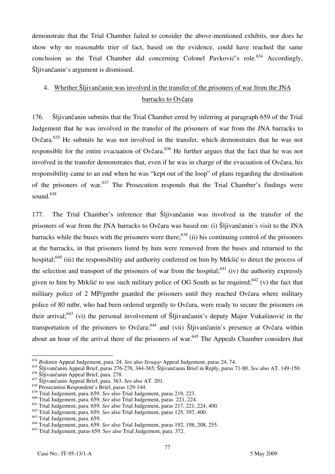demonstrate that the Trial Chamber failed to consider the above-mentioned exhibits, nor does he show why no reasonable trier of fact, based on the evidence, could have reached the same conclusion as the Trial Chamber did concerning Colonel Pavković's role.<sup>634</sup> Accordingly, Šljivančanin's argument is dismissed.

# 4. Whether Šljivančanin was involved in the transfer of the prisoners of war from the JNA barracks to Ovčara

176. Šljivančanin submits that the Trial Chamber erred by inferring at paragraph 659 of the Trial Judgement that he was involved in the transfer of the prisoners of war from the JNA barracks to Ovčara.635 He submits he was not involved in the transfer, which demonstrates that he was not responsible for the entire evacuation of Ovčara.<sup>636</sup> He further argues that the fact that he was not involved in the transfer demonstrates that, even if he was in charge of the evacuation of Ovčara, his responsibility came to an end when he was "kept out of the loop" of plans regarding the destination of the prisoners of war.<sup>637</sup> The Prosecution responds that the Trial Chamber's findings were sound  $638$ 

177. The Trial Chamber's inference that Šljivančanin was involved in the transfer of the prisoners of war from the JNA barracks to Ovčara was based on: (i) Šljivančanin's visit to the JNA barracks while the buses with the prisoners were there;<sup>639</sup> (ii) his continuing control of the prisoners at the barracks, in that prisoners listed by him were removed from the buses and returned to the hospital;<sup>640</sup> (iii) the responsibility and authority conferred on him by Mrkšić to direct the process of the selection and transport of the prisoners of war from the hospital;<sup>641</sup> (iv) the authority expressly given to him by Mrkšić to use such military police of OG South as he required;<sup>642</sup> (v) the fact that military police of 2 MP/gmtbr guarded the prisoners until they reached Ovčara where military police of 80 mtbr, who had been ordered urgently to Ovčara, were ready to secure the prisoners on their arrival;<sup>643</sup> (vi) the personal involvement of Šljivančanin's deputy Major Vukašinović in the transportation of the prisoners to Ovčara;<sup>644</sup> and (vii) Šljivančanin's presence at Ovčara within about an hour of the arrival there of the prisoners of war.<sup>645</sup> The Appeals Chamber considers that

<sup>&</sup>lt;sup>634</sup> *Brdanin* Appeal Judgement, para. 24. *See* also *Strugar* Appeal Judgement, paras 24, 74.

<sup>635</sup> Šljivančanin Appeal Brief, paras 276-278, 344-365; Šljivančanin Brief in Reply, paras 71-80. *See* also AT. 149-150.

<sup>636</sup> Šljivančanin Appeal Brief, para. 278.

<sup>&</sup>lt;sup>637</sup> Šljivančanin Appeal Brief, para. 363. See also AT. 201.

<sup>638</sup> Prosecution Respondent's Brief, paras 129-144.

<sup>639</sup> Trial Judgement, para. 659. *See* also Trial Judgement, paras 219, 223.

<sup>640</sup> Trial Judgement, para. 659. *See* also Trial Judgement, paras 221, 224.

<sup>641</sup> Trial Judgement, para. 659. *See* also Trial Judgement, paras 217, 221, 224, 400.

<sup>642</sup> Trial Judgement, para. 659. *See* also Trial Judgement, paras 125, 397, 400.

<sup>&</sup>lt;sup>643</sup> Trial Judgement, para. 659.

<sup>644</sup> Trial Judgement, para. 659. *See* also Trial Judgement, paras 192, 198, 208, 255.

<sup>645</sup> Trial Judgement, paras 659. S*ee* also Trial Judgement, para. 372.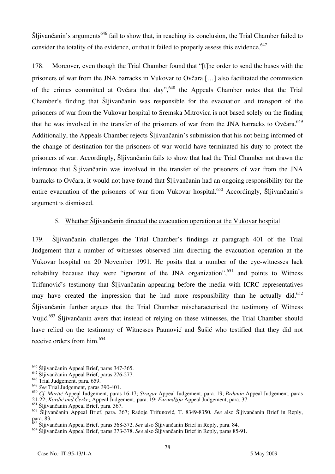$\text{Šljivančanin's arguments}^{646}$  fail to show that, in reaching its conclusion, the Trial Chamber failed to consider the totality of the evidence, or that it failed to properly assess this evidence.<sup>647</sup>

178. Moreover, even though the Trial Chamber found that "[t] he order to send the buses with the prisoners of war from the JNA barracks in Vukovar to Ovčara [...] also facilitated the commission of the crimes committed at Ovčara that day",<sup>648</sup> the Appeals Chamber notes that the Trial Chamber's finding that Šljivančanin was responsible for the evacuation and transport of the prisoners of war from the Vukovar hospital to Sremska Mitrovica is not based solely on the finding that he was involved in the transfer of the prisoners of war from the JNA barracks to Ovčara.<sup>649</sup> Additionally, the Appeals Chamber rejects Sljivančanin's submission that his not being informed of the change of destination for the prisoners of war would have terminated his duty to protect the prisoners of war. Accordingly, Šljivančanin fails to show that had the Trial Chamber not drawn the inference that Šljivančanin was involved in the transfer of the prisoners of war from the JNA barracks to Ovčara, it would not have found that Šljivančanin had an ongoing responsibility for the entire evacuation of the prisoners of war from Vukovar hospital.<sup>650</sup> Accordingly, Šljivančanin's argument is dismissed.

### 5. Whether Šljivančanin directed the evacuation operation at the Vukovar hospital

179. Šljivančanin challenges the Trial Chamber's findings at paragraph 401 of the Trial Judgement that a number of witnesses observed him directing the evacuation operation at the Vukovar hospital on 20 November 1991. He posits that a number of the eye-witnesses lack reliability because they were "ignorant of the JNA organization",  $651$  and points to Witness Trifunović's testimony that Šljivančanin appearing before the media with ICRC representatives may have created the impression that he had more responsibility than he actually did.<sup>652</sup> Šljivančanin further argues that the Trial Chamber mischaracterised the testimony of Witness Vujić.<sup>653</sup> Šljivančanin avers that instead of relying on these witnesses, the Trial Chamber should have relied on the testimony of Witnesses Paunović and Šušić who testified that they did not receive orders from him.<sup>654</sup>

 $\overline{a}$ <sup>646</sup> Šljivančanin Appeal Brief, paras 347-365.

 $647$  Šliivančanin Appeal Brief, paras 276-277.

<sup>&</sup>lt;sup>648</sup> Trial Judgement, para. 659.

<sup>649</sup> *See* Trial Judgement, paras 390-401.

<sup>650</sup> *Cf. Marti}* Appeal Judgement, paras 16-17; *Strugar* Appeal Judgement, para. 19; *Brðanin* Appeal Judgement, paras

<sup>21-22;</sup> *Kordi} and Čerkez* Appeal Judgement, para. 19; *Furundžija* Appeal Judgement, para. 37.

<sup>651</sup> Šljivančanin Appeal Brief, para. 367.

<sup>652</sup> Šljivančanin Appeal Brief, para. 367; Radoje Trifunović, T. 8349-8350. *See* also Šljivančanin Brief in Reply, para. 83.

<sup>653</sup> Šljivančanin Appeal Brief, paras 368-372. *See* also Šljivančanin Brief in Reply, para. 84.

<sup>654</sup> Šljivančanin Appeal Brief, paras 373-378. *See* also Šljivančanin Brief in Reply, paras 85-91.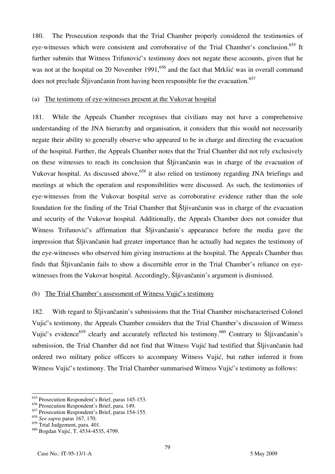180. The Prosecution responds that the Trial Chamber properly considered the testimonies of eye-witnesses which were consistent and corroborative of the Trial Chamber's conclusion.<sup>655</sup> It further submits that Witness Trifunović's testimony does not negate these accounts, given that he was not at the hospital on 20 November 1991,<sup>656</sup> and the fact that Mrkšić was in overall command does not preclude Šljivančanin from having been responsible for the evacuation.<sup>657</sup>

### (a) The testimony of eye-witnesses present at the Vukovar hospital

181. While the Appeals Chamber recognises that civilians may not have a comprehensive understanding of the JNA hierarchy and organisation, it considers that this would not necessarily negate their ability to generally observe who appeared to be in charge and directing the evacuation of the hospital. Further, the Appeals Chamber notes that the Trial Chamber did not rely exclusively on these witnesses to reach its conclusion that Šljivančanin was in charge of the evacuation of Vukovar hospital. As discussed above,<sup>658</sup> it also relied on testimony regarding JNA briefings and meetings at which the operation and responsibilities were discussed. As such, the testimonies of eye-witnesses from the Vukovar hospital serve as corroborative evidence rather than the sole foundation for the finding of the Trial Chamber that Šljivančanin was in charge of the evacuation and security of the Vukovar hospital. Additionally, the Appeals Chamber does not consider that Witness Trifunović's affirmation that Šljivančanin's appearance before the media gave the impression that Šljivančanin had greater importance than he actually had negates the testimony of the eye-witnesses who observed him giving instructions at the hospital. The Appeals Chamber thus finds that Šljivančanin fails to show a discernible error in the Trial Chamber's reliance on eyewitnesses from the Vukovar hospital. Accordingly, Šljivančanin's argument is dismissed.

#### (b) The Trial Chamber's assessment of Witness Vujić's testimony

182. With regard to Šljivančanin's submissions that the Trial Chamber mischaracterised Colonel Vujić's testimony, the Appeals Chamber considers that the Trial Chamber's discussion of Witness Vujić's evidence<sup>659</sup> clearly and accurately reflected his testimony.<sup>660</sup> Contrary to Šljivančanin's submission, the Trial Chamber did not find that Witness Vujić had testified that Šljivančanin had ordered two military police officers to accompany Witness Vujić, but rather inferred it from Witness Vujić's testimony. The Trial Chamber summarised Witness Vujić's testimony as follows:

 $\overline{a}$ <sup>655</sup> Prosecution Respondent's Brief, paras 145-153.

<sup>656</sup> Prosecution Respondent's Brief, para. 149.

<sup>657</sup> Prosecution Respondent's Brief, paras 154-155.

<sup>658</sup> *See supra* paras 167, 170.

<sup>659</sup> Trial Judgement, para. 401.

<sup>&</sup>lt;sup>660</sup> Bogdan Vujić, T. 4534-4535, 4799.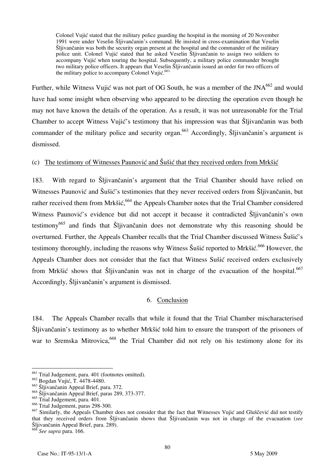Colonel Vujić stated that the military police guarding the hospital in the morning of 20 November 1991 were under Veselin Šljivančanin's command. He insisted in cross-examination that Veselin Šljivančanin was both the security organ present at the hospital and the commander of the military police unit. Colonel Vujić stated that he asked Veselin Šljivančanin to assign two soldiers to accompany Vujić when touring the hospital. Subsequently, a military police commander brought two military police officers. It appears that Veselin Šljivančanin issued an order for two officers of the military police to accompany Colonel Vujić.<sup>661</sup>

Further, while Witness Vujić was not part of OG South, he was a member of the JNA<sup>662</sup> and would have had some insight when observing who appeared to be directing the operation even though he may not have known the details of the operation. As a result, it was not unreasonable for the Trial Chamber to accept Witness Vujić's testimony that his impression was that Šliivančanin was both commander of the military police and security organ.<sup>663</sup> Accordingly, Šljivančanin's argument is dismissed.

### (c) The testimony of Witnesses Paunović and  $\tilde{S}$ ušić that they received orders from Mrkšić

183. With regard to Šljivančanin's argument that the Trial Chamber should have relied on Witnesses Paunović and Šušić's testimonies that they never received orders from Šljivančanin, but rather received them from Mrkšić, <sup>664</sup> the Appeals Chamber notes that the Trial Chamber considered Witness Paunović's evidence but did not accept it because it contradicted Šljivančanin's own testimony665 and finds that Šljivančanin does not demonstrate why this reasoning should be overturned. Further, the Appeals Chamber recalls that the Trial Chamber discussed Witness Šušić's testimony thoroughly, including the reasons why Witness Šušić reported to Mrkšić.<sup>666</sup> However, the Appeals Chamber does not consider that the fact that Witness Sušić received orders exclusively from Mrkšić shows that Šljivančanin was not in charge of the evacuation of the hospital.<sup>667</sup> Accordingly, Šljivančanin's argument is dismissed.

### 6. Conclusion

184. The Appeals Chamber recalls that while it found that the Trial Chamber mischaracterised Šljivančanin's testimony as to whether Mrkšić told him to ensure the transport of the prisoners of war to Sremska Mitrovica,<sup>668</sup> the Trial Chamber did not rely on his testimony alone for its

 $\overline{a}$ 

<sup>668</sup> *See supra* para. 166.

<sup>&</sup>lt;sup>661</sup> Trial Judgement, para. 401 (footnotes omitted).

<sup>&</sup>lt;sup>662</sup> Bogdan Vujić, T. 4478-4480.

<sup>663</sup> Šljivančanin Appeal Brief, para. 372.

<sup>664</sup> Šljivančanin Appeal Brief, paras 289, 373-377.

 $665$  Trial Judgement, para. 401.

 $666$  Trial Judgement, paras 298-300.

 $\frac{667}{2}$  Similarly, the Appeals Chamber does not consider that the fact that Witnesses Vujić and Gluščević did not testify that they received orders from Sljivančanin shows that Sljivančanin was not in charge of the evacuation (*see* Šljivančanin Appeal Brief, para. 289).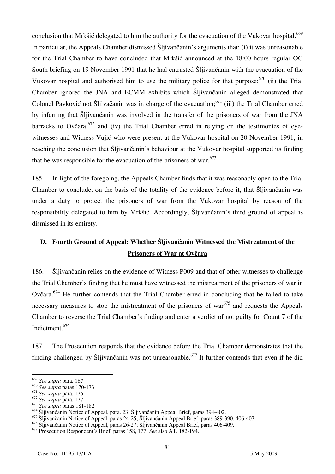conclusion that Mrkšić delegated to him the authority for the evacuation of the Vukovar hospital.<sup>669</sup> In particular, the Appeals Chamber dismissed Šljivančanin's arguments that: (i) it was unreasonable for the Trial Chamber to have concluded that Mrkšić announced at the 18:00 hours regular OG South briefing on 19 November 1991 that he had entrusted Šljivančanin with the evacuation of the Vukovar hospital and authorised him to use the military police for that purpose; $670$  (ii) the Trial Chamber ignored the JNA and ECMM exhibits which Šljivančanin alleged demonstrated that Colonel Pavković not Šljivačanin was in charge of the evacuation;  $671$  (iii) the Trial Chamber erred by inferring that Šljivančanin was involved in the transfer of the prisoners of war from the JNA barracks to Ovčara;  $672$  and (iv) the Trial Chamber erred in relying on the testimonies of eyewitnesses and Witness Vujić who were present at the Vukovar hospital on 20 November 1991, in reaching the conclusion that Šljivančanin's behaviour at the Vukovar hospital supported its finding that he was responsible for the evacuation of the prisoners of war. $673$ 

185. In light of the foregoing, the Appeals Chamber finds that it was reasonably open to the Trial Chamber to conclude, on the basis of the totality of the evidence before it, that Šljivančanin was under a duty to protect the prisoners of war from the Vukovar hospital by reason of the responsibility delegated to him by Mrkšić. Accordingly, Šljivančanin's third ground of appeal is dismissed in its entirety.

# **D. Fourth Ground of Appeal: Whether Šljivančanin Witnessed the Mistreatment of the Prisoners of War at Ovčara**

186. Šljivančanin relies on the evidence of Witness P009 and that of other witnesses to challenge the Trial Chamber's finding that he must have witnessed the mistreatment of the prisoners of war in Ovčara.674 He further contends that the Trial Chamber erred in concluding that he failed to take necessary measures to stop the mistreatment of the prisoners of war $675$  and requests the Appeals Chamber to reverse the Trial Chamber's finding and enter a verdict of not guilty for Count 7 of the Indictment.676

187. The Prosecution responds that the evidence before the Trial Chamber demonstrates that the finding challenged by Šlijvančanin was not unreasonable.<sup>677</sup> It further contends that even if he did

<sup>669</sup> *See supra* para. 167.

<sup>670</sup> *See supra* paras 170-173.

<sup>671</sup> *See supra* para. 175.

<sup>672</sup> *See supra* para. 177.

<sup>673</sup> *See supra* paras 181-182.

<sup>674</sup> Šljivančanin Notice of Appeal, para. 23; Šljivančanin Appeal Brief, paras 394-402.

<sup>675</sup> Šljivančanin Notice of Appeal, paras 24-25; Šljivančanin Appeal Brief, paras 389-390, 406-407.

<sup>676</sup> Šljivančanin Notice of Appeal, paras 26-27; Šljivančanin Appeal Brief, paras 406-409.

<sup>677</sup> Prosecution Respondent's Brief, paras 158, 177. *See* also AT. 182-194.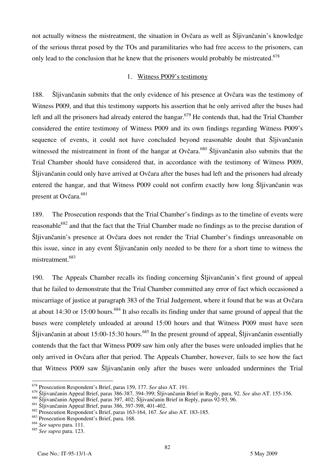not actually witness the mistreatment, the situation in Ovčara as well as Šljivančanin's knowledge of the serious threat posed by the TOs and paramilitaries who had free access to the prisoners, can only lead to the conclusion that he knew that the prisoners would probably be mistreated.<sup>678</sup>

#### 1. Witness P009's testimony

188. Šljivančanin submits that the only evidence of his presence at Ovčara was the testimony of Witness P009, and that this testimony supports his assertion that he only arrived after the buses had left and all the prisoners had already entered the hangar.<sup>679</sup> He contends that, had the Trial Chamber considered the entire testimony of Witness P009 and its own findings regarding Witness P009's sequence of events, it could not have concluded beyond reasonable doubt that Slijivancanin witnessed the mistreatment in front of the hangar at Ovčara.<sup>680</sup> Šliivančanin also submits that the Trial Chamber should have considered that, in accordance with the testimony of Witness P009, Šljivančanin could only have arrived at Ovčara after the buses had left and the prisoners had already entered the hangar, and that Witness P009 could not confirm exactly how long Šljivančanin was present at Ovčara.<sup>681</sup>

189. The Prosecution responds that the Trial Chamber's findings as to the timeline of events were reasonable<sup>682</sup> and that the fact that the Trial Chamber made no findings as to the precise duration of Šljivančanin's presence at Ovčara does not render the Trial Chamber's findings unreasonable on this issue, since in any event Šljivančanin only needed to be there for a short time to witness the mistreatment.<sup>683</sup>

190. The Appeals Chamber recalls its finding concerning Šljivančanin's first ground of appeal that he failed to demonstrate that the Trial Chamber committed any error of fact which occasioned a miscarriage of justice at paragraph 383 of the Trial Judgement, where it found that he was at Ovčara at about 14:30 or 15:00 hours.<sup>684</sup> It also recalls its finding under that same ground of appeal that the buses were completely unloaded at around 15:00 hours and that Witness P009 must have seen Šljivančanin at about 15:00-15:30 hours.<sup>685</sup> In the present ground of appeal, Šljivančanin essentially contends that the fact that Witness P009 saw him only after the buses were unloaded implies that he only arrived in Ovčara after that period. The Appeals Chamber, however, fails to see how the fact that Witness P009 saw Šljivančanin only after the buses were unloaded undermines the Trial

 $\overline{\phantom{a}}$ 

<sup>678</sup> Prosecution Respondent's Brief, paras 159, 177. *See* also AT. 191.

<sup>679</sup> Šljivančanin Appeal Brief, paras 386-387, 394-399; Šljivančanin Brief in Reply, para. 92. *See* also AT. 155-156.

<sup>680</sup> Šljivančanin Appeal Brief, paras 397, 402; Šljivančanin Brief in Reply, paras 92-93, 96.

<sup>681</sup> Šljivančanin Appeal Brief, paras 386, 397-398, 401-402.

<sup>682</sup> Prosecution Respondent's Brief, paras 163-164, 167. *See* also AT. 183-185.

<sup>683</sup> Prosecution Respondent's Brief, para. 168.

<sup>684</sup> *See* s*upra* para. 111.

<sup>685</sup> *See supra* para. 123.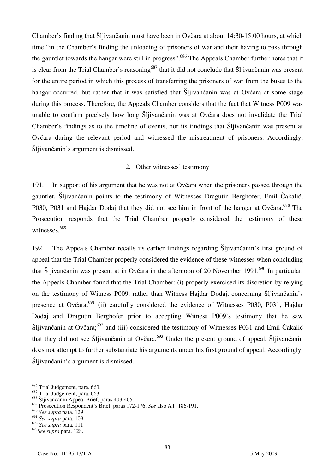Chamber's finding that Šljivančanin must have been in Ovčara at about 14:30-15:00 hours, at which time "in the Chamber's finding the unloading of prisoners of war and their having to pass through the gauntlet towards the hangar were still in progress".<sup>686</sup> The Appeals Chamber further notes that it is clear from the Trial Chamber's reasoning<sup>687</sup> that it did not conclude that Sljivančanin was present for the entire period in which this process of transferring the prisoners of war from the buses to the hangar occurred, but rather that it was satisfied that Šljivančanin was at Ovčara at some stage during this process. Therefore, the Appeals Chamber considers that the fact that Witness P009 was unable to confirm precisely how long Šljivančanin was at Ovčara does not invalidate the Trial Chamber's findings as to the timeline of events, nor its findings that Šljivančanin was present at Ovčara during the relevant period and witnessed the mistreatment of prisoners. Accordingly, Šljivančanin's argument is dismissed.

#### 2. Other witnesses' testimony

191. In support of his argument that he was not at Ovčara when the prisoners passed through the gauntlet, Šljivančanin points to the testimony of Witnesses Dragutin Berghofer, Emil Čakalić, P030, P031 and Hajdar Dodaj that they did not see him in front of the hangar at Ovčara.<sup>688</sup> The Prosecution responds that the Trial Chamber properly considered the testimony of these witnesses.<sup>689</sup>

192. The Appeals Chamber recalls its earlier findings regarding Šljivančanin's first ground of appeal that the Trial Chamber properly considered the evidence of these witnesses when concluding that Šljivančanin was present at in Ovčara in the afternoon of 20 November 1991.<sup>690</sup> In particular, the Appeals Chamber found that the Trial Chamber: (i) properly exercised its discretion by relying on the testimony of Witness P009, rather than Witness Hajdar Dodaj, concerning Šljivančanin's presence at Ovčara;<sup>691</sup> (ii) carefully considered the evidence of Witnesses P030, P031, Hajdar Dodaj and Dragutin Berghofer prior to accepting Witness P009's testimony that he saw Šljivančanin at Ovčara;<sup>692</sup> and (iii) considered the testimony of Witnesses P031 and Emil Čakalić that they did not see Šljivančanin at Ovčara.<sup>693</sup> Under the present ground of appeal, Šljivančanin does not attempt to further substantiate his arguments under his first ground of appeal. Accordingly, Šljivančanin's argument is dismissed.

 $\overline{\phantom{a}}$ 

 $\frac{686}{100}$  Trial Judgement, para. 663.

<sup>&</sup>lt;sup>687</sup> Trial Judgement, para. 663.

<sup>688</sup> Šljivančanin Appeal Brief, paras 403-405.

<sup>689</sup> Prosecution Respondent's Brief, paras 172-176. *See* also AT. 186-191.

<sup>690</sup> *See supra* para. 129.

<sup>691</sup> *See supra* para. 109.

<sup>692</sup> *See supra* para. 111.

<sup>693</sup>*See supra* para. 128.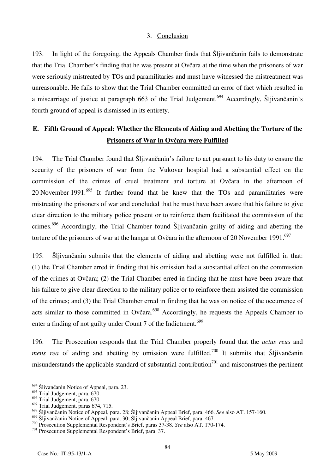#### 3. Conclusion

193. In light of the foregoing, the Appeals Chamber finds that Šljivančanin fails to demonstrate that the Trial Chamber's finding that he was present at Ovčara at the time when the prisoners of war were seriously mistreated by TOs and paramilitaries and must have witnessed the mistreatment was unreasonable. He fails to show that the Trial Chamber committed an error of fact which resulted in a miscarriage of justice at paragraph 663 of the Trial Judgement.<sup>694</sup> Accordingly, Šljivančanin's fourth ground of appeal is dismissed in its entirety.

## **E. Fifth Ground of Appeal: Whether the Elements of Aiding and Abetting the Torture of the Prisoners of War in Ovčara were Fulfilled**

194. The Trial Chamber found that Šljivančanin's failure to act pursuant to his duty to ensure the security of the prisoners of war from the Vukovar hospital had a substantial effect on the commission of the crimes of cruel treatment and torture at Ovčara in the afternoon of 20 November 1991.<sup>695</sup> It further found that he knew that the TOs and paramilitaries were mistreating the prisoners of war and concluded that he must have been aware that his failure to give clear direction to the military police present or to reinforce them facilitated the commission of the crimes.<sup>696</sup> Accordingly, the Trial Chamber found Sljivančanin guilty of aiding and abetting the torture of the prisoners of war at the hangar at Ovčara in the afternoon of 20 November 1991.<sup>697</sup>

195. Šljivančanin submits that the elements of aiding and abetting were not fulfilled in that: (1) the Trial Chamber erred in finding that his omission had a substantial effect on the commission of the crimes at Ovčara; (2) the Trial Chamber erred in finding that he must have been aware that his failure to give clear direction to the military police or to reinforce them assisted the commission of the crimes; and (3) the Trial Chamber erred in finding that he was on notice of the occurrence of acts similar to those committed in Ovčara.<sup>698</sup> Accordingly, he requests the Appeals Chamber to enter a finding of not guilty under Count 7 of the Indictment.<sup>699</sup>

196. The Prosecution responds that the Trial Chamber properly found that the *actus reus* and *mens rea* of aiding and abetting by omission were fulfilled.<sup>700</sup> It submits that Sljivančanin misunderstands the applicable standard of substantial contribution<sup>701</sup> and misconstrues the pertinent

 $\overline{\phantom{a}}$ 

 $^{694}$  Šlivančanin Notice of Appeal, para. 23.

<sup>&</sup>lt;sup>695</sup> Trial Judgement, para. 670.

 $696$  Trial Judgement, para.  $670$ .

 $697$  Trial Judgement, paras 674, 715.

<sup>698</sup> Šljivančanin Notice of Appeal, para. 28; Šljivančanin Appeal Brief, para. 466. *See* also AT. 157-160.<br><sup>699</sup> Šljivančanin Notice of Appeal, para. 30; Šljivančanin Appeal Brief, para. 467.

<sup>&</sup>lt;sup>700</sup> Prosecution Supplemental Respondent's Brief, paras 37-38. See also AT. 170-174.<br><sup>701</sup> Prosecution Supplemental Respondent's Brief, para. 37.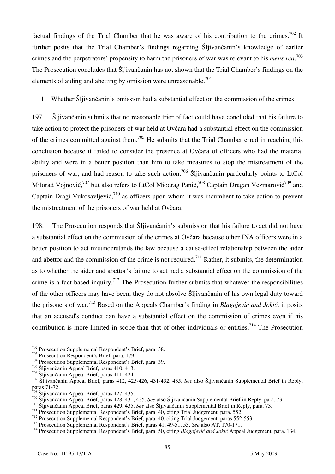factual findings of the Trial Chamber that he was aware of his contribution to the crimes.<sup>702</sup> It further posits that the Trial Chamber's findings regarding Šljivančanin's knowledge of earlier crimes and the perpetrators' propensity to harm the prisoners of war was relevant to his *mens rea*. 703 The Prosecution concludes that Šljivančanin has not shown that the Trial Chamber's findings on the elements of aiding and abetting by omission were unreasonable.<sup>704</sup>

#### 1. Whether Šljivančanin's omission had a substantial effect on the commission of the crimes

197. Šljivančanin submits that no reasonable trier of fact could have concluded that his failure to take action to protect the prisoners of war held at Ovčara had a substantial effect on the commission of the crimes committed against them.705 He submits that the Trial Chamber erred in reaching this conclusion because it failed to consider the presence at Ovčara of officers who had the material ability and were in a better position than him to take measures to stop the mistreatment of the prisoners of war, and had reason to take such action.<sup>706</sup> Šljivančanin particularly points to LtCol Milorad Vojnović,<sup>707</sup> but also refers to LtCol Miodrag Panić,<sup>708</sup> Captain Dragan Vezmarović<sup>709</sup> and Captain Dragi Vukosavljević,<sup>710</sup> as officers upon whom it was incumbent to take action to prevent the mistreatment of the prisoners of war held at Ovčara.

198. The Prosecution responds that Šljivančanin's submission that his failure to act did not have a substantial effect on the commission of the crimes at Ovčara because other JNA officers were in a better position to act misunderstands the law because a cause-effect relationship between the aider and abettor and the commission of the crime is not required.<sup>711</sup> Rather, it submits, the determination as to whether the aider and abettor's failure to act had a substantial effect on the commission of the crime is a fact-based inquiry.<sup>712</sup> The Prosecution further submits that whatever the responsibilities of the other officers may have been, they do not absolve Šljivančanin of his own legal duty toward the prisoners of war.713 Based on the Appeals Chamber's finding in *Blagojević and Jokić*, it posits that an accused's conduct can have a substantial effect on the commission of crimes even if his contribution is more limited in scope than that of other individuals or entities.<sup>714</sup> The Prosecution

<sup>702</sup> Prosecution Supplemental Respondent's Brief, para. 38.

<sup>702</sup> Prosecution Supplemental Respondent's Brief, para. 38. 703 Prosecution Respondent's Brief, para. 179. 704 Prosecution Supplemental Respondent's Brief, para. 39.

 $705$  Šljivančanin Appeal Brief, paras 410, 413.<br> $706$  Šljivančanin Appeal Brief, paras 411, 424.

<sup>&</sup>lt;sup>707</sup> Šljivančanin Appeal Brief, paras 412, 425-426, 431-432, 435. *See* also Šljivančanin Supplemental Brief in Reply, paras 71-72.

<sup>&</sup>lt;sup>708</sup> Šljivančanin Appeal Brief, paras 427, 435.<br><sup>709</sup> Šljivančanin Appeal Brief, paras 428, 431, 435. *See* also Šljivančanin Supplemental Brief in Reply, para. 73.

<sup>&</sup>lt;sup>710</sup> Šljivančanin Appeal Brief, paras 429, 435. See also Šljivančanin Supplemental Brief in Reply, para. 73.<br><sup>711</sup> Prosecution Supplemental Respondent's Brief, para. 40, citing Trial Judgement, para. 552.<br><sup>712</sup> Prosecutio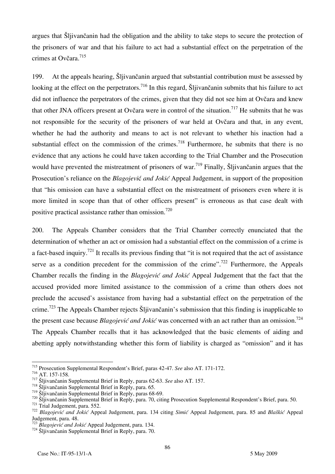argues that Šljivančanin had the obligation and the ability to take steps to secure the protection of the prisoners of war and that his failure to act had a substantial effect on the perpetration of the crimes at Ovčara.<sup>715</sup>

199. At the appeals hearing, Šliivančanin argued that substantial contribution must be assessed by looking at the effect on the perpetrators.<sup>716</sup> In this regard, Šljivančanin submits that his failure to act did not influence the perpetrators of the crimes, given that they did not see him at Ovčara and knew that other JNA officers present at Ovčara were in control of the situation.<sup>717</sup> He submits that he was not responsible for the security of the prisoners of war held at Ovčara and that, in any event, whether he had the authority and means to act is not relevant to whether his inaction had a substantial effect on the commission of the crimes.<sup>718</sup> Furthermore, he submits that there is no evidence that any actions he could have taken according to the Trial Chamber and the Prosecution would have prevented the mistreatment of prisoners of war.<sup>719</sup> Finally, Šljivančanin argues that the Prosecution's reliance on the *Blagojevi*ć *and Jokić* Appeal Judgement, in support of the proposition that "his omission can have a substantial effect on the mistreatment of prisoners even where it is more limited in scope than that of other officers present" is erroneous as that case dealt with positive practical assistance rather than omission.<sup>720</sup>

200. The Appeals Chamber considers that the Trial Chamber correctly enunciated that the determination of whether an act or omission had a substantial effect on the commission of a crime is a fact-based inquiry.<sup>721</sup> It recalls its previous finding that "it is not required that the act of assistance serve as a condition precedent for the commission of the crime".<sup>722</sup> Furthermore, the Appeals Chamber recalls the finding in the *Blagojević and Jokić* Appeal Judgement that the fact that the accused provided more limited assistance to the commission of a crime than others does not preclude the accused's assistance from having had a substantial effect on the perpetration of the crime.<sup>723</sup> The Appeals Chamber rejects Šljivančanin's submission that this finding is inapplicable to the present case because *Blagojević and Jokić* was concerned with an act rather than an omission.724 The Appeals Chamber recalls that it has acknowledged that the basic elements of aiding and abetting apply notwithstanding whether this form of liability is charged as "omission" and it has

 $\overline{a}$ 715 Prosecution Supplemental Respondent's Brief, paras 42-47. *See* also AT. 171-172.

<sup>&</sup>lt;sup>716</sup> AT. 157-158.<br><sup>717</sup> Šljivančanin Supplemental Brief in Reply, paras 62-63. *See* also AT. 157.<br><sup>718</sup> Šljivančanin Supplemental Brief in Reply, paras 68-69.<br><sup>719</sup> Šljivančanin Supplemental Brief in Reply, paras 68-69.

 $\frac{720}{21}$  Siljivančanin Supplemental Brief in Reply, para. 70, citing Prosecution Supplemental Respondent's Brief, para. 50.<br><sup>721</sup> Trial Judgement, para. 552.<br><sup>722</sup> Blagoiević and Jokić Appeal Judgement, para. 134 citi Judgement, para. 48.<br><sup>723</sup> Blagojević and Jokić Appeal Judgement, para. 134.

<sup>&</sup>lt;sup>724</sup> Šliivančanin Supplemental Brief in Reply, para. 70.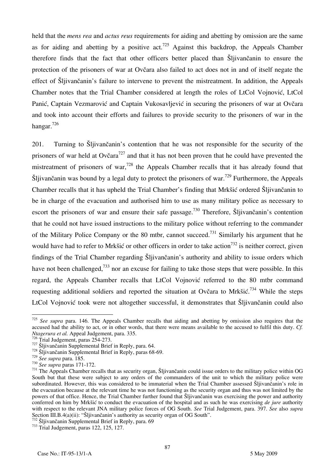held that the *mens rea* and *actus reus* requirements for aiding and abetting by omission are the same as for aiding and abetting by a positive act.<sup>725</sup> Against this backdrop, the Appeals Chamber therefore finds that the fact that other officers better placed than Šljivančanin to ensure the protection of the prisoners of war at Ovčara also failed to act does not in and of itself negate the effect of Šljivančanin's failure to intervene to prevent the mistreatment. In addition, the Appeals Chamber notes that the Trial Chamber considered at length the roles of LtCol Vojnović, LtCol Panić, Captain Vezmarović and Captain Vukosavljević in securing the prisoners of war at Ovčara and took into account their efforts and failures to provide security to the prisoners of war in the hangar.726

201. Turning to Šljivančanin's contention that he was not responsible for the security of the prisoners of war held at Ovčara<sup>727</sup> and that it has not been proven that he could have prevented the mistreatment of prisoners of war,<sup>728</sup> the Appeals Chamber recalls that it has already found that Šliivančanin was bound by a legal duty to protect the prisoners of war.<sup>729</sup> Furthermore, the Appeals Chamber recalls that it has upheld the Trial Chamber's finding that Mrkšić ordered Šljivančanin to be in charge of the evacuation and authorised him to use as many military police as necessary to escort the prisoners of war and ensure their safe passage.<sup>730</sup> Therefore, Šljivančanin's contention that he could not have issued instructions to the military police without referring to the commander of the Military Police Company or the 80 mtbr, cannot succeed.<sup>731</sup> Similarly his argument that he would have had to refer to Mrkšić or other officers in order to take action<sup>732</sup> is neither correct, given findings of the Trial Chamber regarding Šljivančanin's authority and ability to issue orders which have not been challenged,<sup>733</sup> nor an excuse for failing to take those steps that were possible. In this regard, the Appeals Chamber recalls that LtCol Vojnović referred to the 80 mtbr command requesting additional soldiers and reported the situation at Ovčara to Mrkšić.<sup>734</sup> While the steps LtCol Vojnović took were not altogether successful, it demonstrates that Šljivančanin could also

<sup>725</sup> *See supra* para. 146. The Appeals Chamber recalls that aiding and abetting by omission also requires that the accused had the ability to act, or in other words, that there were means available to the accused to fulfil this duty. *Cf. Ntagerura et al.* Appeal Judgement, para. 335.<br><sup>726</sup> Trial Judgement, paras 254-273.

<sup>727</sup> Sijivančanin Supplemental Brief in Reply, para. 64.<br><sup>728</sup> Šljivančanin Supplemental Brief in Reply, paras 68-69.<br><sup>729</sup> See supra para. 185.

<sup>&</sup>lt;sup>730</sup> *See supra* paras 171-172.<br><sup>731</sup> The Appeals Chamber recalls that as security organ, Šljivančanin could issue orders to the military police within OG South but that these were subject to any orders of the commanders of the unit to which the military police were subordinated. However, this was considered to be immaterial when the Trial Chamber assessed Sljivančanin's role in the evacuation because at the relevant time he was not functioning as the security organ and thus was not limited by the powers of that office. Hence, the Trial Chamber further found that Sljivančanin was exercising the power and authority conferred on him by Mrkšić to conduct the evacuation of the hospital and as such he was exercising *de jure* authority with respect to the relevant JNA military police forces of OG South. *See* Trial Judgement, para. 397. *See* also *supra* Section III.B.4(a)(ii): "Šljivančanin's authority as security organ of OG South".

 $^{732}$  Šljivančanin Supplemental Brief in Reply, para. 69<br> $^{733}$  Trial Judgement, paras 122, 125, 127.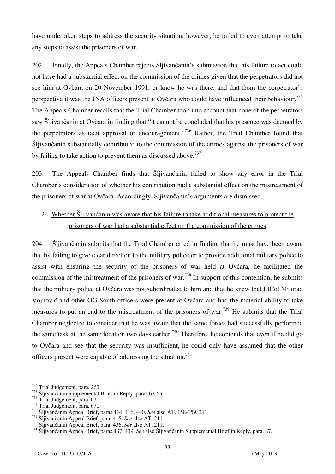have undertaken steps to address the security situation; however, he failed to even attempt to take any steps to assist the prisoners of war.

202. Finally, the Appeals Chamber rejects Šljivančanin's submission that his failure to act could not have had a substantial effect on the commission of the crimes given that the perpetrators did not see him at Ovčara on 20 November 1991, or know he was there, and that from the perpetrator's perspective it was the JNA officers present at Ovčara who could have influenced their behaviour.<sup>735</sup> The Appeals Chamber recalls that the Trial Chamber took into account that none of the perpetrators saw Šljivančanin at Ovčara in finding that "it cannot be concluded that his presence was deemed by the perpetrators as tacit approval or encouragement".<sup>736</sup> Rather, the Trial Chamber found that Šljivančanin substantially contributed to the commission of the crimes against the prisoners of war by failing to take action to prevent them as discussed above.<sup>737</sup>

203. The Appeals Chamber finds that Šljivančanin failed to show any error in the Trial Chamber's consideration of whether his contribution had a substantial effect on the mistreatment of the prisoners of war at Ovčara. Accordingly, Šljivančanin's arguments are dismissed.

## 2. Whether Šljivančanin was aware that his failure to take additional measures to protect the prisoners of war had a substantial effect on the commission of the crimes

204. Šljivančanin submits that the Trial Chamber erred in finding that he must have been aware that by failing to give clear direction to the military police or to provide additional military police to assist with ensuring the security of the prisoners of war held at Ovčara, he facilitated the commission of the mistreatment of the prisoners of war.<sup>738</sup> In support of this contention, he submits that the military police at Ovčara was not subordinated to him and that he knew that LtCol Milorad Vojnović and other OG South officers were present at Ovčara and had the material ability to take measures to put an end to the mistreatment of the prisoners of war.<sup>739</sup> He submits that the Trial Chamber neglected to consider that he was aware that the same forces had successfully performed the same task at the same location two days earlier.<sup>740</sup> Therefore, he contends that even if he did go to Ovčara and see that the security was insufficient, he could only have assumed that the other officers present were capable of addressing the situation.<sup>741</sup>

 $\frac{734}{11}$  Trial Judgement, para. 263.

<sup>&</sup>lt;sup>735</sup> Šljivančanin Supplemental Brief in Reply, paras 62-63.<br><sup>736</sup> Trial Judgement, para. 671.

<sup>&</sup>lt;sup>737</sup> Trial Judgement, para. 670.<br><sup>738</sup> Šljivančanin Appeal Brief, paras 414, 416, 440. *See* also AT. 158-159, 211.<br><sup>739</sup> Šljivančanin Appeal Brief, para. 415. *See* also AT. 211.

<sup>&</sup>lt;sup>740</sup> Šljivančanin Appeal Brief, para. 436. See also AT. 211.<br><sup>741</sup> Šljivančanin Appeal Brief, paras 437, 439. See also Šljivančanin Supplemental Brief in Reply, para. 87.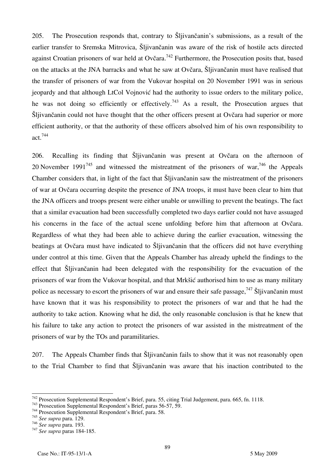205. The Prosecution responds that, contrary to Šljivančanin's submissions, as a result of the earlier transfer to Sremska Mitrovica, Šljivančanin was aware of the risk of hostile acts directed against Croatian prisoners of war held at Ovčara.<sup>742</sup> Furthermore, the Prosecution posits that, based on the attacks at the JNA barracks and what he saw at Ovčara, Šljivančanin must have realised that the transfer of prisoners of war from the Vukovar hospital on 20 November 1991 was in serious jeopardy and that although LtCol Vojnović had the authority to issue orders to the military police, he was not doing so efficiently or effectively.<sup>743</sup> As a result, the Prosecution argues that Šljivančanin could not have thought that the other officers present at Ovčara had superior or more efficient authority, or that the authority of these officers absolved him of his own responsibility to act.744

206. Recalling its finding that Šljivančanin was present at Ovčara on the afternoon of 20 November 1991<sup>745</sup> and witnessed the mistreatment of the prisoners of war,<sup>746</sup> the Appeals Chamber considers that, in light of the fact that Šljivančanin saw the mistreatment of the prisoners of war at Ovčara occurring despite the presence of JNA troops, it must have been clear to him that the JNA officers and troops present were either unable or unwilling to prevent the beatings. The fact that a similar evacuation had been successfully completed two days earlier could not have assuaged his concerns in the face of the actual scene unfolding before him that afternoon at Ovčara. Regardless of what they had been able to achieve during the earlier evacuation, witnessing the beatings at Ovčara must have indicated to Šljivančanin that the officers did not have everything under control at this time. Given that the Appeals Chamber has already upheld the findings to the effect that Šljivančanin had been delegated with the responsibility for the evacuation of the prisoners of war from the Vukovar hospital, and that Mrkšić authorised him to use as many military police as necessary to escort the prisoners of war and ensure their safe passage,  $^{747}$  Šljivančanin must have known that it was his responsibility to protect the prisoners of war and that he had the authority to take action. Knowing what he did, the only reasonable conclusion is that he knew that his failure to take any action to protect the prisoners of war assisted in the mistreatment of the prisoners of war by the TOs and paramilitaries.

207. The Appeals Chamber finds that Šljivančanin fails to show that it was not reasonably open to the Trial Chamber to find that Šljivančanin was aware that his inaction contributed to the

<sup>&</sup>lt;sup>742</sup> Prosecution Supplemental Respondent's Brief, para. 55, citing Trial Judgement, para. 665, fn. 1118.<br><sup>743</sup> Prosecution Supplemental Respondent's Brief, paras 56-57, 59.<br><sup>744</sup> Prosecution Supplemental Respondent's Brie

<sup>&</sup>lt;sup>744</sup> Prosecution Supplemental Respondent's Brief, para. 58.<br><sup>745</sup> *See supra* para. 129.<br><sup>746</sup> *See supra* para. 193.

<sup>746</sup> *See supra* para. 193. 747 *See supra* paras 184-185.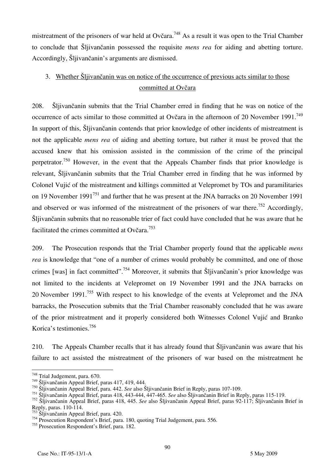mistreatment of the prisoners of war held at Ovčara.<sup>748</sup> As a result it was open to the Trial Chamber to conclude that Šljivančanin possessed the requisite *mens rea* for aiding and abetting torture. Accordingly, Šljivančanin's arguments are dismissed.

# 3. Whether Šljivančanin was on notice of the occurrence of previous acts similar to those committed at Ovčara

208. Šljivančanin submits that the Trial Chamber erred in finding that he was on notice of the occurrence of acts similar to those committed at Ovčara in the afternoon of 20 November 1991.<sup>749</sup> In support of this, Šljivančanin contends that prior knowledge of other incidents of mistreatment is not the applicable *mens rea* of aiding and abetting torture, but rather it must be proved that the accused knew that his omission assisted in the commission of the crime of the principal perpetrator.<sup>750</sup> However, in the event that the Appeals Chamber finds that prior knowledge is relevant, Šljivančanin submits that the Trial Chamber erred in finding that he was informed by Colonel Vujić of the mistreatment and killings committed at Velepromet by TOs and paramilitaries on 19 November 1991<sup>751</sup> and further that he was present at the JNA barracks on 20 November 1991 and observed or was informed of the mistreatment of the prisoners of war there.<sup>752</sup> Accordingly, Šljivančanin submits that no reasonable trier of fact could have concluded that he was aware that he facilitated the crimes committed at Ovčara.<sup>753</sup>

209. The Prosecution responds that the Trial Chamber properly found that the applicable *mens rea* is knowledge that "one of a number of crimes would probably be committed, and one of those crimes [was] in fact committed".<sup>754</sup> Moreover, it submits that Šljivančanin's prior knowledge was not limited to the incidents at Velepromet on 19 November 1991 and the JNA barracks on 20 November 1991.<sup>755</sup> With respect to his knowledge of the events at Velepromet and the JNA barracks, the Prosecution submits that the Trial Chamber reasonably concluded that he was aware of the prior mistreatment and it properly considered both Witnesses Colonel Vujić and Branko Korica's testimonies.756

210. The Appeals Chamber recalls that it has already found that Šljivančanin was aware that his failure to act assisted the mistreatment of the prisoners of war based on the mistreatment he

 $748$  Trial Judgement, para. 670.

 $749$  Šljivančanin Appeal Brief, paras 417, 419, 444.

<sup>&</sup>lt;sup>750</sup> Šljivančanin Appeal Brief, para. 442. *See* also Šljivančanin Brief in Reply, paras 107-109.

<sup>&</sup>lt;sup>751</sup> Šliivančanin Appeal Brief, paras 418, 443-444, 447-465. *See* also Šljivančanin Brief in Reply, paras 115-119.

<sup>&</sup>lt;sup>752</sup> Šljivančanin Appeal Brief, paras 418, 445. See also Šljivančanin Appeal Brief, paras 92-117; Šljivančanin Brief in Reply, paras. 110-114.

 $\widetilde{S}$ ljivančanin Appeal Brief, para. 420.

<sup>754</sup> Prosecution Respondent's Brief, para. 180, quoting Trial Judgement, para. 556.

<sup>755</sup> Prosecution Respondent's Brief, para. 182.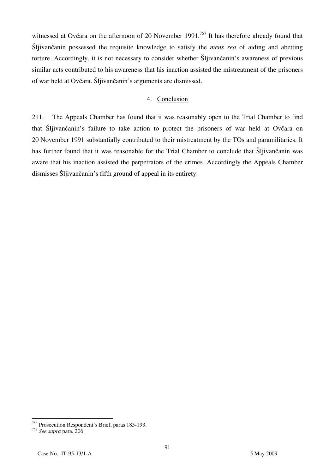witnessed at Ovčara on the afternoon of 20 November 1991.<sup>757</sup> It has therefore already found that Šljivančanin possessed the requisite knowledge to satisfy the *mens rea* of aiding and abetting torture. Accordingly, it is not necessary to consider whether Šljivančanin's awareness of previous similar acts contributed to his awareness that his inaction assisted the mistreatment of the prisoners of war held at Ovčara. Šljivančanin's arguments are dismissed.

### 4. Conclusion

211. The Appeals Chamber has found that it was reasonably open to the Trial Chamber to find that Šljivančanin's failure to take action to protect the prisoners of war held at Ovčara on 20 November 1991 substantially contributed to their mistreatment by the TOs and paramilitaries. It has further found that it was reasonable for the Trial Chamber to conclude that Šljivančanin was aware that his inaction assisted the perpetrators of the crimes. Accordingly the Appeals Chamber dismisses Šljivančanin's fifth ground of appeal in its entirety.

<sup>756</sup> Prosecution Respondent's Brief, paras 185-193.

<sup>757</sup> *See supra* para. 206.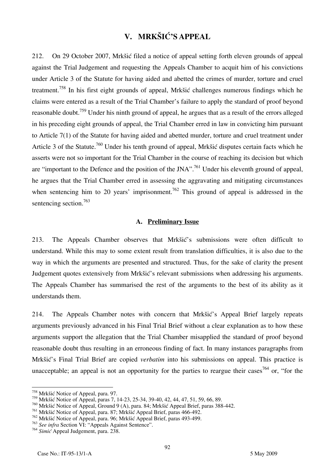# **V. MRKŠIĆ'S APPEAL**

212. On 29 October 2007, Mrkšić filed a notice of appeal setting forth eleven grounds of appeal against the Trial Judgement and requesting the Appeals Chamber to acquit him of his convictions under Article 3 of the Statute for having aided and abetted the crimes of murder, torture and cruel treatment.758 In his first eight grounds of appeal, Mrkšić challenges numerous findings which he claims were entered as a result of the Trial Chamber's failure to apply the standard of proof beyond reasonable doubt.<sup>759</sup> Under his ninth ground of appeal, he argues that as a result of the errors alleged in his preceding eight grounds of appeal, the Trial Chamber erred in law in convicting him pursuant to Article 7(1) of the Statute for having aided and abetted murder, torture and cruel treatment under Article 3 of the Statute.<sup>760</sup> Under his tenth ground of appeal, Mrkšić disputes certain facts which he asserts were not so important for the Trial Chamber in the course of reaching its decision but which are "important to the Defence and the position of the JNA".<sup>761</sup> Under his eleventh ground of appeal, he argues that the Trial Chamber erred in assessing the aggravating and mitigating circumstances when sentencing him to 20 years' imprisonment.<sup>762</sup> This ground of appeal is addressed in the sentencing section.<sup>763</sup>

#### **A. Preliminary Issue**

213. The Appeals Chamber observes that Mrkšić's submissions were often difficult to understand. While this may to some extent result from translation difficulties, it is also due to the way in which the arguments are presented and structured. Thus, for the sake of clarity the present Judgement quotes extensively from Mrkšić's relevant submissions when addressing his arguments. The Appeals Chamber has summarised the rest of the arguments to the best of its ability as it understands them.

214. The Appeals Chamber notes with concern that Mrkšić's Appeal Brief largely repeats arguments previously advanced in his Final Trial Brief without a clear explanation as to how these arguments support the allegation that the Trial Chamber misapplied the standard of proof beyond reasonable doubt thus resulting in an erroneous finding of fact. In many instances paragraphs from Mrkšić's Final Trial Brief are copied *verbatim* into his submissions on appeal. This practice is unacceptable; an appeal is not an opportunity for the parties to reargue their cases<sup>764</sup> or, "for the

<sup>&</sup>lt;sup>758</sup> Mrkšić Notice of Appeal, para. 97.

<sup>759</sup> Mrkšić Notice of Appeal, paras 7, 14-23, 25-34, 39-40, 42, 44, 47, 51, 59, 66, 89.

<sup>760</sup> Mrkšić Notice of Appeal, Ground 9 (A), para. 84; Mrkšić Appeal Brief, paras 388-442.

<sup>761</sup> Mrkšić Notice of Appeal, para. 87; Mrkšić Appeal Brief, paras 466-492.

<sup>762</sup> Mrkšić Notice of Appeal, para. 96; Mrkšić Appeal Brief, paras 493-499.

<sup>763</sup> *See infra* Section VI: "Appeals Against Sentence".

<sup>764</sup> *Simić* Appeal Judgement, para. 238.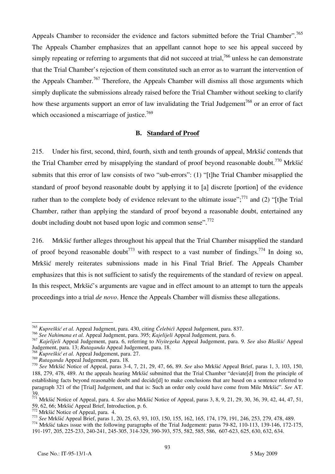Appeals Chamber to reconsider the evidence and factors submitted before the Trial Chamber".<sup>765</sup> The Appeals Chamber emphasizes that an appellant cannot hope to see his appeal succeed by simply repeating or referring to arguments that did not succeed at trial,<sup>766</sup> unless he can demonstrate that the Trial Chamber's rejection of them constituted such an error as to warrant the intervention of the Appeals Chamber.<sup>767</sup> Therefore, the Appeals Chamber will dismiss all those arguments which simply duplicate the submissions already raised before the Trial Chamber without seeking to clarify how these arguments support an error of law invalidating the Trial Judgement<sup>768</sup> or an error of fact which occasioned a miscarriage of justice.<sup>769</sup>

#### **B. Standard of Proof**

215. Under his first, second, third, fourth, sixth and tenth grounds of appeal, Mrkšić contends that the Trial Chamber erred by misapplying the standard of proof beyond reasonable doubt.<sup>770</sup> Mrkšić submits that this error of law consists of two "sub-errors": (1) "[t]he Trial Chamber misapplied the standard of proof beyond reasonable doubt by applying it to [a] discrete [portion] of the evidence rather than to the complete body of evidence relevant to the ultimate issue";<sup>771</sup> and (2) "[t] the Trial Chamber, rather than applying the standard of proof beyond a reasonable doubt, entertained any doubt including doubt not based upon logic and common sense".<sup>772</sup>

216. Mrkšić further alleges throughout his appeal that the Trial Chamber misapplied the standard of proof beyond reasonable doubt<sup>773</sup> with respect to a vast number of findings.<sup>774</sup> In doing so, Mrkšić merely reiterates submissions made in his Final Trial Brief. The Appeals Chamber emphasizes that this is not sufficient to satisfy the requirements of the standard of review on appeal. In this respect, Mrkšić's arguments are vague and in effect amount to an attempt to turn the appeals proceedings into a trial *de novo*. Hence the Appeals Chamber will dismiss these allegations.

<sup>765</sup> *Kupreškić et al.* Appeal Judgment, para. 430, citing *Čelebići* Appeal Judgement, para. 837.

<sup>766</sup> *See Nahimana et al.* Appeal Judgment, para. 395; *Kajelijeli* Appeal Judgement, para. 6.

<sup>767</sup> *Kajelijeli* Appeal Judgement, para. 6, referring to *Niyitegeka* Appeal Judgement, para. 9. *See* also *Blaškić* Appeal Judgement, para. 13; *Rutaganda* Appeal Judgement, para. 18.

<sup>768</sup> *Kupreškić et al.* Appeal Judgement, para. 27.

<sup>769</sup> *Rutaganda* Appeal Judgement, para. 18. <sup>770</sup> *See* Mrkšić Notice of Appeal, paras 3-4, 7, 21, 29, 47, 66, 89. *See* also Mrkšić Appeal Brief, paras 1, 3, 103, 150, 188, 279, 478, 489. At the appeals hearing Mrkšić submitted that the Trial Chamber "deviate<sup>d</sup> from the principle of establishing facts beyond reasonable doubt and decide<sup>[d]</sup> to make conclusions that are based on a sentence referred to paragraph 321 of the [Trial] Judgement, and that is: Such an order only could have come from Mile Mrk $\delta i \delta'$ . See AT. 39.

<sup>771</sup> Mrkšić Notice of Appeal, para. 4. *See* also Mrkšić Notice of Appeal, paras 3, 8, 9, 21, 29, 30, 36, 39, 42, 44, 47, 51,

<sup>59, 62, 66;</sup> Mrkšić Appeal Brief, Introduction, p. 6.<br>
<sup>772</sup> Mrkšić Notice of Appeal, para. 4.<br>
<sup>773</sup> See Mrkšić Appeal Brief, paras 1, 20, 25, 63, 93, 103, 150, 155, 162, 165, 174, 179, 191, 246, 253, 279, 478, 489.<br>
<sup>774</sup>

<sup>191-197, 205, 225-233, 240-241, 245-305, 314-329, 390-393, 575, 582, 585, 586, 607-623, 625, 630, 632, 634.</sup>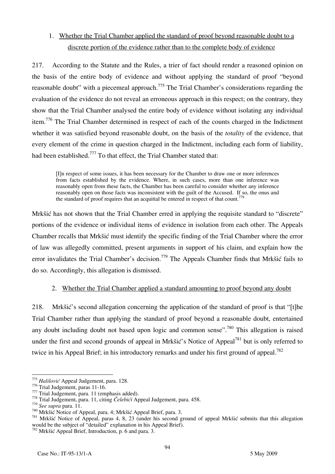# 1. Whether the Trial Chamber applied the standard of proof beyond reasonable doubt to a discrete portion of the evidence rather than to the complete body of evidence

217. According to the Statute and the Rules, a trier of fact should render a reasoned opinion on the basis of the entire body of evidence and without applying the standard of proof "beyond reasonable doubt" with a piecemeal approach.<sup>775</sup> The Trial Chamber's considerations regarding the evaluation of the evidence do not reveal an erroneous approach in this respect; on the contrary, they show that the Trial Chamber analysed the entire body of evidence without isolating any individual item.<sup>776</sup> The Trial Chamber determined in respect of each of the counts charged in the Indictment whether it was satisfied beyond reasonable doubt, on the basis of the *totality* of the evidence, that every element of the crime in question charged in the Indictment, including each form of liability, had been established.<sup>777</sup> To that effect, the Trial Chamber stated that:

In respect of some issues, it has been necessary for the Chamber to draw one or more inferences from facts established by the evidence. Where, in such cases, more than one inference was reasonably open from these facts, the Chamber has been careful to consider whether any inference reasonably open on those facts was inconsistent with the guilt of the Accused. If so, the onus and the standard of proof requires that an acquittal be entered in respect of that count.<sup>778</sup>

Mrkšić has not shown that the Trial Chamber erred in applying the requisite standard to "discrete" portions of the evidence or individual items of evidence in isolation from each other. The Appeals Chamber recalls that Mrkšić must identify the specific finding of the Trial Chamber where the error of law was allegedly committed, present arguments in support of his claim, and explain how the error invalidates the Trial Chamber's decision.<sup>779</sup> The Appeals Chamber finds that Mrkšić fails to do so. Accordingly, this allegation is dismissed.

### 2. Whether the Trial Chamber applied a standard amounting to proof beyond any doubt

218. Mrkšić's second allegation concerning the application of the standard of proof is that "[t]he Trial Chamber rather than applying the standard of proof beyond a reasonable doubt, entertained any doubt including doubt not based upon logic and common sense".<sup>780</sup> This allegation is raised under the first and second grounds of appeal in Mrkšić's Notice of Appeal<sup>781</sup> but is only referred to twice in his Appeal Brief; in his introductory remarks and under his first ground of appeal.<sup>782</sup>

 $\overline{a}$ <sup>775</sup> *Halilović* Appeal Judgement, para. 128.

<sup>776</sup> Trial Judgement, paras 11-16.<br>
777 Trial Judgement, para. 11 (emphasis added).<br>
778 Trial Judgement, para. 11, citing *Čelebići* Appeal Judgement, para. 458.<br>
779 See supra para. 11.

<sup>779</sup> *See supra* para. 11. 780 Mrkšić Notice of Appeal, para. 4; Mrkšić Appeal Brief, para. 3. 781 Mrkšić Notice of Appeal, paras 4, 8, 23 (under his second ground of appeal Mrkšić submits that this allegation would be the subject of "detailed" explanation in his Appeal Brief).

<sup>782</sup> Mrkšić Appeal Brief, Introduction, p. 6 and para. 3.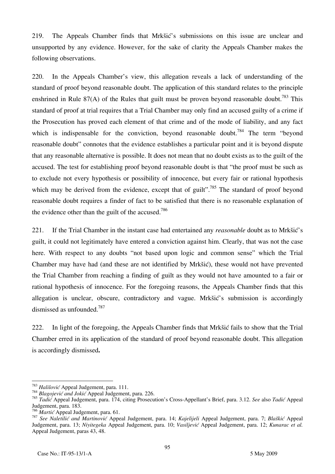219. The Appeals Chamber finds that Mrkšić's submissions on this issue are unclear and unsupported by any evidence. However, for the sake of clarity the Appeals Chamber makes the following observations.

220. In the Appeals Chamber's view, this allegation reveals a lack of understanding of the standard of proof beyond reasonable doubt. The application of this standard relates to the principle enshrined in Rule 87(A) of the Rules that guilt must be proven beyond reasonable doubt.<sup>783</sup> This standard of proof at trial requires that a Trial Chamber may only find an accused guilty of a crime if the Prosecution has proved each element of that crime and of the mode of liability, and any fact which is indispensable for the conviction, beyond reasonable doubt.<sup>784</sup> The term "beyond reasonable doubt" connotes that the evidence establishes a particular point and it is beyond dispute that any reasonable alternative is possible. It does not mean that no doubt exists as to the guilt of the accused. The test for establishing proof beyond reasonable doubt is that "the proof must be such as to exclude not every hypothesis or possibility of innocence, but every fair or rational hypothesis which may be derived from the evidence, except that of guilt".<sup>785</sup> The standard of proof beyond reasonable doubt requires a finder of fact to be satisfied that there is no reasonable explanation of the evidence other than the guilt of the accused.<sup>786</sup>

221. If the Trial Chamber in the instant case had entertained any *reasonable* doubt as to Mrkšić's guilt, it could not legitimately have entered a conviction against him. Clearly, that was not the case here. With respect to any doubts "not based upon logic and common sense" which the Trial Chamber may have had (and these are not identified by Mrkšić), these would not have prevented the Trial Chamber from reaching a finding of guilt as they would not have amounted to a fair or rational hypothesis of innocence. For the foregoing reasons, the Appeals Chamber finds that this allegation is unclear, obscure, contradictory and vague. Mrkšić's submission is accordingly dismissed as unfounded.787

222. In light of the foregoing, the Appeals Chamber finds that Mrkšić fails to show that the Trial Chamber erred in its application of the standard of proof beyond reasonable doubt. This allegation is accordingly dismissed**.** 

<sup>&</sup>lt;sup>783</sup> Halilović Appeal Judgement, para. 111.

<sup>783</sup> *Halilovi<sup>ć</sup>* Appeal Judgement, para. 111. 784 *Blagojević and Joki<sup>ć</sup>* Appeal Judgement, para. 226.

<sup>785</sup> *Tadić* Appeal Judgement, para. 174, citing Prosecution's Cross-Appellant's Brief, para. 3.12. *See* also *Tadić* Appeal Judgement, para. 183.<br><sup>786</sup> Martić Appeal Judgement, para. 61.

<sup>786</sup> *Marti<sup>ć</sup>* Appeal Judgement, para. 61. 787 *See Naletilić and Martinovi<sup>ć</sup>* Appeal Judgement, para. 14; *Kajelijeli* Appeal Judgement, para. 7; *Blaški<sup>ć</sup>* Appeal Judgement, para. 13; *Niyitegeka* Appeal Judgement, para. 10; *Vasiljević* Appeal Judgement, para. 12; *Kunarac et al.*  Appeal Judgement, paras 43, 48.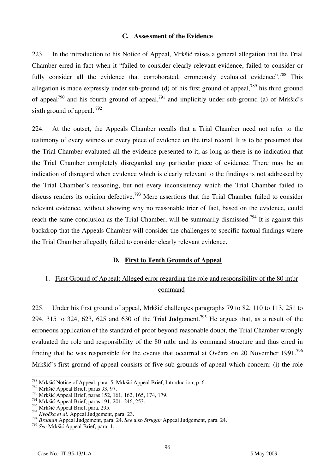#### **C. Assessment of the Evidence**

223. In the introduction to his Notice of Appeal, Mrkšić raises a general allegation that the Trial Chamber erred in fact when it "failed to consider clearly relevant evidence, failed to consider or fully consider all the evidence that corroborated, erroneously evaluated evidence".<sup>788</sup> This allegation is made expressly under sub-ground (d) of his first ground of appeal,<sup>789</sup> his third ground of appeal<sup>790</sup> and his fourth ground of appeal,<sup>791</sup> and implicitly under sub-ground (a) of Mrkšić's sixth ground of appeal.  $792$ 

224. At the outset, the Appeals Chamber recalls that a Trial Chamber need not refer to the testimony of every witness or every piece of evidence on the trial record. It is to be presumed that the Trial Chamber evaluated all the evidence presented to it, as long as there is no indication that the Trial Chamber completely disregarded any particular piece of evidence. There may be an indication of disregard when evidence which is clearly relevant to the findings is not addressed by the Trial Chamber's reasoning, but not every inconsistency which the Trial Chamber failed to discuss renders its opinion defective.<sup>793</sup> Mere assertions that the Trial Chamber failed to consider relevant evidence, without showing why no reasonable trier of fact, based on the evidence, could reach the same conclusion as the Trial Chamber, will be summarily dismissed.<sup>794</sup> It is against this backdrop that the Appeals Chamber will consider the challenges to specific factual findings where the Trial Chamber allegedly failed to consider clearly relevant evidence.

#### **D. First to Tenth Grounds of Appeal**

## 1. First Ground of Appeal: Alleged error regarding the role and responsibility of the 80 mtbr command

225. Under his first ground of appeal, Mrkšić challenges paragraphs 79 to 82, 110 to 113, 251 to 294, 315 to 324, 623, 625 and 630 of the Trial Judgement.<sup>795</sup> He argues that, as a result of the erroneous application of the standard of proof beyond reasonable doubt, the Trial Chamber wrongly evaluated the role and responsibility of the 80 mtbr and its command structure and thus erred in finding that he was responsible for the events that occurred at Ovčara on 20 November 1991.<sup>796</sup> Mrkšić's first ground of appeal consists of five sub-grounds of appeal which concern: (i) the role

<sup>788</sup> Mrkšić Notice of Appeal, para. 5; Mrkšić Appeal Brief, Introduction, p. 6.

<sup>789</sup> Mrkšić Appeal Brief, paras 93, 97.

<sup>790</sup> Mrkšić Appeal Brief, paras 152, 161, 162, 165, 174, 179.

<sup>791</sup> Mrkšić Appeal Brief, paras 191, 201, 246, 253.

<sup>792</sup> Mrkšić Appeal Brief, para. 295.

<sup>793</sup> *Kvočka et al.* Appeal Judgement, para. 23.

<sup>794</sup> *Br|anin* Appeal Judgement, para. 24. *See* also *Strugar* Appeal Judgement, para. 24.

<sup>795</sup> *See* Mrkšić Appeal Brief, para. 1.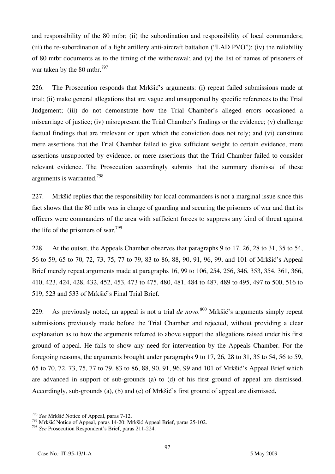and responsibility of the 80 mtbr; (ii) the subordination and responsibility of local commanders; (iii) the re-subordination of a light artillery anti-aircraft battalion ("LAD PVO"); (iv) the reliability of 80 mtbr documents as to the timing of the withdrawal; and (v) the list of names of prisoners of war taken by the 80 mtbr.<sup>797</sup>

226. The Prosecution responds that Mrkšić's arguments: (i) repeat failed submissions made at trial; (ii) make general allegations that are vague and unsupported by specific references to the Trial Judgement; (iii) do not demonstrate how the Trial Chamber's alleged errors occasioned a miscarriage of justice; (iv) misrepresent the Trial Chamber's findings or the evidence; (v) challenge factual findings that are irrelevant or upon which the conviction does not rely; and (vi) constitute mere assertions that the Trial Chamber failed to give sufficient weight to certain evidence, mere assertions unsupported by evidence, or mere assertions that the Trial Chamber failed to consider relevant evidence. The Prosecution accordingly submits that the summary dismissal of these arguments is warranted.798

227. Mrkšić replies that the responsibility for local commanders is not a marginal issue since this fact shows that the 80 mtbr was in charge of guarding and securing the prisoners of war and that its officers were commanders of the area with sufficient forces to suppress any kind of threat against the life of the prisoners of war.<sup>799</sup>

228. At the outset, the Appeals Chamber observes that paragraphs 9 to 17, 26, 28 to 31, 35 to 54, 56 to 59, 65 to 70, 72, 73, 75, 77 to 79, 83 to 86, 88, 90, 91, 96, 99, and 101 of Mrkšić's Appeal Brief merely repeat arguments made at paragraphs 16, 99 to 106, 254, 256, 346, 353, 354, 361, 366, 410, 423, 424, 428, 432, 452, 453, 473 to 475, 480, 481, 484 to 487, 489 to 495, 497 to 500, 516 to 519, 523 and 533 of Mrkšić's Final Trial Brief.

229. As previously noted, an appeal is not a trial *de novo.*<sup>800</sup> Mrkšić's arguments simply repeat submissions previously made before the Trial Chamber and rejected, without providing a clear explanation as to how the arguments referred to above support the allegations raised under his first ground of appeal. He fails to show any need for intervention by the Appeals Chamber. For the foregoing reasons, the arguments brought under paragraphs 9 to 17, 26, 28 to 31, 35 to 54, 56 to 59, 65 to 70, 72, 73, 75, 77 to 79, 83 to 86, 88, 90, 91, 96, 99 and 101 of Mrkšić's Appeal Brief which are advanced in support of sub-grounds (a) to (d) of his first ground of appeal are dismissed. Accordingly, sub-grounds (a), (b) and (c) of Mrkšić's first ground of appeal are dismissed**.** 

 $\overline{a}$ <sup>796</sup> *See* Mrkšić Notice of Appeal, paras 7-12.

<sup>&</sup>lt;sup>797</sup> Mrkšić Notice of Appeal, paras 14-20; Mrkšić Appeal Brief, paras 25-102.

<sup>798</sup> *See* Prosecution Respondent's Brief, paras 211-224.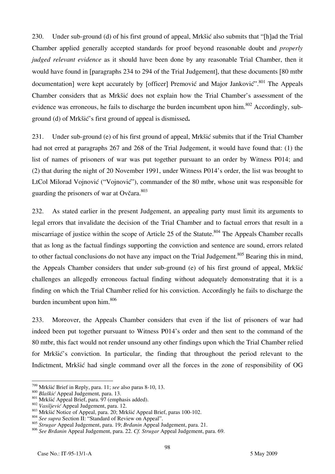230. Under sub-ground (d) of his first ground of appeal, Mrkšić also submits that "[h]ad the Trial Chamber applied generally accepted standards for proof beyond reasonable doubt and *properly judged relevant evidence* as it should have been done by any reasonable Trial Chamber, then it would have found in [paragraphs 234 to 294 of the Trial Judgement], that these documents [80 mtbr documentation] were kept accurately by [officer] Premović and Major Janković".<sup>801</sup> The Appeals Chamber considers that as Mrkšić does not explain how the Trial Chamber's assessment of the evidence was erroneous, he fails to discharge the burden incumbent upon him.<sup>802</sup> Accordingly, subground (d) of Mrkšić's first ground of appeal is dismissed**.** 

231. Under sub-ground (e) of his first ground of appeal, Mrkšić submits that if the Trial Chamber had not erred at paragraphs 267 and 268 of the Trial Judgement, it would have found that: (1) the list of names of prisoners of war was put together pursuant to an order by Witness P014; and (2) that during the night of 20 November 1991, under Witness P014's order, the list was brought to LtCol Milorad Voinović ("Vojnović"), commander of the 80 mtbr, whose unit was responsible for guarding the prisoners of war at Ovčara. $803$ 

232. As stated earlier in the present Judgement, an appealing party must limit its arguments to legal errors that invalidate the decision of the Trial Chamber and to factual errors that result in a miscarriage of justice within the scope of Article 25 of the Statute.<sup>804</sup> The Appeals Chamber recalls that as long as the factual findings supporting the conviction and sentence are sound, errors related to other factual conclusions do not have any impact on the Trial Judgement.<sup>805</sup> Bearing this in mind, the Appeals Chamber considers that under sub-ground (e) of his first ground of appeal, Mrkšić challenges an allegedly erroneous factual finding without adequately demonstrating that it is a finding on which the Trial Chamber relied for his conviction. Accordingly he fails to discharge the burden incumbent upon him.<sup>806</sup>

233. Moreover, the Appeals Chamber considers that even if the list of prisoners of war had indeed been put together pursuant to Witness P014's order and then sent to the command of the 80 mtbr, this fact would not render unsound any other findings upon which the Trial Chamber relied for Mrkšić's conviction. In particular, the finding that throughout the period relevant to the Indictment, Mrkšić had single command over all the forces in the zone of responsibility of OG

<sup>799</sup> Mrkšić Brief in Reply, para. 11; see also paras 8-10, 13.

<sup>&</sup>lt;sup>800</sup> Blaškić Appeal Judgement, para. 13.<br><sup>801</sup> Mrkšić Appeal Brief, para. 97 (emphasis added).<br><sup>802</sup> Vasiljević Appeal Judgement, para. 12.<br><sup>803</sup> Mrkšić Notice of Appeal, para. 20; Mrkšić Appeal Brief, paras 100-102.<br><sup>80</sup>

<sup>805</sup> *Strugar* Appeal Judgement, para. 19; *Brđanin* Appeal Judgement, para. 21.

<sup>806</sup> *See Brđanin* Appeal Judgement, para. 22. *Cf. Strugar* Appeal Judgement, para. 69.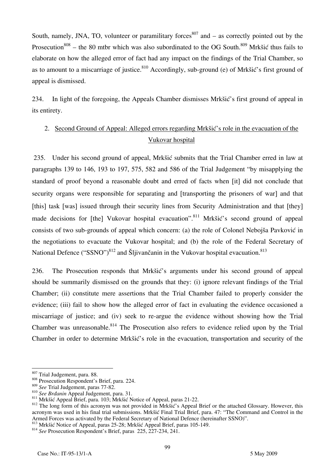South, namely, JNA, TO, volunteer or paramilitary forces  $807$  and – as correctly pointed out by the Prosecution<sup>808</sup> – the 80 mtbr which was also subordinated to the OG South.<sup>809</sup> Mrkšić thus fails to elaborate on how the alleged error of fact had any impact on the findings of the Trial Chamber, so as to amount to a miscarriage of justice.<sup>810</sup> Accordingly, sub-ground (e) of Mrkšić's first ground of appeal is dismissed.

234. In light of the foregoing, the Appeals Chamber dismisses Mrkšić's first ground of appeal in its entirety.

## 2. Second Ground of Appeal: Alleged errors regarding Mrkšić's role in the evacuation of the Vukovar hospital

 235. Under his second ground of appeal, Mrkšić submits that the Trial Chamber erred in law at paragraphs 139 to 146, 193 to 197, 575, 582 and 586 of the Trial Judgement "by misapplying the standard of proof beyond a reasonable doubt and erred of facts when [it] did not conclude that security organs were responsible for separating and [transporting the prisoners of war] and that [this] task [was] issued through their security lines from Security Administration and that [they] made decisions for [the] Vukovar hospital evacuation".<sup>811</sup> Mrkšić's second ground of appeal consists of two sub-grounds of appeal which concern: (a) the role of Colonel Nebojša Pavković in the negotiations to evacuate the Vukovar hospital; and (b) the role of the Federal Secretary of National Defence (" $SSNO$ ")<sup>812</sup> and Šljivančanin in the Vukovar hospital evacuation.<sup>813</sup>

236. The Prosecution responds that Mrkšić's arguments under his second ground of appeal should be summarily dismissed on the grounds that they: (i) ignore relevant findings of the Trial Chamber; (ii) constitute mere assertions that the Trial Chamber failed to properly consider the evidence; (iii) fail to show how the alleged error of fact in evaluating the evidence occasioned a miscarriage of justice; and (iv) seek to re-argue the evidence without showing how the Trial Chamber was unreasonable.<sup>814</sup> The Prosecution also refers to evidence relied upon by the Trial Chamber in order to determine Mrkšić's role in the evacuation, transportation and security of the

<sup>807</sup> Trial Judgement, para. 88.

<sup>&</sup>lt;sup>808</sup> Prosecution Respondent's Brief, para. 224.<br><sup>809</sup> See Trial Judgement, paras 77-82.

<sup>&</sup>lt;sup>810</sup> See Brdanin Appeal Judgement, para. 31.<br><sup>811</sup> Mrkšić Appeal Brief, para. 103; Mrkšić Notice of Appeal, paras 21-22.<br><sup>812</sup> The long form of this acronym was not provided in Mrkšić's Appeal Brief or the attached Gloss acronym was used in his final trial submissions. Mrkšić Final Trial Brief, para. 47: "The Command and Control in the Armed Forces was activated by the Federal Secretary of National Defence (hereinafter SSNO)".

 $^{813}$  Mrkšić Notice of Appeal, paras 25-28; Mrkšić Appeal Brief, paras 105-149.<br> $^{814}$  See Prosecution Respondent's Brief, paras 225, 227-234, 241.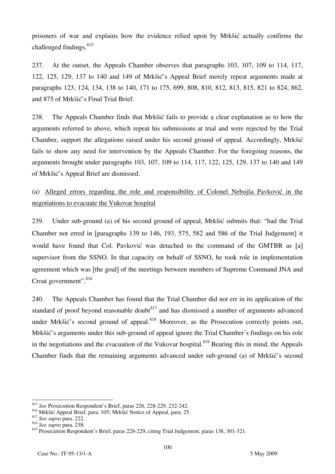prisoners of war and explains how the evidence relied upon by Mrkšić actually confirms the challenged findings.<sup>815</sup>

237. At the outset, the Appeals Chamber observes that paragraphs 103, 107, 109 to 114, 117, 122, 125, 129, 137 to 140 and 149 of Mrkšić's Appeal Brief merely repeat arguments made at paragraphs 123, 124, 134, 138 to 140, 171 to 175, 699, 808, 810, 812, 813, 815, 821 to 824, 862, and 875 of Mrkšić's Final Trial Brief.

238. The Appeals Chamber finds that Mrkšić fails to provide a clear explanation as to how the arguments referred to above, which repeat his submissions at trial and were rejected by the Trial Chamber, support the allegations raised under his second ground of appeal. Accordingly, Mrkšić fails to show any need for intervention by the Appeals Chamber. For the foregoing reasons, the arguments brought under paragraphs 103, 107, 109 to 114, 117, 122, 125, 129, 137 to 140 and 149 of Mrkšić's Appeal Brief are dismissed.

# (a) Alleged errors regarding the role and responsibility of Colonel Nebojša Pavković in the negotiations to evacuate the Vukovar hospital

239. Under sub-ground (a) of his second ground of appeal, Mrkšić submits that: "had the Trial Chamber not erred in [paragraphs 139 to 146, 193, 575, 582 and 586 of the Trial Judgement] it would have found that Col. Pavković was detached to the command of the GMTBR as [a] supervisor from the SSNO. In that capacity on behalf of SSNO, he took role in implementation agreement which was lthe goall of the meetings between members of Supreme Command JNA and Croat government".<sup>816</sup>

240. The Appeals Chamber has found that the Trial Chamber did not err in its application of the standard of proof beyond reasonable doubt<sup>817</sup> and has dismissed a number of arguments advanced under Mrkšić's second ground of appeal.<sup>818</sup> Moreover, as the Prosecution correctly points out, Mrkšić's arguments under this sub-ground of appeal ignore the Trial Chamber's findings on his role in the negotiations and the evacuation of the Vukovar hospital.<sup>819</sup> Bearing this in mind, the Appeals Chamber finds that the remaining arguments advanced under sub-ground (a) of Mrkšić's second

 $\overline{a}$ <sup>815</sup> *See* Prosecution Respondent's Brief, paras 226, 228-229, 232-242.

<sup>816</sup> Mrkšić Appeal Brief, para. 105; Mrkšić Notice of Appeal, para. 25. 817 *See supra* para. 222. 818 *See supra* para. 238.

<sup>819</sup> Prosecution Respondent's Brief, paras 228-229, citing Trial Judgement, paras 138, 301-321.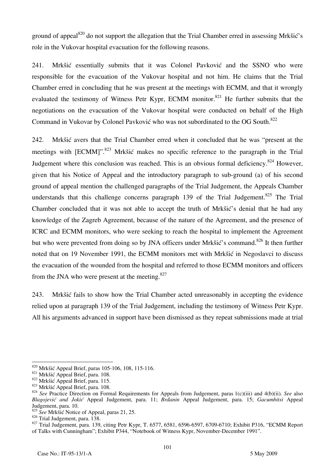ground of appeal<sup>820</sup> do not support the allegation that the Trial Chamber erred in assessing Mrkšić's role in the Vukovar hospital evacuation for the following reasons.

241. Mrkšić essentially submits that it was Colonel Pavković and the SSNO who were responsible for the evacuation of the Vukovar hospital and not him. He claims that the Trial Chamber erred in concluding that he was present at the meetings with ECMM, and that it wrongly evaluated the testimony of Witness Petr Kypr, ECMM monitor.<sup>821</sup> He further submits that the negotiations on the evacuation of the Vukovar hospital were conducted on behalf of the High Command in Vukovar by Colonel Pavković who was not subordinated to the OG South.<sup>822</sup>

242. Mrkšić avers that the Trial Chamber erred when it concluded that he was "present at the meetings with  $[ECMM]$ <sup>", 823</sup> Mrkšić makes no specific reference to the paragraph in the Trial Judgement where this conclusion was reached. This is an obvious formal deficiency.<sup>824</sup> However, given that his Notice of Appeal and the introductory paragraph to sub-ground (a) of his second ground of appeal mention the challenged paragraphs of the Trial Judgement, the Appeals Chamber understands that this challenge concerns paragraph 139 of the Trial Judgement.<sup>825</sup> The Trial Chamber concluded that it was not able to accept the truth of Mrkšić's denial that he had any knowledge of the Zagreb Agreement, because of the nature of the Agreement, and the presence of ICRC and ECMM monitors, who were seeking to reach the hospital to implement the Agreement but who were prevented from doing so by JNA officers under Mrkšić's command.<sup>826</sup> It then further noted that on 19 November 1991, the ECMM monitors met with Mrkšić in Negoslavci to discuss the evacuation of the wounded from the hospital and referred to those ECMM monitors and officers from the JNA who were present at the meeting. $827$ 

243. Mrkšić fails to show how the Trial Chamber acted unreasonably in accepting the evidence relied upon at paragraph 139 of the Trial Judgement, including the testimony of Witness Petr Kypr. All his arguments advanced in support have been dismissed as they repeat submissions made at trial

 $820$  Mrkšić Appeal Brief, paras 105-106, 108, 115-116.

<sup>&</sup>lt;sup>821</sup> Mrkšić Appeal Brief, para. 108.<br><sup>822</sup> Mrkšić Appeal Brief, para. 115.<br><sup>823</sup> Mrkšić Appeal Brief, para. 108.<br><sup>824</sup> See Practice Direction on Formal Requirements for Appeals from Judgement, paras 1(c)(iii) and 4(b)(ii *Blagojević and Jokić* Appeal Judgement, para. 11; *Brđanin* Appeal Judgement, para. 15; *Gacumbitsi* Appeal Judgement, para. 10.

<sup>&</sup>lt;sup>825</sup> *See* Mrkšić Notice of Appeal, paras 21, 25.<br><sup>826</sup> Trial Judgement, para. 138.

<sup>&</sup>lt;sup>827</sup> Trial Judgement, para. 139, citing Petr Kypr, T. 6577, 6581, 6596-6597, 6709-6710; Exhibit P316, "ECMM Report of Talks with Cunningham"; Exhibit P344, "Notebook of Witness Kypr, November-December 1991".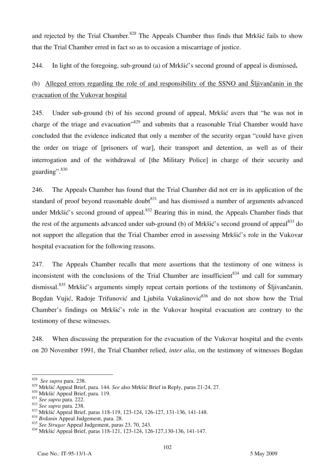and rejected by the Trial Chamber.<sup>828</sup> The Appeals Chamber thus finds that Mrkšić fails to show that the Trial Chamber erred in fact so as to occasion a miscarriage of justice.

244. In light of the foregoing, sub-ground (a) of Mrkšić's second ground of appeal is dismissed**.** 

(b) Alleged errors regarding the role of and responsibility of the SSNO and Šljivančanin in the evacuation of the Vukovar hospital

245. Under sub-ground (b) of his second ground of appeal, Mrkšić avers that "he was not in charge of the triage and evacuation<sup>3829</sup> and submits that a reasonable Trial Chamber would have concluded that the evidence indicated that only a member of the security organ "could have given the order on triage of [prisoners of war], their transport and detention, as well as of their interrogation and of the withdrawal of [the Military Police] in charge of their security and guarding". 830

246. The Appeals Chamber has found that the Trial Chamber did not err in its application of the standard of proof beyond reasonable doubt<sup>831</sup> and has dismissed a number of arguments advanced under Mrkšić's second ground of appeal.<sup>832</sup> Bearing this in mind, the Appeals Chamber finds that the rest of the arguments advanced under sub-ground (b) of Mrkšić's second ground of appeal<sup>833</sup> do not support the allegation that the Trial Chamber erred in assessing Mrkšić's role in the Vukovar hospital evacuation for the following reasons.

247. The Appeals Chamber recalls that mere assertions that the testimony of one witness is inconsistent with the conclusions of the Trial Chamber are insufficient  $834$  and call for summary dismissal.<sup>835</sup> Mrkšić's arguments simply repeat certain portions of the testimony of Šljivančanin, Bogdan Vujić, Radoje Trifunović and Ljubiša Vukašinović<sup>836</sup> and do not show how the Trial Chamber's findings on Mrkšić's role in the Vukovar hospital evacuation are contrary to the testimony of these witnesses.

248. When discussing the preparation for the evacuation of the Vukovar hospital and the events on 20 November 1991, the Trial Chamber relied, *inter alia*, on the testimony of witnesses Bogdan

<sup>828</sup> *See supra* para. 238.

<sup>&</sup>lt;sup>829</sup> Mrkšić Appeal Brief, para. 144. *See* also Mrkšić Brief in Reply, paras 21-24, 27.<br><sup>830</sup> Mrkšić Appeal Brief, para. 119.<br><sup>831</sup> *See supra* para. 222.<br><sup>832</sup> *See supra* para. 238.<br><sup>833</sup> Mrkšić Appeal Brief, paras 118

<sup>835</sup> *See Strugar* Appeal Judgement, paras 23, 70, 243.

<sup>836</sup> Mrkšić Appeal Brief, paras 118-121, 123-124, 126-127,130-136, 141-147.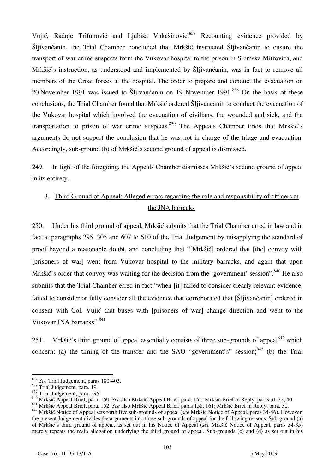Vujić, Radoje Trifunović and Ljubiša Vukašinović.<sup>837</sup> Recounting evidence provided by Šljivančanin, the Trial Chamber concluded that Mrkšić instructed Šljivančanin to ensure the transport of war crime suspects from the Vukovar hospital to the prison in Sremska Mitrovica, and Mrkšić's instruction, as understood and implemented by Šljivančanin, was in fact to remove all members of the Croat forces at the hospital. The order to prepare and conduct the evacuation on 20 November 1991 was issued to Šljivančanin on 19 November 1991.<sup>838</sup> On the basis of these conclusions, the Trial Chamber found that Mrkšić ordered Šljivančanin to conduct the evacuation of the Vukovar hospital which involved the evacuation of civilians, the wounded and sick, and the transportation to prison of war crime suspects.<sup>839</sup> The Appeals Chamber finds that Mrkšić's arguments do not support the conclusion that he was not in charge of the triage and evacuation. Accordingly, sub-ground (b) of Mrkšić's second ground of appeal is dismissed.

249. In light of the foregoing, the Appeals Chamber dismisses Mrkšić's second ground of appeal in its entirety.

# 3. Third Ground of Appeal: Alleged errors regarding the role and responsibility of officers at the JNA barracks

250. Under his third ground of appeal, Mrkšić submits that the Trial Chamber erred in law and in fact at paragraphs 295, 305 and 607 to 610 of the Trial Judgement by misapplying the standard of proof beyond a reasonable doubt, and concluding that "[Mrkšić] ordered that [the] convoy with [prisoners of war] went from Vukovar hospital to the military barracks, and again that upon Mrkšić's order that convoy was waiting for the decision from the 'government' session".<sup>840</sup> He also submits that the Trial Chamber erred in fact "when [it] failed to consider clearly relevant evidence, failed to consider or fully consider all the evidence that corroborated that [Sljivančanin] ordered in consent with Col. Vujić that buses with [prisoners of war] change direction and went to the Vukovar JNA barracks". 841

251. Mrkšić's third ground of appeal essentially consists of three sub-grounds of appeal  $842$  which concern: (a) the timing of the transfer and the SAO "government's" session; $843$  (b) the Trial

 $\overline{a}$ <sup>837</sup> *See* Trial Judgement, paras 180-403.<br><sup>838</sup> Trial Judgement, para. 191.

<sup>&</sup>lt;sup>839</sup> Trial Judgement, para. 295.<br><sup>840</sup> Mrkšić Appeal Brief, para. 150. *See* also Mrkšić Appeal Brief, para. 155; Mrkšić Brief in Reply, paras 31-32, 40.<br><sup>841</sup> Mrkšić Appeal Brief, para. 152. *See* also Mrkšić Appeal Brie the present Judgement divides the arguments into three sub-grounds of appeal for the following reasons. Sub-ground (a) of Mrkšić's third ground of appeal, as set out in his Notice of Appeal (*see* Mrkšić Notice of Appeal, paras 34-35) merely repeats the main allegation underlying the third ground of appeal. Sub-grounds (c) and (d) as set out in his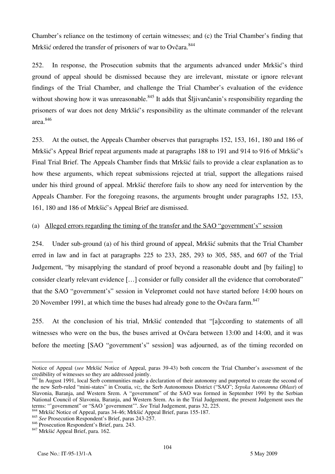Chamber's reliance on the testimony of certain witnesses; and (c) the Trial Chamber's finding that Mrkšić ordered the transfer of prisoners of war to Ovčara.<sup>844</sup>

252. In response, the Prosecution submits that the arguments advanced under Mrkšić's third ground of appeal should be dismissed because they are irrelevant, misstate or ignore relevant findings of the Trial Chamber, and challenge the Trial Chamber's evaluation of the evidence without showing how it was unreasonable.<sup>845</sup> It adds that Slijivančanin's responsibility regarding the prisoners of war does not deny Mrkšić's responsibility as the ultimate commander of the relevant area.846

253. At the outset, the Appeals Chamber observes that paragraphs 152, 153, 161, 180 and 186 of Mrkšić's Appeal Brief repeat arguments made at paragraphs 188 to 191 and 914 to 916 of Mrkšić's Final Trial Brief. The Appeals Chamber finds that Mrkšić fails to provide a clear explanation as to how these arguments, which repeat submissions rejected at trial, support the allegations raised under his third ground of appeal. Mrkšić therefore fails to show any need for intervention by the Appeals Chamber. For the foregoing reasons, the arguments brought under paragraphs 152, 153, 161, 180 and 186 of Mrkšić's Appeal Brief are dismissed.

### (a) Alleged errors regarding the timing of the transfer and the SAO "government's" session

254. Under sub-ground (a) of his third ground of appeal, Mrkšić submits that the Trial Chamber erred in law and in fact at paragraphs 225 to 233, 285, 293 to 305, 585, and 607 of the Trial Judgement, "by misapplying the standard of proof beyond a reasonable doubt and [by failing] to consider clearly relevant evidence [...] consider or fully consider all the evidence that corroborated" that the SAO "government's" session in Velepromet could not have started before 14:00 hours on 20 November 1991, at which time the buses had already gone to the Ovčara farm.<sup>847</sup>

255. At the conclusion of his trial, Mrkšić contended that "[a]ccording to statements of all witnesses who were on the bus, the buses arrived at Ovčara between 13:00 and 14:00, and it was before the meeting [SAO "government's" session] was adjourned, as of the timing recorded on

 $\overline{a}$ Notice of Appeal (*see* Mrkšić Notice of Appeal, paras 39-43) both concern the Trial Chamber's assessment of the credibility of witnesses so they are addressed jointly.

<sup>&</sup>lt;sup>843</sup> In August 1991, local Serb communities made a declaration of their autonomy and purported to create the second of the new Serb-ruled "mini-states" in Croatia, *viz*, the Serb Autonomous District ("SAO"; *Srpska Autonomna Oblast*) of Slavonia, Baranja, and Western Srem. A "government" of the SAO was formed in September 1991 by the Serbian National Council of Slavonia, Baranja, and Western Srem. As in the Trial Judgement, the present Judgement uses the terms: "government" or "SAO 'government". See Trial Judgement, paras 32, 225.

<sup>&</sup>lt;sup>4</sup> Mrkšić Notice of Appeal, paras 34-46; Mrkšić Appeal Brief, paras 155-187.

<sup>845</sup> *See* Prosecution Respondent's Brief, paras 243-257.

<sup>846</sup> Prosecution Respondent's Brief, para. 243. 847 Mrkšić Appeal Brief, para. 162.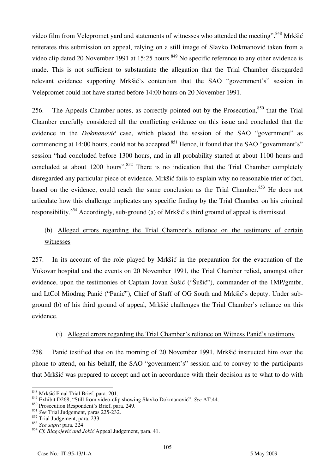video film from Velepromet yard and statements of witnesses who attended the meeting".<sup>848</sup> Mrkšić reiterates this submission on appeal, relying on a still image of Slavko Dokmanović taken from a video clip dated 20 November 1991 at 15:25 hours.<sup>849</sup> No specific reference to any other evidence is made. This is not sufficient to substantiate the allegation that the Trial Chamber disregarded relevant evidence supporting Mrkšić's contention that the SAO "government's" session in Velepromet could not have started before 14:00 hours on 20 November 1991.

256. The Appeals Chamber notes, as correctly pointed out by the Prosecution,  $850$  that the Trial Chamber carefully considered all the conflicting evidence on this issue and concluded that the evidence in the *Dokmanović* case, which placed the session of the SAO "government" as commencing at 14:00 hours, could not be accepted.<sup>851</sup> Hence, it found that the SAO "government's" session "had concluded before 1300 hours, and in all probability started at about 1100 hours and concluded at about 1200 hours".<sup>852</sup> There is no indication that the Trial Chamber completely disregarded any particular piece of evidence. Mrkšić fails to explain why no reasonable trier of fact, based on the evidence, could reach the same conclusion as the Trial Chamber.<sup>853</sup> He does not articulate how this challenge implicates any specific finding by the Trial Chamber on his criminal responsibility.854 Accordingly, sub-ground (a) of Mrkšić's third ground of appeal is dismissed.

# (b) Alleged errors regarding the Trial Chamber's reliance on the testimony of certain witnesses

257. In its account of the role played by Mrkšić in the preparation for the evacuation of the Vukovar hospital and the events on 20 November 1991, the Trial Chamber relied, amongst other evidence, upon the testimonies of Captain Jovan Šušić ("Šušić"), commander of the 1MP/gmtbr, and LtCol Miodrag Panić ("Panić"), Chief of Staff of OG South and Mrkšić's deputy. Under subground (b) of his third ground of appeal, Mrkšić challenges the Trial Chamber's reliance on this evidence.

### (i) Alleged errors regarding the Trial Chamber's reliance on Witness Panić's testimony

258. Panić testified that on the morning of 20 November 1991, Mrkšić instructed him over the phone to attend, on his behalf, the SAO "government's" session and to convey to the participants that Mrkšić was prepared to accept and act in accordance with their decision as to what to do with

<sup>&</sup>lt;sup>848</sup> Mrkšić Final Trial Brief, para. 201.

<sup>849</sup> Exhibit D268, "Still from video-clip showing Slavko Dokmanović". See AT.44.

<sup>850</sup> Prosecution Respondent's Brief, para. 249.

<sup>851</sup> *See* Trial Judgement, paras 225-232.

 $852$  Trial Judgement, para. 233.

<sup>853</sup> *See supra* para. 224.

<sup>854</sup> *Cf. Blagojević and Jokić* Appeal Judgement, para. 41.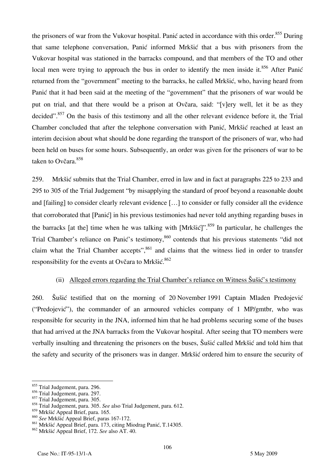the prisoners of war from the Vukovar hospital. Panić acted in accordance with this order.<sup>855</sup> During that same telephone conversation, Panić informed Mrkšić that a bus with prisoners from the Vukovar hospital was stationed in the barracks compound, and that members of the TO and other local men were trying to approach the bus in order to identify the men inside it. $856$  After Panić returned from the "government" meeting to the barracks, he called Mrkšić, who, having heard from Panić that it had been said at the meeting of the "government" that the prisoners of war would be put on trial, and that there would be a prison at Ovčara, said: "[v]ery well, let it be as they decided".<sup>857</sup> On the basis of this testimony and all the other relevant evidence before it, the Trial Chamber concluded that after the telephone conversation with Panić, Mrkšić reached at least an interim decision about what should be done regarding the transport of the prisoners of war, who had been held on buses for some hours. Subsequently, an order was given for the prisoners of war to be taken to Ovčara.<sup>858</sup>

259. Mrkšić submits that the Trial Chamber, erred in law and in fact at paragraphs 225 to 233 and 295 to 305 of the Trial Judgement "by misapplying the standard of proof beyond a reasonable doubt and [failing] to consider clearly relevant evidence  $[\dots]$  to consider or fully consider all the evidence that corroborated that [Panić] in his previous testimonies had never told anything regarding buses in the barracks [at the] time when he was talking with  $[Mrk\ddot{\text{si}}\text{c}$ ".<sup>859</sup> In particular, he challenges the Trial Chamber's reliance on Panić's testimony,<sup>860</sup> contends that his previous statements "did not claim what the Trial Chamber accepts",  $861$  and claims that the witness lied in order to transfer responsibility for the events at Ovčara to Mrkšić. 862

## (ii) Alleged errors regarding the Trial Chamber's reliance on Witness Šušić's testimony

260. Šušić testified that on the morning of 20 November 1991 Captain Mladen Predojević ("Predojević"), the commander of an armoured vehicles company of 1 MP/gmtbr, who was responsible for security in the JNA, informed him that he had problems securing some of the buses that had arrived at the JNA barracks from the Vukovar hospital. After seeing that TO members were verbally insulting and threatening the prisoners on the buses, Šušić called Mrkšić and told him that the safety and security of the prisoners was in danger. Mrkšić ordered him to ensure the security of

 $\overline{a}$  $\frac{855}{100}$  Trial Judgement, para. 296.

<sup>856</sup> Trial Judgement, para. 297.

<sup>857</sup> Trial Judgement, para. 305.

<sup>858</sup> Trial Judgement, para. 305. *See* also Trial Judgement, para. 612.

<sup>859</sup> Mrkšić Appeal Brief, para. 165.

<sup>860</sup> *See* Mrkšić Appeal Brief, paras 167-172.

<sup>861</sup> Mrkšić Appeal Brief, para. 173, citing Miodrag Panić, T.14305.

<sup>862</sup> Mrkšić Appeal Brief, 172. *See* also AT. 40.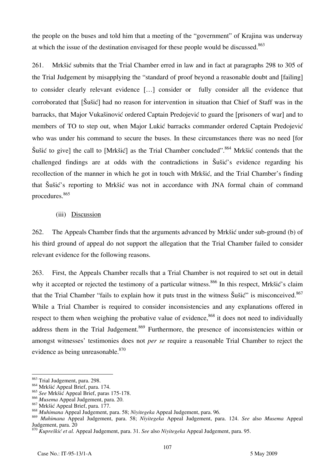the people on the buses and told him that a meeting of the "government" of Krajina was underway at which the issue of the destination envisaged for these people would be discussed.<sup>863</sup>

261. Mrkšić submits that the Trial Chamber erred in law and in fact at paragraphs 298 to 305 of the Trial Judgement by misapplying the "standard of proof beyond a reasonable doubt and failing to consider clearly relevant evidence [...] consider or fully consider all the evidence that corroborated that [Sušić] had no reason for intervention in situation that Chief of Staff was in the barracks, that Major Vukašinović ordered Captain Predojević to guard the Iprisoners of war and to members of TO to step out, when Major Lukić barracks commander ordered Captain Predojević who was under his command to secure the buses. In these circumstances there was no need [for Šušić to give] the call to [Mrkšić] as the Trial Chamber concluded".<sup>864</sup> Mrkšić contends that the challenged findings are at odds with the contradictions in Šušić's evidence regarding his recollection of the manner in which he got in touch with Mrkšić, and the Trial Chamber's finding that Šušić's reporting to Mrkšić was not in accordance with JNA formal chain of command procedures.865

### (iii) Discussion

262. The Appeals Chamber finds that the arguments advanced by Mrkšić under sub-ground (b) of his third ground of appeal do not support the allegation that the Trial Chamber failed to consider relevant evidence for the following reasons.

263. First, the Appeals Chamber recalls that a Trial Chamber is not required to set out in detail why it accepted or rejected the testimony of a particular witness.<sup>866</sup> In this respect, Mrkšić's claim that the Trial Chamber "fails to explain how it puts trust in the witness  $\tilde{S}$ ušić" is misconceived.<sup>867</sup> While a Trial Chamber is required to consider inconsistencies and any explanations offered in respect to them when weighing the probative value of evidence,  $868$  it does not need to individually address them in the Trial Judgement.<sup>869</sup> Furthermore, the presence of inconsistencies within or amongst witnesses' testimonies does not *per se* require a reasonable Trial Chamber to reject the evidence as being unreasonable. $870$ 

 $\overline{a}$ 863 Trial Judgement, para. 298.

<sup>864</sup> Mrkšić Appeal Brief, para. 174.

<sup>865</sup> *See* Mrkšić Appeal Brief, paras 175-178.

<sup>866</sup> *Musema* Appeal Judgement, para. 20. 867 Mrkšić Appeal Brief, para. 177.

<sup>868</sup> *Muhimana* Appeal Judgement, para. 58; *Niyitegeka* Appeal Judgement, para. 96.

<sup>869</sup> *Muhimana* Appeal Judgement, para. 58; *Niyitegeka* Appeal Judgement, para. 124. *See* also *Musema* Appeal Judgement, para. 20

<sup>870</sup> *Kupreškić et al.* Appeal Judgement, para. 31. *See* also *Niyitegeka* Appeal Judgement, para. 95.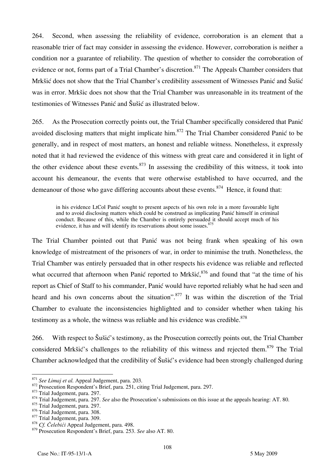264. Second, when assessing the reliability of evidence, corroboration is an element that a reasonable trier of fact may consider in assessing the evidence. However, corroboration is neither a condition nor a guarantee of reliability. The question of whether to consider the corroboration of evidence or not, forms part of a Trial Chamber's discretion.<sup>871</sup> The Appeals Chamber considers that Mrkšić does not show that the Trial Chamber's credibility assessment of Witnesses Panić and Šušić was in error. Mrkšic does not show that the Trial Chamber was unreasonable in its treatment of the testimonies of Witnesses Panić and Šušić as illustrated below.

265. As the Prosecution correctly points out, the Trial Chamber specifically considered that Panić avoided disclosing matters that might implicate him.<sup>872</sup> The Trial Chamber considered Panić to be generally, and in respect of most matters, an honest and reliable witness. Nonetheless, it expressly noted that it had reviewed the evidence of this witness with great care and considered it in light of the other evidence about these events*.* <sup>873</sup> In assessing the credibility of this witness, it took into account his demeanour, the events that were otherwise established to have occurred, and the demeanour of those who gave differing accounts about these events.<sup>874</sup> Hence, it found that:

in his evidence LtCol Panić sought to present aspects of his own role in a more favourable light and to avoid disclosing matters which could be construed as implicating Panić himself in criminal conduct. Because of this, while the Chamber is entirely persuaded it should accept much of his evidence, it has and will identify its reservations about some issues.<sup>875</sup>

The Trial Chamber pointed out that Panić was not being frank when speaking of his own knowledge of mistreatment of the prisoners of war, in order to minimise the truth. Nonetheless, the Trial Chamber was entirely persuaded that in other respects his evidence was reliable and reflected what occurred that afternoon when Panić reported to Mrkšić,<sup>876</sup> and found that "at the time of his report as Chief of Staff to his commander, Panić would have reported reliably what he had seen and heard and his own concerns about the situation".<sup>877</sup> It was within the discretion of the Trial Chamber to evaluate the inconsistencies highlighted and to consider whether when taking his testimony as a whole, the witness was reliable and his evidence was credible.<sup>878</sup>

266. With respect to Šušić's testimony, as the Prosecution correctly points out, the Trial Chamber considered Mrkšić's challenges to the reliability of this witness and rejected them.<sup>879</sup> The Trial Chamber acknowledged that the credibility of Šušić's evidence had been strongly challenged during

<sup>&</sup>lt;sup>871</sup> See Limai et al. Appeal Judgement, para. 203.

<sup>872</sup> Prosecution Respondent's Brief, para. 251, citing Trial Judgement, para. 297.<br>873 Trial Judgement, para. 297.<br>874 Trial Judgement, para. 297. See also the Prosecution's submissions on this issue at the appeals hearing:

<sup>&</sup>lt;sup>875</sup> Trial Judgement, para. 297.<br><sup>876</sup> Trial Judgement, para. 308.

<sup>876</sup> Trial Judgement, para. 308. 877 Trial Judgement, para. 309. 878 *Cf. Čelebić<sup>i</sup>* Appeal Judgement, para. 498.

<sup>879</sup> Prosecution Respondent's Brief, para. 253. *See* also AT. 80.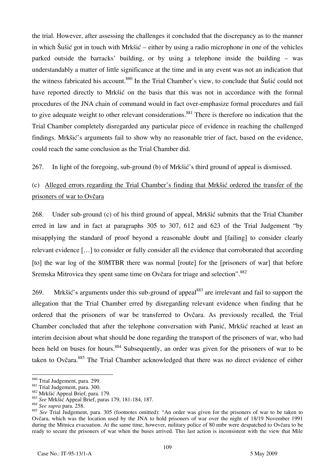the trial. However, after assessing the challenges it concluded that the discrepancy as to the manner in which Šušić got in touch with Mrkšić – either by using a radio microphone in one of the vehicles parked outside the barracks' building, or by using a telephone inside the building – was understandably a matter of little significance at the time and in any event was not an indication that the witness fabricated his account.<sup>880</sup> In the Trial Chamber's view, to conclude that Šušić could not have reported directly to Mrkšić on the basis that this was not in accordance with the formal procedures of the JNA chain of command would in fact over-emphasize formal procedures and fail to give adequate weight to other relevant considerations.<sup>881</sup> There is therefore no indication that the Trial Chamber completely disregarded any particular piece of evidence in reaching the challenged findings. Mrkšić's arguments fail to show why no reasonable trier of fact, based on the evidence, could reach the same conclusion as the Trial Chamber did.

267. In light of the foregoing, sub-ground (b) of Mrkšić's third ground of appeal is dismissed.

# (c) Alleged errors regarding the Trial Chamber's finding that Mrkšić ordered the transfer of the prisoners of war to Ovčara

268. Under sub-ground (c) of his third ground of appeal, Mrkšić submits that the Trial Chamber erred in law and in fact at paragraphs 305 to 307, 612 and 623 of the Trial Judgement "by misapplying the standard of proof beyond a reasonable doubt and [failing] to consider clearly relevant evidence [...] to consider or fully consider all the evidence that corroborated that according [to] the war log of the 80MTBR there was normal [route] for the [prisoners of war] that before Sremska Mitrovica they spent same time on Ovčara for triage and selection".<sup>882</sup>

269. Mrkšić's arguments under this sub-ground of appeal<sup>883</sup> are irrelevant and fail to support the allegation that the Trial Chamber erred by disregarding relevant evidence when finding that he ordered that the prisoners of war be transferred to Ovčara. As previously recalled, the Trial Chamber concluded that after the telephone conversation with Panić, Mrkšić reached at least an interim decision about what should be done regarding the transport of the prisoners of war, who had been held on buses for hours.<sup>884</sup> Subsequently, an order was given for the prisoners of war to be taken to Ovčara.<sup>885</sup> The Trial Chamber acknowledged that there was no direct evidence of either

<sup>880</sup> Trial Judgement, para. 299.

<sup>880</sup> Trial Judgement, para. 299. 881 Trial Judgement, para. 300. 882 Mrkšić Appeal Brief, para. 179. 883 *See* Mrkšić Appeal Brief, paras 179, 181-184, 187. 884 *See supra* para. 258.

<sup>885</sup> *See* Trial Judgement, para. 305 (footnotes omitted): "An order was given for the prisoners of war to be taken to Ovčara, which was the location used by the JNA to hold prisoners of war over the night of 18/19 November 1991 during the Mitnica evacuation. At the same time, however, military police of 80 mtbr were despatched to Ovčara to be ready to secure the prisoners of war when the buses arrived. This last action is inconsistent with the view that Mile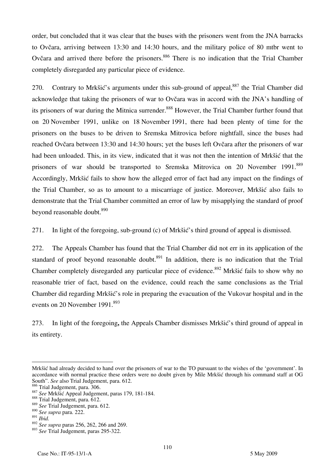order, but concluded that it was clear that the buses with the prisoners went from the JNA barracks to Ovčara, arriving between 13:30 and 14:30 hours, and the military police of 80 mtbr went to Ovčara and arrived there before the prisoners.<sup>886</sup> There is no indication that the Trial Chamber completely disregarded any particular piece of evidence.

270. Contrary to Mrkšić's arguments under this sub-ground of appeal,<sup>887</sup> the Trial Chamber did acknowledge that taking the prisoners of war to Ovčara was in accord with the JNA's handling of its prisoners of war during the Mitnica surrender.<sup>888</sup> However, the Trial Chamber further found that on 20 November 1991, unlike on 18 November 1991, there had been plenty of time for the prisoners on the buses to be driven to Sremska Mitrovica before nightfall, since the buses had reached Ovčara between 13:30 and 14:30 hours; yet the buses left Ovčara after the prisoners of war had been unloaded. This, in its view, indicated that it was not then the intention of Mrkšić that the prisoners of war should be transported to Sremska Mitrovica on 20 November 1991.<sup>889</sup> Accordingly, Mrkšić fails to show how the alleged error of fact had any impact on the findings of the Trial Chamber, so as to amount to a miscarriage of justice. Moreover, Mrkšić also fails to demonstrate that the Trial Chamber committed an error of law by misapplying the standard of proof beyond reasonable doubt.<sup>890</sup>

271. In light of the foregoing, sub-ground (c) of Mrkšić's third ground of appeal is dismissed.

272. The Appeals Chamber has found that the Trial Chamber did not err in its application of the standard of proof beyond reasonable doubt. $891$  In addition, there is no indication that the Trial Chamber completely disregarded any particular piece of evidence.<sup>892</sup> Mrkšić fails to show why no reasonable trier of fact, based on the evidence, could reach the same conclusions as the Trial Chamber did regarding Mrkšić's role in preparing the evacuation of the Vukovar hospital and in the events on 20 November 1991.<sup>893</sup>

273. In light of the foregoing**,** the Appeals Chamber dismisses Mrkšić's third ground of appeal in its entirety.

Mrkšić had already decided to hand over the prisoners of war to the TO pursuant to the wishes of the 'government'. In accordance with normal practice these orders were no doubt given by Mile Mrkšić through his command staff at OG South". *See* also Trial Judgement, para. 612.

<sup>&</sup>lt;sup>887</sup> See Mrkšić Appeal Judgement, paras 179, 181-184.<br><sup>888</sup> Trial Judgement, para. 612.

<sup>889</sup> *See* Trial Judgement, para. 612.

<sup>890</sup> *See supra* para. 222.

<sup>891</sup> *Ibid.*

<sup>892</sup> *See supra* paras 256, 262, 266 and 269.

<sup>893</sup> *See* Trial Judgement, paras 295-322.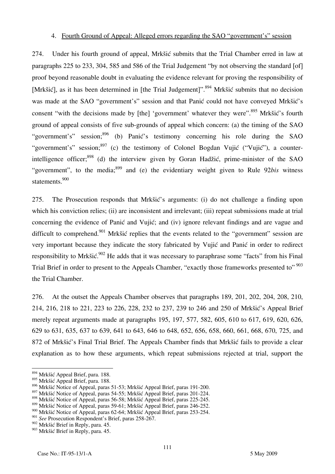### 4. Fourth Ground of Appeal: Alleged errors regarding the SAO "government's" session

274. Under his fourth ground of appeal, Mrkšić submits that the Trial Chamber erred in law at paragraphs 225 to 233, 304, 585 and 586 of the Trial Judgement "by not observing the standard [of] proof beyond reasonable doubt in evaluating the evidence relevant for proving the responsibility of [Mrkšić], as it has been determined in [the Trial Judgement]".<sup>894</sup> Mrkšić submits that no decision was made at the SAO "government's" session and that Panić could not have conveyed Mrkšić's consent "with the decisions made by [the] 'government' whatever they were".<sup>895</sup> Mrkšić's fourth ground of appeal consists of five sub-grounds of appeal which concern: (a) the timing of the SAO "government's" session;<sup>896</sup> (b) Panić's testimony concerning his role during the SAO "government's" session;  $897$  (c) the testimony of Colonel Bogdan Vujić ("Vujić"), a counterintelligence officer; $898$  (d) the interview given by Goran Hadžić, prime-minister of the SAO "government", to the media;<sup>899</sup> and (e) the evidentiary weight given to Rule 92*bis* witness statements.<sup>900</sup>

275. The Prosecution responds that Mrkšić's arguments: (i) do not challenge a finding upon which his conviction relies; (ii) are inconsistent and irrelevant; (iii) repeat submissions made at trial concerning the evidence of Panić and Vujić; and (iv) ignore relevant findings and are vague and difficult to comprehend.<sup>901</sup> Mrkšić replies that the events related to the "government" session are very important because they indicate the story fabricated by Vujić and Panić in order to redirect responsibility to Mrkšić.<sup>902</sup> He adds that it was necessary to paraphrase some "facts" from his Final Trial Brief in order to present to the Appeals Chamber, "exactly those frameworks presented to" <sup>903</sup> the Trial Chamber.

276. At the outset the Appeals Chamber observes that paragraphs 189, 201, 202, 204, 208, 210, 214, 216, 218 to 221, 223 to 226, 228, 232 to 237, 239 to 246 and 250 of Mrkšić's Appeal Brief merely repeat arguments made at paragraphs 195, 197, 577, 582, 605, 610 to 617, 619, 620, 626, 629 to 631, 635, 637 to 639, 641 to 643, 646 to 648, 652, 656, 658, 660, 661, 668, 670, 725, and 872 of Mrkšić's Final Trial Brief. The Appeals Chamber finds that Mrkšić fails to provide a clear explanation as to how these arguments, which repeat submissions rejected at trial, support the

<sup>&</sup>lt;sup>894</sup> Mrkšić Appeal Brief, para. 188.

<sup>895</sup> Mrkšić Appeal Brief, para. 188.

<sup>896</sup> Mrkšić Notice of Appeal, paras 51-53; Mrkšić Appeal Brief, paras 191-200.

<sup>897</sup> Mrkšić Notice of Appeal, paras 54-55; Mrkšić Appeal Brief, paras 201-224.

<sup>898</sup> Mrkšić Notice of Appeal, paras 56-58; Mrkšić Appeal Brief, paras 225-245.

<sup>899</sup> Mrkšić Notice of Appeal, paras 59-61; Mrkšić Appeal Brief, paras 246-252.

<sup>900</sup> Mrkšić Notice of Appeal, paras 62-64; Mrkšić Appeal Brief, paras 253-254.

<sup>&</sup>lt;sup>901</sup> See Prosecution Respondent's Brief, paras 258-267.

<sup>902</sup> Mrkšić Brief in Reply, para. 45.

<sup>903</sup> Mrkšić Brief in Reply, para. 45.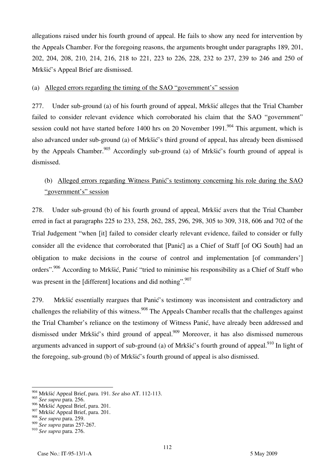allegations raised under his fourth ground of appeal. He fails to show any need for intervention by the Appeals Chamber. For the foregoing reasons, the arguments brought under paragraphs 189, 201, 202, 204, 208, 210, 214, 216, 218 to 221, 223 to 226, 228, 232 to 237, 239 to 246 and 250 of Mrkšić's Appeal Brief are dismissed.

### (a) Alleged errors regarding the timing of the SAO "government's" session

277. Under sub-ground (a) of his fourth ground of appeal, Mrkšić alleges that the Trial Chamber failed to consider relevant evidence which corroborated his claim that the SAO "government" session could not have started before 1400 hrs on 20 November 1991.<sup>904</sup> This argument, which is also advanced under sub-ground (a) of Mrkšić's third ground of appeal, has already been dismissed by the Appeals Chamber.<sup>905</sup> Accordingly sub-ground (a) of Mrkšić's fourth ground of appeal is dismissed.

# (b) Alleged errors regarding Witness Panić's testimony concerning his role during the SAO "government's" session

278. Under sub-ground (b) of his fourth ground of appeal, Mrkšić avers that the Trial Chamber erred in fact at paragraphs 225 to 233, 258, 262, 285, 296, 298, 305 to 309, 318, 606 and 702 of the Trial Judgement "when [it] failed to consider clearly relevant evidence, failed to consider or fully consider all the evidence that corroborated that [Panić] as a Chief of Staff [of OG South] had an obligation to make decisions in the course of control and implementation [of commanders'] orders".<sup>906</sup> According to Mrkšić, Panić "tried to minimise his responsibility as a Chief of Staff who was present in the [different] locations and did nothing". $907$ 

279. Mrkšić essentially reargues that Panić's testimony was inconsistent and contradictory and challenges the reliability of this witness.<sup>908</sup> The Appeals Chamber recalls that the challenges against the Trial Chamber's reliance on the testimony of Witness Panić, have already been addressed and dismissed under Mrkšić's third ground of appeal.<sup>909</sup> Moreover, it has also dismissed numerous arguments advanced in support of sub-ground (a) of Mrkšić's fourth ground of appeal.<sup>910</sup> In light of the foregoing, sub-ground (b) of Mrkšić's fourth ground of appeal is also dismissed.

<sup>904</sup> Mrkšić Appeal Brief, para. 191. *See* also AT. 112-113.

<sup>905</sup> *See supra* para. 256.

<sup>906</sup> Mrkšić Appeal Brief, para. 201.

<sup>&</sup>lt;sup>907</sup> Mrkšić Appeal Brief, para. 201.

<sup>908</sup> *See supra* para. 259.

<sup>909</sup> *See supra* paras 257-267.

<sup>910</sup> *See supra* para. 276.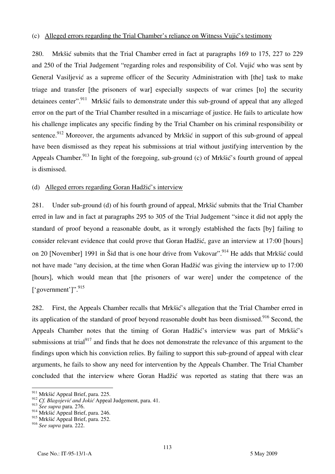#### (c) Alleged errors regarding the Trial Chamber's reliance on Witness Vujić's testimony

280. Mrkšić submits that the Trial Chamber erred in fact at paragraphs 169 to 175, 227 to 229 and 250 of the Trial Judgement "regarding roles and responsibility of Col. Vujić who was sent by General Vasiliević as a supreme officer of the Security Administration with [the] task to make triage and transfer [the prisoners of war] especially suspects of war crimes [to] the security detainees center".<sup>911</sup> Mrkšić fails to demonstrate under this sub-ground of appeal that any alleged error on the part of the Trial Chamber resulted in a miscarriage of justice. He fails to articulate how his challenge implicates any specific finding by the Trial Chamber on his criminal responsibility or sentence.<sup>912</sup> Moreover, the arguments advanced by Mrkšić in support of this sub-ground of appeal have been dismissed as they repeat his submissions at trial without justifying intervention by the Appeals Chamber.<sup>913</sup> In light of the foregoing, sub-ground (c) of Mrkšić's fourth ground of appeal is dismissed.

#### (d) Alleged errors regarding Goran Hadžić's interview

281. Under sub-ground (d) of his fourth ground of appeal, Mrkšić submits that the Trial Chamber erred in law and in fact at paragraphs 295 to 305 of the Trial Judgement "since it did not apply the standard of proof beyond a reasonable doubt, as it wrongly established the facts [by] failing to consider relevant evidence that could prove that Goran Hadžić, gave an interview at 17:00 [hours] on 20 [November] 1991 in Šid that is one hour drive from Vukovar".<sup>914</sup> He adds that Mrkšić could not have made "any decision, at the time when Goran Hadžić was giving the interview up to 17:00 [hours], which would mean that [the prisoners of war were] under the competence of the  $\lbrack$  'government']". 915

282. First, the Appeals Chamber recalls that Mrkšić's allegation that the Trial Chamber erred in its application of the standard of proof beyond reasonable doubt has been dismissed.<sup>916</sup> Second, the Appeals Chamber notes that the timing of Goran Hadžić's interview was part of Mrkšić's submissions at trial<sup>917</sup> and finds that he does not demonstrate the relevance of this argument to the findings upon which his conviction relies. By failing to support this sub-ground of appeal with clear arguments, he fails to show any need for intervention by the Appeals Chamber. The Trial Chamber concluded that the interview where Goran Hadžić was reported as stating that there was an

 $\overline{a}$ <sup>911</sup> Mrkšić Appeal Brief, para. 225.

<sup>912</sup> *Cf. Blagojević and Jokić* Appeal Judgement, para. 41.

<sup>913</sup> *See supra* para. 276.

 $914$  Mrkšić Appeal Brief, para. 246.

<sup>915</sup> Mrkšić Appeal Brief, para. 252.

<sup>916</sup> *See supra* para. 222.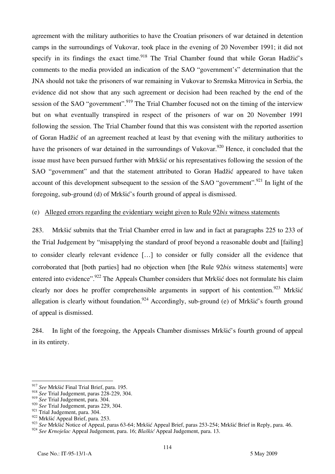agreement with the military authorities to have the Croatian prisoners of war detained in detention camps in the surroundings of Vukovar, took place in the evening of 20 November 1991; it did not specify in its findings the exact time.<sup>918</sup> The Trial Chamber found that while Goran Hadžić's comments to the media provided an indication of the SAO "government's" determination that the JNA should not take the prisoners of war remaining in Vukovar to Sremska Mitrovica in Serbia, the evidence did not show that any such agreement or decision had been reached by the end of the session of the SAO "government".<sup>919</sup> The Trial Chamber focused not on the timing of the interview but on what eventually transpired in respect of the prisoners of war on 20 November 1991 following the session. The Trial Chamber found that this was consistent with the reported assertion of Goran Had`ić of an agreement reached at least by that evening with the military authorities to have the prisoners of war detained in the surroundings of Vukovar.<sup>920</sup> Hence, it concluded that the issue must have been pursued further with Mrkšić or his representatives following the session of the SAO "government" and that the statement attributed to Goran Hadžić appeared to have taken account of this development subsequent to the session of the SAO "government".<sup>921</sup> In light of the foregoing, sub-ground (d) of Mrkšić's fourth ground of appeal is dismissed.

#### (e) Alleged errors regarding the evidentiary weight given to Rule 92*bis* witness statements

283. Mrkšić submits that the Trial Chamber erred in law and in fact at paragraphs 225 to 233 of the Trial Judgement by "misapplying the standard of proof beyond a reasonable doubt and failing to consider clearly relevant evidence [...] to consider or fully consider all the evidence that corroborated that [both parties] had no objection when [the Rule 92*bis* witness statements] were entered into evidence".<sup>922</sup> The Appeals Chamber considers that Mrkšić does not formulate his claim clearly nor does he proffer comprehensible arguments in support of his contention.<sup>923</sup> Mrkšić allegation is clearly without foundation.<sup>924</sup> Accordingly, sub-ground (e) of Mrkšić's fourth ground of appeal is dismissed.

284. In light of the foregoing, the Appeals Chamber dismisses Mrkšić's fourth ground of appeal in its entirety.

<sup>917</sup> *See* Mrkšić Final Trial Brief, para. 195.

<sup>918</sup> *See* Trial Judgement, paras 228-229, 304.

<sup>919</sup> *See* Trial Judgement, para. 304.

<sup>920</sup> *See* Trial Judgement, paras 229, 304.

<sup>&</sup>lt;sup>921</sup> Trial Judgement, para. 304.

<sup>922</sup> Mrkšić Appeal Brief, para. 253.

<sup>&</sup>lt;sup>923</sup> See Mrkšić Notice of Appeal, paras 63-64; Mrkšić Appeal Brief, paras 253-254; Mrkšić Brief in Reply, para. 46.

<sup>924</sup> *See Krnojelac* Appeal Judgement, para. 16; *Blaškić* Appeal Judgement, para. 13.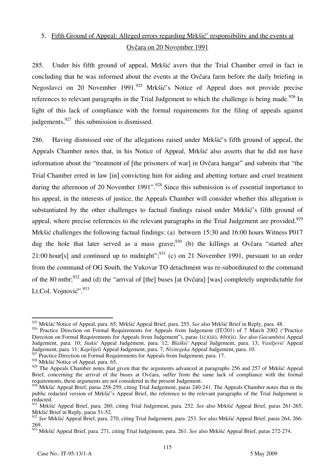# 5. Fifth Ground of Appeal: Alleged errors regarding Mrkšić' responsibility and the events at Ovčara on 20 November 1991

285. Under his fifth ground of appeal, Mrkšić avers that the Trial Chamber erred in fact in concluding that he was informed about the events at the Ovčara farm before the daily briefing in Negoslavci on 20 November 1991.<sup>925</sup> Mrkšić's Notice of Appeal does not provide precise references to relevant paragraphs in the Trial Judgement to which the challenge is being made.<sup>926</sup> In light of this lack of compliance with the formal requirements for the filing of appeals against judgements, <sup>927</sup> this submission is dismissed.

286. Having dismissed one of the allegations raised under Mrkšić's fifth ground of appeal, the Appeals Chamber notes that, in his Notice of Appeal, Mrkšić also asserts that he did not have information about the "treatment of [the prisoners of war] in Ovčara hangar" and submits that "the Trial Chamber erred in law [in] convicting him for aiding and abetting torture and cruel treatment during the afternoon of 20 November 1991".<sup>928</sup> Since this submission is of essential importance to his appeal, in the interests of justice, the Appeals Chamber will consider whether this allegation is substantiated by the other challenges to factual findings raised under Mrkšić's fifth ground of appeal, where precise references to the relevant paragraphs in the Trial Judgement are provided.<sup>929</sup> Mrkšić challenges the following factual findings: (a) between 15:30 and 16:00 hours Witness P017 dug the hole that later served as a mass grave;  $930$  (b) the killings at Ovčara "started after 21:00 hours and continued up to midnight";<sup>931</sup> (c) on 21 November 1991, pursuant to an order from the command of OG South, the Vukovar TO detachment was re-subordinated to the command of the 80 mtbr;<sup>932</sup> and (d) the "arrival of [the] buses [at Ovčara] [was] completely unpredictable for Lt.Col. Vojnović".<sup>933</sup>

<sup>925</sup> Mrkšić Notice of Appeal, para. 65; Mrkšić Appeal Brief, para. 255. See also Mrkšić Brief in Reply, para. 48.

<sup>926</sup> Practice Direction on Formal Requirements for Appeals from Judgement (IT/201) of 7 March 2002 ("Practice Direction on Formal Requirements for Appeals from Judgement"), paras 1(c)(iii), 4(b)(ii). *See* also *Gacumbitsi* Appeal Judgement, para. 10; *Stakić* Appeal Judgement, para. 12; *Blaškić* Appeal Judgement, para. 13; *Vasiljević* Appeal Judgement, para. 11; *Kajelijeli* Appeal Judgement, para. 7; *Niyitegeka* Appeal Judgement, para. 10.

<sup>&</sup>lt;sup>927</sup> Practice Direction on Formal Requirements for Appeals from Judgement, para. 17.

 $928$  Mrkšić Notice of Appeal, para. 65.

<sup>&</sup>lt;sup>929</sup> The Appeals Chamber notes that given that the arguments advanced at paragraphs 256 and 257 of Mrkšić Appeal Brief, concerning the arrival of the buses at Ovčara, suffer from the same lack of compliance with the formal requirements, these arguments are not considered in the present Judgement.

<sup>&</sup>lt;sup>930</sup> Mrkšić Appeal Brief, paras 258-259, citing Trial Judgement, paras 240-241. The Appeals Chamber notes that in the public redacted version of Mrkšić's Appeal Brief, the reference to the relevant paragraphs of the Trial Judgement is redacted.

<sup>931</sup> Mrkšić Appeal Brief, para. 260, citing Trial Judgement, para. 252. *See* also Mrkšić Appeal Brief, paras 261-265; Mrkšić Brief in Reply, paras 51-52.

<sup>932</sup> *See* Mrkšić Appeal Brief, para. 270, citing Trial Judgement, para. 253. *See* also Mrkšić Appeal Brief, paras 264, 266- 269.

<sup>933</sup> Mrkšić Appeal Brief, para. 271, citing Trial Judgement, para. 261. *See* also Mrkšić Appeal Brief, paras 272-274.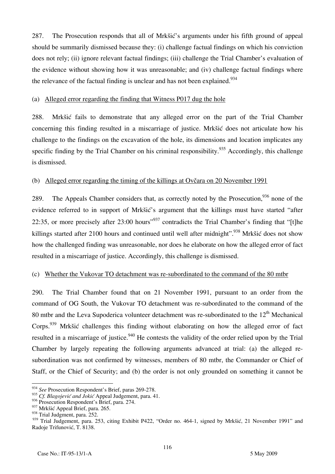287. The Prosecution responds that all of Mrkšić's arguments under his fifth ground of appeal should be summarily dismissed because they: (i) challenge factual findings on which his conviction does not rely; (ii) ignore relevant factual findings; (iii) challenge the Trial Chamber's evaluation of the evidence without showing how it was unreasonable; and (iv) challenge factual findings where the relevance of the factual finding is unclear and has not been explained.<sup>934</sup>

#### (a) Alleged error regarding the finding that Witness P017 dug the hole

288. Mrkšić fails to demonstrate that any alleged error on the part of the Trial Chamber concerning this finding resulted in a miscarriage of justice. Mrkšić does not articulate how his challenge to the findings on the excavation of the hole, its dimensions and location implicates any specific finding by the Trial Chamber on his criminal responsibility.<sup>935</sup> Accordingly, this challenge is dismissed.

#### (b) Alleged error regarding the timing of the killings at Ovčara on 20 November 1991

289. The Appeals Chamber considers that, as correctly noted by the Prosecution, <sup>936</sup> none of the evidence referred to in support of Mrkšić's argument that the killings must have started "after 22:35, or more precisely after  $23:00$  hours<sup>"937</sup> contradicts the Trial Chamber's finding that "[t]he killings started after 2100 hours and continued until well after midnight".<sup>938</sup> Mrkšić does not show how the challenged finding was unreasonable, nor does he elaborate on how the alleged error of fact resulted in a miscarriage of justice. Accordingly, this challenge is dismissed.

#### (c) Whether the Vukovar TO detachment was re-subordinated to the command of the 80 mtbr

290. The Trial Chamber found that on 21 November 1991, pursuant to an order from the command of OG South, the Vukovar TO detachment was re-subordinated to the command of the 80 mtbr and the Leva Supoderica volunteer detachment was re-subordinated to the  $12<sup>th</sup>$  Mechanical Corps.<sup>939</sup> Mrkšić challenges this finding without elaborating on how the alleged error of fact resulted in a miscarriage of justice.<sup>940</sup> He contests the validity of the order relied upon by the Trial Chamber by largely repeating the following arguments advanced at trial: (a) the alleged resubordination was not confirmed by witnesses, members of 80 mtbr, the Commander or Chief of Staff, or the Chief of Security; and (b) the order is not only grounded on something it cannot be

<sup>&</sup>lt;sup>934</sup> *See* Prosecution Respondent's Brief, paras 269-278.

<sup>935</sup> *Cf. Blagojević and Jokić* Appeal Judgement, para. 41.

<sup>936</sup> Prosecution Respondent's Brief, para. 274.

<sup>937</sup> Mrkšić Appeal Brief, para. 265.

<sup>&</sup>lt;sup>938</sup> Trial Judgment, para. 252.

<sup>939</sup> Trial Judgement, para. 253, citing Exhibit P422, "Order no. 464-1, signed by Mrkšić, 21 November 1991" and Radoje Trifunović, T. 8138.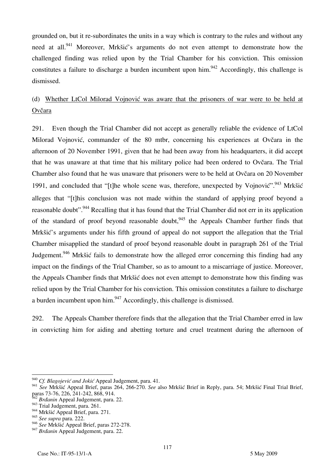grounded on, but it re-subordinates the units in a way which is contrary to the rules and without any need at all.<sup>941</sup> Moreover, Mrkšić's arguments do not even attempt to demonstrate how the challenged finding was relied upon by the Trial Chamber for his conviction. This omission constitutes a failure to discharge a burden incumbent upon him.<sup>942</sup> Accordingly, this challenge is dismissed.

# (d) Whether LtCol Milorad Vojnović was aware that the prisoners of war were to be held at Ovčara

291. Even though the Trial Chamber did not accept as generally reliable the evidence of LtCol Milorad Vojnović, commander of the 80 mtbr, concerning his experiences at Ovčara in the afternoon of 20 November 1991, given that he had been away from his headquarters, it did accept that he was unaware at that time that his military police had been ordered to Ovčara. The Trial Chamber also found that he was unaware that prisoners were to be held at Ovčara on 20 November 1991, and concluded that "[t]he whole scene was, therefore, unexpected by Vojnović". <sup>943</sup> Mrkšić alleges that "[t] his conclusion was not made within the standard of applying proof beyond a reasonable doubt".<sup>944</sup> Recalling that it has found that the Trial Chamber did not err in its application of the standard of proof beyond reasonable doubt,  $945$  the Appeals Chamber further finds that Mrk $\delta$ is arguments under his fifth ground of appeal do not support the allegation that the Trial Chamber misapplied the standard of proof beyond reasonable doubt in paragraph 261 of the Trial Judgement.<sup>946</sup> Mrkšić fails to demonstrate how the alleged error concerning this finding had any impact on the findings of the Trial Chamber, so as to amount to a miscarriage of justice. Moreover, the Appeals Chamber finds that Mrkšić does not even attempt to demonstrate how this finding was relied upon by the Trial Chamber for his conviction. This omission constitutes a failure to discharge a burden incumbent upon him.947 Accordingly, this challenge is dismissed.

292. The Appeals Chamber therefore finds that the allegation that the Trial Chamber erred in law in convicting him for aiding and abetting torture and cruel treatment during the afternoon of

<sup>940</sup> *Cf. Blagojević and Jokić* Appeal Judgement, para. 41.

<sup>941</sup> *See* Mrkšić Appeal Brief, paras 264, 266-270. *See* also Mrkšić Brief in Reply, para. 54; Mrkšić Final Trial Brief, paras 73-76, 226, 241-242, 868, 914.

<sup>&</sup>lt;sup>2</sup> *Brdanin* Appeal Judgement, para. 22.

 $943$  Trial Judgement, para. 261.

<sup>&</sup>lt;sup>944</sup> Mrkšić Appeal Brief, para. 271.

<sup>945</sup> *See supra* para. 222.

<sup>946</sup> *See* Mrkšić Appeal Brief, paras 272-278.

<sup>&</sup>lt;sup>947</sup> Brdanin Appeal Judgement, para. 22.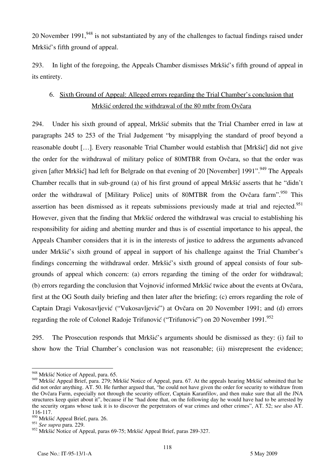20 November 1991,  $^{948}$  is not substantiated by any of the challenges to factual findings raised under Mrkšić's fifth ground of appeal.

293. In light of the foregoing, the Appeals Chamber dismisses Mrkšić's fifth ground of appeal in its entirety.

# 6. Sixth Ground of Appeal: Alleged errors regarding the Trial Chamber's conclusion that Mrkšić ordered the withdrawal of the 80 mtbr from Ovčara

294. Under his sixth ground of appeal, Mrkšić submits that the Trial Chamber erred in law at paragraphs 245 to 253 of the Trial Judgement "by misapplying the standard of proof beyond a reasonable doubt [...]. Every reasonable Trial Chamber would establish that [Mrkšić] did not give the order for the withdrawal of military police of 80MTBR from Ovčara, so that the order was given [after Mrkšić] had left for Belgrade on that evening of 20 [November] 1991".<sup>949</sup> The Appeals Chamber recalls that in sub-ground (a) of his first ground of appeal Mrkšić asserts that he "didn't order the withdrawal of [Military Police] units of 80MTBR from the Ovčara farm".<sup>950</sup> This assertion has been dismissed as it repeats submissions previously made at trial and rejected.<sup>951</sup> However, given that the finding that Mrkšić ordered the withdrawal was crucial to establishing his responsibility for aiding and abetting murder and thus is of essential importance to his appeal, the Appeals Chamber considers that it is in the interests of justice to address the arguments advanced under Mrkšić's sixth ground of appeal in support of his challenge against the Trial Chamber's findings concerning the withdrawal order. Mrkšić's sixth ground of appeal consists of four subgrounds of appeal which concern: (a) errors regarding the timing of the order for withdrawal; (b) errors regarding the conclusion that Vojnović informed Mrkšić twice about the events at Ovčara, first at the OG South daily briefing and then later after the briefing; (c) errors regarding the role of Captain Dragi Vukosavljević ("Vukosavljević") at Ovčara on 20 November 1991; and (d) errors regarding the role of Colonel Radoje Trifunović ("Trifunović") on 20 November 1991.<sup>952</sup>

295. The Prosecution responds that Mrkšić's arguments should be dismissed as they: (i) fail to show how the Trial Chamber's conclusion was not reasonable; (ii) misrepresent the evidence;

 $\overline{a}$ <sup>948</sup> Mrkšić Notice of Appeal, para. 65.

<sup>949</sup> Mrkšić Appeal Brief, para. 279; Mrkšić Notice of Appeal, para. 67. At the appeals hearing Mrkšić submitted that he did not order anything. AT. 50. He further argued that, "he could not have given the order for security to withdraw from the Ovčara Farm, especially not through the security officer, Captain Karanfilov, and then make sure that all the JNA structures keep quiet about it", because if he "had done that, on the following day he would have had to be arrested by the security organs whose task it is to discover the perpetrators of war crimes and other crimes", AT. 52; s*ee* also AT. 116-117.

<sup>950</sup> Mrkšić Appeal Brief, para. 26.

<sup>951</sup> *See supra* para. 229.

<sup>952</sup> Mrkšić Notice of Appeal, paras 69-75; Mrkšić Appeal Brief, paras 289-327.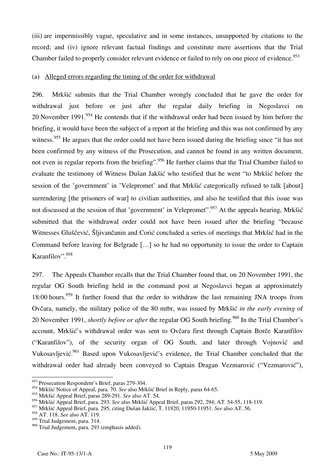(iii) are impermissibly vague, speculative and in some instances, unsupported by citations to the record; and (iv) ignore relevant factual findings and constitute mere assertions that the Trial Chamber failed to properly consider relevant evidence or failed to rely on one piece of evidence.<sup>953</sup>

### (a) Alleged errors regarding the timing of the order for withdrawal

296. Mrkšić submits that the Trial Chamber wrongly concluded that he gave the order for withdrawal just before or just after the regular daily briefing in Negoslavci on 20 November 1991.<sup>954</sup> He contends that if the withdrawal order had been issued by him before the briefing, it would have been the subject of a report at the briefing and this was not confirmed by any witness.<sup>955</sup> He argues that the order could not have been issued during the briefing since "it has not been confirmed by any witness of the Prosecution, and cannot be found in any written document. not even in regular reports from the briefing". <sup>956</sup> He further claims that the Trial Chamber failed to evaluate the testimony of Witness Dušan Jakšić who testified that he went "to Mrkšić before the session of the 'government' in 'Velepromet' and that Mrkšić categorically refused to talk [about] surrendering [the prisoners of war] to civilian authorities, and also he testified that this issue was not discussed at the session of that 'government' in Velepromet'.<sup>957</sup> At the appeals hearing, Mrk $\delta$ ić submitted that the withdrawal order could not have been issued after the briefing "because Witnesses Gluščević, Šljivančanin and Corić concluded a series of meetings that Mrkšić had in the Command before leaving for Belgrade [...] so he had no opportunity to issue the order to Captain Karanfilov".<sup>958</sup>

297. The Appeals Chamber recalls that the Trial Chamber found that, on 20 November 1991, the regular OG South briefing held in the command post at Negoslavci began at approximately 18:00 hours.<sup>959</sup> It further found that the order to withdraw the last remaining JNA troops from Ovčara, namely, the military police of the 80 mtbr, was issued by Mrkšić *in the early evening* of 20 November 1991, *shortly before or after* the regular OG South briefing.<sup>960</sup> In the Trial Chamber's account, Mrkšić's withdrawal order was sent to Ovčara first through Captain Borče Karanfilov ("Karanfilov"), of the security organ of OG South, and later through Vojnović and Vukosavljević.<sup>961</sup> Based upon Vukosavljević's evidence, the Trial Chamber concluded that the withdrawal order had already been conveyed to Captain Dragan Vezmarović ("Vezmarović"),

<sup>&</sup>lt;sup>953</sup> Prosecution Respondent's Brief, paras 279-304.

<sup>954</sup> Mrkšić Notice of Appeal, para. 70. *See* also Mrkšić Brief in Reply, paras 64-65.

<sup>955</sup> Mrkšić Appeal Brief, paras 289-291. *See* also AT. 54.

<sup>956</sup> Mrkšić Appeal Brief, para. 293. *See* also Mrkšić Appeal Brief, paras 292, 294; AT. 54-55, 118-119.

<sup>957</sup> Mrkšić Appeal Brief, para. 295, citing Dušan Jakšić, T. 11920, 11950-11951. *See* also AT. 56.

<sup>958</sup> AT. 118. *See* also AT. 119.

<sup>&</sup>lt;sup>959</sup> Trial Judgement, para. 314.

<sup>960</sup> Trial Judgement, para. 293 (emphasis added).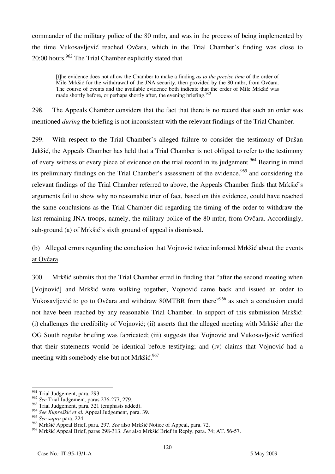commander of the military police of the 80 mtbr, and was in the process of being implemented by the time Vukosavljević reached Ovčara, which in the Trial Chamber's finding was close to 20:00 hours.<sup>962</sup> The Trial Chamber explicitly stated that

the evidence does not allow the Chamber to make a finding *as to the precise time* of the order of Mile Mrkšić for the withdrawal of the JNA security, then provided by the 80 mtbr, from Ovčara. The course of events and the available evidence both indicate that the order of Mile Mrkšić was made shortly before, or perhaps shortly after, the evening briefing.<sup>963</sup>

298. The Appeals Chamber considers that the fact that there is no record that such an order was mentioned *during* the briefing is not inconsistent with the relevant findings of the Trial Chamber.

299. With respect to the Trial Chamber's alleged failure to consider the testimony of Dušan Jakšić, the Appeals Chamber has held that a Trial Chamber is not obliged to refer to the testimony of every witness or every piece of evidence on the trial record in its judgement.<sup>964</sup> Bearing in mind its preliminary findings on the Trial Chamber's assessment of the evidence, <sup>965</sup> and considering the relevant findings of the Trial Chamber referred to above, the Appeals Chamber finds that Mrkšić's arguments fail to show why no reasonable trier of fact, based on this evidence, could have reached the same conclusions as the Trial Chamber did regarding the timing of the order to withdraw the last remaining JNA troops, namely, the military police of the 80 mtbr, from Ovčara. Accordingly, sub-ground (a) of Mrkšić's sixth ground of appeal is dismissed.

## (b) Alleged errors regarding the conclusion that Vojnović twice informed Mrkšić about the events at Ovčara

300. Mrkšić submits that the Trial Chamber erred in finding that "after the second meeting when [Vojnović] and Mrkšić were walking together, Vojnović came back and issued an order to Vukosavljević to go to Ovčara and withdraw 80MTBR from there"966 as such a conclusion could not have been reached by any reasonable Trial Chamber. In support of this submission Mrkšić: (i) challenges the credibility of Vojnović; (ii) asserts that the alleged meeting with Mrkšić after the OG South regular briefing was fabricated; (iii) suggests that Vojnović and Vukosavljević verified that their statements would be identical before testifying; and (iv) claims that Vojnović had a meeting with somebody else but not Mrkšić.<sup>967</sup>

 $\overline{a}$ <sup>961</sup> Trial Judgement, para. 293.

<sup>962</sup> *See* Trial Judgement, paras 276-277, 279.

<sup>&</sup>lt;sup>963</sup> Trial Judgement, para. 321 (emphasis added).

<sup>964</sup> *See Kupreškić et al.* Appeal Judgement, para. 39.

<sup>965</sup> *See supra* para. 224.

<sup>966</sup> Mrkšić Appeal Brief, para. 297. *See* also Mrkšić Notice of Appeal, para. 72.

<sup>967</sup> Mrkšić Appeal Brief, paras 298-313. *See* also Mrkšić Brief in Reply, para. 74; AT. 56-57.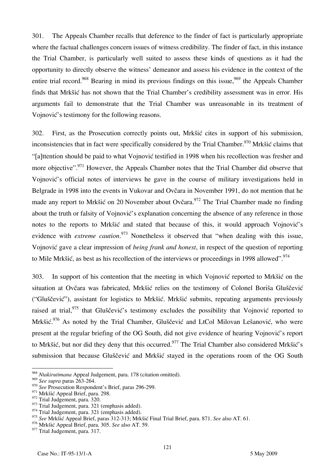301. The Appeals Chamber recalls that deference to the finder of fact is particularly appropriate where the factual challenges concern issues of witness credibility. The finder of fact, in this instance the Trial Chamber, is particularly well suited to assess these kinds of questions as it had the opportunity to directly observe the witness' demeanor and assess his evidence in the context of the entire trial record.<sup>968</sup> Bearing in mind its previous findings on this issue.<sup>969</sup> the Appeals Chamber finds that Mrkšić has not shown that the Trial Chamber's credibility assessment was in error. His arguments fail to demonstrate that the Trial Chamber was unreasonable in its treatment of Vojnović's testimony for the following reasons.

302. First, as the Prosecution correctly points out, Mrkšić cites in support of his submission, inconsistencies that in fact were specifically considered by the Trial Chamber.<sup>970</sup> Mrkšić claims that "[a]ttention should be paid to what Vojnović testified in 1998 when his recollection was fresher and more objective".<sup>971</sup> However, the Appeals Chamber notes that the Trial Chamber did observe that Vojnović's official notes of interviews he gave in the course of military investigations held in Belgrade in 1998 into the events in Vukovar and Ovčara in November 1991, do not mention that he made any report to Mrkšić on 20 November about Ovčara.<sup>972</sup> The Trial Chamber made no finding about the truth or falsity of Vojnović's explanation concerning the absence of any reference in those notes to the reports to Mrkšić and stated that because of this, it would approach Vojnović's evidence with *extreme caution*. 973 Nonetheless it observed that "when dealing with this issue, Vojnović gave a clear impression of *being frank and honest*, in respect of the question of reporting to Mile Mrkšić, as best as his recollection of the interviews or proceedings in 1998 allowed".<sup>974</sup>

303. In support of his contention that the meeting in which Vojnović reported to Mrkšić on the situation at Ovčara was fabricated, Mrkšić relies on the testimony of Colonel Boriša Gluščević ("Gluščević"), assistant for logistics to Mrkšić. Mrkšić submits, repeating arguments previously raised at trial,<sup>975</sup> that Gluščević's testimony excludes the possibility that Vojnović reported to Mrkšić.<sup>976</sup> As noted by the Trial Chamber, Gluščević and LtCol Milovan Lešanović, who were present at the regular briefing of the OG South, did not give evidence of hearing Vojnović's report to Mrkšić, but nor did they deny that this occurred.<sup>977</sup> The Trial Chamber also considered Mrkšić's submission that because Gluščević and Mrkšić stayed in the operations room of the OG South

 $\overline{a}$ <sup>968</sup> *Ntakirutimana* Appeal Judgement, para. 178 (citation omitted).

<sup>969</sup> *See supra* paras 263-264.

<sup>970</sup> *See* Prosecution Respondent's Brief, paras 296-299.

<sup>&</sup>lt;sup>971</sup> Mrkšić Appeal Brief, para. 298.

<sup>972</sup> Trial Judgement, para. 320.

 $^{973}$  Trial Judgement, para. 321 (emphasis added).

<sup>974</sup> Trial Judgement, para. 321 (emphasis added).

<sup>975</sup> *See* Mrkšić Appeal Brief, paras 312-313; Mrkšić Final Trial Brief, para. 871. *See* also AT. 61.

<sup>976</sup> Mrkšić Appeal Brief, para. 305. *See* also AT. 59.

<sup>977</sup> Trial Judgement, para. 317.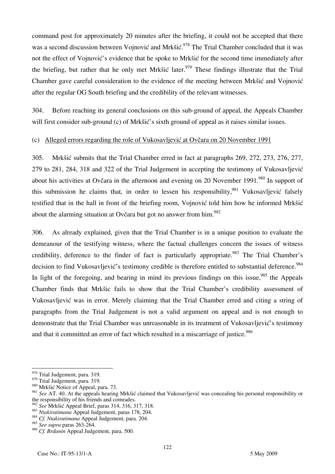command post for approximately 20 minutes after the briefing, it could not be accepted that there was a second discussion between Vojnović and Mrkšić.<sup>978</sup> The Trial Chamber concluded that it was not the effect of Vojnović's evidence that he spoke to Mrkšić for the second time immediately after the briefing, but rather that he only met Mrkšić later.<sup>979</sup> These findings illustrate that the Trial Chamber gave careful consideration to the evidence of the meeting between Mrkšić and Vojnović after the regular OG South briefing and the credibility of the relevant witnesses.

304. Before reaching its general conclusions on this sub-ground of appeal, the Appeals Chamber will first consider sub-ground (c) of Mrk $\delta$ is sixth ground of appeal as it raises similar issues.

### (c) Alleged errors regarding the role of Vukosavljević at Ovčara on 20 November 1991

305. Mrkšić submits that the Trial Chamber erred in fact at paragraphs 269, 272, 273, 276, 277, 279 to 281, 284, 318 and 322 of the Trial Judgement in accepting the testimony of Vukosavljević about his activities at Ovčara in the afternoon and evening on 20 November 1991.<sup>980</sup> In support of this submission he claims that, in order to lessen his responsibility,  $981$  Vukosavljević falsely testified that in the hall in front of the briefing room, Vojnović told him how he informed Mrkšić about the alarming situation at Ovčara but got no answer from  $\text{him.}^{982}$ 

306. As already explained, given that the Trial Chamber is in a unique position to evaluate the demeanour of the testifying witness, where the factual challenges concern the issues of witness credibility, deference to the finder of fact is particularly appropriate.<sup>983</sup> The Trial Chamber's decision to find Vukosavljević's testimony credible is therefore entitled to substantial deference.<sup>984</sup> In light of the foregoing, and bearing in mind its previous findings on this issue,  $985$  the Appeals Chamber finds that Mrkšic fails to show that the Trial Chamber's credibility assessment of Vukosavljević was in error. Merely claiming that the Trial Chamber erred and citing a string of paragraphs from the Trial Judgement is not a valid argument on appeal and is not enough to demonstrate that the Trial Chamber was unreasonable in its treatment of Vukosavljević's testimony and that it committed an error of fact which resulted in a miscarriage of justice.<sup>986</sup>

 $\overline{a}$ <sup>978</sup> Trial Judgement, para. 319.

<sup>979</sup> Trial Judgement, para. 319.

<sup>980</sup> Mrkšić Notice of Appeal, para. 73.

<sup>&</sup>lt;sup>981</sup> See AT. 40. At the appeals hearing Mrkšić claimed that Vukosavljević was concealing his personal responsibility or the responsibility of his friends and comrades.

<sup>982</sup> *See* Mrkšić Appeal Brief, paras 314, 316, 317, 318.

<sup>983</sup> *Ntakirutimana* Appeal Judgement, paras 178, 204.

<sup>984</sup> *Cf. Ntakirutimana* Appeal Judgement, para. 204.

<sup>985</sup> *See supra* paras 263-264.

<sup>&</sup>lt;sup>986</sup> Cf. Brdanin Appeal Judgement, para. 500.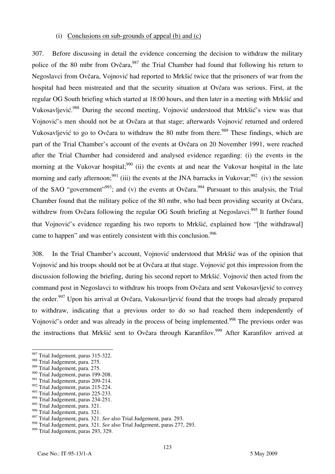#### (i) Conclusions on sub-grounds of appeal (b) and (c)

307. Before discussing in detail the evidence concerning the decision to withdraw the military police of the 80 mtbr from Ovčara,  $987$  the Trial Chamber had found that following his return to Negoslavci from Ovčara, Vojnović had reported to Mrkšić twice that the prisoners of war from the hospital had been mistreated and that the security situation at Ovčara was serious. First, at the regular OG South briefing which started at 18:00 hours, and then later in a meeting with Mrkšić and Vukosavljević.<sup>988</sup> During the second meeting, Vojnović understood that Mrkšić's view was that Vojnović's men should not be at Ovčara at that stage; afterwards Vojnović returned and ordered Vukosavljević to go to Ovčara to withdraw the 80 mtbr from there.<sup>989</sup> These findings, which are part of the Trial Chamber's account of the events at Ovčara on 20 November 1991, were reached after the Trial Chamber had considered and analysed evidence regarding: (i) the events in the morning at the Vukovar hospital;<sup>990</sup> (ii) the events at and near the Vukovar hospital in the late morning and early afternoon;  $991$  (iii) the events at the JNA barracks in Vukovar;  $992$  (iv) the session of the SAO "government"<sup>993</sup>; and (v) the events at Ovčara.<sup>994</sup> Pursuant to this analysis, the Trial Chamber found that the military police of the 80 mtbr, who had been providing security at Ovčara, withdrew from Ovčara following the regular OG South briefing at Negoslavci.<sup>995</sup> It further found that Vojnović's evidence regarding his two reports to Mrkšić, explained how "[the withdrawal] came to happen" and was entirely consistent with this conclusion.<sup>996</sup>

308. In the Trial Chamber's account, Vojnović understood that Mrkšić was of the opinion that Vojnović and his troops should not be at Ovčara at that stage. Vojnović got this impression from the discussion following the briefing, during his second report to Mrkšić. Vojnović then acted from the command post in Negoslavci to withdraw his troops from Ovčara and sent Vukosavljević to convey the order.<sup>997</sup> Upon his arrival at Ovčara, Vukosavljević found that the troops had already prepared to withdraw, indicating that a previous order to do so had reached them independently of Vojnović's order and was already in the process of being implemented.<sup>998</sup> The previous order was the instructions that Mrkšić sent to Ovčara through Karanfilov.<sup>999</sup> After Karanfilov arrived at

<sup>987</sup> Trial Judgement*,* paras 315-322.

<sup>988</sup> Trial Judgement, para. 275.

<sup>989</sup> Trial Judgement, para. 275.

<sup>&</sup>lt;sup>990</sup> Trial Judgement, paras 199-208.

<sup>&</sup>lt;sup>991</sup> Trial Judgement, paras 209-214.

<sup>&</sup>lt;sup>992</sup> Trial Judgement, paras 215-224.

<sup>&</sup>lt;sup>993</sup> Trial Judgement, paras 225-233.

<sup>&</sup>lt;sup>994</sup> Trial Judgement, paras 234-251.

<sup>995</sup> Trial Judgement, para. 321.

<sup>996</sup> Trial Judgement, para. 321.

<sup>997</sup> Trial Judgement, para. 321. *See* also Trial Judgement, para. 293.

<sup>998</sup> Trial Judgement, para. 321. *See* also Trial Judgement, paras 277, 293.

<sup>&</sup>lt;sup>999</sup> Trial Judgement, paras 293, 329.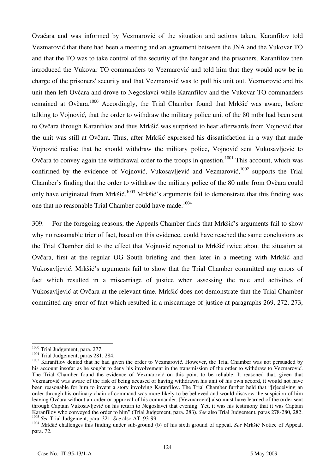Ovačara and was informed by Vezmarović of the situation and actions taken, Karanfilov told Vezmarović that there had been a meeting and an agreement between the JNA and the Vukovar TO and that the TO was to take control of the security of the hangar and the prisoners. Karanfilov then introduced the Vukovar TO commanders to Vezmarović and told him that they would now be in charge of the prisoners' security and that Vezmarović was to pull his unit out. Vezmarović and his unit then left Ovčara and drove to Negoslavci while Karanfilov and the Vukovar TO commanders remained at Ovčara.<sup>1000</sup> Accordingly, the Trial Chamber found that Mrk $\delta i \delta$  was aware, before talking to Vojnović, that the order to withdraw the military police unit of the 80 mtbr had been sent to Ovčara through Karanfilov and thus Mrkšić was surprised to hear afterwards from Vojnović that the unit was still at Ovčara. Thus, after Mrkšić expressed his dissatisfaction in a way that made Vojnović realise that he should withdraw the military police, Vojnović sent Vukosavljević to Ovčara to convey again the withdrawal order to the troops in question.<sup>1001</sup> This account, which was confirmed by the evidence of Vojnović, Vukosavljević and Vezmarović,  $1002$  supports the Trial Chamber's finding that the order to withdraw the military police of the 80 mtbr from Ovčara could only have originated from Mrkšić.<sup>1003</sup> Mrkšić's arguments fail to demonstrate that this finding was one that no reasonable Trial Chamber could have made.<sup>1004</sup>

309. For the foregoing reasons, the Appeals Chamber finds that Mrkšić's arguments fail to show why no reasonable trier of fact, based on this evidence, could have reached the same conclusions as the Trial Chamber did to the effect that Vojnović reported to Mrkšić twice about the situation at Ovčara, first at the regular OG South briefing and then later in a meeting with Mrkšić and Vukosavljević. Mrkšić's arguments fail to show that the Trial Chamber committed any errors of fact which resulted in a miscarriage of justice when assessing the role and activities of Vukosavljević at Ovčara at the relevant time. Mrkšić does not demonstrate that the Trial Chamber committed any error of fact which resulted in a miscarriage of justice at paragraphs 269, 272, 273,

<sup>&</sup>lt;sup>1000</sup> Trial Judgement, para. 277.

<sup>1001</sup> Trial Judgement, paras 281, 284.<br><sup>1002</sup> Karanfilov denied that he had given the order to Vezmarović. However, the Trial Chamber was not persuaded by his account insofar as he sought to deny his involvement in the transmission of the order to withdraw to Vezmarović. The Trial Chamber found the evidence of Vezmarović on this point to be reliable. It reasoned that, given that Vezmarović was aware of the risk of being accused of having withdrawn his unit of his own accord, it would not have been reasonable for him to invent a story involving Karanfilov. The Trial Chamber further held that "[r]eceiving an order through his ordinary chain of command was more likely to be believed and would disavow the suspicion of him leaving Ovčara without an order or approval of his commander. [Vezmarović] also must have learned of the order sent through Captain Vukosavljević on his return to Negoslavci that evening. Yet, it was his testimony that it was Captain Karanfilov who conveved the order to him" (Trial Judgement, para. 283). See also Trial Judgement, paras

<sup>&</sup>lt;sup>1003</sup> See Trial Judgement, para. 321. See also AT. 93-99.<br><sup>1004</sup> Mrkšić challenges this finding under sub-ground (b) of his sixth ground of appeal. See Mrkšić Notice of Appeal, para. 72.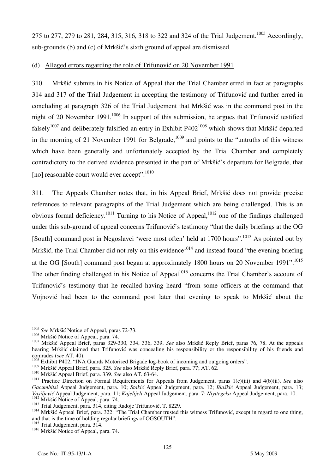275 to 277, 279 to 281, 284, 315, 316, 318 to 322 and 324 of the Trial Judgement.<sup>1005</sup> Accordingly, sub-grounds (b) and (c) of Mrkšić's sixth ground of appeal are dismissed.

### (d) Alleged errors regarding the role of Trifunović on 20 November 1991

310. Mrkšić submits in his Notice of Appeal that the Trial Chamber erred in fact at paragraphs 314 and 317 of the Trial Judgement in accepting the testimony of Trifunović and further erred in concluding at paragraph 326 of the Trial Judgement that Mrkšić was in the command post in the night of 20 November 1991.<sup>1006</sup> In support of this submission, he argues that Trifunović testified falsely<sup>1007</sup> and deliberately falsified an entry in Exhibit P402<sup>1008</sup> which shows that Mrkšić departed in the morning of 21 November 1991 for Belgrade,<sup>1009</sup> and points to the "untruths of this witness" which have been generally and unfortunately accepted by the Trial Chamber and completely contradictory to the derived evidence presented in the part of Mrkšić's departure for Belgrade, that [no] reasonable court would ever accept".<sup>1010</sup>

311. The Appeals Chamber notes that, in his Appeal Brief, Mrkšić does not provide precise references to relevant paragraphs of the Trial Judgement which are being challenged. This is an obvious formal deficiency.<sup>1011</sup> Turning to his Notice of Appeal,<sup>1012</sup> one of the findings challenged under this sub-ground of appeal concerns Trifunović's testimony "that the daily briefings at the OG [South] command post in Negoslavci 'were most often' held at  $1700$  hours".<sup>1013</sup> As pointed out by Mrkšić, the Trial Chamber did not rely on this evidence<sup>1014</sup> and instead found "the evening briefing" at the OG [South] command post began at approximately 1800 hours on 20 November 1991".<sup>1015</sup> The other finding challenged in his Notice of Appeal<sup>1016</sup> concerns the Trial Chamber's account of Trifunović's testimony that he recalled having heard "from some officers at the command that Vojnović had been to the command post later that evening to speak to Mrkšić about the

 $\overline{a}$ <sup>1005</sup> *See* Mrkšić Notice of Appeal, paras 72-73.

<sup>1006</sup> Mrkšić Notice of Appeal, para. 74. 1007 Mrkšić Appeal Brief, paras 329-330, 334, 336, 339. *See* also Mrkšić Reply Brief, paras 76, 78. At the appeals hearing Mrkšić claimed that Trifunović was concealing his responsibility or the responsibility of his friends and comrades (see AT. 40).

<sup>&</sup>lt;sup>1008</sup> Exhibit P402, "JNA Guards Motorised Brigade log-book of incoming and outgoing orders".<br><sup>1009</sup> Mrkšić Appeal Brief, para. 325. See also Mrkšić Reply Brief, para. 77; AT. 62.

<sup>&</sup>lt;sup>1010</sup> Mrkšić Appeal Brief, para. 339. See also AT. 63-64.<br><sup>1011</sup> Practice Direction on Formal Requirements for Appeals from Judgement, paras 1(c)(iii) and 4(b)(ii). See also *Gacumbitsi* Appeal Judgement, para. 10; *Stakić* Appeal Judgement, para. 12; *Blaškić* Appeal Judgement, para. 13;

<sup>1012</sup> Mrkšić Notice of Appeal, para. 74.<br>
<sup>1013</sup> Trial Judgement, para. 314, citing Radoje Trifunović, T. 8229.<br>
<sup>1014</sup> Mrkšić Appeal Brief, para. 322: "The Trial Chamber trusted this witness Trifunović, except in regard to and that is the time of holding regular briefings of OGSOUTH".

<sup>&</sup>lt;sup>1015</sup> Trial Judgement, para. 314.

<sup>&</sup>lt;sup>1016</sup> Mrkšić Notice of Appeal, para. 74.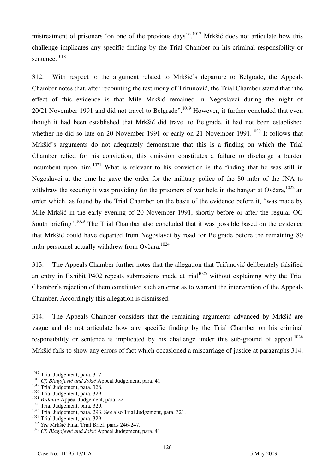mistreatment of prisoners 'on one of the previous days'".<sup>1017</sup> Mrkšić does not articulate how this challenge implicates any specific finding by the Trial Chamber on his criminal responsibility or sentence.<sup>1018</sup>

312. With respect to the argument related to Mrkšić's departure to Belgrade, the Appeals Chamber notes that, after recounting the testimony of Trifunović, the Trial Chamber stated that "the effect of this evidence is that Mile Mrkšić remained in Negoslavci during the night of 20/21 November 1991 and did not travel to Belgrade".<sup>1019</sup> However, it further concluded that even though it had been established that Mrkšić did travel to Belgrade, it had not been established whether he did so late on 20 November 1991 or early on 21 November 1991.<sup>1020</sup> It follows that Mrkšić's arguments do not adequately demonstrate that this is a finding on which the Trial Chamber relied for his conviction; this omission constitutes a failure to discharge a burden incumbent upon him. $1021$  What is relevant to his conviction is the finding that he was still in Negoslavci at the time he gave the order for the military police of the 80 mtbr of the JNA to withdraw the security it was providing for the prisoners of war held in the hangar at Ovčara,  $1022$  an order which, as found by the Trial Chamber on the basis of the evidence before it, "was made by Mile Mrkšić in the early evening of 20 November 1991, shortly before or after the regular OG South briefing".<sup>1023</sup> The Trial Chamber also concluded that it was possible based on the evidence that Mrkšić could have departed from Negoslavci by road for Belgrade before the remaining 80 mtbr personnel actually withdrew from Ovčara.<sup>1024</sup>

313. The Appeals Chamber further notes that the allegation that Trifunović deliberately falsified an entry in Exhibit P402 repeats submissions made at trial<sup>1025</sup> without explaining why the Trial Chamber's rejection of them constituted such an error as to warrant the intervention of the Appeals Chamber. Accordingly this allegation is dismissed.

314. The Appeals Chamber considers that the remaining arguments advanced by Mrkšić are vague and do not articulate how any specific finding by the Trial Chamber on his criminal responsibility or sentence is implicated by his challenge under this sub-ground of appeal.<sup>1026</sup> Mrkšić fails to show any errors of fact which occasioned a miscarriage of justice at paragraphs 314,

<sup>&</sup>lt;sup>1017</sup> Trial Judgement, para. 317.

<sup>&</sup>lt;sup>1018</sup> Cf. Blagojević and Jokić Appeal Judgement, para. 41.<br><sup>1019</sup> Trial Judgement, para. 326.

<sup>&</sup>lt;sup>1020</sup> Trial Judgement, para. 329.<br><sup>1021</sup> Brdanin Appeal Judgement, para. 22.<br><sup>1022</sup> Trial Judgement, para. 329.<br><sup>1023</sup> Trial Judgement, para. 293. See also Trial Judgement, para. 321.<br><sup>1024</sup> Trial Judgement, para. 329.

<sup>1025</sup> *See* Mrkšić Final Trial Brief, paras 246-247.

<sup>1026</sup> *Cf. Blagojević and Jokić* Appeal Judgement, para. 41.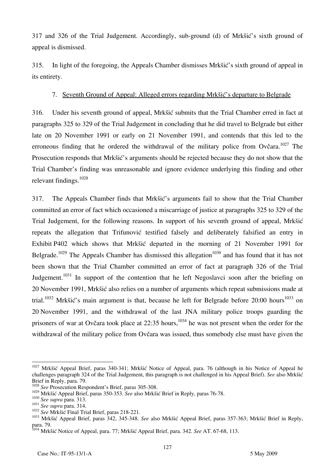317 and 326 of the Trial Judgement. Accordingly, sub-ground (d) of Mrkšić's sixth ground of appeal is dismissed.

315. In light of the foregoing, the Appeals Chamber dismisses Mrkšić's sixth ground of appeal in its entirety.

## 7. Seventh Ground of Appeal: Alleged errors regarding Mrkšić's departure to Belgrade

316. Under his seventh ground of appeal, Mrkšić submits that the Trial Chamber erred in fact at paragraphs 325 to 329 of the Trial Judgement in concluding that he did travel to Belgrade but either late on 20 November 1991 or early on 21 November 1991, and contends that this led to the erroneous finding that he ordered the withdrawal of the military police from Ovčara.<sup>1027</sup> The Prosecution responds that Mrkšić's arguments should be rejected because they do not show that the Trial Chamber's finding was unreasonable and ignore evidence underlying this finding and other relevant findings.<sup>1028</sup>

317. The Appeals Chamber finds that Mrkšić's arguments fail to show that the Trial Chamber committed an error of fact which occasioned a miscarriage of justice at paragraphs 325 to 329 of the Trial Judgement, for the following reasons. In support of his seventh ground of appeal, Mrkšić repeats the allegation that Trifunović testified falsely and deliberately falsified an entry in Exhibit P402 which shows that Mrkšić departed in the morning of 21 November 1991 for Belgrade.<sup>1029</sup> The Appeals Chamber has dismissed this allegation<sup>1030</sup> and has found that it has not been shown that the Trial Chamber committed an error of fact at paragraph 326 of the Trial Judgement.<sup>1031</sup> In support of the contention that he left Negoslavci soon after the briefing on 20 November 1991, Mrkšić also relies on a number of arguments which repeat submissions made at trial.<sup>1032</sup> Mrkšić's main argument is that, because he left for Belgrade before 20:00 hours<sup>1033</sup> on 20 November 1991, and the withdrawal of the last JNA military police troops guarding the prisoners of war at Ovčara took place at  $22:35$  hours,<sup>1034</sup> he was not present when the order for the withdrawal of the military police from Ovčara was issued, thus somebody else must have given the

 $\overline{\phantom{a}}$ <sup>1027</sup> Mrkšić Appeal Brief, paras 340-341; Mrkšić Notice of Appeal, para. 76 (although in his Notice of Appeal he challenges paragraph 324 of the Trial Judgement, this paragraph is not challenged in his Appeal Brief). *See* also Mrkšić Brief in Reply, para. 79.

<sup>&</sup>lt;sup>1028</sup> See Prosecution Respondent's Brief, paras 305-308.<br><sup>1029</sup> Mrkšić Appeal Brief, paras 350-353. See also Mrkšić Brief in Reply, paras 76-78.

<sup>&</sup>lt;sup>1030</sup> See supra para. 313.<br>
<sup>1031</sup> See supra para. 314.<br>
<sup>1032</sup> See Mrkšić Final Trial Brief, paras 218-221.<br>
<sup>1032</sup> See Mrkšić Final Trial Brief, paras 218-221.<br>
<sup>1033</sup> Mrkšić Appeal Brief, paras 342, 345-348. See also para. 79.

<sup>1034</sup> Mrkšić Notice of Appeal, para. 77; Mrkšić Appeal Brief, para. 342. *See* AT. 67-68, 113.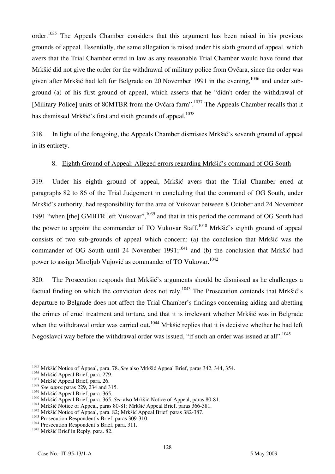order.<sup>1035</sup> The Appeals Chamber considers that this argument has been raised in his previous grounds of appeal. Essentially, the same allegation is raised under his sixth ground of appeal, which avers that the Trial Chamber erred in law as any reasonable Trial Chamber would have found that Mrkšić did not give the order for the withdrawal of military police from Ovčara, since the order was given after Mrkšić had left for Belgrade on 20 November 1991 in the evening, <sup>1036</sup> and under subground (a) of his first ground of appeal, which asserts that he "didn't order the withdrawal of [Military Police] units of 80MTBR from the Ovčara farm".<sup>1037</sup> The Appeals Chamber recalls that it has dismissed Mrkšić's first and sixth grounds of appeal. $1038$ 

318. In light of the foregoing, the Appeals Chamber dismisses Mrkšić's seventh ground of appeal in its entirety.

### 8. Eighth Ground of Appeal: Alleged errors regarding Mrkšić's command of OG South

319. Under his eighth ground of appeal, Mrkšić avers that the Trial Chamber erred at paragraphs 82 to 86 of the Trial Judgement in concluding that the command of OG South, under Mrkšić's authority, had responsibility for the area of Vukovar between 8 October and 24 November 1991 "when [the] GMBTR left Vukovar", 1039 and that in this period the command of OG South had the power to appoint the commander of TO Vukovar Staff.<sup>1040</sup> Mrkšić's eighth ground of appeal consists of two sub-grounds of appeal which concern: (a) the conclusion that Mrkšić was the commander of OG South until 24 November  $1991$ ;<sup>1041</sup> and (b) the conclusion that Mrkšić had power to assign Miroljub Vujović as commander of TO Vukovar.<sup>1042</sup>

320. The Prosecution responds that Mrkšić's arguments should be dismissed as he challenges a factual finding on which the conviction does not rely.<sup>1043</sup> The Prosecution contends that Mrkšić's departure to Belgrade does not affect the Trial Chamber's findings concerning aiding and abetting the crimes of cruel treatment and torture, and that it is irrelevant whether Mrkšić was in Belgrade when the withdrawal order was carried out.<sup>1044</sup> Mrkšić replies that it is decisive whether he had left Negoslavci way before the withdrawal order was issued, "if such an order was issued at all".<sup>1045</sup>

 $\overline{\phantom{a}}$ 1035 Mrkšić Notice of Appeal, para. 78. *See* also Mrkšić Appeal Brief, paras 342, 344, 354.

<sup>&</sup>lt;sup>1036</sup> Mrkšić Appeal Brief, para. 279.<br><sup>1037</sup> Mrkšić Appeal Brief, para. 26.<br><sup>1038</sup> *See supra* paras 229, 234 and 315.<br><sup>1039</sup> Mrkšić Appeal Brief, para. 365.

<sup>&</sup>lt;sup>1040</sup> Mrkšić Appeal Brief, para. 365. *See* also Mrkšić Notice of Appeal, paras 80-81.<br><sup>1041</sup> Mrkšić Notice of Appeal, paras 80-81; Mrkšić Appeal Brief, paras 366-381.<br><sup>1042</sup> Mrkšić Notice of Appeal, para. 82; Mrkšić Appe

<sup>&</sup>lt;sup>1045</sup> Mrkšić Brief in Reply, para. 82.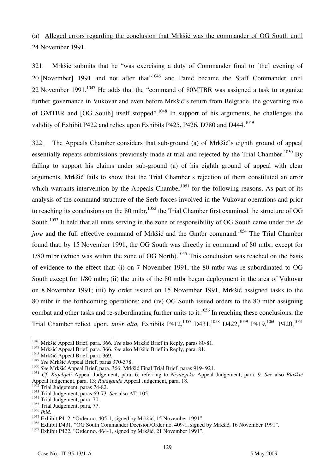# (a) Alleged errors regarding the conclusion that Mrkšić was the commander of OG South until 24 November 1991

321. Mrkšić submits that he "was exercising a duty of Commander final to [the] evening of 20 [November] 1991 and not after that"<sup>1046</sup> and Panić became the Staff Commander until 22 November 1991. $1047$  He adds that the "command of 80MTBR was assigned a task to organize further governance in Vukovar and even before Mrkšić's return from Belgrade, the governing role of GMTBR and [OG South] itself stopped".<sup>1048</sup> In support of his arguments, he challenges the validity of Exhibit P422 and relies upon Exhibits P425, P426, D780 and D444.<sup>1049</sup>

322. The Appeals Chamber considers that sub-ground (a) of Mrkšić's eighth ground of appeal essentially repeats submissions previously made at trial and rejected by the Trial Chamber.<sup>1050</sup> By failing to support his claims under sub-ground (a) of his eighth ground of appeal with clear arguments, Mrkšić fails to show that the Trial Chamber's rejection of them constituted an error which warrants intervention by the Appeals Chamber<sup>1051</sup> for the following reasons. As part of its analysis of the command structure of the Serb forces involved in the Vukovar operations and prior to reaching its conclusions on the 80 mtbr,  $1052$  the Trial Chamber first examined the structure of OG South.1053 It held that all units serving in the zone of responsibility of OG South came under the *de jure* and the full effective command of Mrkšić and the Gmtbr command.<sup>1054</sup> The Trial Chamber found that, by 15 November 1991, the OG South was directly in command of 80 mtbr, except for 1/80 mtbr (which was within the zone of OG North).<sup>1055</sup> This conclusion was reached on the basis of evidence to the effect that: (i) on 7 November 1991, the 80 mtbr was re-subordinated to OG South except for 1/80 mtbr; (ii) the units of the 80 mtbr began deployment in the area of Vukovar on 8 November 1991; (iii) by order issued on 15 November 1991, Mrkšić assigned tasks to the 80 mtbr in the forthcoming operations; and (iv) OG South issued orders to the 80 mtbr assigning combat and other tasks and re-subordinating further units to it.<sup>1056</sup> In reaching these conclusions, the Trial Chamber relied upon, *inter alia*, Exhibits P412,<sup>1057</sup> D431,<sup>1058</sup> D422,<sup>1059</sup> P419,<sup>1060</sup> P420,<sup>1061</sup>

<sup>&</sup>lt;sup>1046</sup> Mrkšić Appeal Brief, para. 366. See also Mrkšić Brief in Reply, paras 80-81.

<sup>1047</sup> Mrkšić Appeal Brief, para. 366. *See* also Mrkšić Brief in Reply, para. 81. <sup>1048</sup> Mrkšić Appeal Brief, para. 369.

<sup>1049</sup> *See* Mrkšić Appeal Brief, paras 370-378.

<sup>1050</sup> *See* Mrkšić Appeal Brief, para. 366; Mrkšić Final Trial Brief, paras 919- 921.

<sup>1051</sup> *Cf. Kajelijeli* Appeal Judgement, para. 6, referring to *Niyitegeka* Appeal Judgement, para. 9. *See* also *Blaškić* Appeal Judgement, para. 13; *Rutaganda* Appeal Judgement, para. 18.<br><sup>1052</sup> Triel Late

 $T$ Trial Judgement, paras 74-82.

<sup>1053</sup> Trial Judgement, paras 69-73. *See* also AT. 105.

<sup>&</sup>lt;sup>1054</sup> Trial Judgement, para. 70.

 $^{1055}_{1056}$  Trial Judgement, para. 77.

<sup>&</sup>lt;sup>1057</sup> Exhibit P412, "Order no. 405-1, signed by Mrkšić, 15 November 1991".

<sup>&</sup>lt;sup>1058</sup> Exhibit D431, "OG South Commander Decision/Order no. 409-1, signed by Mrkšić, 16 November 1991".

<sup>&</sup>lt;sup>1059</sup> Exhibit P422, "Order no. 464-1, signed by Mrkšić, 21 November 1991".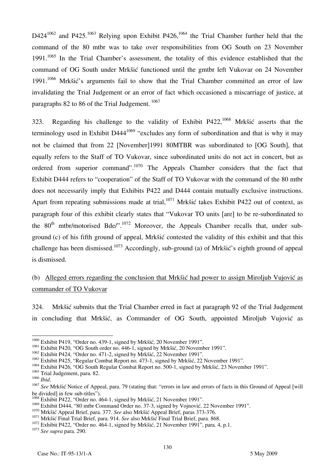$D424^{1062}$  and P425.<sup>1063</sup> Relying upon Exhibit P426,<sup>1064</sup> the Trial Chamber further held that the command of the 80 mtbr was to take over responsibilities from OG South on 23 November 1991.<sup>1065</sup> In the Trial Chamber's assessment, the totality of this evidence established that the command of OG South under Mrkšić functioned until the gmtbr left Vukovar on 24 November  $1991$ <sup>1066</sup> Mrkšić's arguments fail to show that the Trial Chamber committed an error of law invalidating the Trial Judgement or an error of fact which occasioned a miscarriage of justice, at paragraphs 82 to 86 of the Trial Judgement. 1067

323. Regarding his challenge to the validity of Exhibit P422,1068 Mrkšić asserts that the terminology used in Exhibit D444<sup>1069</sup> "excludes any form of subordination and that is why it may not be claimed that from 22 [November]1991 80MTBR was subordinated to [OG South], that equally refers to the Staff of TO Vukovar, since subordinated units do not act in concert, but as ordered from superior command".1070 The Appeals Chamber considers that the fact that Exhibit D444 refers to "cooperation" of the Staff of TO Vukovar with the command of the 80 mtbr does not necessarily imply that Exhibits P422 and D444 contain mutually exclusive instructions. Apart from repeating submissions made at trial,  $1071$  Mrkšić takes Exhibit P422 out of context, as paragraph four of this exhibit clearly states that "Vukovar TO units [are] to be re-subordinated to the  $80<sup>th</sup>$  mtbr/motorised Bde/".<sup>1072</sup> Moreover, the Appeals Chamber recalls that, under subground (c) of his fifth ground of appeal, Mrkšić contested the validity of this exhibit and that this challenge has been dismissed.<sup>1073</sup> Accordingly, sub-ground (a) of Mrkšić's eighth ground of appeal is dismissed.

## (b) Alleged errors regarding the conclusion that Mrkšić had power to assign Miroljub Vujović as commander of TO Vukovar

324. Mrkšić submits that the Trial Chamber erred in fact at paragraph 92 of the Trial Judgement in concluding that Mrkšić, as Commander of OG South, appointed Miroljub Vujović as

 $\overline{\phantom{a}}$ 

<sup>&</sup>lt;sup>1060</sup> Exhibit P419, "Order no. 439-1, signed by Mrkšić, 20 November 1991".

<sup>&</sup>lt;sup>1061</sup> Exhibit P420, "OG South order no. 446-1, signed by Mrkšić, 20 November 1991".

 $1062$  Exhibit P424, "Order no. 471-2, signed by Mrkšić, 22 November 1991".

<sup>&</sup>lt;sup>1063</sup> Exhibit P425, "Regular Combat Report no. 473-1, signed by Mrkšić, 22 November 1991".

<sup>&</sup>lt;sup>1064</sup> Exhibit P426, "OG South Regular Combat Report no. 500-1, signed by Mrkšić, 23 November 1991".

 $1066$  Trial Judgement, para. 82.<br> $1066$  *Ihid* 

<sup>&</sup>lt;sup>1067</sup> See Mrkšić Notice of Appeal, para. 79 (stating that: "errors in law and errors of facts in this Ground of Appeal [will be divided] in few sub-titles").

<sup>&</sup>lt;sup>1068</sup> Exhibit P422, "Order no. 464-1, signed by Mrkšić, 21 November 1991".<br><sup>1069</sup> Exhibit D444, "80 mtbr Command Order no. 37-3, signed by Vojnović, 22 November 1991".

<sup>&</sup>lt;sup>1070</sup> Mrkšić Appeal Brief, para. 377. *See* also Mrkšić Appeal Brief, paras 373-376.<br><sup>1071</sup> Mrkšić Final Trial Brief, para. 914. *See* also Mrkšić Final Trial Brief, para. 868.<br><sup>1072</sup> Exhibit P422, "Order no. 464-1, sign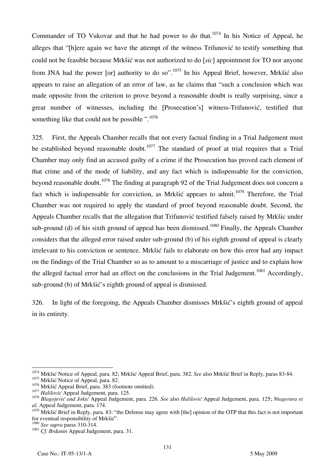Commander of TO Vukovar and that he had power to do that.<sup>1074</sup> In his Notice of Appeal, he alleges that "[h]ere again we have the attempt of the witness Trifunović to testify something that could not be feasible because Mrkšić was not authorized to do *[sic]* appointment for TO nor anyone from JNA had the power [or] authority to do so".<sup>1075</sup> In his Appeal Brief, however, Mrkšić also appears to raise an allegation of an error of law, as he claims that "such a conclusion which was made opposite from the criterion to prove beyond a reasonable doubt is really surprising, since a great number of witnesses, including the [Prosecution's] witness-Trifunović, testified that something like that could not be possible  $\cdot$ <sup>1076</sup>

325. First, the Appeals Chamber recalls that not every factual finding in a Trial Judgement must be established beyond reasonable doubt.<sup>1077</sup> The standard of proof at trial requires that a Trial Chamber may only find an accused guilty of a crime if the Prosecution has proved each element of that crime and of the mode of liability, and any fact which is indispensable for the conviction, beyond reasonable doubt.<sup>1078</sup> The finding at paragraph 92 of the Trial Judgement does not concern a fact which is indispensable for conviction, as Mrkšić appears to admit.<sup>1079</sup> Therefore, the Trial Chamber was not required to apply the standard of proof beyond reasonable doubt. Second, the Appeals Chamber recalls that the allegation that Trifunović testified falsely raised by Mrkšic under sub-ground (d) of his sixth ground of appeal has been dismissed.<sup>1080</sup> Finally, the Appeals Chamber considers that the alleged error raised under sub-ground (b) of his eighth ground of appeal is clearly irrelevant to his conviction or sentence. Mrkšić fails to elaborate on how this error had any impact on the findings of the Trial Chamber so as to amount to a miscarriage of justice and to explain how the alleged factual error had an effect on the conclusions in the Trial Judgement.<sup>1081</sup> Accordingly, sub-ground (b) of Mrkšić's eighth ground of appeal is dismissed.

326. In light of the foregoing, the Appeals Chamber dismisses Mrkšić's eighth ground of appeal in its entirety.

<sup>1074</sup> Mrkšić Notice of Appeal, para. 82; Mrkšić Appeal Brief, para. 382. *See* also Mrkšić Brief in Reply, paras 83-84.

<sup>&</sup>lt;sup>1075</sup> Mrkšić Notice of Appeal, para. 82.<br><sup>1076</sup> Mrkšić Appeal Brief, para. 383 (footnote omitted).

<sup>1077</sup> Halilović Appeal Judgement, para. 125.<br><sup>1078</sup> Blagojević and Jokić Appeal Judgement, para. 226. See also Halilović Appeal Judgement, para. 125; Ntagerura et *al.* Appeal Judgement, para. 174.

 $1079$  Mrkšić Brief in Reply, para. 83: "the Defense may agree with [the] opinion of the OTP that this fact is not important for eventual responsibility of Mrkšić".

<sup>&</sup>lt;sup>1080</sup> See supra paras 310-314.<br><sup>1081</sup> Cf. Brdanin Appeal Judgement, para. 31.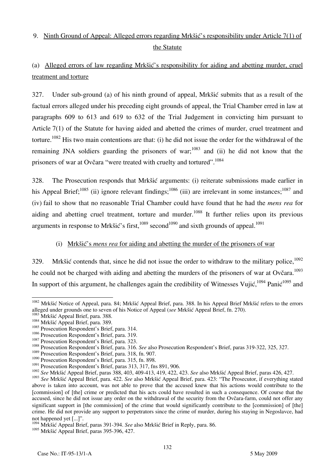# 9. Ninth Ground of Appeal: Alleged errors regarding Mrkšić's responsibility under Article 7(1) of the Statute

# (a) Alleged errors of law regarding Mrkšić's responsibility for aiding and abetting murder, cruel treatment and torture

327. Under sub-ground (a) of his ninth ground of appeal, Mrkšić submits that as a result of the factual errors alleged under his preceding eight grounds of appeal, the Trial Chamber erred in law at paragraphs 609 to 613 and 619 to 632 of the Trial Judgement in convicting him pursuant to Article 7(1) of the Statute for having aided and abetted the crimes of murder, cruel treatment and torture.1082 His two main contentions are that: (i) he did not issue the order for the withdrawal of the remaining JNA soldiers guarding the prisoners of war;<sup>1083</sup> and (ii) he did not know that the prisoners of war at Ovčara "were treated with cruelty and tortured".<sup>1084</sup>

328. The Prosecution responds that Mrkšić arguments: (i) reiterate submissions made earlier in his Appeal Brief;<sup>1085</sup> (ii) ignore relevant findings;<sup>1086</sup> (iii) are irrelevant in some instances;<sup>1087</sup> and (iv) fail to show that no reasonable Trial Chamber could have found that he had the *mens rea* for aiding and abetting cruel treatment, torture and murder.<sup>1088</sup> It further relies upon its previous arguments in response to Mrkšić's first, $1089$  second $1090$  and sixth grounds of appeal.<sup>1091</sup>

### (i) Mrkšić's *mens rea* for aiding and abetting the murder of the prisoners of war

329. Mrkšić contends that, since he did not issue the order to withdraw to the military police,  $1092$ he could not be charged with aiding and abetting the murders of the prisoners of war at Ovčara.<sup>1093</sup> In support of this argument, he challenges again the credibility of Witnesses Vujić, <sup>1094</sup> Panić<sup>1095</sup> and

 $\overline{a}$ <sup>1082</sup> Mrkšić Notice of Appeal, para. 84; Mrkšić Appeal Brief, para. 388. In his Appeal Brief Mrkšić refers to the errors alleged under grounds one to seven of his Notice of Appeal (*see* Mrkšić Appeal Brief, fn. 270). 1083 Mrkšić Appeal Brief, para. 388. 1084 Mrkšić Appeal Brief, para. 389.

<sup>&</sup>lt;sup>1085</sup> Prosecution Respondent's Brief, para. 314.<br><sup>1086</sup> Prosecution Respondent's Brief, para. 319.

<sup>&</sup>lt;sup>1087</sup> Prosecution Respondent's Brief, para. 323.<br><sup>1088</sup> Prosecution Respondent's Brief, para. 316. *See* also Prosecution Respondent's Brief, paras 319-322, 325, 327.

<sup>1089</sup> Prosecution Respondent's Brief, para. 318, fn. 907.

<sup>&</sup>lt;sup>1090</sup> Prosecution Respondent's Brief, para. 315, fn. 898.

<sup>1091</sup> Prosecution Respondent's Brief, paras 313, 317, fns 891, 906.

<sup>1092</sup> *See* Mrkšić Appeal Brief, paras 388, 403, 409-413, 419, 422, 423. *See* also Mrkšić Appeal Brief, paras 426, 427.

<sup>1093</sup> *See* Mrkšić Appeal Brief, para. 422. *See* also Mrkšić Appeal Brief, para. 423: "The Prosecutor, if everything stated above is taken into account, was not able to prove that the accused knew that his actions would contribute to the [commission] of [the] crime or predicted that his acts could have resulted in such a consequence. Of course that the accused, since he did not issue any order on the withdrawal of the security from the Ovčara-farm, could not offer any significant support in [the commission] of the crime that would significantly contribute to the [commission] of [the] crime. He did not provide any support to perpetrators since the crime of murder, during his staying in Negoslavce, had not happened yet  $[...]$ .

<sup>1094</sup> Mrkšić Appeal Brief, paras 391-394. *See* also Mrkšić Brief in Reply, para. 86.

<sup>&</sup>lt;sup>1095</sup> Mrkšić Appeal Brief, paras 395-396, 427.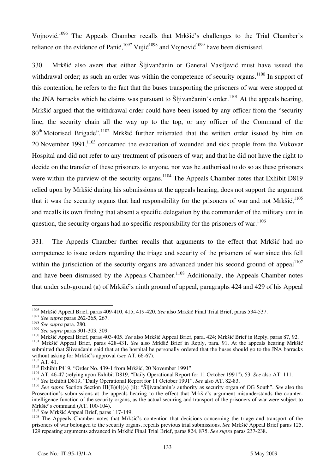Vojnović.<sup>1096</sup> The Appeals Chamber recalls that Mrkšić's challenges to the Trial Chamber's reliance on the evidence of Panić,  $1097$  Vujić $1098$  and Vojnović $1099$  have been dismissed.

330. Mrkšić also avers that either Šljivančanin or General Vasiljević must have issued the withdrawal order; as such an order was within the competence of security organs.<sup>1100</sup> In support of this contention, he refers to the fact that the buses transporting the prisoners of war were stopped at the JNA barracks which he claims was pursuant to Sliivančanin's order.<sup>1101</sup> At the appeals hearing, Mrkšić argued that the withdrawal order could have been issued by any officer from the "security" line, the security chain all the way up to the top, or any officer of the Command of the  $80<sup>th</sup>$  Motorised Brigade".<sup>1102</sup> Mrkšić further reiterated that the written order issued by him on 20 November  $1991$ ,  $^{1103}$  concerned the evacuation of wounded and sick people from the Vukovar Hospital and did not refer to any treatment of prisoners of war; and that he did not have the right to decide on the transfer of these prisoners to anyone, nor was he authorised to do so as these prisoners were within the purview of the security organs.<sup>1104</sup> The Appeals Chamber notes that Exhibit D819 relied upon by Mrkšić during his submissions at the appeals hearing, does not support the argument that it was the security organs that had responsibility for the prisoners of war and not Mrk $\mathrm{Si}$ ,<sup>1105</sup> and recalls its own finding that absent a specific delegation by the commander of the military unit in question, the security organs had no specific responsibility for the prisoners of war.<sup>1106</sup>

331. The Appeals Chamber further recalls that arguments to the effect that Mrkšić had no competence to issue orders regarding the triage and security of the prisoners of war since this fell within the jurisdiction of the security organs are advanced under his second ground of appeal $1^{1107}$ and have been dismissed by the Appeals Chamber.<sup>1108</sup> Additionally, the Appeals Chamber notes that under sub-ground (a) of Mrkšić's ninth ground of appeal, paragraphs 424 and 429 of his Appeal

 $\overline{\phantom{a}}$ 1096 Mrkšić Appeal Brief, paras 409-410, 415, 419-420. *See* also Mrkšić Final Trial Brief, paras 534-537.

<sup>1097</sup> *See supra* paras 262-265, 267.

<sup>1098</sup> *See supra* para. 280.

<sup>1100</sup> Mrkšić Appeal Brief, paras 403-405. See also Mrkšić Appeal Brief, para. 424; Mrkšić Brief in Reply, paras 87, 92.<br><sup>1101</sup> Mrkšić Appeal Brief, paras 428-431. See also Mrkšić Brief in Reply, para. 91. At the appeals hea

submitted that Slivančanin said that at the hospital he personally ordered that the buses should go to the JNA barracks without asking for Mrkšić's approval (see AT. 66-67).

<sup>&</sup>lt;sup>1102</sup> AT. 41.<br><sup>1103</sup> Exhibit P419, "Order No. 439-1 from Mrkšić, 20 November 1991".<br><sup>1104</sup> AT. 46-47 (relying upon Exhibit D819, "Daily Operational Report for 11 October 1991"), 53. See also AT. 111.

<sup>1105</sup> *See* Exhibit D819, "Daily Operational Report for 11 October 1991". *See* also AT. 82-83.

<sup>&</sup>lt;sup>1106</sup> See supra Section Section III(B)(4)(a) (ii): "Šljivančanin's authority as security organ of OG South". See also the Prosecution's submissions at the appeals hearing to the effect that Mrkšić's argument misunderstands the counterintelligence function of the security organs, as the actual securing and transport of the prisoners of war were subject to Mrkšić's command (AT. 100-104).<br> $\frac{1107}{3}$  See Mrkšić Appeal Brief, paras 117-149.

<sup>&</sup>lt;sup>1108</sup> The Appeals Chamber notes that Mrkšić's contention that decisions concerning the triage and transport of the prisoners of war belonged to the security organs, repeats previous trial submissions. *See* Mrkšić Appeal Brief paras 125, 129 repeating arguments advanced in Mrkšić Final Trial Brief, paras 824, 875. *See supra* paras 237-238.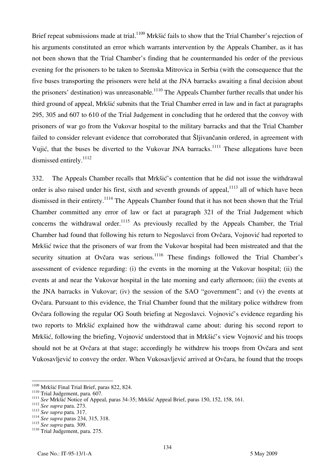Brief repeat submissions made at trial.<sup>1109</sup> Mrkšić fails to show that the Trial Chamber's rejection of his arguments constituted an error which warrants intervention by the Appeals Chamber, as it has not been shown that the Trial Chamber's finding that he countermanded his order of the previous evening for the prisoners to be taken to Sremska Mitrovica in Serbia (with the consequence that the five buses transporting the prisoners were held at the JNA barracks awaiting a final decision about the prisoners' destination) was unreasonable.<sup>1110</sup> The Appeals Chamber further recalls that under his third ground of appeal, Mrkšić submits that the Trial Chamber erred in law and in fact at paragraphs 295, 305 and 607 to 610 of the Trial Judgement in concluding that he ordered that the convoy with prisoners of war go from the Vukovar hospital to the military barracks and that the Trial Chamber failed to consider relevant evidence that corroborated that Šljivančanin ordered, in agreement with Vujić, that the buses be diverted to the Vukovar JNA barracks.<sup>1111</sup> These allegations have been dismissed entirely.<sup>1112</sup>

332. The Appeals Chamber recalls that Mrkšić's contention that he did not issue the withdrawal order is also raised under his first, sixth and seventh grounds of appeal, <sup>1113</sup> all of which have been dismissed in their entirety.<sup>1114</sup> The Appeals Chamber found that it has not been shown that the Trial Chamber committed any error of law or fact at paragraph 321 of the Trial Judgement which concerns the withdrawal order.<sup>1115</sup> As previously recalled by the Appeals Chamber, the Trial Chamber had found that following his return to Negoslavci from Ovčara, Vojnović had reported to Mrkšić twice that the prisoners of war from the Vukovar hospital had been mistreated and that the security situation at Ovčara was serious.<sup>1116</sup> These findings followed the Trial Chamber's assessment of evidence regarding: (i) the events in the morning at the Vukovar hospital; (ii) the events at and near the Vukovar hospital in the late morning and early afternoon; (iii) the events at the JNA barracks in Vukovar; (iv) the session of the SAO "government"; and (v) the events at Ovčara. Pursuant to this evidence, the Trial Chamber found that the military police withdrew from Ovčara following the regular OG South briefing at Negoslavci. Vojnović's evidence regarding his two reports to Mrkšić explained how the withdrawal came about: during his second report to Mrkšić, following the briefing, Vojnović understood that in Mrkšić's view Vojnović and his troops should not be at Ovčara at that stage; accordingly he withdrew his troops from Ovčara and sent Vukosavljević to convey the order. When Vukosavljević arrived at Ovčara, he found that the troops

<sup>&</sup>lt;sup>1109</sup> Mrkšić Final Trial Brief, paras 822, 824.

<sup>&</sup>lt;sup>1110</sup> Trial Judgement, para. 607.<br>
<sup>1111</sup> See Mrkšić Notice of Appeal, paras 34-35; Mrkšić Appeal Brief, paras 150, 152, 158, 161.<br>
<sup>1112</sup> See supra para. 273.<br>
<sup>1113</sup> See supra para. 317.

<sup>&</sup>lt;sup>1114</sup> *See supra* para. 317.<br><sup>1114</sup> *See supra* paras 234, 315, 318.<br><sup>1115</sup> *See supra* para. 309.

<sup>&</sup>lt;sup>1116</sup> Trial Judgement, para. 275.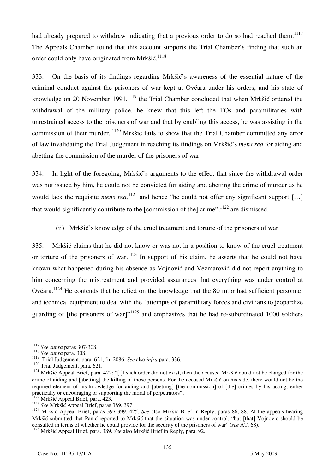had already prepared to withdraw indicating that a previous order to do so had reached them.<sup>1117</sup> The Appeals Chamber found that this account supports the Trial Chamber's finding that such an order could only have originated from Mrkšić.<sup>1118</sup>

333. On the basis of its findings regarding Mrkšić's awareness of the essential nature of the criminal conduct against the prisoners of war kept at Ovčara under his orders, and his state of knowledge on 20 November 1991, $^{1119}$  the Trial Chamber concluded that when Mrk $\delta$ ić ordered the withdrawal of the military police, he knew that this left the TOs and paramilitaries with unrestrained access to the prisoners of war and that by enabling this access, he was assisting in the commission of their murder. 1120 Mrkšić fails to show that the Trial Chamber committed any error of law invalidating the Trial Judgement in reaching its findings on Mrkšić's *mens rea* for aiding and abetting the commission of the murder of the prisoners of war.

334. In light of the foregoing, Mrkšić's arguments to the effect that since the withdrawal order was not issued by him, he could not be convicted for aiding and abetting the crime of murder as he would lack the requisite *mens rea*,<sup>1121</sup> and hence "he could not offer any significant support [...] that would significantly contribute to the [commission of the] crime", $1122$  are dismissed.

### (ii) Mrkšić's knowledge of the cruel treatment and torture of the prisoners of war

335. Mrkšić claims that he did not know or was not in a position to know of the cruel treatment or torture of the prisoners of war.<sup>1123</sup> In support of his claim, he asserts that he could not have known what happened during his absence as Vojnović and Vezmarović did not report anything to him concerning the mistreatment and provided assurances that everything was under control at Ovčara.<sup>1124</sup> He contends that he relied on the knowledge that the 80 mtbr had sufficient personnel and technical equipment to deal with the "attempts of paramilitary forces and civilians to jeopardize guarding of [the prisoners of war]"<sup>1125</sup> and emphasizes that he had re-subordinated 1000 soldiers

 $\overline{\phantom{a}}$ <sup>1117</sup> *See supra* paras 307-308. 1118 *See supra* para. 308.

<sup>&</sup>lt;sup>1118</sup> See supra para. 308.<br>
<sup>1119</sup> Trial Judgement, para. 621, fn. 2086. See also infra para. 336.<br>
<sup>1120</sup> Trial Judgement, para. 621.<br>
<sup>1120</sup> Mrkšić Appeal Brief, para. 422: "[i]f such order did not exist, then the accu crime of aiding and [abetting] the killing of those persons. For the accused Mrkšić on his side, there would not be the required element of his knowledge for aiding and [abetting] [the commission] of [the] crimes by his acting, either practically or encouraging or supporting the moral of perpetrators".

<sup>1123</sup> Mrkšić Appeal Brief, para. 423.<br>
<sup>1123</sup> See Mrkšić Appeal Brief, para. 423.<br>
<sup>1124</sup> Mrkšić Appeal Brief, paras 389, 397.<br>
<sup>1124</sup> Mrkšić Appeal Brief, paras 397-399, 425. See also Mrkšić Brief in Reply, paras 86, 88. A Mrkšić submitted that Panić reported to Mrkšić that the situation was under control, "but [that] Vojnović should be consulted in terms of whether he could provide for the security of the prisoners of war" (*see* AT. 68).

<sup>1125</sup> Mrkšić Appeal Brief, para. 389. *See* also Mrkšić Brief in Reply, para. 92.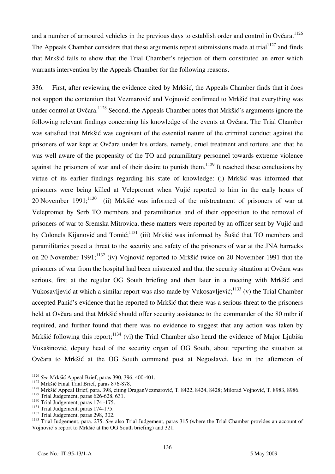and a number of armoured vehicles in the previous days to establish order and control in Ovčara.<sup>1126</sup> The Appeals Chamber considers that these arguments repeat submissions made at trial<sup>1127</sup> and finds that Mrkšić fails to show that the Trial Chamber's rejection of them constituted an error which warrants intervention by the Appeals Chamber for the following reasons.

336. First, after reviewing the evidence cited by Mrkšić, the Appeals Chamber finds that it does not support the contention that Vezmarović and Vojnović confirmed to Mrkšić that everything was under control at Ovčara.<sup>1128</sup> Second, the Appeals Chamber notes that Mrkšić's arguments ignore the following relevant findings concerning his knowledge of the events at Ovčara. The Trial Chamber was satisfied that Mrkšić was cognisant of the essential nature of the criminal conduct against the prisoners of war kept at Ovčara under his orders, namely, cruel treatment and torture, and that he was well aware of the propensity of the TO and paramilitary personnel towards extreme violence against the prisoners of war and of their desire to punish them.<sup>1129</sup> It reached these conclusions by virtue of its earlier findings regarding his state of knowledge: (i) Mrkšić was informed that prisoners were being killed at Velepromet when Vujić reported to him in the early hours of 20 November  $1991$ ;<sup>1130</sup> (ii) Mrkšić was informed of the mistreatment of prisoners of war at Velepromet by Serb TO members and paramilitaries and of their opposition to the removal of prisoners of war to Sremska Mitrovica, these matters were reported by an officer sent by Vujić and by Colonels Kijanović and Tomić;<sup>1131</sup> (iii) Mrkšić was informed by Šušić that TO members and paramilitaries posed a threat to the security and safety of the prisoners of war at the JNA barracks on 20 November 1991;<sup>1132</sup> (iv) Vojnović reported to Mrkšić twice on 20 November 1991 that the prisoners of war from the hospital had been mistreated and that the security situation at Ovčara was serious, first at the regular OG South briefing and then later in a meeting with Mrkšić and Vukosavljević at which a similar report was also made by Vukosavljević;<sup>1133</sup> (v) the Trial Chamber accepted Panić's evidence that he reported to Mrkšić that there was a serious threat to the prisoners held at Ovčara and that Mrkšić should offer security assistance to the commander of the 80 mtbr if required, and further found that there was no evidence to suggest that any action was taken by Mrkšić following this report;  $1134$  (vi) the Trial Chamber also heard the evidence of Major Ljubiša Vukašinović, deputy head of the security organ of OG South, about reporting the situation at Ovčara to Mrkšić at the OG South command post at Negoslavci, late in the afternoon of

 $1126$  See Mrkšić Appeal Brief, paras 390, 396, 400-401.

<sup>&</sup>lt;sup>1127</sup> Mrkšić Final Trial Brief, paras 876-878.<br><sup>1128</sup> Mrkšić Appeal Brief, para. 398, citing DraganVezmarović, T. 8422, 8424, 8428; Milorad Vojnović, T. 8983, 8986.<br><sup>1129</sup> Trial Judgement, paras 626-628, 631.

<sup>&</sup>lt;sup>1130</sup> Trial Judgement, paras 174-175.<br><sup>1131</sup> Trial Judgement, paras 174-175.<br><sup>1132</sup> Trial Judgement, paras 298, 302.<br><sup>1132</sup> Trial Judgement, para. 275. *See* also Trial Judgement, paras 315 (where the Trial Chamber provid Vojnović's report to Mrkšić at the OG South briefing) and 321.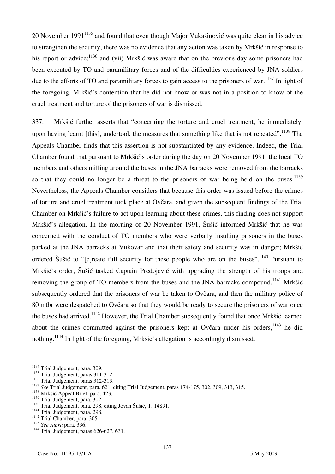20 November 1991<sup>1135</sup> and found that even though Major Vukašinović was quite clear in his advice to strengthen the security, there was no evidence that any action was taken by Mrkšić in response to his report or advice;  $136$  and (vii) Mrkšić was aware that on the previous day some prisoners had been executed by TO and paramilitary forces and of the difficulties experienced by JNA soldiers due to the efforts of TO and paramilitary forces to gain access to the prisoners of war.<sup>1137</sup> In light of the foregoing, Mrkšić's contention that he did not know or was not in a position to know of the cruel treatment and torture of the prisoners of war is dismissed.

337. Mrkšić further asserts that "concerning the torture and cruel treatment, he immediately, upon having learnt [this], undertook the measures that something like that is not repeated".  $1138$  The Appeals Chamber finds that this assertion is not substantiated by any evidence. Indeed, the Trial Chamber found that pursuant to Mrkšić's order during the day on 20 November 1991, the local TO members and others milling around the buses in the JNA barracks were removed from the barracks so that they could no longer be a threat to the prisoners of war being held on the buses.<sup>1139</sup> Nevertheless, the Appeals Chamber considers that because this order was issued before the crimes of torture and cruel treatment took place at Ovčara, and given the subsequent findings of the Trial Chamber on Mrkšić's failure to act upon learning about these crimes, this finding does not support Mrkšić's allegation. In the morning of 20 November 1991, Šušić informed Mrkšić that he was concerned with the conduct of TO members who were verbally insulting prisoners in the buses parked at the JNA barracks at Vukovar and that their safety and security was in danger; Mrkšić ordered Šušić to "[c] reate full security for these people who are on the buses".<sup>1140</sup> Pursuant to Mrkšić's order, Šušić tasked Captain Predojević with upgrading the strength of his troops and removing the group of TO members from the buses and the JNA barracks compound.<sup>1141</sup> Mrkšić subsequently ordered that the prisoners of war be taken to Ovčara, and then the military police of 80 mtbr were despatched to Ovčara so that they would be ready to secure the prisoners of war once the buses had arrived.<sup>1142</sup> However, the Trial Chamber subsequently found that once Mrkšić learned about the crimes committed against the prisoners kept at Ovčara under his orders.<sup>1143</sup> he did nothing.<sup>1144</sup> In light of the foregoing, Mrkšić's allegation is accordingly dismissed.

 $\overline{\phantom{a}}$ 

<sup>&</sup>lt;sup>1134</sup> Trial Judgement, para. 309.

 $\frac{1135}{1136}$  Trial Judgement, paras 311-312.<br> $\frac{1136}{1136}$  Trial Judgement, paras 312-313.

<sup>1137</sup> See Trial Judgement, para. 621, citing Trial Judgement, paras 174-175, 302, 309, 313, 315.<br>
<sup>1138</sup> Mrkšić Appeal Brief, para. 423.<br>
<sup>1139</sup> Trial Judgement, para. 302.

<sup>&</sup>lt;sup>1140</sup> Trial Judgement, para. 298, citing Jovan Šušić, T. 14891.<br><sup>1141</sup> Trial Judgement, para. 298.<br><sup>1142</sup> Trial Chamber, para. 305.<br><sup>1143</sup> See supra para. 336.<br><sup>1144</sup> Trial Judgement, paras 626-627, 631.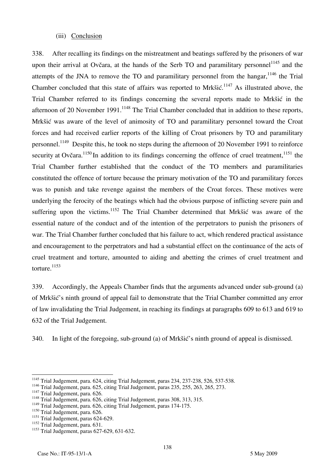#### (iii) Conclusion

338. After recalling its findings on the mistreatment and beatings suffered by the prisoners of war upon their arrival at Ovčara, at the hands of the Serb TO and paramilitary personnel<sup>1145</sup> and the attempts of the JNA to remove the TO and paramilitary personnel from the hangar,  $1146$  the Trial Chamber concluded that this state of affairs was reported to Mrkšić.<sup>1147</sup> As illustrated above, the Trial Chamber referred to its findings concerning the several reports made to Mrkšić in the afternoon of 20 November 1991.<sup>1148</sup> The Trial Chamber concluded that in addition to these reports, Mrkšić was aware of the level of animosity of TO and paramilitary personnel toward the Croat forces and had received earlier reports of the killing of Croat prisoners by TO and paramilitary personnel.<sup>1149</sup> Despite this, he took no steps during the afternoon of 20 November 1991 to reinforce security at Ovčara.<sup>1150</sup> In addition to its findings concerning the offence of cruel treatment,<sup>1151</sup> the Trial Chamber further established that the conduct of the TO members and paramilitaries constituted the offence of torture because the primary motivation of the TO and paramilitary forces was to punish and take revenge against the members of the Croat forces. These motives were underlying the ferocity of the beatings which had the obvious purpose of inflicting severe pain and suffering upon the victims.<sup>1152</sup> The Trial Chamber determined that Mrkšić was aware of the essential nature of the conduct and of the intention of the perpetrators to punish the prisoners of war. The Trial Chamber further concluded that his failure to act, which rendered practical assistance and encouragement to the perpetrators and had a substantial effect on the continuance of the acts of cruel treatment and torture, amounted to aiding and abetting the crimes of cruel treatment and torture. $^{1153}$ 

339. Accordingly, the Appeals Chamber finds that the arguments advanced under sub-ground (a) of Mrkšić's ninth ground of appeal fail to demonstrate that the Trial Chamber committed any error of law invalidating the Trial Judgement, in reaching its findings at paragraphs 609 to 613 and 619 to 632 of the Trial Judgement.

340. In light of the foregoing, sub-ground (a) of Mrkšić's ninth ground of appeal is dismissed.

1149 Trial Judgement, para. 626, citing Trial Judgement, paras 174-175.

 $\overline{a}$ <sup>1145</sup> Trial Judgement, para. 624, citing Trial Judgement, paras 234, 237-238, 526, 537-538.

<sup>1146</sup> Trial Judgement, para. 625, citing Trial Judgement, paras 235, 255, 263, 265, 273. 1147 Trial Judgement, para. 626. 1148 Trial Judgement, para. 626, citing Trial Judgement, paras 308, 313, 315.

<sup>&</sup>lt;sup>1150</sup> Trial Judgement, para. 626.

 $1151$  Trial Judgement, paras 624-629.

<sup>&</sup>lt;sup>1152</sup> Trial Judgement, para. 631.

<sup>1153</sup> Trial Judgement, paras 627-629, 631-632.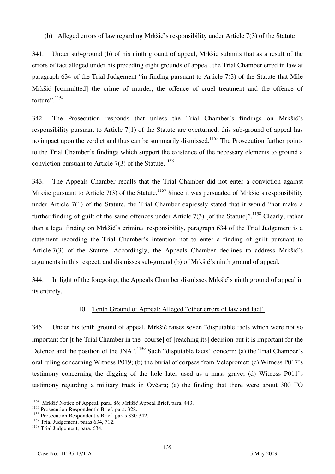### (b) Alleged errors of law regarding Mrkšić's responsibility under Article 7(3) of the Statute

341. Under sub-ground (b) of his ninth ground of appeal, Mrkšić submits that as a result of the errors of fact alleged under his preceding eight grounds of appeal, the Trial Chamber erred in law at paragraph 634 of the Trial Judgement "in finding pursuant to Article 7(3) of the Statute that Mile Mrkšić [committed] the crime of murder, the offence of cruel treatment and the offence of torture".<sup>1154</sup>

342. The Prosecution responds that unless the Trial Chamber's findings on Mrkšić's responsibility pursuant to Article 7(1) of the Statute are overturned, this sub-ground of appeal has no impact upon the verdict and thus can be summarily dismissed.<sup>1155</sup> The Prosecution further points to the Trial Chamber's findings which support the existence of the necessary elements to ground a conviction pursuant to Article 7(3) of the Statute.<sup>1156</sup>

343. The Appeals Chamber recalls that the Trial Chamber did not enter a conviction against Mrkšić pursuant to Article 7(3) of the Statute.<sup>1157</sup> Since it was persuaded of Mrkšić's responsibility under Article 7(1) of the Statute, the Trial Chamber expressly stated that it would "not make a further finding of guilt of the same offences under Article 7(3) [of the Statute]".<sup>1158</sup> Clearly, rather than a legal finding on Mrkšić's criminal responsibility, paragraph 634 of the Trial Judgement is a statement recording the Trial Chamber's intention not to enter a finding of guilt pursuant to Article 7(3) of the Statute. Accordingly, the Appeals Chamber declines to address Mrkšić's arguments in this respect, and dismisses sub-ground (b) of Mrkšić's ninth ground of appeal.

344. In light of the foregoing, the Appeals Chamber dismisses Mrkšić's ninth ground of appeal in its entirety.

### 10. Tenth Ground of Appeal: Alleged "other errors of law and fact"

345. Under his tenth ground of appeal, Mrkšić raises seven "disputable facts which were not so important for [t] he Trial Chamber in the [course] of [reaching its] decision but it is important for the Defence and the position of the JNA".<sup>1159</sup> Such "disputable facts" concern: (a) the Trial Chamber's oral ruling concerning Witness P019; (b) the burial of corpses from Velepromet; (c) Witness P017's testimony concerning the digging of the hole later used as a mass grave; (d) Witness P011's testimony regarding a military truck in Ovčara; (e) the finding that there were about 300 TO

 $\overline{\phantom{a}}$ <sup>1154</sup> Mrkšić Notice of Appeal, para. 86; Mrkšić Appeal Brief, para. 443.

<sup>&</sup>lt;sup>1155</sup> Prosecution Respondent's Brief, para. 328.

<sup>&</sup>lt;sup>1156</sup> Prosecution Respondent's Brief, paras 330-342.

<sup>&</sup>lt;sup>1157</sup> Trial Judgement, paras 634, 712.

<sup>&</sup>lt;sup>1158</sup> Trial Judgement, para. 634.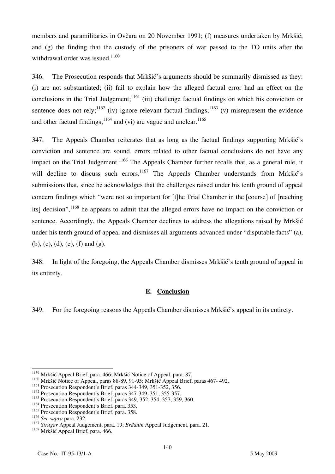members and paramilitaries in Ovčara on 20 November 1991; (f) measures undertaken by Mrkšić; and (g) the finding that the custody of the prisoners of war passed to the TO units after the withdrawal order was issued.<sup>1160</sup>

346. The Prosecution responds that Mrkšić's arguments should be summarily dismissed as they: (i) are not substantiated; (ii) fail to explain how the alleged factual error had an effect on the conclusions in the Trial Judgement;<sup>1161</sup> (iii) challenge factual findings on which his conviction or sentence does not rely;<sup>1162</sup> (iv) ignore relevant factual findings;<sup>1163</sup> (v) misrepresent the evidence and other factual findings;<sup>1164</sup> and (vi) are vague and unclear.<sup>1165</sup>

347. The Appeals Chamber reiterates that as long as the factual findings supporting Mrkšić's conviction and sentence are sound, errors related to other factual conclusions do not have any impact on the Trial Judgement.<sup>1166</sup> The Appeals Chamber further recalls that, as a general rule, it will decline to discuss such errors.<sup>1167</sup> The Appeals Chamber understands from Mrkšić's submissions that, since he acknowledges that the challenges raised under his tenth ground of appeal concern findings which "were not so important for [t]he Trial Chamber in the [course] of [reaching] its] decision", <sup>1168</sup> he appears to admit that the alleged errors have no impact on the conviction or sentence. Accordingly, the Appeals Chamber declines to address the allegations raised by Mrkšić under his tenth ground of appeal and dismisses all arguments advanced under "disputable facts" (a), (b), (c), (d), (e), (f) and (g).

348. In light of the foregoing, the Appeals Chamber dismisses Mrkšić's tenth ground of appeal in its entirety.

#### **E. Conclusion**

349. For the foregoing reasons the Appeals Chamber dismisses Mrkšić's appeal in its entirety.

 $\overline{a}$ 

<sup>&</sup>lt;sup>1159</sup> Mrkšić Appeal Brief, para. 466; Mrkšić Notice of Appeal, para. 87.

<sup>&</sup>lt;sup>1160</sup> Mrkšić Notice of Appeal, paras 88-89, 91-95; Mrkšić Appeal Brief, paras 467- 492.

<sup>1161</sup> Prosecution Respondent's Brief, paras 344-349, 351-352, 356.

<sup>1162</sup> Prosecution Respondent's Brief, paras 347-349, 351, 355-357.

<sup>1163</sup> Prosecution Respondent's Brief, paras 349, 352, 354, 357, 359, 360.

<sup>1164</sup> Prosecution Respondent's Brief, para. 353.

<sup>&</sup>lt;sup>1165</sup> Prosecution Respondent's Brief, para. 358.<br><sup>1166</sup> See supra para. 232.

<sup>&</sup>lt;sup>1167</sup> Strugar Appeal Judgement, para. 19; *Brdanin* Appeal Judgement, para. 21.

<sup>&</sup>lt;sup>1168</sup> Mrkšić Appeal Brief, para. 466.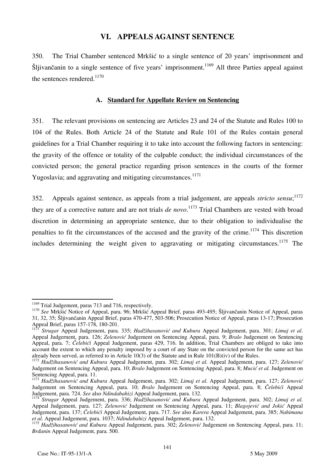## **VI. APPEALS AGAINST SENTENCE**

350. The Trial Chamber sentenced Mrkšić to a single sentence of 20 years' imprisonment and Šljivančanin to a single sentence of five years' imprisonment.<sup>1169</sup> All three Parties appeal against the sentences rendered.<sup>1170</sup>

#### **A. Standard for Appellate Review on Sentencing**

351. The relevant provisions on sentencing are Articles 23 and 24 of the Statute and Rules 100 to 104 of the Rules. Both Article 24 of the Statute and Rule 101 of the Rules contain general guidelines for a Trial Chamber requiring it to take into account the following factors in sentencing: the gravity of the offence or totality of the culpable conduct; the individual circumstances of the convicted person; the general practice regarding prison sentences in the courts of the former Yugoslavia; and aggravating and mitigating circumstances.<sup>1171</sup>

352. Appeals against sentence, as appeals from a trial judgement, are appeals *stricto sensu*; 1172 they are of a corrective nature and are not trials *de novo*.<sup>1173</sup> Trial Chambers are vested with broad discretion in determining an appropriate sentence, due to their obligation to individualise the penalties to fit the circumstances of the accused and the gravity of the crime.<sup>1174</sup> This discretion includes determining the weight given to aggravating or mitigating circumstances.<sup>1175</sup> The

<sup>&</sup>lt;sup>1169</sup> Trial Judgement, paras 713 and 716, respectively.

<sup>&</sup>lt;sup>1170</sup> See Mrkšić Notice of Appeal, para. 96; Mrkšić Appeal Brief, paras 493-495; Šljivančanin Notice of Appeal, paras 31, 32, 35; Šljivančanin Appeal Brief, paras 470-477, 503-506; Prosecution Notice of Appeal, paras 13-17; Prosecution Appeal Brief, paras 157-178, 180-201.

<sup>&</sup>lt;sup>1171</sup> Strugar Appeal Judgement, para. 335; Hadžihasanović and Kubura Appeal Judgement, para. 301; Limaj et al. Appeal Judgernent, para. 126; *Zelenović* Judgement on Sentencing Appeal, para. 9; *Bralo* Judgement on Sentencing Appeal, para. 7; *Čelebići* Appeal Judgement, paras 429, 716. In addition, Trial Chambers are obliged to take into account the extent to which any penalty imposed by a court of any State on the convicted person for the same act has already been served, as referred to in Article  $10(3)$  of the Statute and in Rule  $101(B)(iv)$  of the Rules

<sup>1172</sup> Hadžihasanović and Kubura Appeal Judgement, para. 302; Limaj et al. Appeal Judgement, para. 127; Zelenović Judgement on Sentencing Appeal, para. 10; *Bralo* Judgement on Sentencing Appeal, para. 8; *Mucić et al.* Judgement on Sentencing Appeal, para. 11.

<sup>&</sup>lt;sup>1173</sup> Hadžihasanović and Kubura Appeal Judgement, para. 302; *Limaj et al.* Appeal Judgement, para. 127; Zelenović Judgement on Sentencing Appeal, para. 10; *Bralo* Judgement on Sentencing Appeal, para. 8; *Čelebići* Appeal Judgement, para. 724. *See* also *Ndindabahizi* Appeal Judgement, para. 132.

<sup>&</sup>lt;sup>4</sup> *Strugar* Appeal Judgement, para. 336; *Hadžihasanović and Kubura* Appeal Judgement, para. 302; *Limaj et al.* Appeal Judgement, para. 127; *Zelenović* Judgement on Sentencing Appeal, para. 11; *Blagojević and Jokić* Appeal Judgement, para. 137; *Čelebi}i* Appeal Judgement, para. 717. *See* also *Karera* Appeal Judgement, para. 385; *Nahimana et al.* Appeal Judgement, para. 1037; *Ndindabahizi* Appeal Judgement, para. 132.

<sup>&</sup>lt;sup>1175</sup> Hadžihasanović and Kubura Appeal Judgement, para. 302; Zelenović Judgement on Sentencing Appeal, para. 11; *Brđanin* Appeal Judgement, para. 500.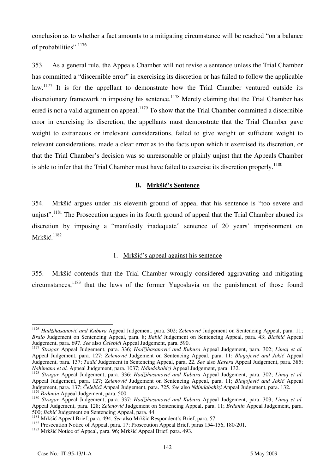conclusion as to whether a fact amounts to a mitigating circumstance will be reached "on a balance of probabilities".<sup>1176</sup>

353. As a general rule, the Appeals Chamber will not revise a sentence unless the Trial Chamber has committed a "discernible error" in exercising its discretion or has failed to follow the applicable law.<sup>1177</sup> It is for the appellant to demonstrate how the Trial Chamber ventured outside its discretionary framework in imposing his sentence.<sup>1178</sup> Merely claiming that the Trial Chamber has erred is not a valid argument on appeal.<sup>1179</sup> To show that the Trial Chamber committed a discernible error in exercising its discretion, the appellants must demonstrate that the Trial Chamber gave weight to extraneous or irrelevant considerations, failed to give weight or sufficient weight to relevant considerations, made a clear error as to the facts upon which it exercised its discretion, or that the Trial Chamber's decision was so unreasonable or plainly unjust that the Appeals Chamber is able to infer that the Trial Chamber must have failed to exercise its discretion properly.<sup>1180</sup>

#### **B. Mrkšić's Sentence**

354. Mrkšić argues under his eleventh ground of appeal that his sentence is "too severe and uniust".<sup>1181</sup> The Prosecution argues in its fourth ground of appeal that the Trial Chamber abused its discretion by imposing a "manifestly inadequate" sentence of 20 years' imprisonment on Mrkšić. 1182

## 1. Mrkšić's appeal against his sentence

355. Mrkšić contends that the Trial Chamber wrongly considered aggravating and mitigating  $circ$  circumstances,<sup>1183</sup> that the laws of the former Yugoslavia on the punishment of those found

 $\overline{a}$ 

<sup>&</sup>lt;sup>1176</sup> *Hadžihasanović and Kubura* Appeal Judgement, para. 302; *Zelenović* Judgement on Sentencing Appeal, para. 11; *Bralo* Judgement on Sentencing Appeal, para. 8; *Babić* Judgement on Sentencing Appeal, para. 43; *Blaškić* Appeal

<sup>&</sup>lt;sup>7</sup> Strugar Appeal Judgement, para, 336; Hadžihasanović and Kubura Appeal Judgement, para, 302; Limai et al. Appeal Judgement, para. 127; *Zelenović* Judgement on Sentencing Appeal, para. 11; *Blagojević and Jokić* Appeal Judgement, para. 137; *Tadić* Judgement in Sentencing Appeal, para. 22. *See* also *Karera* Appeal Judgement, para. 385;

<sup>&</sup>lt;sup>1178</sup> Strugar Appeal Judgement, para. 336; Hadžihasanović and Kubura Appeal Judgement, para. 302; Limaj et al. Appeal Judgement, para. 127; *Zelenović* Judgement on Sentencing Appeal, para. 11; *Blagojević and Jokić* Appeal Judgement, para. 137; *Čelebići* Appeal Judgement, para. 725. *See* also *Ndindabahizi* Appeal Judgement, para. 132.

<sup>1179</sup> *Brdanin* Appeal Judgement, para. 500.<br><sup>1180</sup> *Strugar* Appeal Judgement, para. 337; *Hadžihasanović and Kubura* Appeal Judgement, para. 303; *Limaj et al.* Appeal Judgement, para. 128; *Zelenović* Judgement on Sentencing Appeal, para. 11; *Brđanin* Appeal Judgement, para.

<sup>&</sup>lt;sup>1181</sup> Mrkšić Appeal Brief, para. 494. See also Mrkšić Respondent's Brief, para. 57.<br><sup>1182</sup> Prosecution Notice of Appeal, para. 17; Prosecution Appeal Brief, paras 154-156, 180-201.<br><sup>1183</sup> Mrkšić Notice of Appeal, para. 96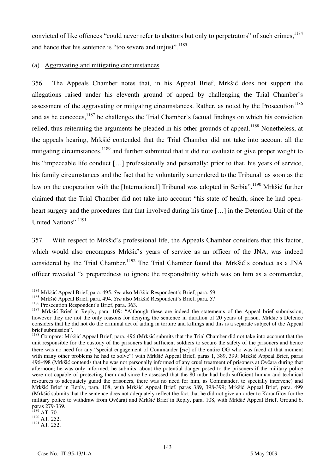convicted of like offences "could never refer to abettors but only to perpetrators" of such crimes,  $^{1184}$ and hence that his sentence is "too severe and unjust".<sup>1185</sup>

#### (a) Aggravating and mitigating circumstances

356. The Appeals Chamber notes that, in his Appeal Brief, Mrkšić does not support the allegations raised under his eleventh ground of appeal by challenging the Trial Chamber's assessment of the aggravating or mitigating circumstances. Rather, as noted by the Prosecution<sup>1186</sup> and as he concedes, <sup>1187</sup> he challenges the Trial Chamber's factual findings on which his conviction relied, thus reiterating the arguments he pleaded in his other grounds of appeal.<sup>1188</sup> Nonetheless, at the appeals hearing, Mrkšić contended that the Trial Chamber did not take into account all the mitigating circumstances,  $1189$  and further submitted that it did not evaluate or give proper weight to his "impeccable life conduct [...] professionally and personally; prior to that, his years of service, his family circumstances and the fact that he voluntarily surrendered to the Tribunal as soon as the law on the cooperation with the [International] Tribunal was adopted in Serbia".<sup>1190</sup> Mrkšić further claimed that the Trial Chamber did not take into account "his state of health, since he had openheart surgery and the procedures that that involved during his time [...] in the Detention Unit of the United Nations".<sup>1191</sup>

357. With respect to Mrkšić's professional life, the Appeals Chamber considers that this factor, which would also encompass Mrkšić's years of service as an officer of the JNA, was indeed considered by the Trial Chamber.<sup>1192</sup> The Trial Chamber found that Mrk $\delta i \delta' s$  conduct as a JNA officer revealed "a preparedness to ignore the responsibility which was on him as a commander,

 $\overline{a}$ 

<sup>1184</sup> Mrkšić Appeal Brief, para. 495. *See* also Mrkšić Respondent's Brief, para. 59.

<sup>&</sup>lt;sup>1185</sup> Mrkšić Appeal Brief, para. 494. *See* also Mrkšić Respondent's Brief, para. 57.<br><sup>1186</sup> Prosecution Respondent's Brief, para. 363.

<sup>&</sup>lt;sup>1187</sup> Mrkšić Brief in Reply, para. 109: "Although these are indeed the statements of the Appeal brief submission, however they are not the only reasons for denying the sentence in duration of 20 years of prison. Mrkšić's Defence considers that he did not do the criminal act of aiding in torture and killings and this is a separate subject of the Appeal brief submission".

<sup>&</sup>lt;sup>1188</sup> Compare: Mrkšić Appeal Brief, para. 496 (Mrkšić submits that the Trial Chamber did not take into account that the unit responsible for the custody of the prisoners had sufficient soldiers to secure the safety of the prisoners and hence there was no need for any "special engagement of Commander [sic] of the entire OG who was faced at that moment with many other problems he had to solve") with Mrkšić Appeal Brief, paras 1, 389, 399; Mrkšić Appeal Brief, paras 496-498 (Mrkšić contends that he was not personally informed of any cruel treatment of prisoners at Ovčara during that afternoon; he was only informed, he submits, about the potential danger posed to the prisoners if the military police were not capable of protecting them and since he assessed that the 80 mtbr had both sufficient human and technical resources to adequately guard the prisoners, there was no need for him, as Commander, to specially intervene) and Mrkšić Brief in Reply, para. 108, with Mrkšić Appeal Brief, paras 389, 398-399; Mrkšić Appeal Brief, para. 499 (Mrkšić submits that the sentence does not adequately reflect the fact that he did not give an order to Karanfilov for the military police to withdraw from Ovčara) and Mrkšić Brief in Reply, para. 108, with Mrkšić Appeal Brief, Ground 6, paras 279-339.

 $1189$  AT. 70.

 $1190$  AT. 252.

<sup>1191</sup> AT. 252.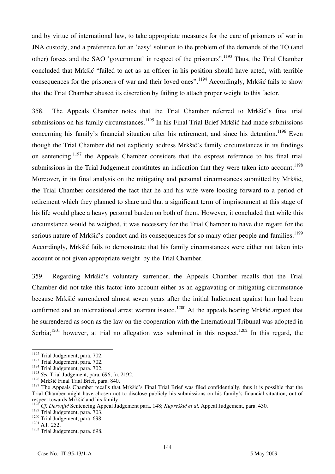and by virtue of international law, to take appropriate measures for the care of prisoners of war in JNA custody, and a preference for an 'easy' solution to the problem of the demands of the TO (and other) forces and the SAO 'government' in respect of the prisoners".<sup>1193</sup> Thus, the Trial Chamber concluded that Mrkšić "failed to act as an officer in his position should have acted, with terrible consequences for the prisoners of war and their loved ones".<sup>1194</sup> Accordingly, Mrk $\delta$ ić fails to show that the Trial Chamber abused its discretion by failing to attach proper weight to this factor.

358. The Appeals Chamber notes that the Trial Chamber referred to Mrkšić's final trial submissions on his family circumstances.<sup>1195</sup> In his Final Trial Brief Mrk $\delta$ ić had made submissions concerning his family's financial situation after his retirement, and since his detention.<sup>1196</sup> Even though the Trial Chamber did not explicitly address Mrkšić's family circumstances in its findings on sentencing,<sup>1197</sup> the Appeals Chamber considers that the express reference to his final trial submissions in the Trial Judgement constitutes an indication that they were taken into account.<sup>1198</sup> Moreover, in its final analysis on the mitigating and personal circumstances submitted by Mrkšić, the Trial Chamber considered the fact that he and his wife were looking forward to a period of retirement which they planned to share and that a significant term of imprisonment at this stage of his life would place a heavy personal burden on both of them. However, it concluded that while this circumstance would be weighed, it was necessary for the Trial Chamber to have due regard for the serious nature of Mrkšić's conduct and its consequences for so many other people and families.<sup>1199</sup> Accordingly, Mrk $\delta$ ić fails to demonstrate that his family circumstances were either not taken into account or not given appropriate weight by the Trial Chamber.

359. Regarding Mrk{i}'s voluntary surrender, the Appeals Chamber recalls that the Trial Chamber did not take this factor into account either as an aggravating or mitigating circumstance because Mrkšić surrendered almost seven years after the initial Indictment against him had been confirmed and an international arrest warrant issued.<sup>1200</sup> At the appeals hearing Mrk $\delta$ ić argued that he surrendered as soon as the law on the cooperation with the International Tribunal was adopted in Serbia;<sup>1201</sup> however, at trial no allegation was submitted in this respect.<sup>1202</sup> In this regard, the

 $\overline{a}$ <sup>1192</sup> Trial Judgement, para. 702.

<sup>1193</sup> Trial Judgement, para. 702.

<sup>&</sup>lt;sup>1194</sup> Trial Judgement, para. 702.

<sup>1195</sup> *See* Trial Judgement, para. 696, fn. 2192.

<sup>&</sup>lt;sup>1196</sup> Mrkšić Final Trial Brief, para. 840.

<sup>&</sup>lt;sup>1197</sup> The Appeals Chamber recalls that Mrkšić's Final Trial Brief was filed confidentially, thus it is possible that the Trial Chamber might have chosen not to disclose publicly his submissions on his family's financial situation, out of respect towards Mrkšić and his family.

<sup>&</sup>lt;sup>5</sup> *Cf. Deronjić* Sentencing Appeal Judgement para. 148; *Kupreškić et al.* Appeal Judgement, para. 430.

<sup>&</sup>lt;sup>1199</sup> Trial Judgement, para. 703.<br><sup>1200</sup> Trial Judgement, para. 698.<br><sup>1201</sup> AT. 252.<br><sup>1202</sup> Trial Judgement, para. 698.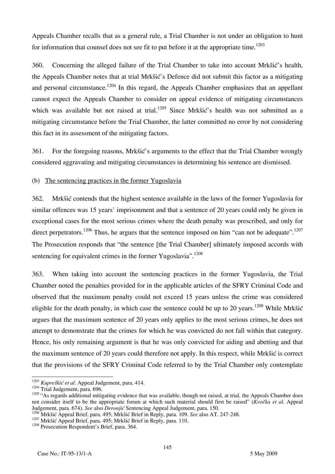Appeals Chamber recalls that as a general rule, a Trial Chamber is not under an obligation to hunt for information that counsel does not see fit to put before it at the appropriate time.<sup>1203</sup>

360. Concerning the alleged failure of the Trial Chamber to take into account Mrkšić's health, the Appeals Chamber notes that at trial Mrkšić's Defence did not submit this factor as a mitigating and personal circumstance.<sup>1204</sup> In this regard, the Appeals Chamber emphasizes that an appellant cannot expect the Appeals Chamber to consider on appeal evidence of mitigating circumstances which was available but not raised at trial.<sup>1205</sup> Since Mrkšić's health was not submitted as a mitigating circumstance before the Trial Chamber, the latter committed no error by not considering this fact in its assessment of the mitigating factors.

361. For the foregoing reasons, Mrkšić's arguments to the effect that the Trial Chamber wrongly considered aggravating and mitigating circumstances in determining his sentence are dismissed.

## (b) The sentencing practices in the former Yugoslavia

362. Mrkšić contends that the highest sentence available in the laws of the former Yugoslavia for similar offences was 15 years' imprisonment and that a sentence of 20 years could only be given in exceptional cases for the most serious crimes where the death penalty was prescribed, and only for direct perpetrators.<sup>1206</sup> Thus, he argues that the sentence imposed on him "can not be adequate".<sup>1207</sup> The Prosecution responds that "the sentence [the Trial Chamber] ultimately imposed accords with sentencing for equivalent crimes in the former Yugoslavia".<sup>1208</sup>

363. When taking into account the sentencing practices in the former Yugoslavia, the Trial Chamber noted the penalties provided for in the applicable articles of the SFRY Criminal Code and observed that the maximum penalty could not exceed 15 years unless the crime was considered eligible for the death penalty, in which case the sentence could be up to 20 years.<sup>1209</sup> While Mrkšić argues that the maximum sentence of 20 years only applies to the most serious crimes, he does not attempt to demonstrate that the crimes for which he was convicted do not fall within that category. Hence, his only remaining argument is that he was only convicted for aiding and abetting and that the maximum sentence of 20 years could therefore not apply. In this respect, while Mrkšić is correct that the provisions of the SFRY Criminal Code referred to by the Trial Chamber only contemplate

 $\overline{\phantom{a}}$ 

<sup>&</sup>lt;sup>1203</sup> *Kupreškić et al.* Appeal Judgement, para. 414.<br><sup>1204</sup> Trial Judgement, para. 696.

 $\frac{1204 \text{ Trial Judgement}}{1205 \text{ m}}$ , para. 696. not consider itself to be the appropriate forum at which such material should first be raised" (*Kvočka et al.* Appeal Judgement, para. 674). *See* also *Deronjić* Sentencing Appeal Judgement, para. 150.

<sup>1206</sup> Mrkšić Appeal Brief, para. 495; Mrkšić Brief in Reply, para. 109. *See* also AT. 247-248.<br><sup>1207</sup> Mrkšić Appeal Brief, para. 495; Mrkšić Brief in Reply, para. 110.<br><sup>1208</sup> Prosecution Respondent's Brief, para. 364.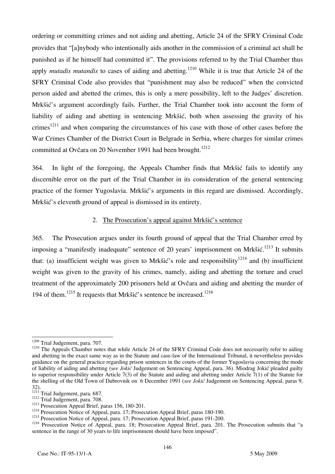ordering or committing crimes and not aiding and abetting, Article 24 of the SFRY Criminal Code provides that "[a]nybody who intentionally aids another in the commission of a criminal act shall be punished as if he himself had committed it". The provisions referred to by the Trial Chamber thus apply *mutadis mutandis* to cases of aiding and abetting.<sup>1210</sup> While it is true that Article 24 of the SFRY Criminal Code also provides that "punishment may also be reduced" when the convicted person aided and abetted the crimes, this is only a mere possibility, left to the Judges' discretion. Mrkšić's argument accordingly fails. Further, the Trial Chamber took into account the form of liability of aiding and abetting in sentencing Mrkšić, both when assessing the gravity of his crimes<sup>1211</sup> and when comparing the circumstances of his case with those of other cases before the War Crimes Chamber of the District Court in Belgrade in Serbia, where charges for similar crimes committed at Ovčara on 20 November 1991 had been brought.<sup>1212</sup>

364. In light of the foregoing, the Appeals Chamber finds that Mrkšić fails to identify any discernible error on the part of the Trial Chamber in its consideration of the general sentencing practice of the former Yugoslavia. Mrkšić's arguments in this regard are dismissed. Accordingly, Mrkšić's eleventh ground of appeal is dismissed in its entirety.

#### 2. The Prosecution's appeal against Mrkšić's sentence

365. The Prosecution argues under its fourth ground of appeal that the Trial Chamber erred by imposing a "manifestly inadequate" sentence of 20 years' imprisonment on Mrkšić.<sup>1213</sup> It submits that: (a) insufficient weight was given to Mrkšić's role and responsibility<sup>1214</sup> and (b) insufficient weight was given to the gravity of his crimes, namely, aiding and abetting the torture and cruel treatment of the approximately 200 prisoners held at Ovčara and aiding and abetting the murder of 194 of them.<sup>1215</sup> It requests that Mrkšić's sentence be increased.<sup>1216</sup>

<sup>&</sup>lt;sup>1209</sup> Trial Judgement, para. 707.

<sup>&</sup>lt;sup>1210</sup> The Appeals Chamber notes that while Article 24 of the SFRY Criminal Code does not necessarily refer to aiding and abetting in the exact same way as in the Statute and case-law of the International Tribunal, it nevertheless provides guidance on the general practice regarding prison sentences in the courts of the former Yugoslavia concerning the mode of liability of aiding and abetting (see Jokić Judgement on Sentencing Appeal, para. 36). Miodrag Jokić pleaded guilty to superior responsibility under Article 7(3) of the Statute and aiding and abetting under Article 7(1) of the Statute for the shelling of the Old Town of Dubrovnik on 6 December 1991 (*see Jokić* Judgement on Sentencing Appeal, paras 9, 32).<br><sup>1211</sup> Trial Judgement, para. 687.<br><sup>1212</sup> Trial Judgement, para. 708.

<sup>&</sup>lt;sup>1213</sup> Prosecution Appeal Brief, paras 156, 180-201.<br><sup>1214</sup> Prosecution Notice of Appeal, para. 17; Prosecution Appeal Brief, paras 180-190.

<sup>&</sup>lt;sup>1215</sup> Prosecution Notice of Appeal, para. 17; Prosecution Appeal Brief, paras 191-200.

<sup>&</sup>lt;sup>1216</sup> Prosecution Notice of Appeal, para. 18; Prosecution Appeal Brief, para. 201. The Prosecution submits that "a sentence in the range of 30 years to life imprisonment should have been imposed".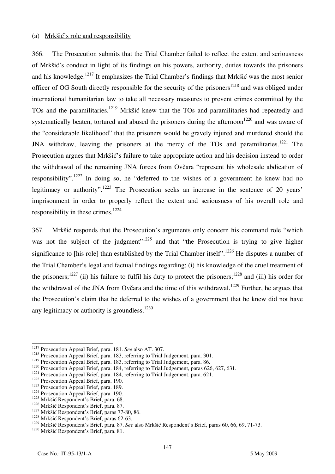#### (a) Mrkšić's role and responsibility

366. The Prosecution submits that the Trial Chamber failed to reflect the extent and seriousness of Mrkšić's conduct in light of its findings on his powers, authority, duties towards the prisoners and his knowledge.<sup>1217</sup> It emphasizes the Trial Chamber's findings that Mrkšić was the most senior officer of OG South directly responsible for the security of the prisoners<sup>1218</sup> and was obliged under international humanitarian law to take all necessary measures to prevent crimes committed by the TOs and the paramilitaries.<sup>1219</sup> Mrkšić knew that the TOs and paramilitaries had repeatedly and systematically beaten, tortured and abused the prisoners during the afternoon<sup>1220</sup> and was aware of the "considerable likelihood" that the prisoners would be gravely injured and murdered should the JNA withdraw, leaving the prisoners at the mercy of the TOs and paramilitaries.<sup>1221</sup> The Prosecution argues that Mrkšić's failure to take appropriate action and his decision instead to order the withdrawal of the remaining JNA forces from Ovčara "represent his wholesale abdication of responsibility".<sup>1222</sup> In doing so, he "deferred to the wishes of a government he knew had no legitimacy or authority".<sup>1223</sup> The Prosecution seeks an increase in the sentence of 20 years' imprisonment in order to properly reflect the extent and seriousness of his overall role and responsibility in these crimes.<sup>1224</sup>

367. Mrkšić responds that the Prosecution's arguments only concern his command role "which was not the subject of the judgment"<sup>1225</sup> and that "the Prosecution is trying to give higher significance to [his role] than established by the Trial Chamber itself".<sup>1226</sup> He disputes a number of the Trial Chamber's legal and factual findings regarding: (i) his knowledge of the cruel treatment of the prisoners;<sup>1227</sup> (ii) his failure to fulfil his duty to protect the prisoners;<sup>1228</sup> and (iii) his order for the withdrawal of the JNA from Ovčara and the time of this withdrawal.<sup>1229</sup> Further, he argues that the Prosecution's claim that he deferred to the wishes of a government that he knew did not have any legitimacy or authority is groundless. $1230$ 

<sup>&</sup>lt;sup>1217</sup> Prosecution Appeal Brief, para. 181. See also AT. 307.

<sup>1218</sup> Prosecution Appeal Brief, para. 183, referring to Trial Judgement, para. 301.<br><sup>1219</sup> Prosecution Appeal Brief, para. 183, referring to Trial Judgement, para. 86.

<sup>&</sup>lt;sup>1220</sup> Prosecution Appeal Brief, para. 184, referring to Trial Judgement, paras 626, 627, 631.<br><sup>1221</sup> Prosecution Appeal Brief, para. 184, referring to Trial Judgement, para. 621.<br><sup>1222</sup> Prosecution Appeal Brief, para. 190

<sup>&</sup>lt;sup>1225</sup> Mrkšić Respondent's Brief, para. 68.<br><sup>1226</sup> Mrkšić Respondent's Brief, para. 87.

<sup>&</sup>lt;sup>1227</sup> Mrkšić Respondent's Brief, paras 77-80, 86. <sup>1228</sup> Mrkšić Respondent's Brief, paras 62-63.

<sup>&</sup>lt;sup>1229</sup> Mrkšić Respondent's Brief, para. 87. *See* also Mrkšić Respondent's Brief, paras 60, 66, 69, 71-73.<br><sup>1230</sup> Mrkšić Respondent's Brief, para. 81.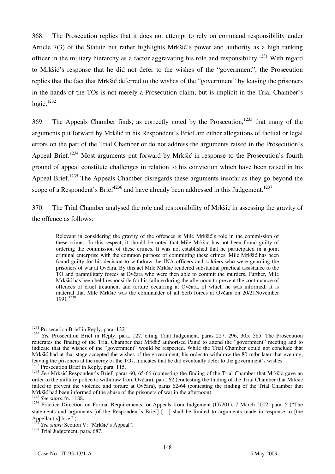368. The Prosecution replies that it does not attempt to rely on command responsibility under Article 7(3) of the Statute but rather highlights Mrkšić's power and authority as a high ranking officer in the military hierarchy as a factor aggravating his role and responsibility.<sup>1231</sup> With regard to Mrkšić's response that he did not defer to the wishes of the "government", the Prosecution replies that the fact that Mrkšić deferred to the wishes of the "government" by leaving the prisoners in the hands of the TOs is not merely a Prosecution claim, but is implicit in the Trial Chamber's  $logic.<sup>1232</sup>$ 

369. The Appeals Chamber finds, as correctly noted by the Prosecution,<sup>1233</sup> that many of the arguments put forward by Mrkšić in his Respondent's Brief are either allegations of factual or legal errors on the part of the Trial Chamber or do not address the arguments raised in the Prosecution's Appeal Brief.<sup>1234</sup> Most arguments put forward by Mrkšić in response to the Prosecution's fourth ground of appeal constitute challenges in relation to his conviction which have been raised in his Appeal Brief.<sup>1235</sup> The Appeals Chamber disregards these arguments insofar as they go beyond the scope of a Respondent's Brief<sup>1236</sup> and have already been addressed in this Judgement.<sup>1237</sup>

370. The Trial Chamber analysed the role and responsibility of Mrkšić in assessing the gravity of the offence as follows:

Relevant in considering the gravity of the offences is Mile Mrkšić's role in the commission of these crimes. In this respect, it should be noted that Mile Mrkšić has not been found guilty of ordering the commission of these crimes. It was not established that he participated in a joint criminal enterprise with the common purpose of committing these crimes. Mile Mrkšić has been found guilty for his decision to withdraw the JNA officers and soldiers who were guarding the prisoners of war at Ovčara. By this act Mile Mrkšić rendered substantial practical assistance to the TO and paramilitary forces at Ovčara who were then able to commit the murders. Further, Mile Mrkšić has been held responsible for his failure during the afternoon to prevent the continuance of offences of cruel treatment and torture occurring at Ovčara, of which he was informed. It is material that Mile Mrkšić was the commander of all Serb forces at Ovčara on 20/21November 1991.1238

<sup>&</sup>lt;sup>1231</sup> Prosecution Brief in Reply, para. 122.

<sup>&</sup>lt;sup>1232</sup> See Prosecution Brief in Reply, para. 127, citing Trial Judgement, paras 227, 296, 305, 585. The Prosecution reiterates the finding of the Trial Chamber that Mrkšić authorised Panić to attend the "government" meeting and to indicate that the wishes of the "government" would be respected. While the Trial Chamber could not conclude that Mrkšić had at that stage accepted the wishes of the government, his order to withdraw the 80 mtbr later that evening, leaving the prisoners at the mercy of the TOs, indicates that he did eventually defer to the government'

 $^{1233}$  Prosecution Brief in Reply, para. 115.<br> $^{1234}$  See Mrkšić Respondent's Brief, paras 60, 65-66 (contesting the finding of the Trial Chamber that Mrkšić gave an order to the military police to withdraw from Ovčara), para. 62 (contesting the finding of the Trial Chamber that Mrkšić failed to prevent the violence and torture at Ovčara), paras 62-64 (contesting the finding of the Trial Chamber that Mrkšić had been informed of the abuse of the prisoners of war in the afternoon).

<sup>1235</sup> *See supra* fn. 1188.

<sup>&</sup>lt;sup>1236</sup> Practice Direction on Formal Requirements for Appeals from Judgement (IT/201), 7 March 2002, para. 5 ("The statements and arguments [of the Respondent's Brief] [...] shall be limited to arguments made in response to [the Appellant's] brief").

<sup>&</sup>lt;sup>1237</sup> See supra Section V: "Mrkšić's Appeal". <sup>1238</sup> Trial Judgement, para. 687.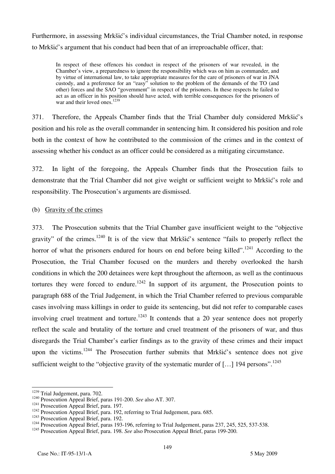Furthermore, in assessing Mrkšić's individual circumstances, the Trial Chamber noted, in response to Mrkšić's argument that his conduct had been that of an irreproachable officer, that:

In respect of these offences his conduct in respect of the prisoners of war revealed, in the Chamber's view, a preparedness to ignore the responsibility which was on him as commander, and by virtue of international law, to take appropriate measures for the care of prisoners of war in JNA custody, and a preference for an "easy" solution to the problem of the demands of the TO (and other) forces and the SAO "government" in respect of the prisoners. In these respects he failed to act as an officer in his position should have acted, with terrible consequences for the prisoners of war and their loved ones.<sup>1239</sup>

371. Therefore, the Appeals Chamber finds that the Trial Chamber duly considered Mrkšić's position and his role as the overall commander in sentencing him. It considered his position and role both in the context of how he contributed to the commission of the crimes and in the context of assessing whether his conduct as an officer could be considered as a mitigating circumstance.

372. In light of the foregoing, the Appeals Chamber finds that the Prosecution fails to demonstrate that the Trial Chamber did not give weight or sufficient weight to Mrkšić's role and responsibility. The Prosecution's arguments are dismissed.

## (b) Gravity of the crimes

373. The Prosecution submits that the Trial Chamber gave insufficient weight to the "objective gravity" of the crimes.1240 It is of the view that Mrkšić's sentence "fails to properly reflect the horror of what the prisoners endured for hours on end before being killed".<sup>1241</sup> According to the Prosecution, the Trial Chamber focused on the murders and thereby overlooked the harsh conditions in which the 200 detainees were kept throughout the afternoon, as well as the continuous tortures they were forced to endure.<sup>1242</sup> In support of its argument, the Prosecution points to paragraph 688 of the Trial Judgement, in which the Trial Chamber referred to previous comparable cases involving mass killings in order to guide its sentencing, but did not refer to comparable cases involving cruel treatment and torture.<sup>1243</sup> It contends that a 20 year sentence does not properly reflect the scale and brutality of the torture and cruel treatment of the prisoners of war, and thus disregards the Trial Chamber's earlier findings as to the gravity of these crimes and their impact upon the victims.<sup>1244</sup> The Prosecution further submits that Mrkšić's sentence does not give sufficient weight to the "objective gravity of the systematic murder of [...] 194 persons".<sup>1245</sup>

<sup>&</sup>lt;sup>1239</sup> Trial Judgement, para. 702.

<sup>&</sup>lt;sup>1240</sup> Prosecution Appeal Brief, paras 191-200. *See* also AT. 307.<br>
<sup>1241</sup> Prosecution Appeal Brief, para. 197.<br>
<sup>1242</sup> Prosecution Appeal Brief, para. 192, referring to Trial Judgement, para. 685.<br>
<sup>1243</sup> Prosecution Ap

<sup>1245</sup> Prosecution Appeal Brief, para. 198. *See* also Prosecution Appeal Brief, paras 199-200.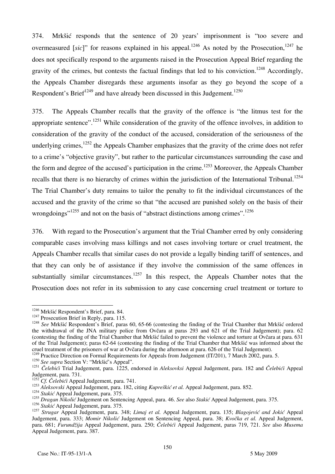374. Mrkšić responds that the sentence of 20 years' imprisonment is "too severe and overmeasured *[sic]*" for reasons explained in his appeal.<sup>1246</sup> As noted by the Prosecution,<sup>1247</sup> he does not specifically respond to the arguments raised in the Prosecution Appeal Brief regarding the gravity of the crimes, but contests the factual findings that led to his conviction.<sup>1248</sup> Accordingly, the Appeals Chamber disregards these arguments insofar as they go beyond the scope of a Respondent's Brief<sup>1249</sup> and have already been discussed in this Judgement.<sup>1250</sup>

375. The Appeals Chamber recalls that the gravity of the offence is "the litmus test for the appropriate sentence".<sup>1251</sup> While consideration of the gravity of the offence involves, in addition to consideration of the gravity of the conduct of the accused, consideration of the seriousness of the underlying crimes, $1252$  the Appeals Chamber emphasizes that the gravity of the crime does not refer to a crime's "objective gravity", but rather to the particular circumstances surrounding the case and the form and degree of the accused's participation in the crime.<sup>1253</sup> Moreover, the Appeals Chamber recalls that there is no hierarchy of crimes within the jurisdiction of the International Tribunal.<sup>1254</sup> The Trial Chamber's duty remains to tailor the penalty to fit the individual circumstances of the accused and the gravity of the crime so that "the accused are punished solely on the basis of their wrongdoings"<sup>1255</sup> and not on the basis of "abstract distinctions among crimes".<sup>1256</sup>

376. With regard to the Prosecution's argument that the Trial Chamber erred by only considering comparable cases involving mass killings and not cases involving torture or cruel treatment, the Appeals Chamber recalls that similar cases do not provide a legally binding tariff of sentences, and that they can only be of assistance if they involve the commission of the same offences in substantially similar circumstances.<sup>1257</sup> In this respect, the Appeals Chamber notes that the Prosecution does not refer in its submission to any case concerning cruel treatment or torture to

<sup>1250</sup> *See supra* Section V: "Mrkšić's Appeal".

<sup>1256</sup> Stakić Appeal Judgement, para. 375.

<sup>&</sup>lt;sup>1246</sup> Mrkšić Respondent's Brief, para. 84.

<sup>&</sup>lt;sup>1247</sup> Prosecution Brief in Reply, para. 115.<br><sup>1248</sup> See Mrkšić Respondent's Brief, paras 60, 65-66 (contesting the finding of the Trial Chamber that Mrkšić ordered the withdrawal of the JNA military police from Ovčara at paras 293 and 621 of the Trial Judgement); para. 62 (contesting the finding of the Trial Chamber that Mrk $\tilde{\rm s}$ i failed to prevent the violence and torture at Ovčara at para. 631 of the Trial Judgement); paras 62-64 (contesting the finding of the Trial Chamber that Mrkšić was informed about the cruel treatment of the prisoners of war at Ovčara during the afternoon at para. 626 of the Trial Judgement).

<sup>&</sup>lt;sup>1249</sup> Practice Direction on Formal Requirements for Appeals from Judgement (IT/201), 7 March 2002, para. 5.

<sup>1251</sup> *Čelebići* Trial Judgement, para. 1225, endorsed in *Aleksovksi* Appeal Judgement, para. 182 and *Čelebići* Appeal Judgement, para. 731.

<sup>&</sup>lt;sup>1252</sup> *Cf.* Čelebići Appeal Judgement, para. 741.

<sup>&</sup>lt;sup>1253</sup> Aleksovski Appeal Judgement, para. 182, citing *Kupreškić et al.* Appeal Judgement, para. 852.

<sup>&</sup>lt;sup>1254</sup> *Stakić* Appeal Judgement, para. 375.

<sup>&</sup>lt;sup>1255</sup> *Dragan Nikolić* Judgement on Sentencing Appeal, para. 46. *See* also *Stakić* Appeal Judgement, para. 375.

<sup>1257</sup> *Strugar* Appeal Judgement, para. 348; *Limaj et al.* Appeal Judgement, para. 135; *Blagojević and Jokić* Appeal Judgement, para. 333; *Momir Nikolić* Judgement on Sentencing Appeal, para. 38; *Kvočka et al.* Appeal Judgement, para. 681; *Furund'ija* Appeal Judgement, para. 250; *^elebi}i* Appeal Judgement, paras 719, 721. *See* also *Musema* Appeal Judgement, para. 387.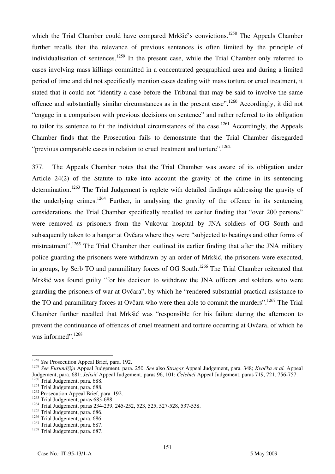which the Trial Chamber could have compared Mrkšić's convictions.<sup>1258</sup> The Appeals Chamber further recalls that the relevance of previous sentences is often limited by the principle of individualisation of sentences.<sup>1259</sup> In the present case, while the Trial Chamber only referred to cases involving mass killings committed in a concentrated geographical area and during a limited period of time and did not specifically mention cases dealing with mass torture or cruel treatment, it stated that it could not "identify a case before the Tribunal that may be said to involve the same offence and substantially similar circumstances as in the present case".<sup>1260</sup> Accordingly, it did not "engage in a comparison with previous decisions on sentence" and rather referred to its obligation to tailor its sentence to fit the individual circumstances of the case.<sup>1261</sup> Accordingly, the Appeals Chamber finds that the Prosecution fails to demonstrate that the Trial Chamber disregarded "previous comparable cases in relation to cruel treatment and torture".<sup>1262</sup>

377. The Appeals Chamber notes that the Trial Chamber was aware of its obligation under Article 24(2) of the Statute to take into account the gravity of the crime in its sentencing determination.<sup>1263</sup> The Trial Judgement is replete with detailed findings addressing the gravity of the underlying crimes.<sup>1264</sup> Further, in analysing the gravity of the offence in its sentencing considerations, the Trial Chamber specifically recalled its earlier finding that "over 200 persons" were removed as prisoners from the Vukovar hospital by JNA soldiers of OG South and subsequently taken to a hangar at Ovčara where they were "subjected to beatings and other forms of mistreatment".<sup>1265</sup> The Trial Chamber then outlined its earlier finding that after the JNA military police guarding the prisoners were withdrawn by an order of Mrkšić, the prisoners were executed, in groups, by Serb TO and paramilitary forces of OG South.<sup>1266</sup> The Trial Chamber reiterated that Mrkšić was found guilty "for his decision to withdraw the JNA officers and soldiers who were guarding the prisoners of war at Ovčara", by which he "rendered substantial practical assistance to the TO and paramilitary forces at Ovčara who were then able to commit the murders".<sup>1267</sup> The Trial Chamber further recalled that Mrkšić was "responsible for his failure during the afternoon to prevent the continuance of offences of cruel treatment and torture occurring at Ovčara, of which he was informed".<sup>1268</sup>

 $\overline{\phantom{a}}$ <sup>1258</sup> See Prosecution Appeal Brief, para. 192.

<sup>1259</sup> *See Furundžija* Appeal Judgement, para. 250. *See* also *Strugar* Appeal Judgement, para. 348; *Kvočka et al.* Appeal Judgement, para. 681; *Jelisić* Appeal Judgement, paras 96, 101; *Čelebići* Appeal Judgement, paras 719, 721, 756-757. <sup>1260</sup> Trial Judgement, para. 688.

<sup>&</sup>lt;sup>1261</sup> Trial Judgement, para. 688.

<sup>&</sup>lt;sup>1262</sup> Prosecution Appeal Brief, para. 192.

<sup>&</sup>lt;sup>1263</sup> Trial Judgement, paras 683-688.

<sup>&</sup>lt;sup>1264</sup> Trial Judgement, paras 234-239, 245-252, 523, 525, 527-528, 537-538.

<sup>&</sup>lt;sup>1265</sup> Trial Judgement, para. 686.

<sup>&</sup>lt;sup>1266</sup> Trial Judgement, para. 686.

 $1267$  Trial Judgement, para. 687.

<sup>&</sup>lt;sup>1268</sup> Trial Judgement, para. 687.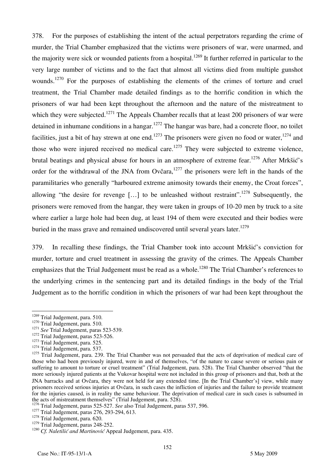378. For the purposes of establishing the intent of the actual perpetrators regarding the crime of murder, the Trial Chamber emphasized that the victims were prisoners of war, were unarmed, and the majority were sick or wounded patients from a hospital.<sup>1269</sup> It further referred in particular to the very large number of victims and to the fact that almost all victims died from multiple gunshot wounds.<sup>1270</sup> For the purposes of establishing the elements of the crimes of torture and cruel treatment, the Trial Chamber made detailed findings as to the horrific condition in which the prisoners of war had been kept throughout the afternoon and the nature of the mistreatment to which they were subjected.<sup>1271</sup> The Appeals Chamber recalls that at least 200 prisoners of war were detained in inhumane conditions in a hangar.<sup>1272</sup> The hangar was bare, had a concrete floor, no toilet facilities, just a bit of hay strewn at one end.<sup>1273</sup> The prisoners were given no food or water,<sup>1274</sup> and those who were injured received no medical care.<sup>1275</sup> They were subjected to extreme violence, brutal beatings and physical abuse for hours in an atmosphere of extreme fear.<sup>1276</sup> After Mrkšić's order for the withdrawal of the JNA from Ovčara,<sup>1277</sup> the prisoners were left in the hands of the paramilitaries who generally "harboured extreme animosity towards their enemy, the Croat forces", allowing "the desire for revenge [...] to be unleashed without restraint".<sup>1278</sup> Subsequently, the prisoners were removed from the hangar, they were taken in groups of 10-20 men by truck to a site where earlier a large hole had been dug, at least 194 of them were executed and their bodies were buried in the mass grave and remained undiscovered until several years later.<sup>1279</sup>

379. In recalling these findings, the Trial Chamber took into account Mrkšić's conviction for murder, torture and cruel treatment in assessing the gravity of the crimes. The Appeals Chamber emphasizes that the Trial Judgement must be read as a whole.<sup>1280</sup> The Trial Chamber's references to the underlying crimes in the sentencing part and its detailed findings in the body of the Trial Judgement as to the horrific condition in which the prisoners of war had been kept throughout the

 $\overline{a}$ 

- 
- 

<sup>&</sup>lt;sup>1269</sup> Trial Judgement, para. 510.<br><sup>1270</sup> Trial Judgement, para. 510.<br><sup>1271</sup> *See* Trial Judgement, paras 523-539.<br><sup>1272</sup> Trial Judgement, para. 525.<br><sup>1274</sup> Trial Judgement, para. 537.

<sup>&</sup>lt;sup>1274</sup> Trial Judgement, para. 537.<br><sup>1275</sup> Trial Judgement, para. 239. The Trial Chamber was not persuaded that the acts of deprivation of medical care of those who had been previously injured, were in and of themselves, "of the nature to cause severe or serious pain or suffering to amount to torture or cruel treatment" (Trial Judgement, para. 528). The Trial Chamber observed "that the more seriously injured patients at the Vukovar hospital were not included in this group of prisoners and that, both at the JNA barracks and at Ovčara, they were not held for any extended time. [In the Trial Chamber's] view, while many prisoners received serious injuries at Ovčara, in such cases the infliction of injuries and the failure to provide treatment for the injuries caused, is in reality the same behaviour. The deprivation of medical care in such cases is subsumed in the acts of mistreatment themselves" (Trial Judgement, para. 528).

<sup>&</sup>lt;sup>1276</sup> Trial Judgement, paras 525-527. *See* also Trial Judgement, paras 537, 596.<br><sup>1277</sup> Trial Judgement, paras 276, 293-294, 613.<br><sup>1278</sup> Trial Judgement, para. 620.<br><sup>1279</sup> Trial Judgement, paras 248-252.

<sup>&</sup>lt;sup>1280</sup> Cf. Naletilić and Martinović Appeal Judgement, para. 435.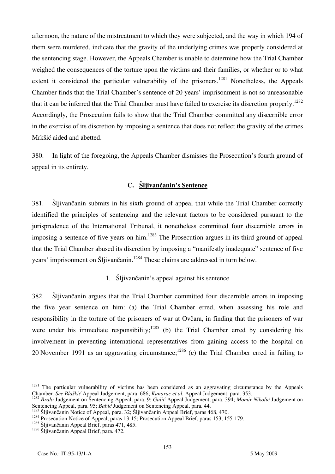afternoon, the nature of the mistreatment to which they were subjected, and the way in which 194 of them were murdered, indicate that the gravity of the underlying crimes was properly considered at the sentencing stage. However, the Appeals Chamber is unable to determine how the Trial Chamber weighed the consequences of the torture upon the victims and their families, or whether or to what extent it considered the particular vulnerability of the prisoners.<sup>1281</sup> Nonetheless, the Appeals Chamber finds that the Trial Chamber's sentence of 20 years' imprisonment is not so unreasonable that it can be inferred that the Trial Chamber must have failed to exercise its discretion properly.<sup>1282</sup> Accordingly, the Prosecution fails to show that the Trial Chamber committed any discernible error in the exercise of its discretion by imposing a sentence that does not reflect the gravity of the crimes Mrkšić aided and abetted.

380. In light of the foregoing, the Appeals Chamber dismisses the Prosecution's fourth ground of appeal in its entirety.

## **C. Šljivančanin's Sentence**

381. Šljivančanin submits in his sixth ground of appeal that while the Trial Chamber correctly identified the principles of sentencing and the relevant factors to be considered pursuant to the jurisprudence of the International Tribunal, it nonetheless committed four discernible errors in imposing a sentence of five years on him.<sup>1283</sup> The Prosecution argues in its third ground of appeal that the Trial Chamber abused its discretion by imposing a "manifestly inadequate" sentence of five years' imprisonment on Šljivančanin.<sup>1284</sup> These claims are addressed in turn below.

# 1. Šljivančanin's appeal against his sentence

382. Šljivančanin argues that the Trial Chamber committed four discernible errors in imposing the five year sentence on him: (a) the Trial Chamber erred, when assessing his role and responsibility in the torture of the prisoners of war at Ovčara, in finding that the prisoners of war were under his immediate responsibility;<sup>1285</sup> (b) the Trial Chamber erred by considering his involvement in preventing international representatives from gaining access to the hospital on 20 November 1991 as an aggravating circumstance;<sup>1286</sup> (c) the Trial Chamber erred in failing to

 $\overline{\phantom{a}}$ 

<sup>&</sup>lt;sup>1281</sup> The particular vulnerability of victims has been considered as an aggravating circumstance by the Appeals

Chamber. See Blaškić Appeal Judgement, para. 686; Kunarac et al. Appeal Judgement, para. 353.<br><sup>1282</sup> Bralo Judgement on Sentencing Appeal, para. 9; Galić Appeal Judgement, para. 394; Momir Nikolić Judgement on<br>Sentencing A

<sup>&</sup>lt;sup>1283</sup> Šljivančanin Notice of Appeal, para. 32; Šljivančanin Appeal Brief, paras 468, 470.<br><sup>1284</sup> Prosecution Notice of Appeal, paras 13-15; Prosecution Appeal Brief, paras 153, 155-179.

<sup>&</sup>lt;sup>1285</sup> Šliivančanin Appeal Brief, paras 471, 485.

<sup>&</sup>lt;sup>1286</sup> Šliivančanin Appeal Brief, para. 472.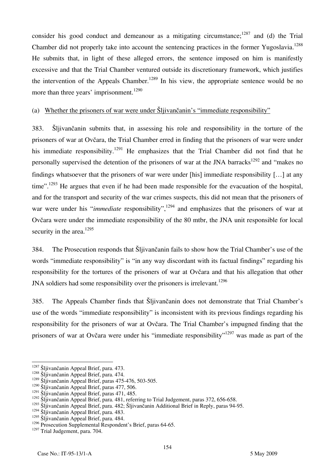consider his good conduct and demeanour as a mitigating circumstance; $1287$  and (d) the Trial Chamber did not properly take into account the sentencing practices in the former Yugoslavia.<sup>1288</sup> He submits that, in light of these alleged errors, the sentence imposed on him is manifestly excessive and that the Trial Chamber ventured outside its discretionary framework, which justifies the intervention of the Appeals Chamber.<sup>1289</sup> In his view, the appropriate sentence would be no more than three years' imprisonment.<sup>1290</sup>

## (a) Whether the prisoners of war were under Šljivančanin's "immediate responsibility"

383. Šljivančanin submits that, in assessing his role and responsibility in the torture of the prisoners of war at Ovčara, the Trial Chamber erred in finding that the prisoners of war were under his immediate responsibility.<sup>1291</sup> He emphasizes that the Trial Chamber did not find that he personally supervised the detention of the prisoners of war at the JNA barracks<sup>1292</sup> and "makes no findings whatsoever that the prisoners of war were under [his] immediate responsibility  $[\dots]$  at any time".<sup>1293</sup> He argues that even if he had been made responsible for the evacuation of the hospital, and for the transport and security of the war crimes suspects, this did not mean that the prisoners of war were under his "*immediate* responsibility",<sup>1294</sup> and emphasizes that the prisoners of war at Ovčara were under the immediate responsibility of the 80 mtbr, the JNA unit responsible for local security in the area. $1295$ 

384. The Prosecution responds that Šljivančanin fails to show how the Trial Chamber's use of the words "immediate responsibility" is "in any way discordant with its factual findings" regarding his responsibility for the tortures of the prisoners of war at Ovčara and that his allegation that other JNA soldiers had some responsibility over the prisoners is irrelevant.<sup>1296</sup>

385. The Appeals Chamber finds that Šljivančanin does not demonstrate that Trial Chamber's use of the words "immediate responsibility" is inconsistent with its previous findings regarding his responsibility for the prisoners of war at Ovčara. The Trial Chamber's impugned finding that the prisoners of war at Ovčara were under his "immediate responsibility"<sup>1297</sup> was made as part of the

<sup>&</sup>lt;sup>1287</sup> Šljivančanin Appeal Brief, para. 473.

<sup>&</sup>lt;sup>1288</sup> Šliivančanin Appeal Brief, para. 474.

 $1289$  Šliivančanin Appeal Brief, paras 475-476, 503-505.

 $1290$  Šljivančanin Appeal Brief, paras 477, 506.

<sup>&</sup>lt;sup>1291</sup> Šliivančanin Appeal Brief, paras 471, 485.

<sup>&</sup>lt;sup>1292</sup> Šliivančanin Appeal Brief, para. 481, referring to Trial Judgement, paras 372, 656-658.

<sup>&</sup>lt;sup>1293</sup> Šljivančanin Appeal Brief, para. 482; Šljivančanin Additional Brief in Reply, paras 94-95.

<sup>&</sup>lt;sup>1294</sup> Šliivančanin Appeal Brief, para. 483.

<sup>&</sup>lt;sup>1295</sup> Šliivančanin Appeal Brief, para. 484.

<sup>&</sup>lt;sup>1296</sup> Prosecution Supplemental Respondent's Brief, paras 64-65.

<sup>&</sup>lt;sup>1297</sup> Trial Judgement, para. 704.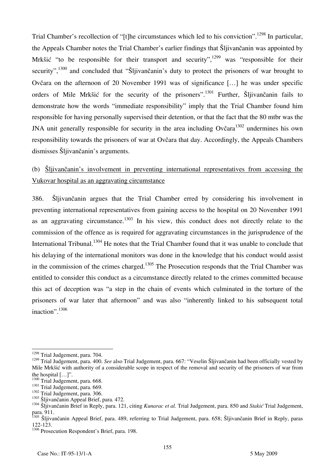Trial Chamber's recollection of "[t] the circumstances which led to his conviction".<sup>1298</sup> In particular, the Appeals Chamber notes the Trial Chamber's earlier findings that Šljivančanin was appointed by Mrkšić "to be responsible for their transport and security",  $1299$  was "responsible for their security",<sup>1300</sup> and concluded that "Šljivančanin's duty to protect the prisoners of war brought to Ovčara on the afternoon of 20 November 1991 was of significance [...] he was under specific orders of Mile Mrkšić for the security of the prisoners".1301 Further, Šljivančanin fails to demonstrate how the words "immediate responsibility" imply that the Trial Chamber found him responsible for having personally supervised their detention, or that the fact that the 80 mtbr was the JNA unit generally responsible for security in the area including Ovčara<sup>1302</sup> undermines his own responsibility towards the prisoners of war at Ovčara that day. Accordingly, the Appeals Chambers dismisses Šljivančanin's arguments.

# (b) Šljivančanin's involvement in preventing international representatives from accessing the Vukovar hospital as an aggravating circumstance

386. Šljivančanin argues that the Trial Chamber erred by considering his involvement in preventing international representatives from gaining access to the hospital on 20 November 1991 as an aggravating circumstance.<sup>1303</sup> In his view, this conduct does not directly relate to the commission of the offence as is required for aggravating circumstances in the jurisprudence of the International Tribunal.<sup>1304</sup> He notes that the Trial Chamber found that it was unable to conclude that his delaying of the international monitors was done in the knowledge that his conduct would assist in the commission of the crimes charged.<sup>1305</sup> The Prosecution responds that the Trial Chamber was entitled to consider this conduct as a circumstance directly related to the crimes committed because this act of deception was "a step in the chain of events which culminated in the torture of the prisoners of war later that afternoon" and was also "inherently linked to his subsequent total inaction".<sup>1306</sup>

 $\overline{a}$ 

<sup>&</sup>lt;sup>1298</sup> Trial Judgement, para. 704.

<sup>1299</sup> Trial Judgement, para. 400. *See* also Trial Judgement, para. 667: "Veselin Šljivančanin had been officially vested by Mile Mrk $\tilde{\text{M}}$  with authority of a considerable scope in respect of the removal and security of the prisoners of war from the hospital [...]".<br><sup>1300</sup> Trial Judgement, para. 668.<br><sup>1301</sup> Trial Judgement, para. 669.<br><sup>1302</sup> Sljivančanin Appeal Brief, para. 472.<br><sup>1303</sup> Šljivančanin Appeal Brief, para. 472.<br><sup>1304</sup> Šliivančanin Brief in Reply, para.

para. 911.

<sup>&</sup>lt;sup>1305</sup> Šljivančanin Appeal Brief, para. 489, referring to Trial Judgement, para. 658; Šljivančanin Brief in Reply, paras 122-123.

<sup>&</sup>lt;sup>1306</sup> Prosecution Respondent's Brief, para. 198.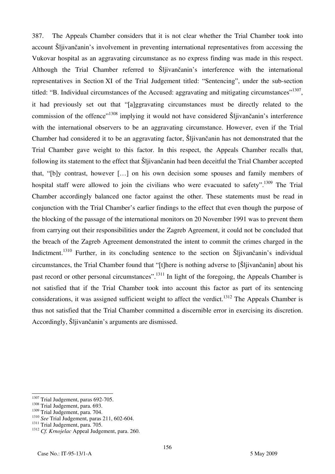387. The Appeals Chamber considers that it is not clear whether the Trial Chamber took into account Šljivančanin's involvement in preventing international representatives from accessing the Vukovar hospital as an aggravating circumstance as no express finding was made in this respect. Although the Trial Chamber referred to Sljivančanin's interference with the international representatives in Section XI of the Trial Judgement titled: "Sentencing", under the sub-section titled: "B. Individual circumstances of the Accused: aggravating and mitigating circumstances"<sup>1307</sup>, it had previously set out that "[a]ggravating circumstances must be directly related to the commission of the offence"<sup>1308</sup> implying it would not have considered Sliivancanin's interference with the international observers to be an aggravating circumstance. However, even if the Trial Chamber had considered it to be an aggravating factor, Šljivančanin has not demonstrated that the Trial Chamber gave weight to this factor. In this respect, the Appeals Chamber recalls that, following its statement to the effect that Šljivančanin had been deceitful the Trial Chamber accepted that, "[b]y contrast, however [...] on his own decision some spouses and family members of hospital staff were allowed to join the civilians who were evacuated to safety".1309 The Trial Chamber accordingly balanced one factor against the other. These statements must be read in conjunction with the Trial Chamber's earlier findings to the effect that even though the purpose of the blocking of the passage of the international monitors on 20 November 1991 was to prevent them from carrying out their responsibilities under the Zagreb Agreement, it could not be concluded that the breach of the Zagreb Agreement demonstrated the intent to commit the crimes charged in the Indictment.<sup>1310</sup> Further, in its concluding sentence to the section on Sliivančanin's individual circumstances, the Trial Chamber found that "[t]here is nothing adverse to [SI] ivančanin about his past record or other personal circumstances".<sup>1311</sup> In light of the foregoing, the Appeals Chamber is not satisfied that if the Trial Chamber took into account this factor as part of its sentencing considerations, it was assigned sufficient weight to affect the verdict.<sup>1312</sup> The Appeals Chamber is thus not satisfied that the Trial Chamber committed a discernible error in exercising its discretion. Accordingly, Šljivančanin's arguments are dismissed.

 $\overline{a}$  $\frac{1307}{1308}$  Trial Judgement, paras 692-705.<br> $\frac{1308}{1308}$  Trial Judgement, para. 693.

<sup>&</sup>lt;sup>1309</sup> Trial Judgement, para. 693.<br><sup>1309</sup> Trial Judgement, para. 704.<br><sup>1310</sup> *See* Trial Judgement, para. 211, 602-604.<br><sup>1311</sup> Trial Judgement, para. 705.<br><sup>1312</sup> *Cf. Krnojelac* Appeal Judgement, para. 260.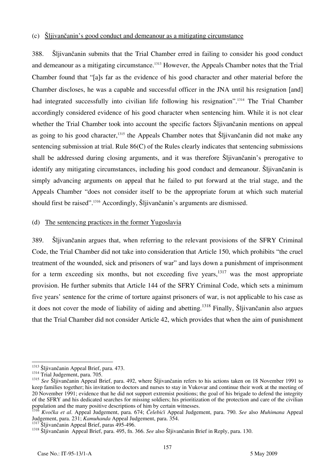#### (c) Šljivančanin's good conduct and demeanour as a mitigating circumstance

388. Šljivančanin submits that the Trial Chamber erred in failing to consider his good conduct and demeanour as a mitigating circumstance.<sup>1313</sup> However, the Appeals Chamber notes that the Trial Chamber found that "alls far as the evidence of his good character and other material before the Chamber discloses, he was a capable and successful officer in the JNA until his resignation [and] had integrated successfully into civilian life following his resignation".1314 The Trial Chamber accordingly considered evidence of his good character when sentencing him. While it is not clear whether the Trial Chamber took into account the specific factors Slituan in mentions on appeal as going to his good character,<sup>1315</sup> the Appeals Chamber notes that Sljivančanin did not make any sentencing submission at trial. Rule 86(C) of the Rules clearly indicates that sentencing submissions shall be addressed during closing arguments, and it was therefore Šljivančanin's prerogative to identify any mitigating circumstances, including his good conduct and demeanour. Šljivančanin is simply advancing arguments on appeal that he failed to put forward at the trial stage, and the Appeals Chamber "does not consider itself to be the appropriate forum at which such material should first be raised".1316 Accordingly, Šljivančanin's arguments are dismissed.

#### (d) The sentencing practices in the former Yugoslavia

389. Šljivančanin argues that, when referring to the relevant provisions of the SFRY Criminal Code, the Trial Chamber did not take into consideration that Article 150, which prohibits "the cruel treatment of the wounded, sick and prisoners of war" and lays down a punishment of imprisonment for a term exceeding six months, but not exceeding five years,  $1317$  was the most appropriate provision. He further submits that Article 144 of the SFRY Criminal Code, which sets a minimum five years' sentence for the crime of torture against prisoners of war, is not applicable to his case as it does not cover the mode of liability of aiding and abetting.<sup>1318</sup> Finally, Šliivančanin also argues that the Trial Chamber did not consider Article 42, which provides that when the aim of punishment

 $\overline{\phantom{a}}$ <sup>1313</sup> Šljivančanin Appeal Brief, para. 473.<br><sup>1314</sup> Trial Judgement, para. 705.

<sup>1315</sup> *See* Šljivančanin Appeal Brief, para. 492, where Šljivančanin refers to his actions taken on 18 November 1991 to keep families together; his invitation to doctors and nurses to stay in Vukovar and continue their work at the meeting of 20 November 1991; evidence that he did not support extremist positions; the goal of his brigade to defend the integrity of the SFRY and his dedicated searches for missing soldiers; his prioritization of the protection and care of the civilian population and the many positive descriptions of him by certain witnesses.

<sup>&</sup>lt;sup>1316</sup> *Kvočka et al.* Appeal Judgement, para. 674; *Čelebići* Appeal Judgement, para. 790. *See* also *Muhimana* Appeal Judgement, para. 231; *Kamuhanda* Appeal Judgement, para. 354.

<sup>&</sup>lt;sup>1317</sup> Šljivančanin Appeal Brief, paras 495-496.<br><sup>1318</sup> Šljivančanin Appeal Brief, para. 495, fn. 366. *See* also Šljivančanin Brief in Reply, para. 130.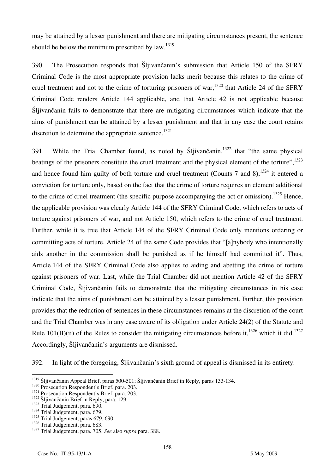may be attained by a lesser punishment and there are mitigating circumstances present, the sentence should be below the minimum prescribed by law. $1319$ 

390. The Prosecution responds that Šljivančanin's submission that Article 150 of the SFRY Criminal Code is the most appropriate provision lacks merit because this relates to the crime of cruel treatment and not to the crime of torturing prisoners of war,  $1320$  that Article 24 of the SFRY Criminal Code renders Article 144 applicable, and that Article 42 is not applicable because Šljivančanin fails to demonstrate that there are mitigating circumstances which indicate that the aims of punishment can be attained by a lesser punishment and that in any case the court retains discretion to determine the appropriate sentence.<sup>1321</sup>

391. While the Trial Chamber found, as noted by Sliivančanin,  $1322$  that "the same physical beatings of the prisoners constitute the cruel treatment and the physical element of the torture", 1323 and hence found him guilty of both torture and cruel treatment (Counts 7 and 8),  $^{1324}$  it entered a conviction for torture only, based on the fact that the crime of torture requires an element additional to the crime of cruel treatment (the specific purpose accompanying the act or omission).<sup>1325</sup> Hence, the applicable provision was clearly Article 144 of the SFRY Criminal Code, which refers to acts of torture against prisoners of war, and not Article 150, which refers to the crime of cruel treatment. Further, while it is true that Article 144 of the SFRY Criminal Code only mentions ordering or committing acts of torture, Article 24 of the same Code provides that "[a]nybody who intentionally aids another in the commission shall be punished as if he himself had committed it". Thus, Article 144 of the SFRY Criminal Code also applies to aiding and abetting the crime of torture against prisoners of war. Last, while the Trial Chamber did not mention Article 42 of the SFRY Criminal Code, Šljivančanin fails to demonstrate that the mitigating circumstances in his case indicate that the aims of punishment can be attained by a lesser punishment. Further, this provision provides that the reduction of sentences in these circumstances remains at the discretion of the court and the Trial Chamber was in any case aware of its obligation under Article 24(2) of the Statute and Rule 101(B)(ii) of the Rules to consider the mitigating circumstances before it,<sup>1326</sup> which it did.<sup>1327</sup> Accordingly, Šljivančanin's arguments are dismissed.

392. In light of the foregoing, Šljivančanin's sixth ground of appeal is dismissed in its entirety.

 $\overline{a}$ 

<sup>&</sup>lt;sup>1319</sup> Šljivančanin Appeal Brief, paras 500-501; Šljivančanin Brief in Reply, paras 133-134.<br><sup>1320</sup> Prosecution Respondent's Brief, para. 203.<br><sup>1321</sup> Prosecution Respondent's Brief, para. 203.<br><sup>1322</sup> Šljivančanin Brief in

 $1324$  Trial Judgement, para. 679.<br> $1325$  Trial Judgement, paras 679, 690.<br> $1326$  Trial Judgement, para. 683.

<sup>&</sup>lt;sup>1327</sup> Trial Judgement, para. 705. See also *supra* para. 388.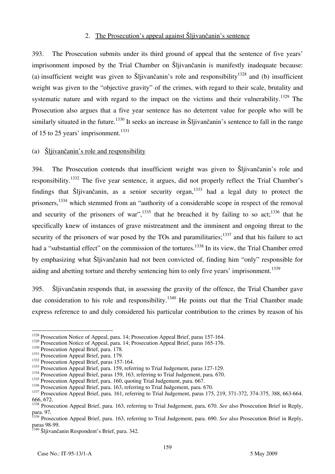#### 2. The Prosecution's appeal against Šljivančanin's sentence

393. The Prosecution submits under its third ground of appeal that the sentence of five years' imprisonment imposed by the Trial Chamber on Šljivančanin is manifestly inadequate because: (a) insufficient weight was given to Šljivančanin's role and responsibility<sup>1328</sup> and (b) insufficient weight was given to the "objective gravity" of the crimes, with regard to their scale, brutality and systematic nature and with regard to the impact on the victims and their vulnerability.<sup>1329</sup> The Prosecution also argues that a five year sentence has no deterrent value for people who will be similarly situated in the future.<sup>1330</sup> It seeks an increase in Šljivančanin's sentence to fall in the range of 15 to 25 years' imprisonment.<sup>1331</sup>

## (a) Šljivančanin's role and responsibility

394. The Prosecution contends that insufficient weight was given to Šljivančanin's role and responsibility.1332 The five year sentence, it argues, did not properly reflect the Trial Chamber's findings that Šljivančanin, as a senior security organ,1333 had a legal duty to protect the prisoners,<sup>1334</sup> which stemmed from an "authority of a considerable scope in respect of the removal and security of the prisoners of war",  $^{1335}$  that he breached it by failing to so act;  $^{1336}$  that he specifically knew of instances of grave mistreatment and the imminent and ongoing threat to the security of the prisoners of war posed by the TOs and paramilitaries; $^{1337}$  and that his failure to act had a "substantial effect" on the commission of the tortures.<sup>1338</sup> In its view, the Trial Chamber erred by emphasizing what Šljivančanin had not been convicted of, finding him "only" responsible for aiding and abetting torture and thereby sentencing him to only five years' imprisonment.<sup>1339</sup>

395. Šljivančanin responds that, in assessing the gravity of the offence, the Trial Chamber gave due consideration to his role and responsibility.<sup>1340</sup> He points out that the Trial Chamber made express reference to and duly considered his particular contribution to the crimes by reason of his

 $\overline{\phantom{a}}$ 

<sup>&</sup>lt;sup>1328</sup> Prosecution Notice of Appeal, para. 14; Prosecution Appeal Brief, paras 157-164.

<sup>&</sup>lt;sup>1329</sup> Prosecution Notice of Appeal, para. 14; Prosecution Appeal Brief, paras 165-176.<br><sup>1330</sup> Prosecution Appeal Brief, para. 178.<br><sup>1331</sup> Prosecution Appeal Brief, para. 179.<br><sup>1332</sup> Prosecution Appeal Brief, paras 157-164

<sup>&</sup>lt;sup>1335</sup> Prosecution Appeal Brief, para. 160, quoting Trial Judgement, para. 667.<br><sup>1336</sup> Prosecution Appeal Brief, para. 163, referring to Trial Judgement, para. 670.

<sup>&</sup>lt;sup>1337</sup> Prosecution Appeal Brief, para. 161, referring to Trial Judgement, paras 175, 219, 371-372, 374-375, 388, 663-664. 666, 672.

<sup>&</sup>lt;sup>1338</sup> Prosecution Appeal Brief, para. 163, referring to Trial Judgement, para, 670. *See* also Prosecution Brief in Reply, para. 97.

<sup>1339</sup> Prosecution Appeal Brief, para. 163, referring to Trial Judgement, para. 690. *See* also Prosecution Brief in Reply, paras 98-99.

<sup>&</sup>lt;sup>1340</sup> Šljivančanin Respondent's Brief, para. 342.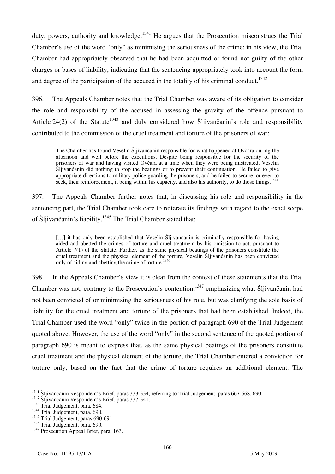duty, powers, authority and knowledge.<sup>1341</sup> He argues that the Prosecution misconstrues the Trial Chamber's use of the word "only" as minimising the seriousness of the crime; in his view, the Trial Chamber had appropriately observed that he had been acquitted or found not guilty of the other charges or bases of liability, indicating that the sentencing appropriately took into account the form and degree of the participation of the accused in the totality of his criminal conduct.<sup>1342</sup>

396. The Appeals Chamber notes that the Trial Chamber was aware of its obligation to consider the role and responsibility of the accused in assessing the gravity of the offence pursuant to Article 24(2) of the Statute<sup>1343</sup> and duly considered how Sljivančanin's role and responsibility contributed to the commission of the cruel treatment and torture of the prisoners of war:

The Chamber has found Veselin Šljivančanin responsible for what happened at Ovčara during the afternoon and well before the executions. Despite being responsible for the security of the prisoners of war and having visited Ovčara at a time when they were being mistreated, Veselin Šljivančanin did nothing to stop the beatings or to prevent their continuation. He failed to give appropriate directions to military police guarding the prisoners, and he failed to secure, or even to seek, their reinforcement, it being within his capacity, and also his authority, to do those things.<sup>134</sup>

397. The Appeals Chamber further notes that, in discussing his role and responsibility in the sentencing part, the Trial Chamber took care to reiterate its findings with regard to the exact scope of Šljivančanin's liability.1345 The Trial Chamber stated that:

[...] it has only been established that Veselin Šljivančanin is criminally responsible for having aided and abetted the crimes of torture and cruel treatment by his omission to act, pursuant to Article 7(1) of the Statute. Further, as the same physical beatings of the prisoners constitute the cruel treatment and the physical element of the torture, Veselin Šljivančanin has been convicted only of aiding and abetting the crime of torture.<sup>1346</sup>

398. In the Appeals Chamber's view it is clear from the context of these statements that the Trial Chamber was not, contrary to the Prosecution's contention,<sup>1347</sup> emphasizing what Šljivančanin had not been convicted of or minimising the seriousness of his role, but was clarifying the sole basis of liability for the cruel treatment and torture of the prisoners that had been established. Indeed, the Trial Chamber used the word "only" twice in the portion of paragraph 690 of the Trial Judgement quoted above. However, the use of the word "only" in the second sentence of the quoted portion of paragraph 690 is meant to express that, as the same physical beatings of the prisoners constitute cruel treatment and the physical element of the torture, the Trial Chamber entered a conviction for torture only, based on the fact that the crime of torture requires an additional element. The

 $\overline{\phantom{a}}$ <sup>1341</sup> Šljivančanin Respondent's Brief, paras 333-334, referring to Trial Judgement, paras 667-668, 690.<br><sup>1342</sup> Šljivančanin Respondent's Brief, paras 337-341.<br><sup>1343</sup> Trial Judgement, para. 684. 1344 Trial Judgement, para.

 $1344$  Trial Judgement, para. 690.<br> $1345$  Trial Judgement, paras 690-691.<br> $1346$  Trial Judgement, para. 690.

<sup>&</sup>lt;sup>1347</sup> Prosecution Appeal Brief, para. 163.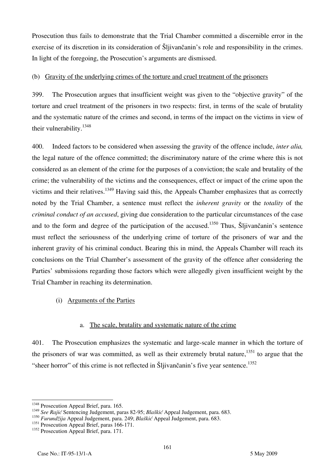Prosecution thus fails to demonstrate that the Trial Chamber committed a discernible error in the exercise of its discretion in its consideration of Šljivančanin's role and responsibility in the crimes. In light of the foregoing, the Prosecution's arguments are dismissed.

## (b) Gravity of the underlying crimes of the torture and cruel treatment of the prisoners

399. The Prosecution argues that insufficient weight was given to the "objective gravity" of the torture and cruel treatment of the prisoners in two respects: first, in terms of the scale of brutality and the systematic nature of the crimes and second, in terms of the impact on the victims in view of their vulnerability.<sup>1348</sup>

400. Indeed factors to be considered when assessing the gravity of the offence include, *inter alia,* the legal nature of the offence committed; the discriminatory nature of the crime where this is not considered as an element of the crime for the purposes of a conviction; the scale and brutality of the crime; the vulnerability of the victims and the consequences, effect or impact of the crime upon the victims and their relatives.<sup>1349</sup> Having said this, the Appeals Chamber emphasizes that as correctly noted by the Trial Chamber, a sentence must reflect the *inherent gravity* or the *totality* of the *criminal conduct of an accused*, giving due consideration to the particular circumstances of the case and to the form and degree of the participation of the accused.<sup>1350</sup> Thus, Šljivančanin's sentence must reflect the seriousness of the underlying crime of torture of the prisoners of war and the inherent gravity of his criminal conduct. Bearing this in mind, the Appeals Chamber will reach its conclusions on the Trial Chamber's assessment of the gravity of the offence after considering the Parties' submissions regarding those factors which were allegedly given insufficient weight by the Trial Chamber in reaching its determination.

## (i) Arguments of the Parties

#### a. The scale, brutality and systematic nature of the crime

401. The Prosecution emphasizes the systematic and large-scale manner in which the torture of the prisoners of war was committed, as well as their extremely brutal nature, $1351$  to argue that the "sheer horror" of this crime is not reflected in Šljivančanin's five year sentence.<sup>1352</sup>

 $\overline{a}$ <sup>1348</sup> Prosecution Appeal Brief, para. 165.

<sup>&</sup>lt;sup>1349</sup> See Rajić Sentencing Judgement, paras 82-95; *Blaškić* Appeal Judgement, para. 683.

<sup>1350</sup> *Furund`ija* Appeal Judgement, para. 249; *Blaškić* Appeal Judgement, para. 683.

<sup>&</sup>lt;sup>1351</sup> Prosecution Appeal Brief, paras 166-171.

<sup>&</sup>lt;sup>1352</sup> Prosecution Appeal Brief, para. 171.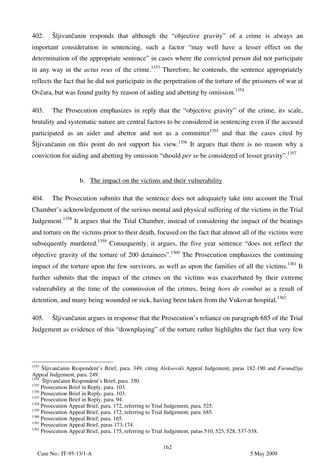402. Šljivančanin responds that although the "objective gravity" of a crime is always an important consideration in sentencing, such a factor "may well have a lesser effect on the determination of the appropriate sentence" in cases where the convicted person did not participate in any way in the *actus reus* of the crime.<sup>1353</sup> Therefore, he contends, the sentence appropriately reflects the fact that he did not participate in the perpetration of the torture of the prisoners of war at Ovčara, but was found guilty by reason of aiding and abetting by omission.<sup>1354</sup>

403. The Prosecution emphasizes in reply that the "objective gravity" of the crime, its scale, brutality and systematic nature are central factors to be considered in sentencing even if the accused participated as an aider and abettor and not as a committer  $1355$  and that the cases cited by Šljivančanin on this point do not support his view.<sup>1356</sup> It argues that there is no reason why a conviction for aiding and abetting by omission "should *per se* be considered of lesser gravity".<sup>1357</sup>

#### b. The impact on the victims and their vulnerability

404. The Prosecution submits that the sentence does not adequately take into account the Trial Chamber's acknowledgement of the serious mental and physical suffering of the victims in the Trial Judgement.<sup>1358</sup> It argues that the Trial Chamber, instead of considering the impact of the beatings and torture on the victims prior to their death, focused on the fact that almost all of the victims were subsequently murdered.<sup>1359</sup> Consequently, it argues, the five year sentence "does not reflect the objective gravity of the torture of 200 detainees".1360 The Prosecution emphasizes the continuing impact of the torture upon the few survivors, as well as upon the families of all the victims.<sup>1361</sup> It further submits that the impact of the crimes on the victims was exacerbated by their extreme vulnerability at the time of the commission of the crimes, being *hors de combat* as a result of detention, and many being wounded or sick, having been taken from the Vukovar hospital.<sup>1362</sup>

405. Šljivančanin argues in response that the Prosecution's reliance on paragraph 685 of the Trial Judgement as evidence of this "downplaying" of the torture rather highlights the fact that very few

 $\overline{\phantom{a}}$ 

<sup>&</sup>lt;sup>1353</sup> Šljivančanin Respondent's Brief, para. 349, citing *Aleksovski* Appeal Judgement, paras 182-190 and *Furundžija* Appeal Judgement, para. 249.

Šljivančanin Respondent's Brief, para. 350.

<sup>&</sup>lt;sup>1355</sup> Prosecution Brief in Reply, para. 103.

<sup>&</sup>lt;sup>1356</sup> Prosecution Brief in Reply, para. 103.

<sup>&</sup>lt;sup>1357</sup> Prosecution Brief in Reply, para. 94.

<sup>&</sup>lt;sup>1358</sup> Prosecution Appeal Brief, para. 172, referring to Trial Judgement, para. 525.

<sup>&</sup>lt;sup>1359</sup> Prosecution Appeal Brief, para. 172, referring to Trial Judgement, para. 685.

<sup>&</sup>lt;sup>1360</sup> Prosecution Appeal Brief, para. 165.

<sup>&</sup>lt;sup>1361</sup> Prosecution Appeal Brief, paras 173-174.

<sup>&</sup>lt;sup>1362</sup> Prosecution Appeal Brief, para. 175, referring to Trial Judgement, paras 510, 523, 528, 537-538.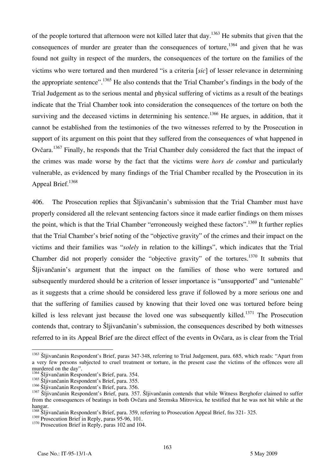of the people tortured that afternoon were not killed later that day.<sup>1363</sup> He submits that given that the consequences of murder are greater than the consequences of torture,  $^{1364}$  and given that he was found not guilty in respect of the murders, the consequences of the torture on the families of the victims who were tortured and then murdered "is a criteria *[sic]* of lesser relevance in determining the appropriate sentence".<sup>1365</sup> He also contends that the Trial Chamber's findings in the body of the Trial Judgement as to the serious mental and physical suffering of victims as a result of the beatings indicate that the Trial Chamber took into consideration the consequences of the torture on both the surviving and the deceased victims in determining his sentence.<sup>1366</sup> He argues, in addition, that it cannot be established from the testimonies of the two witnesses referred to by the Prosecution in support of its argument on this point that they suffered from the consequences of what happened in Ovčara.1367 Finally, he responds that the Trial Chamber duly considered the fact that the impact of the crimes was made worse by the fact that the victims were *hors de combat* and particularly vulnerable, as evidenced by many findings of the Trial Chamber recalled by the Prosecution in its Appeal Brief.<sup>1368</sup>

406. The Prosecution replies that Šljivančanin's submission that the Trial Chamber must have properly considered all the relevant sentencing factors since it made earlier findings on them misses the point, which is that the Trial Chamber "erroneously weighed these factors".<sup>1369</sup> It further replies that the Trial Chamber's brief noting of the "objective gravity" of the crimes and their impact on the victims and their families was "*solely* in relation to the killings", which indicates that the Trial Chamber did not properly consider the "objective gravity" of the tortures.<sup>1370</sup> It submits that Šljivančanin's argument that the impact on the families of those who were tortured and subsequently murdered should be a criterion of lesser importance is "unsupported" and "untenable" as it suggests that a crime should be considered less grave if followed by a more serious one and that the suffering of families caused by knowing that their loved one was tortured before being killed is less relevant just because the loved one was subsequently killed.<sup>1371</sup> The Prosecution contends that, contrary to Šljivančanin's submission, the consequences described by both witnesses referred to in its Appeal Brief are the direct effect of the events in Ovčara, as is clear from the Trial

 $\overline{\phantom{a}}$ 

<sup>&</sup>lt;sup>1363</sup> Šljivančanin Respondent's Brief, paras 347-348, referring to Trial Judgement, para. 685, which reads: "Apart from a very few persons subjected to cruel treatment or torture, in the present case the victims of the offences were all murdered on the day".

<sup>1364</sup> Šlijivančanin Respondent's Brief, para. 354.

<sup>&</sup>lt;sup>1365</sup> Sliivančanin Respondent's Brief, para. 355.

<sup>&</sup>lt;sup>1366</sup> Šlijvančanin Respondent's Brief, para. 356.

<sup>&</sup>lt;sup>1367</sup> Šljivančanin Respondent's Brief, para. 357. Šljivančanin contends that while Witness Berghofer claimed to suffer from the consequences of beatings in both Ovčara and Sremska Mitrovica, he testified that he was not hit while at the hangar.

<sup>&</sup>lt;sup>1368</sup> Sljivančanin Respondent's Brief, para. 359, referring to Prosecution Appeal Brief, fns 321- 325.<br><sup>1369</sup> Prosecution Brief in Reply, paras 95-96, 101.

<sup>&</sup>lt;sup>1370</sup> Prosecution Brief in Reply, paras 102 and 104.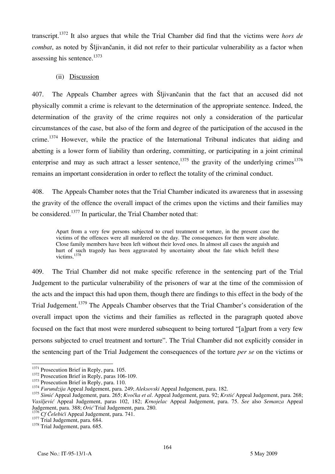transcript.1372 It also argues that while the Trial Chamber did find that the victims were *hors de combat*, as noted by Šljivančanin, it did not refer to their particular vulnerability as a factor when assessing his sentence.1373

## (ii) Discussion

407. The Appeals Chamber agrees with Šljivančanin that the fact that an accused did not physically commit a crime is relevant to the determination of the appropriate sentence. Indeed, the determination of the gravity of the crime requires not only a consideration of the particular circumstances of the case, but also of the form and degree of the participation of the accused in the crime.<sup>1374</sup> However, while the practice of the International Tribunal indicates that aiding and abetting is a lower form of liability than ordering, committing, or participating in a joint criminal enterprise and may as such attract a lesser sentence,  $1375$  the gravity of the underlying crimes  $1376$ remains an important consideration in order to reflect the totality of the criminal conduct.

408. The Appeals Chamber notes that the Trial Chamber indicated its awareness that in assessing the gravity of the offence the overall impact of the crimes upon the victims and their families may be considered.<sup>1377</sup> In particular, the Trial Chamber noted that:

Apart from a very few persons subjected to cruel treatment or torture, in the present case the victims of the offences were all murdered on the day. The consequences for them were absolute. Close family members have been left without their loved ones. In almost all cases the anguish and hurt of such tragedy has been aggravated by uncertainty about the fate which befell these victims<sup>1378</sup>

409. The Trial Chamber did not make specific reference in the sentencing part of the Trial Judgement to the particular vulnerability of the prisoners of war at the time of the commission of the acts and the impact this had upon them, though there are findings to this effect in the body of the Trial Judgement.<sup>1379</sup> The Appeals Chamber observes that the Trial Chamber's consideration of the overall impact upon the victims and their families as reflected in the paragraph quoted above focused on the fact that most were murdered subsequent to being tortured "[a]part from a very few persons subjected to cruel treatment and torture". The Trial Chamber did not explicitly consider in the sentencing part of the Trial Judgement the consequences of the torture *per se* on the victims or

<sup>&</sup>lt;sup>1371</sup> Prosecution Brief in Reply, para. 105.

<sup>&</sup>lt;sup>1372</sup> Prosecution Brief in Reply, paras 106-109.<br><sup>1373</sup> Prosecution Brief in Reply, para. 110.<br><sup>1374</sup> *Furundzija* Appeal Judgement, para. 249; *Aleksovski* Appeal Judgement, para. 182.

<sup>&</sup>lt;sup>1375</sup> Simić Appeal Judgement, para. 265; *Kvočka et al.* Appeal Judgement, para. 92; *Krstić* Appeal Judgement, para. 268; *Vasiljevi}* Appeal Judgement, paras 102, 182; *Krnojelac* Appeal Judgement, para. 75. *See* also *Semanza* Appeal Judgement, para. 388; *Orić* Trial Judgement, para. 280.<br><sup>1376</sup> Cf Čelebići Appeal Judgement, para. 741.

<sup>1377</sup> Trial Judgement, para. 684. 1378 Trial Judgement, para. 685.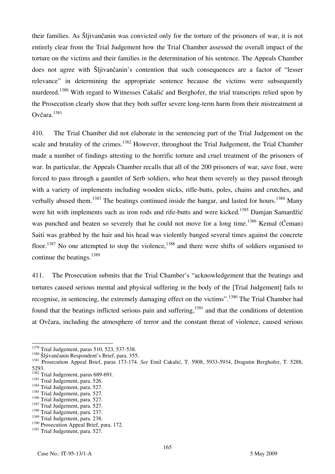their families. As Šljivančanin was convicted only for the torture of the prisoners of war, it is not entirely clear from the Trial Judgement how the Trial Chamber assessed the overall impact of the torture on the victims and their families in the determination of his sentence. The Appeals Chamber does not agree with Šljivančanin's contention that such consequences are a factor of "lesser relevance" in determining the appropriate sentence because the victims were subsequently murdered.<sup>1380</sup> With regard to Witnesses Cakalić and Berghofer, the trial transcripts relied upon by the Prosecution clearly show that they both suffer severe long-term harm from their mistreatment at Ovčara.<sup>1381</sup>

410. The Trial Chamber did not elaborate in the sentencing part of the Trial Judgement on the scale and brutality of the crimes.<sup>1382</sup> However, throughout the Trial Judgement, the Trial Chamber made a number of findings attesting to the horrific torture and cruel treatment of the prisoners of war. In particular, the Appeals Chamber recalls that all of the 200 prisoners of war, save four, were forced to pass through a gauntlet of Serb soldiers, who beat them severely as they passed through with a variety of implements including wooden sticks, rifle-butts, poles, chains and crutches, and verbally abused them.<sup>1383</sup> The beatings continued inside the hangar, and lasted for hours.<sup>1384</sup> Many were hit with implements such as iron rods and rife-butts and were kicked.<sup>1385</sup> Damjan Samardžić was punched and beaten so severely that he could not move for a long time.<sup>1386</sup> Kemal ( $\acute{C}$ eman) Saiti was grabbed by the hair and his head was violently banged several times against the concrete floor.<sup>1387</sup> No one attempted to stop the violence,<sup>1388</sup> and there were shifts of soldiers organised to continue the beatings. $1389$ 

411. The Prosecution submits that the Trial Chamber's "acknowledgement that the beatings and tortures caused serious mental and physical suffering in the body of the [Trial Judgement] fails to recognise, in sentencing, the extremely damaging effect on the victims".1390 The Trial Chamber had found that the beatings inflicted serious pain and suffering, $1391$  and that the conditions of detention at Ovčara, including the atmosphere of terror and the constant threat of violence, caused serious

<sup>&</sup>lt;sup>1379</sup> Trial Judgement, paras 510, 523, 537-538.

<sup>1379</sup> Trial Judgement, paras 510, 523, 537-538. 1380 [ljivančanin Respondent's Brief, para. 355. 1381 Prosecution Appeal Brief, paras 173-174. *See* Emil Cakali}, T. 5908, 5933-5934, Dragutin Berghofer, T. 5288, 5293.<br> $1382$  Trial Judgement, paras 689-691.

 $\frac{1383}{1384}$  Trial Judgement, para. 526.  $\frac{1384}{1384}$  Trial Judgement, para. 527.

<sup>&</sup>lt;sup>1385</sup> Trial Judgement, para. 527.<br><sup>1386</sup> Trial Judgement, para. 527.

<sup>&</sup>lt;sup>1387</sup> Trial Judgement, para. 527.<br><sup>1388</sup> Trial Judgement, para. 237.

<sup>&</sup>lt;sup>1389</sup> Trial Judgement, para. 238.

<sup>&</sup>lt;sup>1390</sup> Prosecution Appeal Brief, para. 172.

<sup>&</sup>lt;sup>1391</sup> Trial Judgement, para. 527.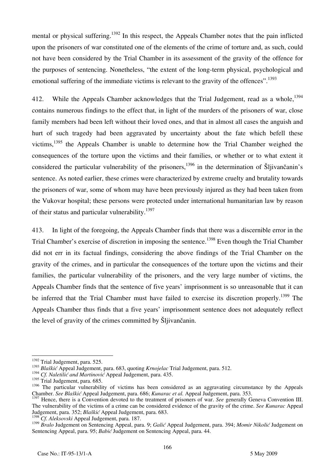mental or physical suffering.<sup>1392</sup> In this respect, the Appeals Chamber notes that the pain inflicted upon the prisoners of war constituted one of the elements of the crime of torture and, as such, could not have been considered by the Trial Chamber in its assessment of the gravity of the offence for the purposes of sentencing. Nonetheless, "the extent of the long-term physical, psychological and emotional suffering of the immediate victims is relevant to the gravity of the offences".<sup>1393</sup>

412. While the Appeals Chamber acknowledges that the Trial Judgement, read as a whole,  $^{1394}$ contains numerous findings to the effect that, in light of the murders of the prisoners of war, close family members had been left without their loved ones, and that in almost all cases the anguish and hurt of such tragedy had been aggravated by uncertainty about the fate which befell these victims, $1395$  the Appeals Chamber is unable to determine how the Trial Chamber weighed the consequences of the torture upon the victims and their families, or whether or to what extent it considered the particular vulnerability of the prisoners,  $1396$  in the determination of Sljivančanin's sentence. As noted earlier, these crimes were characterized by extreme cruelty and brutality towards the prisoners of war, some of whom may have been previously injured as they had been taken from the Vukovar hospital; these persons were protected under international humanitarian law by reason of their status and particular vulnerability.<sup>1397</sup>

413. In light of the foregoing, the Appeals Chamber finds that there was a discernible error in the Trial Chamber's exercise of discretion in imposing the sentence.<sup>1398</sup> Even though the Trial Chamber did not err in its factual findings, considering the above findings of the Trial Chamber on the gravity of the crimes, and in particular the consequences of the torture upon the victims and their families, the particular vulnerability of the prisoners, and the very large number of victims, the Appeals Chamber finds that the sentence of five years' imprisonment is so unreasonable that it can be inferred that the Trial Chamber must have failed to exercise its discretion properly.<sup>1399</sup> The Appeals Chamber thus finds that a five years' imprisonment sentence does not adequately reflect the level of gravity of the crimes committed by Šljivančanin.

 $\overline{\phantom{a}}$ <sup>1392</sup> Trial Judgement, para. 525.

<sup>1393</sup> *Blaškić* Appeal Judgement, para. 683, quoting *Krnojelac* Trial Judgement, para. 512.

<sup>&</sup>lt;sup>1394</sup> Cf. Naletilić and Martinović Appeal Judgement, para. 435.

<sup>&</sup>lt;sup>1395</sup> Trial Judgement, para. 685.

<sup>&</sup>lt;sup>1396</sup> The particular vulnerability of victims has been considered as an aggravating circumstance by the Appeals Chamber. *See Blaškić* Appeal Judgement, para. 686; *Kunarac et al.* Appeal Judgement, para. 353.

<sup>&</sup>lt;sup>1397</sup> Hence, there is a Convention devoted to the treatment of prisoners of war. *See generally Geneva Convention III*. The vulnerability of the victims of a crime can be considered evidence of the gravity of the crime. *See Kunarac* Appeal Judgement, para. 352; *Blaškić* Appeal Judgement, para. 683.

<sup>1398</sup> *Cf. Aleksovski* Appeal Judgement, para. 187.

<sup>1399</sup> *Bralo* Judgement on Sentencing Appeal, para. 9; *Galić* Appeal Judgement, para. 394; *Momir Nikolić* Judgement on Sentencing Appeal, para. 95; *Babić* Judgement on Sentencing Appeal, para. 44.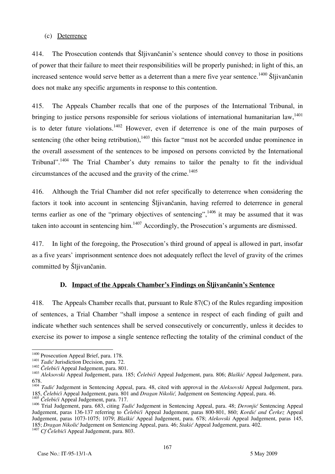## (c) Deterrence

414. The Prosecution contends that Šljivančanin's sentence should convey to those in positions of power that their failure to meet their responsibilities will be properly punished; in light of this, an increased sentence would serve better as a deterrent than a mere five year sentence.<sup>1400</sup> Šliivančanin does not make any specific arguments in response to this contention.

415. The Appeals Chamber recalls that one of the purposes of the International Tribunal, in bringing to justice persons responsible for serious violations of international humanitarian law.<sup>1401</sup> is to deter future violations.<sup>1402</sup> However, even if deterrence is one of the main purposes of sentencing (the other being retribution),  $1403$  this factor "must not be accorded undue prominence in the overall assessment of the sentences to be imposed on persons convicted by the International Tribunal".<sup>1404</sup> The Trial Chamber's duty remains to tailor the penalty to fit the individual circumstances of the accused and the gravity of the crime.<sup>1405</sup>

416. Although the Trial Chamber did not refer specifically to deterrence when considering the factors it took into account in sentencing Šljivančanin, having referred to deterrence in general terms earlier as one of the "primary objectives of sentencing",  $1406$  it may be assumed that it was taken into account in sentencing him.<sup>1407</sup> Accordingly, the Prosecution's arguments are dismissed.

417. In light of the foregoing, the Prosecution's third ground of appeal is allowed in part, insofar as a five years' imprisonment sentence does not adequately reflect the level of gravity of the crimes committed by Šljivančanin.

## **D. Impact of the Appeals Chamber's Findings on Šljivančanin's Sentence**

418. The Appeals Chamber recalls that, pursuant to Rule 87(C) of the Rules regarding imposition of sentences, a Trial Chamber "shall impose a sentence in respect of each finding of guilt and indicate whether such sentences shall be served consecutively or concurrently, unless it decides to exercise its power to impose a single sentence reflecting the totality of the criminal conduct of the

<sup>&</sup>lt;sup>1400</sup> Prosecution Appeal Brief, para. 178.

<sup>&</sup>lt;sup>1401</sup> Tadić Jurisdiction Decision, para. 72.<br><sup>1402</sup> Čelebići Appeal Judgement, para. 801.<br><sup>1403</sup> Aleksovski Appeal Judgement, para. 185; Čelebići Appeal Judgement, para. 806; *Blaškić* Appeal Judgement, para. 678.

<sup>&</sup>lt;sup>1404</sup> *Tadić* Judgement in Sentencing Appeal, para. 48, cited with approval in the *Aleksovski* Appeal Judgement, para. 185, *^elebi}i* Appeal Judgement, para. 801 and *Dragan Nikoli},* Judgement on Sentencing Appeal, para. 46.  $\sum_{n=1}^{\infty}$  *Čelebići* Appeal Judgement, para. 717.

<sup>&</sup>lt;sup>1406</sup> Trial Judgement, para. 683, citing *Tadić* Judgement in Sentencing Appeal, para. 48; *Deronjić* Sentencing Appeal Judgement, paras 136-137 referring to *^elebi}i* Appeal Judgement, paras 800-801, 860; *Kordi} and Čerkez* Appeal Judgement, paras 1073-1075; 1079; *Blaškić* Appeal Judgement, para. 678; *Alekovski* Appeal Judgement, paras 145, 185; *Dragan Nikolić* Judgement on Sentencing Appeal, para. 46; *Stakić* Appeal Judgement, para. 402. <sup>1407</sup> *Cf Čelebići* Appeal Judgement, para. 803.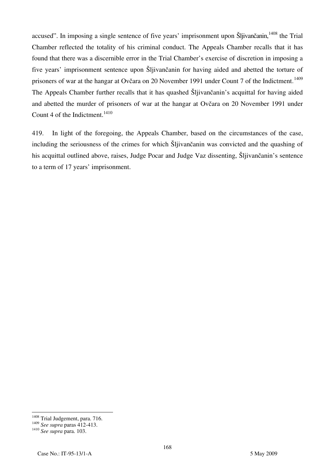accused". In imposing a single sentence of five years' imprisonment upon Šljivančanin, <sup>1408</sup> the Trial Chamber reflected the totality of his criminal conduct. The Appeals Chamber recalls that it has found that there was a discernible error in the Trial Chamber's exercise of discretion in imposing a five years' imprisonment sentence upon Šljivančanin for having aided and abetted the torture of prisoners of war at the hangar at Ovčara on 20 November 1991 under Count 7 of the Indictment.<sup>1409</sup> The Appeals Chamber further recalls that it has quashed Šljivančanin's acquittal for having aided and abetted the murder of prisoners of war at the hangar at Ovčara on 20 November 1991 under Count 4 of the Indictment. $1410$ 

419. In light of the foregoing, the Appeals Chamber, based on the circumstances of the case, including the seriousness of the crimes for which Šljivančanin was convicted and the quashing of his acquittal outlined above, raises, Judge Pocar and Judge Vaz dissenting, Šljivančanin's sentence to a term of 17 years' imprisonment.

 $\overline{\phantom{a}}$ <sup>1408</sup> Trial Judgement, para. 716.

<sup>1409</sup> *See supra* paras 412-413. 1410 *See supra* para. 103.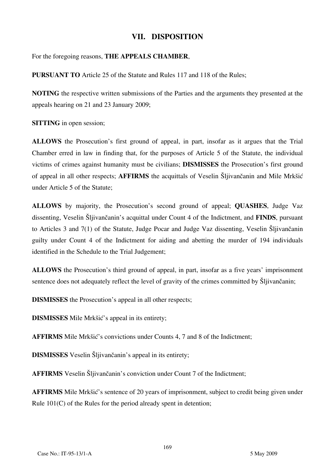# **VII. DISPOSITION**

For the foregoing reasons, **THE APPEALS CHAMBER**,

**PURSUANT TO** Article 25 of the Statute and Rules 117 and 118 of the Rules;

**NOTING** the respective written submissions of the Parties and the arguments they presented at the appeals hearing on 21 and 23 January 2009;

**SITTING** in open session;

**ALLOWS** the Prosecution's first ground of appeal, in part, insofar as it argues that the Trial Chamber erred in law in finding that, for the purposes of Article 5 of the Statute, the individual victims of crimes against humanity must be civilians; **DISMISSES** the Prosecution's first ground of appeal in all other respects; **AFFIRMS** the acquittals of Veselin Slijvančanin and Mile Mrkšić under Article 5 of the Statute;

**ALLOWS** by majority, the Prosecution's second ground of appeal; **QUASHES**, Judge Vaz dissenting, Veselin Šljivančanin's acquittal under Count 4 of the Indictment, and **FINDS**, pursuant to Articles 3 and  $7(1)$  of the Statute, Judge Pocar and Judge Vaz dissenting, Veselin Sljivančanin guilty under Count 4 of the Indictment for aiding and abetting the murder of 194 individuals identified in the Schedule to the Trial Judgement;

**ALLOWS** the Prosecution's third ground of appeal, in part, insofar as a five years' imprisonment sentence does not adequately reflect the level of gravity of the crimes committed by Šljivančanin;

**DISMISSES** the Prosecution's appeal in all other respects;

**DISMISSES** Mile Mrkšić's appeal in its entirety;

**AFFIRMS** Mile Mrkšić's convictions under Counts 4, 7 and 8 of the Indictment;

**DISMISSES** Veselin Šljivančanin's appeal in its entirety;

**AFFIRMS** Veselin Šlijvančanin's conviction under Count 7 of the Indictment;

**AFFIRMS** Mile Mrkšić's sentence of 20 years of imprisonment, subject to credit being given under Rule 101(C) of the Rules for the period already spent in detention;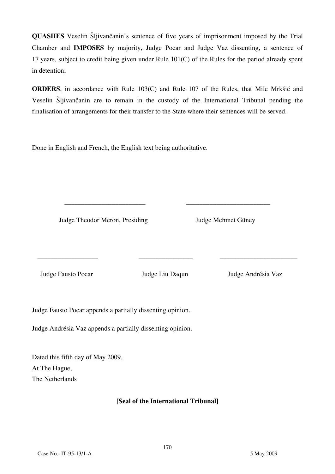**QUASHES** Veselin Sljivančanin's sentence of five years of imprisonment imposed by the Trial Chamber and **IMPOSES** by majority, Judge Pocar and Judge Vaz dissenting, a sentence of 17 years, subject to credit being given under Rule 101(C) of the Rules for the period already spent in detention;

**ORDERS**, in accordance with Rule 103(C) and Rule 107 of the Rules, that Mile Mrkšić and Veselin Šljivančanin are to remain in the custody of the International Tribunal pending the finalisation of arrangements for their transfer to the State where their sentences will be served.

Done in English and French, the English text being authoritative.

Judge Theodor Meron, Presiding Judge Mehmet Güney

Judge Fausto Pocar Judge Liu Daqun Judge Andrésia Vaz

\_\_\_\_\_\_\_\_\_\_\_\_\_\_\_\_\_\_ \_\_\_\_\_\_\_\_\_\_\_\_\_\_\_\_ \_\_\_\_\_\_\_\_\_\_\_\_\_\_\_\_\_\_\_\_\_\_\_

\_\_\_\_\_\_\_\_\_\_\_\_\_\_\_\_\_\_\_\_\_\_\_\_ \_\_\_\_\_\_\_\_\_\_\_\_\_\_\_\_\_\_\_\_\_\_\_\_\_

Judge Fausto Pocar appends a partially dissenting opinion.

Judge Andrésia Vaz appends a partially dissenting opinion.

Dated this fifth day of May 2009, At The Hague, The Netherlands

# **₣Seal of the International Tribunalğ**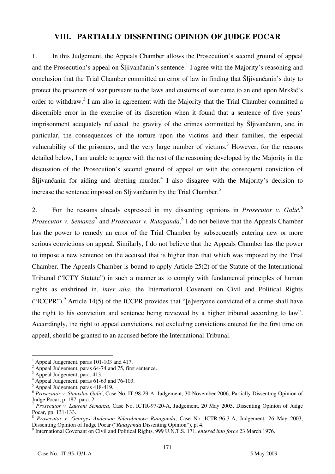# **VIII. PARTIALLY DISSENTING OPINION OF JUDGE POCAR**

1. In this Judgement, the Appeals Chamber allows the Prosecution's second ground of appeal and the Prosecution's appeal on Šljivančanin's sentence.<sup>1</sup> I agree with the Majority's reasoning and conclusion that the Trial Chamber committed an error of law in finding that Šljivančanin's duty to protect the prisoners of war pursuant to the laws and customs of war came to an end upon Mrkšić's order to withdraw.<sup>2</sup> I am also in agreement with the Majority that the Trial Chamber committed a discernible error in the exercise of its discretion when it found that a sentence of five years' imprisonment adequately reflected the gravity of the crimes committed by Slijivančanin, and in particular, the consequences of the torture upon the victims and their families, the especial vulnerability of the prisoners, and the very large number of victims.<sup>3</sup> However, for the reasons detailed below, I am unable to agree with the rest of the reasoning developed by the Majority in the discussion of the Prosecution's second ground of appeal or with the consequent conviction of Šljivančanin for aiding and abetting murder.<sup>4</sup> I also disagree with the Majority's decision to increase the sentence imposed on Šljivančanin by the Trial Chamber.<sup>5</sup>

2. For the reasons already expressed in my dissenting opinions in *Prosecutor v. Galić*, *Prosecutor v. Semanza*<sup>7</sup> and *Prosecutor v. Rutaganda*, <sup>8</sup> I do not believe that the Appeals Chamber has the power to remedy an error of the Trial Chamber by subsequently entering new or more serious convictions on appeal. Similarly, I do not believe that the Appeals Chamber has the power to impose a new sentence on the accused that is higher than that which was imposed by the Trial Chamber. The Appeals Chamber is bound to apply Article 25(2) of the Statute of the International Tribunal ("ICTY Statute") in such a manner as to comply with fundamental principles of human rights as enshrined in, *inter alia*, the International Covenant on Civil and Political Rights ("ICCPR").<sup>9</sup> Article 14(5) of the ICCPR provides that "[e]veryone convicted of a crime shall have the right to his conviction and sentence being reviewed by a higher tribunal according to law". Accordingly, the right to appeal convictions, not excluding convictions entered for the first time on appeal, should be granted to an accused before the International Tribunal.

 $\overline{\phantom{a}}$ 1 Appeal Judgement, paras 101-103 and 417.

 $^2$  Appeal Judgement, paras 64-74 and 75, first sentence.

Appeal Judgement, para. 413.

<sup>&</sup>lt;sup>4</sup> Appeal Judgement, paras 61-63 and 76-103.

<sup>5</sup> Appeal Judgement, paras 418-419.

<sup>&</sup>lt;sup>6</sup> Prosecutor v. Stanislav Galić, Case No. IT-98-29-A, Judgement, 30 November 2006, Partially Dissenting Opinion of Judge Pocar, p. 187, para. 2.

<sup>7</sup> *Prosecutor v. Laurent Semanza*, Case No. ICTR-97-20-A, Judgement, 20 May 2005, Dissenting Opinion of Judge Pocar, pp. 131-133.

<sup>8</sup> *Prosecutor v. Georges Anderson Nderubumwe Rutaganda*, Case No. ICTR-96-3-A, Judgement, 26 May 2003, Dissenting Opinion of Judge Pocar ("*Rutaganda* Dissenting Opinion"), p. 4.

<sup>9</sup> International Covenant on Civil and Political Rights, 999 U.N.T.S. 171, *entered into force* 23 March 1976.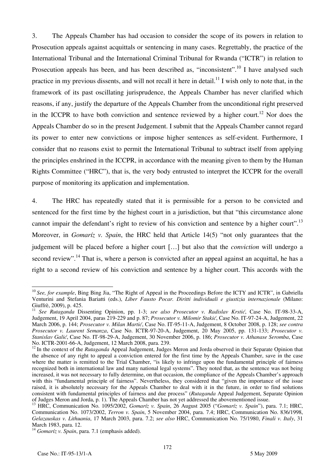3. The Appeals Chamber has had occasion to consider the scope of its powers in relation to Prosecution appeals against acquittals or sentencing in many cases. Regrettably, the practice of the International Tribunal and the International Criminal Tribunal for Rwanda ("ICTR") in relation to Prosecution appeals has been, and has been described as, "inconsistent".<sup>10</sup> I have analysed such practice in my previous dissents, and will not recall it here in detail.<sup>11</sup> I wish only to note that, in the framework of its past oscillating jurisprudence, the Appeals Chamber has never clarified which reasons, if any, justify the departure of the Appeals Chamber from the unconditional right preserved in the ICCPR to have both conviction and sentence reviewed by a higher court.<sup>12</sup> Nor does the Appeals Chamber do so in the present Judgement. I submit that the Appeals Chamber cannot regard its power to enter new convictions or impose higher sentences as self-evident. Furthermore, I consider that no reasons exist to permit the International Tribunal to subtract itself from applying the principles enshrined in the ICCPR, in accordance with the meaning given to them by the Human Rights Committee ("HRC"), that is, the very body entrusted to interpret the ICCPR for the overall purpose of monitoring its application and implementation.

4. The HRC has repeatedly stated that it is permissible for a person to be convicted and sentenced for the first time by the highest court in a jurisdiction, but that "this circumstance alone cannot impair the defendant's right to review of his conviction and sentence by a higher court".<sup>13</sup> Moreover, in *Gomaríz v. Spain*, the HRC held that Article 14(5) "not only guarantees that the judgement will be placed before a higher court [...] but also that the *conviction* will undergo a second review".<sup>14</sup> That is, where a person is convicted after an appeal against an acquittal, he has a right to a second review of his conviction and sentence by a higher court. This accords with the

 $\overline{a}$ <sup>10</sup> See, for example, Bing Bing Jia, "The Right of Appeal in the Proceedings Before the ICTY and ICTR", in Gabriella Venturini and Stefania Bariatti (eds.), *Liber Fausto Pocar. Diritti individuali e giustizia internazionale* (Milano: Giuffrè, 2009), p. 425.

<sup>&</sup>lt;sup>11</sup> See Rutaganda Dissenting Opinion, pp. 1-3; see also Prosecutor v. Radislav Krstić, Case No. IT-98-33-A, Judgement, 19 April 2004, paras 219-229 and p. 87; *Prosecutor v. Milomir Stakić*, Case No. IT-97-24-A, Judgement, 22 March 2006, p. 144; *Prosecutor v. Milan Martić*, Case No. IT-95-11-A, Judgement, 8 October 2008, p. 128; *see contra Prosecutor v. Laurent Semanza*, Case No. ICTR-97-20-A, Judgement, 20 May 2005, pp. 131-133; *Prosecutor v. Stanislav Gali}*, Case No. IT-98-29-A, Judgement, 30 November 2006, p. 186; *Prosecutor v. Athanase Seromba*, Case No. ICTR-2001-66-A, Judgement, 12 March 2008, para. 239.

<sup>12</sup> In the context of the *Rutaganda* Appeal Judgement, Judges Meron and Jorda observed in their Separate Opinion that the absence of any right to appeal a conviction entered for the first time by the Appeals Chamber, save in the case where the matter is remitted to the Trial Chamber, "is likely to infringe upon the fundamental principle of fairness recognized both in international law and many national legal systems". They noted that, as the sentence was not being increased, it was not necessary to fully determine, on that occasion, the compliance of the Appeals Chamber's approach with this "fundamental principle of fairness". Nevertheless, they considered that "given the importance of the issue raised, it is absolutely necessary for the Appeals Chamber to deal with it in the future, in order to find solutions consistent with fundamental principles of fairness and due process" (*Rutaganda* Appeal Judgement, Separate Opinion of Judges Meron and Jorda, p. 1). The Appeals Chamber has not yet addressed the abovementioned issue.

<sup>13</sup> HRC, Communication No. 1095/2002, *Gomaríz v. Spain*, 26 August 2005 ("*Gomaríz v. Spain*"), para. 7.1; HRC, Communication No. 1073/2002, *Terron v. Spain*, 5 November 2004, para. 7.4; HRC, Communication No. 836/1998, *Gelazauskas v. Lithuania*, 17 March 2003, para. 7.2; *see also* HRC, Communication No. 75/1980, *Finali v. Italy*, 31 March 1983, para. 12.

<sup>14</sup> *Gomaríz v. Spain*, para. 7.1 (emphasis added).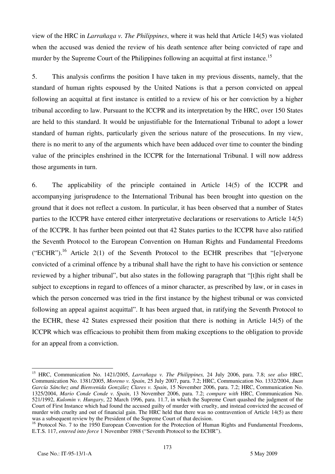view of the HRC in *Larrañaga v. The Philippines*, where it was held that Article 14(5) was violated when the accused was denied the review of his death sentence after being convicted of rape and murder by the Supreme Court of the Philippines following an acquittal at first instance.<sup>15</sup>

5. This analysis confirms the position I have taken in my previous dissents, namely, that the standard of human rights espoused by the United Nations is that a person convicted on appeal following an acquittal at first instance is entitled to a review of his or her conviction by a higher tribunal according to law. Pursuant to the ICCPR and its interpretation by the HRC, over 150 States are held to this standard. It would be unjustifiable for the International Tribunal to adopt a lower standard of human rights, particularly given the serious nature of the prosecutions. In my view, there is no merit to any of the arguments which have been adduced over time to counter the binding value of the principles enshrined in the ICCPR for the International Tribunal. I will now address those arguments in turn.

6. The applicability of the principle contained in Article 14(5) of the ICCPR and accompanying jurisprudence to the International Tribunal has been brought into question on the ground that it does not reflect a custom. In particular, it has been observed that a number of States parties to the ICCPR have entered either interpretative declarations or reservations to Article 14(5) of the ICCPR. It has further been pointed out that 42 States parties to the ICCPR have also ratified the Seventh Protocol to the European Convention on Human Rights and Fundamental Freedoms ("ECHR").<sup>16</sup> Article 2(1) of the Seventh Protocol to the ECHR prescribes that " $[e]$ veryone" convicted of a criminal offence by a tribunal shall have the right to have his conviction or sentence reviewed by a higher tribunal", but also states in the following paragraph that "[t]his right shall be subject to exceptions in regard to offences of a minor character, as prescribed by law, or in cases in which the person concerned was tried in the first instance by the highest tribunal or was convicted following an appeal against acquittal". It has been argued that, in ratifying the Seventh Protocol to the ECHR, these 42 States expressed their position that there is nothing in Article 14(5) of the ICCPR which was efficacious to prohibit them from making exceptions to the obligation to provide for an appeal from a conviction.

 $\overline{a}$ 

<sup>15</sup> HRC, Communication No. 1421/2005, *Larrañaga v. The Philippines,* 24 July 2006, para. 7.8; *see also* HRC, Communication No. 1381/2005, *Moreno v. Spain*, 25 July 2007, para. 7.2; HRC, Communication No. 1332/2004, *Juan García Sánchez and Bienvenida González Clares v. Spain*, 15 November 2006, para. 7.2; HRC, Communication No. 1325/2004, *Mario Conde Conde v. Spain*, 13 November 2006, para. 7.2; *compare with* HRC, Communication No. 521/1992, *Kulomin v. Hungary*, 22 March 1996, para. 11.7, in which the Supreme Court quashed the judgment of the Court of First Instance which had found the accused guilty of murder with cruelty, and instead convicted the accused of murder with cruelty and out of financial gain. The HRC held that there was no contravention of Article 14(5) as there was a subsequent review by the President of the Supreme Court of that decision.

<sup>&</sup>lt;sup>16</sup> Protocol No. 7 to the 1950 European Convention for the Protection of Human Rights and Fundamental Freedoms, E.T.S. 117, *entered into force* 1 November 1988 ("Seventh Protocol to the ECHR").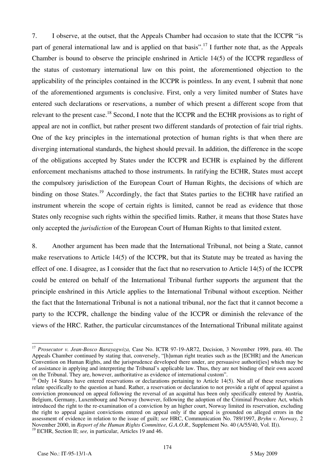7. I observe, at the outset, that the Appeals Chamber had occasion to state that the ICCPR "is part of general international law and is applied on that basis".<sup>17</sup> I further note that, as the Appeals Chamber is bound to observe the principle enshrined in Article 14(5) of the ICCPR regardless of the status of customary international law on this point, the aforementioned objection to the applicability of the principles contained in the ICCPR is pointless. In any event*,* I submit that none of the aforementioned arguments is conclusive. First, only a very limited number of States have entered such declarations or reservations, a number of which present a different scope from that relevant to the present case.<sup>18</sup> Second, I note that the ICCPR and the ECHR provisions as to right of appeal are not in conflict, but rather present two different standards of protection of fair trial rights. One of the key principles in the international protection of human rights is that when there are diverging international standards, the highest should prevail. In addition, the difference in the scope of the obligations accepted by States under the ICCPR and ECHR is explained by the different enforcement mechanisms attached to those instruments. In ratifying the ECHR, States must accept the compulsory jurisdiction of the European Court of Human Rights, the decisions of which are binding on those States.<sup>19</sup> Accordingly, the fact that States parties to the ECHR have ratified an instrument wherein the scope of certain rights is limited, cannot be read as evidence that those States only recognise such rights within the specified limits. Rather, it means that those States have only accepted the *jurisdiction* of the European Court of Human Rights to that limited extent.

8. Another argument has been made that the International Tribunal, not being a State, cannot make reservations to Article 14(5) of the ICCPR, but that its Statute may be treated as having the effect of one. I disagree, as I consider that the fact that no reservation to Article 14(5) of the ICCPR could be entered on behalf of the International Tribunal further supports the argument that the principle enshrined in this Article applies to the International Tribunal without exception. Neither the fact that the International Tribunal is not a national tribunal, nor the fact that it cannot become a party to the ICCPR, challenge the binding value of the ICCPR or diminish the relevance of the views of the HRC. Rather, the particular circumstances of the International Tribunal militate against

 $\overline{a}$ <sup>17</sup> Prosecutor v. Jean-Bosco Barayagwiza, Case No. ICTR 97-19-AR72, Decision, 3 November 1999, para. 40. The Appeals Chamber continued by stating that, conversely, "[h]uman right treaties such as the [ECHR] and the American Convention on Human Rights, and the jurisprudence developed there under, are persuasive authorit [ies] which may be of assistance in applying and interpreting the Tribunal's applicable law. Thus, they are not binding of their own accord

 $18$  Only 14 States have entered reservations or declarations pertaining to Article 14(5). Not all of these reservations relate specifically to the question at hand. Rather, a reservation or declaration to not provide a right of appeal against a conviction pronounced on appeal following the reversal of an acquittal has been only specifically entered by Austria, Belgium, Germany, Luxembourg and Norway (however, following the adoption of the Criminal Procedure Act, which introduced the right to the re-examination of a conviction by an higher court, Norway limited its reservation, excluding the right to appeal against convictions entered on appeal only if the appeal is grounded on alleged errors in the assessment of evidence in relation to the issue of guilt; *see* HRC, Communication No. 789/1997, *Bryhn v. Norway,* 2 November 2000, in *Report of the Human Rights Committee, G.A.O.R.,* Supplement No. 40 (A/55/40, Vol. II)).

<sup>&</sup>lt;sup>19</sup> ECHR, Section II; *see*, in particular, Articles 19 and 46.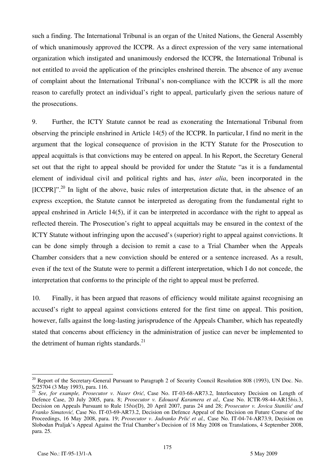such a finding. The International Tribunal is an organ of the United Nations, the General Assembly of which unanimously approved the ICCPR. As a direct expression of the very same international organization which instigated and unanimously endorsed the ICCPR, the International Tribunal is not entitled to avoid the application of the principles enshrined therein. The absence of any avenue of complaint about the International Tribunal's non-compliance with the ICCPR is all the more reason to carefully protect an individual's right to appeal, particularly given the serious nature of the prosecutions.

9. Further, the ICTY Statute cannot be read as exonerating the International Tribunal from observing the principle enshrined in Article 14(5) of the ICCPR. In particular, I find no merit in the argument that the logical consequence of provision in the ICTY Statute for the Prosecution to appeal acquittals is that convictions may be entered on appeal. In his Report, the Secretary General set out that the right to appeal should be provided for under the Statute "as it is a fundamental element of individual civil and political rights and has, *inter alia*, been incorporated in the  $[ICCPR]$ "<sup>20</sup> In light of the above, basic rules of interpretation dictate that, in the absence of an express exception, the Statute cannot be interpreted as derogating from the fundamental right to appeal enshrined in Article 14(5), if it can be interpreted in accordance with the right to appeal as reflected therein. The Prosecution's right to appeal acquittals may be ensured in the context of the ICTY Statute without infringing upon the accused's (superior) right to appeal against convictions. It can be done simply through a decision to remit a case to a Trial Chamber when the Appeals Chamber considers that a new conviction should be entered or a sentence increased. As a result, even if the text of the Statute were to permit a different interpretation, which I do not concede, the interpretation that conforms to the principle of the right to appeal must be preferred.

10. Finally, it has been argued that reasons of efficiency would militate against recognising an accused's right to appeal against convictions entered for the first time on appeal. This position, however, falls against the long-lasting jurisprudence of the Appeals Chamber, which has repeatedly stated that concerns about efficiency in the administration of justice can never be implemented to the detriment of human rights standards. $^{21}$ 

 $\overline{a}$ <sup>20</sup> Report of the Secretary-General Pursuant to Paragraph 2 of Security Council Resolution 808 (1993), UN Doc. No. S/25704 (3 May 1993), para. 116.

<sup>&</sup>lt;sup>21</sup> See, for example, Prosecutor v. Naser Orić, Case No. IT-03-68-AR73.2, Interlocutory Decision on Length of Defence Case, 20 July 2005, para. 8; *Prosecutor v. Edouard Karamera et al.,* Case No. ICTR-98-44-AR15*bis.*3, Decision on Appeals Pursuant to Rule 15*bis*(D), 20 April 2007, paras 24 and 28; *Prosecutor v. Jovica Stanišić and Franko Simatović*, Case No. IT-03-69-AR73.2, Decision on Defence Appeal of the Decision on Future Course of the Proceedings, 16 May 2008, para. 19; *Prosecutor v. Jadranko Prlić et al.*, Case No. IT-04-74-AR73.9, Decision on Slobodan Praljak's Appeal Against the Trial Chamber's Decision of 18 May 2008 on Translations, 4 September 2008, para. 25.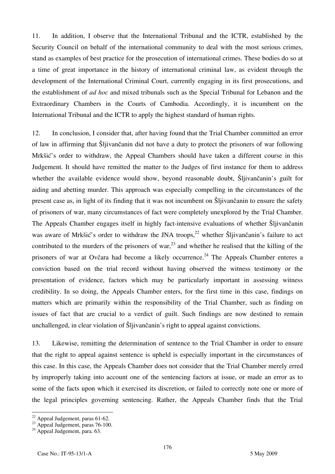11. In addition, I observe that the International Tribunal and the ICTR, established by the Security Council on behalf of the international community to deal with the most serious crimes, stand as examples of best practice for the prosecution of international crimes. These bodies do so at a time of great importance in the history of international criminal law, as evident through the development of the International Criminal Court, currently engaging in its first prosecutions, and the establishment of *ad hoc* and mixed tribunals such as the Special Tribunal for Lebanon and the Extraordinary Chambers in the Courts of Cambodia. Accordingly, it is incumbent on the International Tribunal and the ICTR to apply the highest standard of human rights.

12. In conclusion, I consider that, after having found that the Trial Chamber committed an error of law in affirming that Sljivančanin did not have a duty to protect the prisoners of war following Mrkšić's order to withdraw, the Appeal Chambers should have taken a different course in this Judgement. It should have remitted the matter to the Judges of first instance for them to address whether the available evidence would show, beyond reasonable doubt, Slijivančanin's guilt for aiding and abetting murder. This approach was especially compelling in the circumstances of the present case as, in light of its finding that it was not incumbent on Sliivančanin to ensure the safety of prisoners of war, many circumstances of fact were completely unexplored by the Trial Chamber. The Appeals Chamber engages itself in highly fact-intensive evaluations of whether Slijivančanin was aware of Mrkšić's order to withdraw the JNA troops,<sup>22</sup> whether  $\tilde{S}$ ljivančanin's failure to act contributed to the murders of the prisoners of war,  $^{23}$  and whether he realised that the killing of the prisoners of war at Ovčara had become a likely occurrence.<sup>24</sup> The Appeals Chamber enteres a conviction based on the trial record without having observed the witness testimony or the presentation of evidence, factors which may be particularly important in assessing witness credibility. In so doing, the Appeals Chamber enters, for the first time in this case, findings on matters which are primarily within the responsibility of the Trial Chamber, such as finding on issues of fact that are crucial to a verdict of guilt. Such findings are now destined to remain unchallenged, in clear violation of Sliivančanin's right to appeal against convictions.

13. Likewise, remitting the determination of sentence to the Trial Chamber in order to ensure that the right to appeal against sentence is upheld is especially important in the circumstances of this case. In this case, the Appeals Chamber does not consider that the Trial Chamber merely erred by improperly taking into account one of the sentencing factors at issue, or made an error as to some of the facts upon which it exercised its discretion, or failed to correctly note one or more of the legal principles governing sentencing. Rather, the Appeals Chamber finds that the Trial

 $\overline{a}$  $22$  Appeal Judgement, paras 61-62.

<sup>&</sup>lt;sup>23</sup> Appeal Judgement, paras 76-100.

<sup>&</sup>lt;sup>24</sup> Appeal Judgement, para. 63.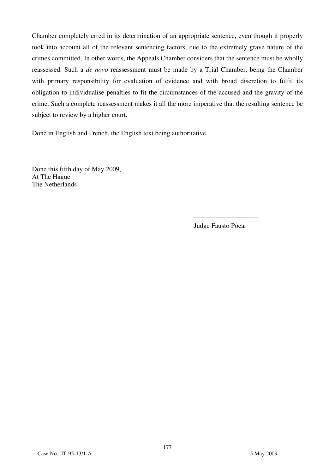Chamber completely erred in its determination of an appropriate sentence, even though it properly took into account all of the relevant sentencing factors, due to the extremely grave nature of the crimes committed. In other words, the Appeals Chamber considers that the sentence must be wholly reassessed. Such a *de novo* reassessment must be made by a Trial Chamber, being the Chamber with primary responsibility for evaluation of evidence and with broad discretion to fulfil its obligation to individualise penalties to fit the circumstances of the accused and the gravity of the crime. Such a complete reassessment makes it all the more imperative that the resulting sentence be subject to review by a higher court.

Done in English and French, the English text being authoritative.

Done this fifth day of May 2009, At The Hague The Netherlands

Judge Fausto Pocar

\_\_\_\_\_\_\_\_\_\_\_\_\_\_\_\_\_\_\_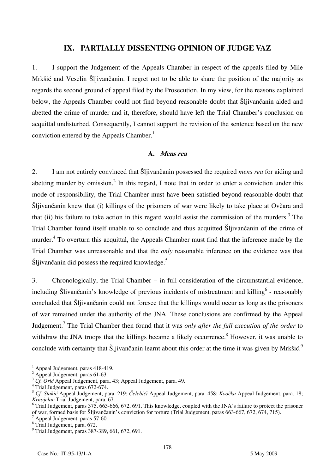## **IX. PARTIALLY DISSENTING OPINION OF JUDGE VAZ**

1. I support the Judgement of the Appeals Chamber in respect of the appeals filed by Mile Mrkšić and Veselin Šljivančanin. I regret not to be able to share the position of the majority as regards the second ground of appeal filed by the Prosecution. In my view, for the reasons explained below, the Appeals Chamber could not find beyond reasonable doubt that Šljivančanin aided and abetted the crime of murder and it, therefore, should have left the Trial Chamber's conclusion on acquittal undisturbed. Consequently, I cannot support the revision of the sentence based on the new conviction entered by the Appeals Chamber.<sup>1</sup>

### **A. Mens rea**

2. I am not entirely convinced that Šljivančanin possessed the required *mens rea* for aiding and abetting murder by omission.<sup>2</sup> In this regard, I note that in order to enter a conviction under this mode of responsibility, the Trial Chamber must have been satisfied beyond reasonable doubt that Šljivančanin knew that (i) killings of the prisoners of war were likely to take place at Ovčara and that (ii) his failure to take action in this regard would assist the commission of the murders.<sup>3</sup> The Trial Chamber found itself unable to so conclude and thus acquitted Šljivančanin of the crime of murder.<sup>4</sup> To overturn this acquittal, the Appeals Chamber must find that the inference made by the Trial Chamber was unreasonable and that the *only* reasonable inference on the evidence was that Šljivančanin did possess the required knowledge.<sup>5</sup>

3. Chronologically, the Trial Chamber – in full consideration of the circumstantial evidence, including Šlivančanin's knowledge of previous incidents of mistreatment and killing<sup>6</sup> - reasonably concluded that Šljivančanin could not foresee that the killings would occur as long as the prisoners of war remained under the authority of the JNA. These conclusions are confirmed by the Appeal Judgement.7 The Trial Chamber then found that it was *only after the full execution of the order* to withdraw the JNA troops that the killings became a likely occurrence.<sup>8</sup> However, it was unable to conclude with certainty that Šljivančanin learnt about this order at the time it was given by Mrkšić.<sup>9</sup>

 $\overline{\phantom{a}}$ 

<sup>1</sup> Appeal Judgement, paras 418-419.

<sup>&</sup>lt;sup>2</sup> Appeal Judgement, paras 61-63.

<sup>3</sup> *Cf. Ori<sup>ć</sup>* Appeal Judgement, para. 43; Appeal Judgement, para. 49. <sup>4</sup>

<sup>&</sup>lt;sup>4</sup> Trial Judgement, paras 672-674.

<sup>5</sup> *Cf. Stakić* Appeal Judgement, para. 219; *Čelebići* Appeal Judgement, para. 458; *Kvočka* Appeal Judgement, para. 18; *Krnojelac* Trial Judgement, para. 67.

 $6$  Trial Judgement, paras 375, 663-666, 672, 691. This knowledge, coupled with the JNA's failure to protect the prisoner of war, formed basis for Šljivančanin's conviction for torture (Trial Judgement, paras 663-667, 672, 674, 715). 7

Appeal Judgement, paras 57-60.

<sup>8</sup> Trial Judgement, para. 672.

<sup>9</sup> Trial Judgement, paras 387-389, 661, 672, 691.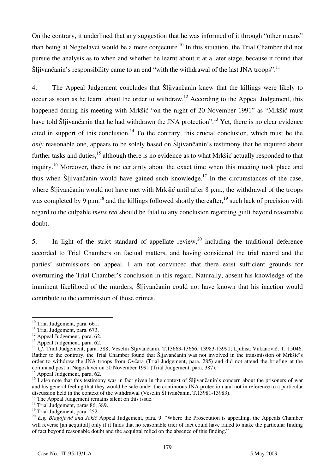On the contrary, it underlined that any suggestion that he was informed of it through "other means" than being at Negoslavci would be a mere conjecture.<sup>10</sup> In this situation, the Trial Chamber did not pursue the analysis as to when and whether he learnt about it at a later stage, because it found that Šljivančanin's responsibility came to an end "with the withdrawal of the last JNA troops".<sup>11</sup>

4. The Appeal Judgement concludes that Šljivančanin knew that the killings were likely to occur as soon as he learnt about the order to withdraw.12 According to the Appeal Judgement, this happened during his meeting with Mrkšić "on the night of 20 November 1991" as "Mrkšić must have told Šljivančanin that he had withdrawn the JNA protection".13 Yet, there is no clear evidence cited in support of this conclusion.<sup>14</sup> To the contrary, this crucial conclusion, which must be the *only* reasonable one, appears to be solely based on Šljivančanin's testimony that he inquired about further tasks and duties,<sup>15</sup> although there is no evidence as to what Mrkšić actually responded to that inquiry.16 Moreover, there is no certainty about the exact time when this meeting took place and thus when Šljivančanin would have gained such knowledge.17 In the circumstances of the case, where Šlijvančanin would not have met with Mrkšić until after 8 p.m., the withdrawal of the troops was completed by 9 p.m.<sup>18</sup> and the killings followed shortly thereafter, <sup>19</sup> such lack of precision with regard to the culpable *mens rea* should be fatal to any conclusion regarding guilt beyond reasonable doubt.

5. In light of the strict standard of appellate review,  $^{20}$  including the traditional deference accorded to Trial Chambers on factual matters, and having considered the trial record and the parties' submissions on appeal, I am not convinced that there exist sufficient grounds for overturning the Trial Chamber's conclusion in this regard. Naturally, absent his knowledge of the imminent likelihood of the murders, Šljivančanin could not have known that his inaction would contribute to the commission of those crimes.

 $\overline{a}$ <sup>10</sup> Trial Judgement, para. 661.

<sup>&</sup>lt;sup>11</sup> Trial Judgement, para. 673.

 $12$  Appeal Judgement, para. 62.

<sup>&</sup>lt;sup>13</sup> Appeal Judgement, para. 62.

<sup>14</sup> *Cf.* Trial Judgement, para. 388; Veselin Šljivančanin, T.13663-13666, 13983-13990; Ljubisa Vukanović, T. 15046. Rather to the contrary, the Trial Chamber found that Šljavančanin was not involved in the transmission of Mrkšić's order to withdraw the JNA troops from Ovčara (Trial Judgement, para. 285) and did not attend the briefing at the command post in Negoslavci on 20 November 1991 (Trial Judgement, para. 387).

<sup>&</sup>lt;sup>15</sup> Appeal Judgement, para. 62.

 $\frac{16}{16}$  I also note that this testimony was in fact given in the context of Šljivančanin's concern about the prisoners of war and his general feeling that they would be safe under the continuous JNA protection and not in reference to a particular discussion held in the context of the withdrawal (Veselin Šljivančanin, T.13981-13983). 17 The Appeal Judgement remains silent on this issue.

<sup>&</sup>lt;sup>18</sup> Trial Judgement, paras 86, 389.

<sup>&</sup>lt;sup>19</sup> Trial Judgement, para. 252.

<sup>20</sup> *E.g. Blagojević and Jokić* Appeal Judgement, para. 9: "Where the Prosecution is appealing, the Appeals Chamber will reverse [an acquittal] only if it finds that no reasonable trier of fact could have failed to make the particular finding of fact beyond reasonable doubt and the acquittal relied on the absence of this finding."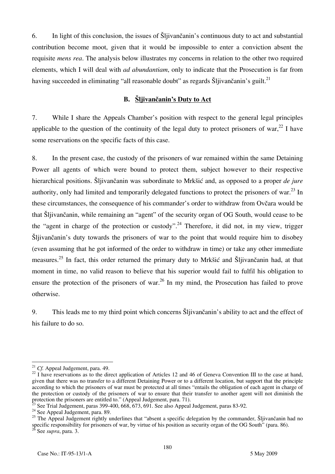6. In light of this conclusion, the issues of Šljivančanin's continuous duty to act and substantial contribution become moot, given that it would be impossible to enter a conviction absent the requisite *mens rea*. The analysis below illustrates my concerns in relation to the other two required elements, which I will deal with *ad abundantiam*, only to indicate that the Prosecution is far from having succeeded in eliminating "all reasonable doubt" as regards Šliivančanin's guilt.<sup>21</sup>

## **B. Šljivančanin's Duty to Act**

7. While I share the Appeals Chamber's position with respect to the general legal principles applicable to the question of the continuity of the legal duty to protect prisoners of war,<sup>22</sup> I have some reservations on the specific facts of this case.

8. In the present case, the custody of the prisoners of war remained within the same Detaining Power all agents of which were bound to protect them, subject however to their respective hierarchical positions. Šljivančanin was subordinate to Mrkšić and, as opposed to a proper *de jure*  authority, only had limited and temporarily delegated functions to protect the prisoners of war.<sup>23</sup> In these circumstances, the consequence of his commander's order to withdraw from Ovčara would be that Šljivančanin, while remaining an "agent" of the security organ of OG South, would cease to be the "agent in charge of the protection or custody".<sup>24</sup> Therefore, it did not, in my view, trigger Šljivančanin's duty towards the prisoners of war to the point that would require him to disobey (even assuming that he got informed of the order to withdraw in time) or take any other immediate measures.25 In fact, this order returned the primary duty to Mrkšić and Šljivančanin had, at that moment in time, no valid reason to believe that his superior would fail to fulfil his obligation to ensure the protection of the prisoners of war.<sup>26</sup> In my mind, the Prosecution has failed to prove otherwise.

9. This leads me to my third point which concerns Šljivančanin's ability to act and the effect of his failure to do so.

 $21$  Cf. Appeal Judgement, para. 49.

<sup>&</sup>lt;sup>22</sup> I have reservations as to the direct application of Articles 12 and 46 of Geneva Convention III to the case at hand, given that there was no transfer to a different Detaining Power or to a different location, but support that the principle according to which the prisoners of war must be protected at all times "entails the obligation of each agent in charge of the protection or custody of the prisoners of war to ensure that their transfer to another agent will not diminish the protection the prisoners are entitled to." (Appeal Judgement, para. 71).

 $^{23}$  See Trial Judgement, paras 399-400, 668, 673, 691. See also Appeal Judgement, paras 83-92. <sup>24</sup> See Appeal Judgement, para. 89.

<sup>&</sup>lt;sup>25</sup> The Appeal Judgement rightly underlines that "absent a specific delegation by the commander,  $\tilde{S}$ ljivančanin had no specific responsibility for prisoners of war, by virtue of his position as security organ of the OG South" (para. 86). 26 See *supra*, para. 3.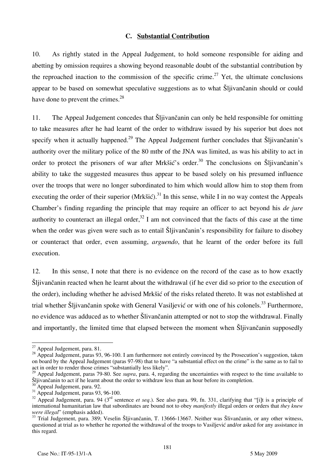#### **C. Substantial Contribution**

10. As rightly stated in the Appeal Judgement, to hold someone responsible for aiding and abetting by omission requires a showing beyond reasonable doubt of the substantial contribution by the reproached inaction to the commission of the specific crime.<sup>27</sup> Yet, the ultimate conclusions appear to be based on somewhat speculative suggestions as to what Šljivančanin should or could have done to prevent the crimes.<sup>28</sup>

11. The Appeal Judgement concedes that Šljivančanin can only be held responsible for omitting to take measures after he had learnt of the order to withdraw issued by his superior but does not specify when it actually happened.<sup>29</sup> The Appeal Judgement further concludes that Sliivančanin's authority over the military police of the 80 mtbr of the JNA was limited, as was his ability to act in order to protect the prisoners of war after Mrkšić's order.<sup>30</sup> The conclusions on Šljivančanin's ability to take the suggested measures thus appear to be based solely on his presumed influence over the troops that were no longer subordinated to him which would allow him to stop them from executing the order of their superior (Mrkšić).<sup>31</sup> In this sense, while I in no way contest the Appeals Chamber's finding regarding the principle that may require an officer to act beyond his *de jure*  authority to counteract an illegal order,<sup>32</sup> I am not convinced that the facts of this case at the time when the order was given were such as to entail Sljivančanin's responsibility for failure to disobey or counteract that order, even assuming, *arguendo*, that he learnt of the order before its full execution.

12. In this sense, I note that there is no evidence on the record of the case as to how exactly Šljivančanin reacted when he learnt about the withdrawal (if he ever did so prior to the execution of the order), including whether he advised Mrkšić of the risks related thereto. It was not established at trial whether Šljivančanin spoke with General Vasiljević or with one of his colonels.<sup>33</sup> Furthermore. no evidence was adduced as to whether Šlivančanin attempted or not to stop the withdrawal. Finally and importantly, the limited time that elapsed between the moment when Šljivančanin supposedly

<sup>&</sup>lt;sup>27</sup> Appeal Judgement, para. 81.

 $28$  Appeal Judgement, paras 93, 96-100. I am furthermore not entirely convinced by the Prosecution's suggestion, taken on board by the Appeal Judgement (paras 97-98) that to have "a substantial effect on the crime" is the same as to fail to act in order to render those crimes "substantially less likely".

<sup>&</sup>lt;sup>29</sup> Appeal Judgement, paras 79-80. See *supra*, para. 4, regarding the uncertainties with respect to the time available to Šljivančanin to act if he learnt about the order to withdraw less than an hour before its completion.

 $\frac{30}{31}$  Appeal Judgement, para. 92.<br><sup>31</sup> Appeal Judgement, paras 93, 96-100.

 $32$  Appeal Judgement, para. 94 ( $3<sup>rd</sup>$  sentence *et seq.*). See also para. 99, fn. 331, clarifying that "[i]t is a principle of international humanitarian law that subordinates are bound not to obey *manifestly* illegal orders or orders that *they knew* 

*were illegal*" (emphasis added). 33 Trial Judgement, para. 389; Veselin Šljivančanin, T. 13666-13667. Neither was Šlivančanin, or any other witness, questioned at trial as to whether he reported the withdrawal of the troops to Vasiljević and/or asked for any assistance in this regard.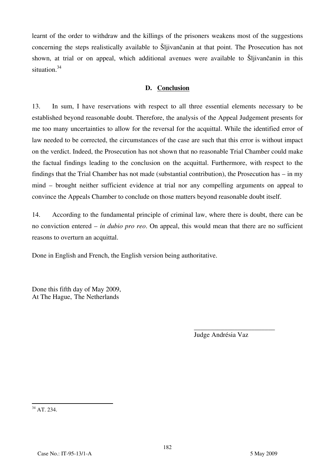learnt of the order to withdraw and the killings of the prisoners weakens most of the suggestions concerning the steps realistically available to Šljivančanin at that point. The Prosecution has not shown, at trial or on appeal, which additional avenues were available to Šljivančanin in this situation.<sup>34</sup>

### **D. Conclusion**

13. In sum, I have reservations with respect to all three essential elements necessary to be established beyond reasonable doubt. Therefore, the analysis of the Appeal Judgement presents for me too many uncertainties to allow for the reversal for the acquittal. While the identified error of law needed to be corrected, the circumstances of the case are such that this error is without impact on the verdict. Indeed, the Prosecution has not shown that no reasonable Trial Chamber could make the factual findings leading to the conclusion on the acquittal. Furthermore, with respect to the findings that the Trial Chamber has not made (substantial contribution), the Prosecution has – in my mind – brought neither sufficient evidence at trial nor any compelling arguments on appeal to convince the Appeals Chamber to conclude on those matters beyond reasonable doubt itself.

14. According to the fundamental principle of criminal law, where there is doubt, there can be no conviction entered – *in dubio pro reo*. On appeal, this would mean that there are no sufficient reasons to overturn an acquittal.

Done in English and French, the English version being authoritative.

Done this fifth day of May 2009, At The Hague, The Netherlands

> \_\_\_\_\_\_\_\_\_\_\_\_\_\_\_\_\_\_\_\_\_\_\_\_ Judge Andrésia Vaz

 $\overline{\phantom{a}}$  $34$  AT. 234.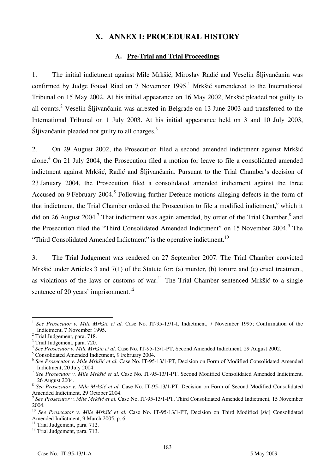# **X. ANNEX I: PROCEDURAL HISTORY**

### **A. Pre-Trial and Trial Proceedings**

1. The initial indictment against Mile Mrkšić, Miroslav Radić and Veselin Šljivančanin was confirmed by Judge Fouad Riad on 7 November  $1995$ .<sup>1</sup> Mrkšić surrendered to the International Tribunal on 15 May 2002. At his initial appearance on 16 May 2002, Mrkšić pleaded not guilty to all counts.<sup>2</sup> Veselin Šljivančanin was arrested in Belgrade on 13 June 2003 and transferred to the International Tribunal on 1 July 2003. At his initial appearance held on 3 and 10 July 2003, Šljivančanin pleaded not guilty to all charges.<sup>3</sup>

2. On 29 August 2002, the Prosecution filed a second amended indictment against Mrkšić alone.<sup>4</sup> On 21 July 2004, the Prosecution filed a motion for leave to file a consolidated amended indictment against Mrkšić, Radić and Šljivančanin. Pursuant to the Trial Chamber's decision of 23 January 2004, the Prosecution filed a consolidated amended indictment against the three Accused on 9 February 2004.<sup>5</sup> Following further Defence motions alleging defects in the form of that indictment, the Trial Chamber ordered the Prosecution to file a modified indictment, <sup>6</sup> which it did on 26 August 2004.<sup>7</sup> That indictment was again amended, by order of the Trial Chamber,<sup>8</sup> and the Prosecution filed the "Third Consolidated Amended Indictment" on 15 November 2004. The "Third Consolidated Amended Indictment" is the operative indictment.<sup>10</sup>

3. The Trial Judgement was rendered on 27 September 2007. The Trial Chamber convicted Mrkšić under Articles 3 and 7(1) of the Statute for: (a) murder, (b) torture and (c) cruel treatment, as violations of the laws or customs of war.<sup>11</sup> The Trial Chamber sentenced Mrkšić to a single sentence of 20 years' imprisonment. $^{12}$ 

 $\overline{a}$ <sup>1</sup> *See Prosecutor v. Mile Mrk{i} et al.* Case No. IT-95-13/1-I, Indictment, 7 November 1995; Confirmation of the Indictment, 7 November 1995. 2

<sup>&</sup>lt;sup>2</sup> Trial Judgement, para. 718.

<sup>&</sup>lt;sup>3</sup> Trial Judgement, para. 720.

<sup>&</sup>lt;sup>4</sup> See Prosecutor v. Mile Mrkšić et al. Case No. IT-95-13/1-PT, Second Amended Indictment, 29 August 2002.

<sup>&</sup>lt;sup>5</sup> Consolidated Amended Indictment, 9 February 2004.

<sup>&</sup>lt;sup>6</sup> See Prosecutor v. Mile Mrkšić et al. Case No. IT-95-13/1-PT, Decision on Form of Modified Consolidated Amended Indictment, 20 July 2004.

<sup>&</sup>lt;sup>7</sup> See Prosecutor v. Mile Mrkšić et al. Case No. IT-95-13/1-PT, Second Modified Consolidated Amended Indictment, 26 August 2004.

<sup>&</sup>lt;sup>8</sup> See Prosecutor v. Mile Mrkšić et al. Case No. IT-95-13/1-PT, Decision on Form of Second Modified Consolidated Amended Indictment, 29 October 2004.

<sup>&</sup>lt;sup>9</sup> See Prosecutor v. Mile Mrkšić et al. Case No. IT-95-13/1-PT, Third Consolidated Amended Indictment, 15 November 2004.

<sup>&</sup>lt;sup>10</sup> See Prosecutor v. Mile Mrkšić et al. Case No. IT-95-13/1-PT, Decision on Third Modified [sic] Consolidated Amended Indictment, 9 March 2005, p. 6.

<sup>&</sup>lt;sup>11</sup> Trial Judgement, para. 712.

<sup>&</sup>lt;sup>12</sup> Trial Judgement, para. 713.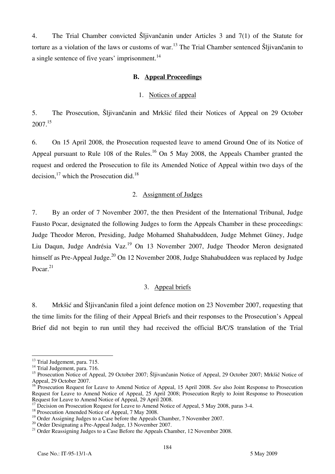4. The Trial Chamber convicted Šljivančanin under Articles 3 and 7(1) of the Statute for torture as a violation of the laws or customs of war.<sup>13</sup> The Trial Chamber sentenced  $\tilde{S}$ ljivančanin to a single sentence of five years' imprisonment.<sup>14</sup>

### **B. Appeal Proceedings**

### 1. Notices of appeal

5. The Prosecution, Šljivančanin and Mrkšić filed their Notices of Appeal on 29 October 2007.15

6. On 15 April 2008, the Prosecution requested leave to amend Ground One of its Notice of Appeal pursuant to Rule 108 of the Rules.<sup>16</sup> On 5 May 2008, the Appeals Chamber granted the request and ordered the Prosecution to file its Amended Notice of Appeal within two days of the decision, $^{17}$  which the Prosecution did.<sup>18</sup>

## 2. Assignment of Judges

7. By an order of 7 November 2007, the then President of the International Tribunal, Judge Fausto Pocar, designated the following Judges to form the Appeals Chamber in these proceedings: Judge Theodor Meron, Presiding, Judge Mohamed Shahabuddeen, Judge Mehmet Güney, Judge Liu Daqun, Judge Andrésia Vaz.<sup>19</sup> On 13 November 2007, Judge Theodor Meron designated himself as Pre-Appeal Judge.<sup>20</sup> On 12 November 2008, Judge Shahabuddeen was replaced by Judge Pocar. $21$ 

## 3. Appeal briefs

8. Mrkšić and Šljivančanin filed a joint defence motion on 23 November 2007, requesting that the time limits for the filing of their Appeal Briefs and their responses to the Prosecution's Appeal Brief did not begin to run until they had received the official B/C/S translation of the Trial

 $\overline{\phantom{a}}$ 

<sup>&</sup>lt;sup>13</sup> Trial Judgement, para. 715.

 $^{14}$  Trial Judgement, para. 716.

<sup>&</sup>lt;sup>15</sup> Prosecution Notice of Appeal, 29 October 2007; Šljivančanin Notice of Appeal, 29 October 2007; Mrkšič Notice of Appeal, 29 October 2007.

<sup>&</sup>lt;sup>16</sup> Prosecution Request for Leave to Amend Notice of Appeal, 15 April 2008. *See* also Joint Response to Prosecution Request for Leave to Amend Notice of Appeal, 25 April 2008; Prosecution Reply to Joint Response to Prosecution Request for Leave to Amend Notice of Appeal, 29 April 2008.

<sup>&</sup>lt;sup>17</sup> Decision on Prosecution Request for Leave to Amend Notice of Appeal, 5 May 2008, paras 3-4.

<sup>&</sup>lt;sup>18</sup> Prosecution Amended Notice of Appeal, 7 May 2008.

 $19$  Order Assigning Judges to a Case before the Appeals Chamber, 7 November 2007.

<sup>&</sup>lt;sup>20</sup> Order Designating a Pre-Appeal Judge, 13 November 2007.

<sup>&</sup>lt;sup>21</sup> Order Reassigning Judges to a Case Before the Appeals Chamber, 12 November 2008.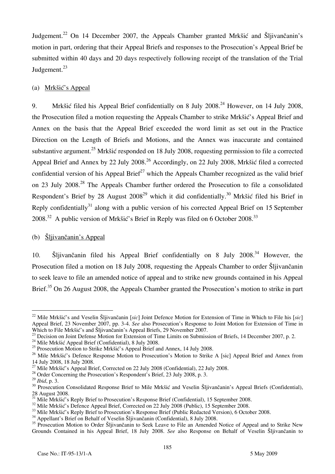Judgement.<sup>22</sup> On 14 December 2007, the Appeals Chamber granted Mrkšić and Šlijvančanin's motion in part, ordering that their Appeal Briefs and responses to the Prosecution's Appeal Brief be submitted within 40 days and 20 days respectively following receipt of the translation of the Trial Judgement.<sup>23</sup>

## (a) Mrkšić's Appeal

9. Mrkšić filed his Appeal Brief confidentially on 8 July 2008.<sup>24</sup> However, on 14 July 2008, the Prosecution filed a motion requesting the Appeals Chamber to strike Mrkšić's Appeal Brief and Annex on the basis that the Appeal Brief exceeded the word limit as set out in the Practice Direction on the Length of Briefs and Motions, and the Annex was inaccurate and contained substantive argument.<sup>25</sup> Mrkšić responded on 18 July 2008, requesting permission to file a corrected Appeal Brief and Annex by 22 July 2008.<sup>26</sup> Accordingly, on 22 July 2008, Mrkšić filed a corrected confidential version of his Appeal Brief<sup>27</sup> which the Appeals Chamber recognized as the valid brief on 23 July 2008.<sup>28</sup> The Appeals Chamber further ordered the Prosecution to file a consolidated Respondent's Brief by 28 August  $2008^{29}$  which it did confidentially.<sup>30</sup> Mrkšić filed his Brief in Reply confidentially<sup>31</sup> along with a public version of his corrected Appeal Brief on 15 September  $2008.<sup>32</sup>$  A public version of Mrkšić's Brief in Reply was filed on 6 October 2008.<sup>33</sup>

## (b) Šljivančanin's Appeal

10.  $\delta$ ljivančanin filed his Appeal Brief confidentially on 8 July 2008.<sup>34</sup> However, the Prosecution filed a motion on 18 July 2008, requesting the Appeals Chamber to order Šljivančanin to seek leave to file an amended notice of appeal and to strike new grounds contained in his Appeal Brief.<sup>35</sup> On 26 August 2008, the Appeals Chamber granted the Prosecution's motion to strike in part

 $\overline{a}$ 

<sup>&</sup>lt;sup>22</sup> Mile Mrkšić's and Veselin Šljivančanin *[sic]* Joint Defence Motion for Extension of Time in Which to File his *[sic]* Appeal Brief, 23 November 2007, pp. 3-4. *See* also Prosecution's Response to Joint Motion for Extension of Time in<br>Which to File Mrkšić's and Šliivančanin's Appeal Briefs. 29 November 2007.

<sup>&</sup>lt;sup>23</sup> Decision on Joint Defense Motion for Extension of Time Limits on Submission of Briefs, 14 December 2007, p. 2.<br><sup>24</sup> Mile Mrkšić Appeal Brief (Confidential), 8 July 2008.

<sup>&</sup>lt;sup>25</sup> Prosecution Motion to Strike Mrkšić's Appeal Brief and Annex, 14 July 2008.

<sup>&</sup>lt;sup>26</sup> Mile Mrkšić's Defence Response Motion to Prosecution's Motion to Strike A [sic] Appeal Brief and Annex from <sup>27</sup> Mile Mrkšić's Appeal Brief, Corrected on 22 July 2008 (Confidential), 22 July 2008.

<sup>&</sup>lt;sup>28</sup> Order Concerning the Prosecution's Respondent's Brief, 23 July 2008, p. 3.<br><sup>29</sup> *Ibid.* p. 3.

<sup>&</sup>lt;sup>30</sup> Prosecution Consolidated Response Brief to Mile Mrkšić and Veselin Šljivančanin's Appeal Briefs (Confidential), 28 August 2008.

 $31$  Mile Mrkšić's Reply Brief to Prosecution's Response Brief (Confidential), 15 September 2008.

<sup>&</sup>lt;sup>32</sup> Mile Mrkšić's Defence Appeal Brief, Corrected on 22 July 2008 (Public), 15 September 2008.

 $33$  Mile Mrkšić's Reply Brief to Prosecution's Response Brief (Public Redacted Version), 6 October 2008.

 $34$  Appellant's Brief on Behalf of Veselin Šljivančanin (Confidential), 8 July 2008.

<sup>&</sup>lt;sup>35</sup> Prosecution Motion to Order Šljivančanin to Seek Leave to File an Amended Notice of Appeal and to Strike New Grounds Contained in his Appeal Brief, 18 July 2008. See also Response on Behalf of Veselin Šljivančanin to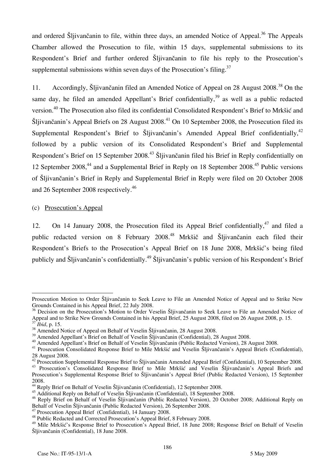and ordered Šljivančanin to file, within three days, an amended Notice of Appeal.<sup>36</sup> The Appeals Chamber allowed the Prosecution to file, within 15 days, supplemental submissions to its Respondent's Brief and further ordered Šljivančanin to file his reply to the Prosecution's supplemental submissions within seven days of the Prosecution's filing. $37$ 

11. Accordingly, Šljivančanin filed an Amended Notice of Appeal on 28 August 2008.<sup>38</sup> On the same day, he filed an amended Appellant's Brief confidentially,  $39$  as well as a public redacted version.40 The Prosecution also filed its confidential Consolidated Respondent's Brief to Mrkšić and Šljivančanin's Appeal Briefs on 28 August 2008.<sup>41</sup> On 10 September 2008, the Prosecution filed its Supplemental Respondent's Brief to Šliivančanin's Amended Appeal Brief confidentially,<sup>42</sup> followed by a public version of its Consolidated Respondent's Brief and Supplemental Respondent's Brief on 15 September 2008.<sup>43</sup> Šljivančanin filed his Brief in Reply confidentially on 12 September 2008,<sup>44</sup> and a Supplemental Brief in Reply on 18 September 2008.<sup>45</sup> Public versions of Šljivančanin's Brief in Reply and Supplemental Brief in Reply were filed on 20 October 2008 and 26 September 2008 respectively.<sup>46</sup>

### (c) Prosecution's Appeal

12. On 14 January 2008, the Prosecution filed its Appeal Brief confidentially,  $47$  and filed a public redacted version on 8 February 2008.<sup>48</sup> Mrkšič and Šljivančanin each filed their Respondent's Briefs to the Prosecution's Appeal Brief on 18 June 2008, Mrkšić's being filed publicly and Šljivančanin's confidentially.<sup>49</sup> Šljivančanin's public version of his Respondent's Brief

 $\overline{a}$ Prosecution Motion to Order Sljivančanin to Seek Leave to File an Amended Notice of Appeal and to Strike New Grounds Contained in his Appeal Brief, 22 July 2008.

<sup>&</sup>lt;sup>36</sup> Decision on the Prosecution's Motion to Order Veselin Šljivančanin to Seek Leave to File an Amended Notice of Appeal and to Strike New Grounds Contained in his Appeal Brief, 25 August 2008, filed on 26 August 2008, p. 15.<br><sup>37</sup> Ibid, p. 15.

<sup>&</sup>lt;sup>38</sup> Amended Notice of Appeal on Behalf of Veselin Šljivančanin, 28 August 2008.<br><sup>39</sup> Amended Appellant's Brief on Behalf of Veselin Šljivančanin (Confidential), 28 August 2008.

<sup>&</sup>lt;sup>40</sup> Amended Appellant's Brief on Behalf of Veselin Šljivančanin (Public Redacted Version), 28 August 2008.<br><sup>41</sup> Prosecution Consolidated Response Brief to Mile Mrkšić and Veselin Šljivančanin's Appeal Briefs (Confidential

<sup>28</sup> August 2008.<br><sup>42</sup> Prosecution Supplemental Response Brief to Šljivančanin Amended Appeal Brief (Confidential), 10 September 2008.

<sup>&</sup>lt;sup>43</sup> Prosecution's Consolidated Response Brief to Mile Mrkšić and Veselin Šljivančanin's Appeal Briefs and Prosecution's Supplemental Response Brief to Šljivančanin's Appeal Brief (Public Redacted Version), 15 September 2008.

<sup>&</sup>lt;sup>44</sup> Reply Brief on Behalf of Veselin Šljivančanin (Confidential), 12 September 2008.

<sup>&</sup>lt;sup>45</sup> Additional Reply on Behalf of Veselin Šljivančanin (Confidential), 18 September 2008.

<sup>&</sup>lt;sup>46</sup> Reply Brief on Behalf of Veselin Šljivančanin (Public Redacted Version), 20 October 2008; Additional Reply on Behalf of Veselin Šliivančanin (Public Redacted Version), 26 September 2008.

 $^{47}$  Prosecution Appeal Brief (Confidential), 14 January 2008.

<sup>48</sup> Public Redacted and Corrected Prosecution's Appeal Brief, 8 February 2008.

<sup>&</sup>lt;sup>49</sup> Mile Mrkšić's Response Brief to Prosecution's Appeal Brief, 18 June 2008; Response Brief on Behalf of Veselin Šljivančanin (Confidential), 18 June 2008.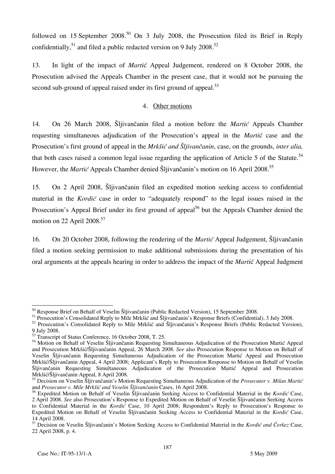followed on 15 September  $2008^{50}$  On 3 July 2008, the Prosecution filed its Brief in Reply confidentially,  $51$  and filed a public redacted version on 9 July 2008.<sup>52</sup>

13. In light of the impact of *Marti*} Appeal Judgement, rendered on 8 October 2008, the Prosecution advised the Appeals Chamber in the present case, that it would not be pursuing the second sub-ground of appeal raised under its first ground of appeal.<sup>53</sup>

## 4. Other motions

14. On 26 March 2008, Šljivančanin filed a motion before the *Martic* Appeals Chamber requesting simultaneous adjudication of the Prosecution's appeal in the *Martic* case and the Prosecution's first ground of appeal in the *Mrk{i} and Šljivančanin*, case, on the grounds, *inter alia,* that both cases raised a common legal issue regarding the application of Article 5 of the Statute.<sup>54</sup> However, the *Martić* Appeals Chamber denied Šljivančanin's motion on 16 April 2008.<sup>55</sup>

15. On 2 April 2008, Šljivančanin filed an expedited motion seeking access to confidential material in the *Kordić* case in order to "adequately respond" to the legal issues raised in the Prosecution's Appeal Brief under its first ground of appeal<sup>56</sup> but the Appeals Chamber denied the motion on 22 April  $2008.<sup>57</sup>$ 

16. On 20 October 2008, following the rendering of the *Martic* Appeal Judgement, Slijvančanin filed a motion seeking permission to make additional submissions during the presentation of his oral arguments at the appeals hearing in order to address the impact of the *Martic* Appeal Judgment

 $\overline{a}$  $50$  Response Brief on Behalf of Veselin Šljivančanin (Public Redacted Version), 15 September 2008.

<sup>&</sup>lt;sup>51</sup> Prosecution's Consolidated Reply to Mile Mrkšić and Šljivančanin's Response Briefs (Confidential), 3 July 2008.

<sup>&</sup>lt;sup>52</sup> Prosecution's Consolidated Reply to Mile Mrkšić and Šljivančanin's Response Briefs (Public Redacted Version), 9 July 2008.

<sup>&</sup>lt;sup>53</sup> Transcript of Status Conference, 16 October 2008, T. 25.

<sup>&</sup>lt;sup>54</sup> Motion on Behalf of Veselin Šljivančanin Requesting Simultaneous Adjudication of the Prosecution Martić Appeal and Prosecution Mrkšić/Šlijvančanin Appeal, 26 March 2008. *See* also Prosecution Response to Motion on Behalf of Veselin Šliivančanin Requesting Simultaneous Adjudication of the Prosecution Martic Appeal and Prosecution Mrkšić/Šljivančanin Appeal, 4 April 2008; Applicant's Reply to Prosecution Response to Motion on Behalf of Veselin Šliivančanin Requesting Simultaneous Adjudication of the Prosecution Martic Appeal and Prosecution Mrkšić/Šljivančanin Appeal, 8 April 2008.

<sup>&</sup>lt;sup>55</sup> Decision on Veselin Šljivančanin's Motion Requesting Simultaneous Adjudication of the *Prosecutor v. Milan Martić* and *Prosecutor v. Mile Mrkšić and Veselin Šljivančanin* Cases, 16 April 2008.

<sup>&</sup>lt;sup>56</sup> Expedited Motion on Behalf of Veselin Šljivančanin Seeking Access to Confidential Material in the *Kordić* Case, 2 April 2008. See also Prosecution's Response to Expedited Motion on Behalf of Veselin Šliivančanin Seeking Access to Confidential Material in the *Kordic*<sup>2</sup> Case, 10 April 2008; Respondent's Reply to Prosecution's Response to Expedited Motion on Behalf of Veselin Šliivančanin Seeking Access to Confidential Material in the *Kordić* Case, 14 April 2008.

<sup>&</sup>lt;sup>57</sup> Decision on Veselin Šljivančanin's Motion Seeking Access to Confidential Material in the *Kordić and Čerkez* Case, 22 April 2008, p. 4.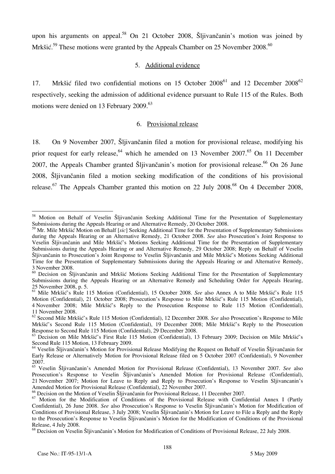upon his arguments on appeal.<sup>58</sup> On 21 October 2008, Šliivančanin's motion was joined by Mrk $\check{\rm S}^1$ . These motions were granted by the Appeals Chamber on 25 November 2008.<sup>60</sup>

### 5. Additional evidence

17. Mrkšić filed two confidential motions on 15 October  $2008^{61}$  and 12 December  $2008^{62}$ respectively, seeking the admission of additional evidence pursuant to Rule 115 of the Rules. Both motions were denied on 13 February 2009.<sup>63</sup>

### 6. Provisional release

18. On 9 November 2007, Šljivančanin filed a motion for provisional release, modifying his prior request for early release,  $64$  which he amended on 13 November 2007.  $65$  On 11 December 2007, the Appeals Chamber granted Šljivančanin's motion for provisional release.<sup>66</sup> On 26 June 2008, Šljivančanin filed a motion seeking modification of the conditions of his provisional release.<sup>67</sup> The Appeals Chamber granted this motion on 22 July 2008.<sup>68</sup> On 4 December 2008,

 $\overline{a}$ <sup>58</sup> Motion on Behalf of Veselin Šljivančanin Seeking Additional Time for the Presentation of Supplementary Submissions during the Appeals Hearing or and Alternative Remedy, 20 October 2008.

<sup>&</sup>lt;sup>59</sup> Mr. Mile Mrkšić Motion on Behalf [sic] Seeking Additional Time for the Presentation of Supplementary Submissions during the Appeals Hearing or an Alternative Remedy, 21 October 2008. *See* also Prosecution's Joint Response to Veselin Šljivančanin and Mile Mrkšić's Motions Seeking Additional Time for the Presentation of Supplementary Submissions during the Appeals Hearing or and Alternative Remedy, 29 October 2008; Reply on Behalf of Veselin Šljivančanin to Prosecution's Joint Response to Veselin Šljivančanin and Mile Mrkšić's Motions Seeking Additional Time for the Presentation of Supplementary Submissions during the Appeals Hearing or and Alternative Remedy, 3 November 2008.

<sup>&</sup>lt;sup>60</sup> Decision on Šljivančanin and Mrkšić Motions Seeking Additional Time for the Presentation of Supplementary Submissions during the Appeals Hearing or an Alternative Remedy and Scheduling Order for Appeals Hearing, 25 November 2008, p. 5.

<sup>61</sup> Mile Mrkšić's Rule 115 Motion (Confidential), 15 October 2008. *See* also Annex A to Mile Mrkšić's Rule 115 Motion (Confidential), 21 October 2008; Prosecution's Response to Mile Mrkšić's Rule 115 Motion (Confidential), 4 November 2008; Mile Mrkšić's Reply to the Prosecution Response to Rule 115 Motion (Confidential), 11 November 2008.

<sup>62</sup> Second Mile Mrkšić's Rule 115 Motion (Confidential), 12 December 2008. *See* also Prosecution's Response to Mile Mrkšić's Second Rule 115 Motion (Confidential), 19 December 2008; Mile Mrkšić's Reply to the Prosecution Response to Second Rule 115 Motion (Confidential), 29 December 2008.

 $^{63}$  Decision on Mile Mrkšić's First Rule 115 Motion (Confidential), 13 February 2009; Decision on Mile Mrkšić's Second Rule 115 Motion, 13 February 2009.

<sup>&</sup>lt;sup>64</sup> Veselin Šljivančanin's Motion for Provisional Release Modifying the Request on Behalf of Veselin Šljivančanin for Early Release or Alternatively Motion for Provisional Release filed on 5 October 2007 (Confidential), 9 November 2007.

<sup>&</sup>lt;sup>65</sup> Veselin Šliivančanin's Amended Motion for Provisional Release (Confidential), 13 November 2007. See also Prosecution's Response to Veselin Sliivančanin's Amended Motion for Provisional Release (Confidential), 21 November 2007; Motion for Leave to Reply and Reply to Prosecution's Response to Veselin Sljivancanin's Amended Motion for Provisional Release (Confidential), 22 November 2007.

 $66$  Decision on the Motion of Veselin Šljivančanin for Provisional Release, 11 December 2007.

<sup>&</sup>lt;sup>67</sup> Motion for the Modification of Conditions of the Provisional Release with Confidential Annex I (Partly Confidential), 26 June 2008. *See* also Prosecution's Response to Veselin Šliivančanin's Motion for Modification of Conditions of Provisional Release, 3 July 2008; Veselin Šliivančanin's Motion for Leave to File a Reply and the Reply to the Prosecution's Response to Veselin Šliivančanin's Motion for the Modification of Conditions of the Provisional Release, 4 July 2008.

<sup>&</sup>lt;sup>68</sup> Decision on Veselin Šljivančanin's Motion for Modification of Conditions of Provisional Release, 22 July 2008.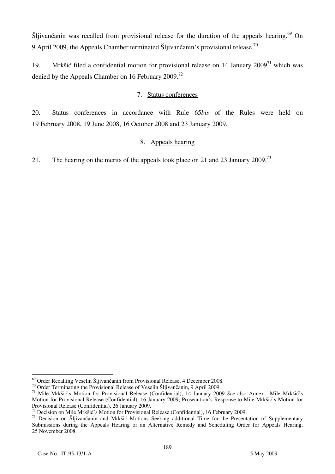$\text{Si}$  ivan<sup> $\text{Ga}$ </sup> is recalled from provisional release for the duration of the appeals hearing.<sup>69</sup> On 9 April 2009, the Appeals Chamber terminated Šljivančanin's provisional release.<sup>70</sup>

19. Mrkšić filed a confidential motion for provisional release on 14 January  $2009<sup>71</sup>$  which was denied by the Appeals Chamber on 16 February 2009.<sup>72</sup>

## 7. Status conferences

20. Status conferences in accordance with Rule 65*bis* of the Rules were held on 19 February 2008, 19 June 2008, 16 October 2008 and 23 January 2009.

## 8. Appeals hearing

21. The hearing on the merits of the appeals took place on 21 and 23 January 2009.<sup>73</sup>

<sup>&</sup>lt;sup>69</sup> Order Recalling Veselin Šljivančanin from Provisional Release, 4 December 2008.

<sup>&</sup>lt;sup>70</sup> Order Terminating the Provisional Release of Veselin Šljivančanin, 9 April 2009.<br><sup>71</sup> Mile Mrkšić's Motion for Provisional Release (Confidential), 14 January 2009 See also Annex—Mile Mrkšić's Motion for Provisional Release (Confidential), 16 January 2009; Prosecution's Response to Mile Mrkšić's Motion for Provisional Release (Confidential), 26 January 2009.<br><sup>72</sup> Decision on Mile Mrkšić's Motion for Provisional Release (Confidential), 16 February 2009.

<sup>&</sup>lt;sup>73</sup> Decision on Šljivančanin and Mrkšić Motions Seeking additional Time for the Presentation of Supplementary Submissions during the Appeals Hearing or an Alternative Remedy and Scheduling Order for Appeals Hearing, 25 November 2008.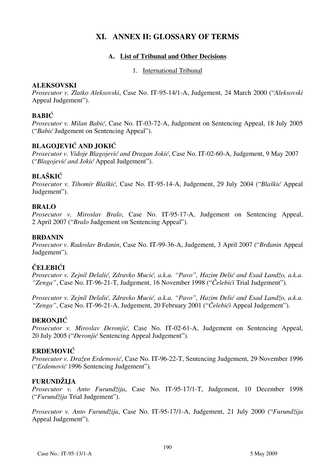# **XI. ANNEX II: GLOSSARY OF TERMS**

## **A. List of Tribunal and Other Decisions**

1. International Tribunal

## **ALEKSOVSKI**

*Prosecutor v. Zlatko Aleksovski*, Case No. IT-95-14/1-A, Judgement, 24 March 2000 ("*Aleksovski* Appeal Judgement").

# **BABIĆ**

*Prosecutor v. Milan Babić*, Case No. IT-03-72-A, Judgement on Sentencing Appeal, 18 July 2005 ("*Babić* Judgement on Sentencing Appeal").

# **BLAGOJEVIĆ AND JOKIĆ**

*Prosecutor v. Vidoje Blagojević and Dragan Jokić*, Case No. IT-02-60-A, Judgement, 9 May 2007 ("*Blagojević and Jokić* Appeal Judgement").

## **BLAŠKIĆ**

*Prosecutor v. Tihomir Blaškić*, Case No. IT-95-14-A, Judgement, 29 July 2004 ("*Blaškić* Appeal Judgement").

## **BRALO**

*Prosecutor v. Miroslav Bralo*, Case No. IT-95-17-A, Judgement on Sentencing Appeal, 2 April 2007 ("*Bralo* Judgement on Sentencing Appeal").

## **BRĐANIN**

*Prosecutor v. Radoslav Brđanin*, Case No. IT-99-36-A, Judgement, 3 April 2007 ("*Brđanin* Appeal Judgement").

## **ČELEBIĆI**

*Prosecutor v. Zejnil Delalić, Zdravko Mucić, a.k.a. "Pavo", Hazim Delić and Esad Landžo, a.k.a. "Zenga"*, Case No. IT-96-21-T, Judgement, 16 November 1998 ("*Čelebići* Trial Judgement").

*Prosecutor v. Zejnil Delalić, Zdravko Mucić, a.k.a. "Pavo", Hazim Delić and Esad Landžo, a.k.a. "Zenga"*, Case No. IT-96-21-A, Judgement, 20 February 2001 ("*Čelebići* Appeal Judgement").

## **DERONJIĆ**

*Prosecutor v. Miroslav Deronjić*, Case No. IT-02-61-A, Judgement on Sentencing Appeal, 20 July 2005 ("*Deronjić* Sentencing Appeal Judgement").

## **ERDEMOVIĆ**

*Prosecutor v. Dražen Erdemović*, Case No. IT-96-22-T, Sentencing Judgement, 29 November 1996 ("*Erdemović* 1996 Sentencing Judgement").

## **FURUNDŽIJA**

*Prosecutor v. Anto Furundžija*, Case No. IT-95-17/1-T, Judgement, 10 December 1998 ("*Furundžija* Trial Judgement").

*Prosecutor v. Anto Furundžija*, Case No. IT-95-17/1-A, Judgement, 21 July 2000 ("*Furundžija* Appeal Judgement").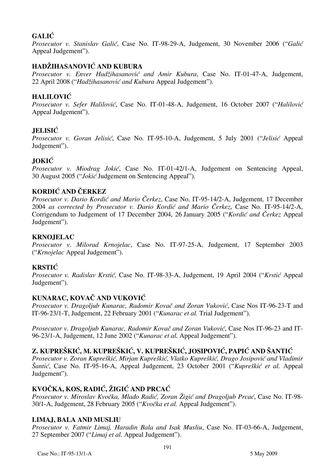# **GALIĆ**

*Prosecutor v. Stanislav Gali}*, Case No. IT-98-29-A, Judgement, 30 November 2006 ("*Galić* Appeal Judgement").

# **HADŽIHASANOVIĆ AND KUBURA**

Prosecutor v. Enver Hadžihasanović and Amir Kubura, Case No. IT-01-47-A, Judgement, 22 April 2008 ("*Hadžihasanović and Kubura* Appeal Judgement").

# **HALILOVIĆ**

*Prosecutor v. Sefer Halilović*, Case No. IT-01-48-A, Judgement, 16 October 2007 ("*Halilović* Appeal Judgement").

# **JELISIĆ**

*Prosecutor v. Goran Jelisić*, Case No. IT-95-10-A, Judgement, 5 July 2001 ("*Jelisić* Appeal Judgement").

# **JOKIĆ**

*Prosecutor v. Miodrag Jokić*, Case No. IT-01-42/1-A, Judgement on Sentencing Appeal, 30 August 2005 ("*Jokić* Judgement on Sentencing Appeal").

# **KORDIĆ AND ČERKEZ**

*Prosecutor v. Dario Kordić and Mario Čerkez*, Case No. IT-95-14/2-A, Judgement, 17 December 2004 *as corrected by Prosecutor v. Dario Kordi} and Mario ^erkez*, Case No. IT-95-14/2-A, Corrigendum to Judgement of 17 December 2004, 26 January 2005 ("*Kordić and Čerkez* Appeal Judgement").

## **KRNOJELAC**

*Prosecutor v. Milorad Krnojelac*, Case No. IT-97-25-A, Judgement, 17 September 2003 ("*Krnojelac* Appeal Judgement").

## **KRSTIĆ**

*Prosecutor v. Radislav Krstić*, Case No. IT-98-33-A, Judgement, 19 April 2004 ("*Krstić* Appeal Judgement").

## **KUNARAC, KOVAČ AND VUKOVIĆ**

*Prosecutor v. Dragoljub Kunarac, Radomir Kovač and Zoran Vuković*, Case Nos IT-96-23-T and IT-96-23/1-T, Judgement, 22 February 2001 ("*Kunarac et al.* Trial Judgement").

*Prosecutor v. Dragoljub Kunarac, Radomir Kovač and Zoran Vuković*, Case Nos IT-96-23 and IT-96-23/1-A, Judgement, 12 June 2002 ("*Kunarac et al.* Appeal Judgement").

# **Z. KUPREŠKIĆ, M. KUPREŠKIĆ, V. KUPREŠKIĆ, JOSIPOVIĆ, PAPI] AND [ANTIĆ**

*Prosecutor v. Zoran Kupreškić, Mirjan Kupreškić, Vlatko Kupreškić, Drago Josipović and Vladimir [anti}*, Case No. IT-95-16-A, Appeal Judgement, 23 October 2001 ("*Kupreškić et al.* Appeal Judgement").

## **KVOČKA, KOS, RADIĆ, ŽIGIĆ AND PRCAĆ**

*Prosecutor v. Miroslav Kvočka, Mla|o Radić, Zoran Žigić and Dragoljub Prcać*, Case No. IT-98- 30/1-A, Judgement, 28 February 2005 ("*Kvočka et al.* Appeal Judgement").

## **LIMAJ, BALA AND MUSLIU**

*Prosecutor v. Fatmir Limaj, Haradin Bala and Isak Musliu*, Case No. IT-03-66-A, Judgement, 27 September 2007 ("*Limaj et al.* Appeal Judgement").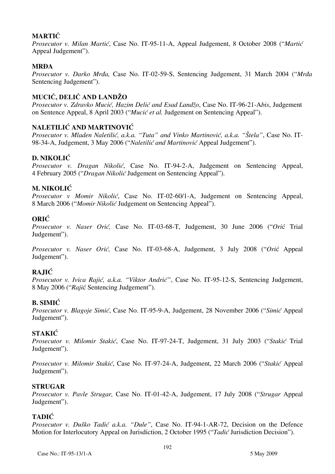## **MARTIĆ**

*Prosecutor v. Milan Martić*, Case No. IT-95-11-A, Appeal Judgement, 8 October 2008 ("*Martić* Appeal Judgement").

## **MRDA**

*Prosecutor v. Darko Mrda*, Case No. IT-02-59-S, Sentencing Judgement, 31 March 2004 ("*Mrda* Sentencing Judgement").

# **MUCIĆ, DELIĆ AND LANDŽO**

*Prosecutor v. Zdravko Mucić, Hazim Delić and Esad Landžo*, Case No. IT-96-21-A*bis*, Judgement on Sentence Appeal, 8 April 2003 ("*Mucić et al.* Judgement on Sentencing Appeal").

# **NALETILIĆ AND MARTINOVIĆ**

*Prosecutor v. Mladen Naletilić, a.k.a. "Tuta" and Vinko Martinović, a.k.a. "Štela", Case No. IT-*98-34-A, Judgement, 3 May 2006 ("*Naletilić and Martinović* Appeal Judgement").

## **D. NIKOLIĆ**

*Prosecutor v. Dragan Nikolić*, Case No. IT-94-2-A, Judgement on Sentencing Appeal, 4 February 2005 ("*Dragan Nikolić* Judgement on Sentencing Appeal").

## **M. NIKOLIĆ**

*Prosecutor v Momir Nikolić*, Case No. IT-02-60/1-A, Judgement on Sentencing Appeal, 8 March 2006 ("*Momir Nikolić* Judgement on Sentencing Appeal").

## **ORIĆ**

*Prosecutor v. Naser Orić*, Case No. IT-03-68-T, Judgement, 30 June 2006 ("Orić Trial Judgement").

*Prosecutor v. Naser Orić*, Case No. IT-03-68-A, Judgement, 3 July 2008 ("Orić Appeal Judgement").

# **RAJIĆ**

Prosecutor v. Ivica Rajić, a.k.a. "Viktor Andrić", Case No. IT-95-12-S, Sentencing Judgement, 8 May 2006 ("Rajić Sentencing Judgement").

## **B. SIMIĆ**

*Prosecutor v. Blagoje Simić*, Case No. IT-95-9-A, Judgement, 28 November 2006 ("*Simić* Appeal Judgement").

## **STAKIĆ**

*Prosecutor v. Milomir Stakić*, Case No. IT-97-24-T, Judgement, 31 July 2003 ("Stakić Trial Judgement").

*Prosecutor v. Milomir Stakić*, Case No. IT-97-24-A, Judgement, 22 March 2006 ("*Stakić Appeal* Judgement").

## **STRUGAR**

*Prosecutor v. Pavle Strugar,* Case No. IT-01-42-A, Judgement, 17 July 2008 ("*Strugar* Appeal Judgement").

## **TADIĆ**

*Prosecutor v. Duško Tadić a.k.a. "Dule"*, Case No. IT-94-1-AR-72, Decision on the Defence Motion for Interlocutory Appeal on Jurisdiction, 2 October 1995 ("*Tadić* Jurisdiction Decision").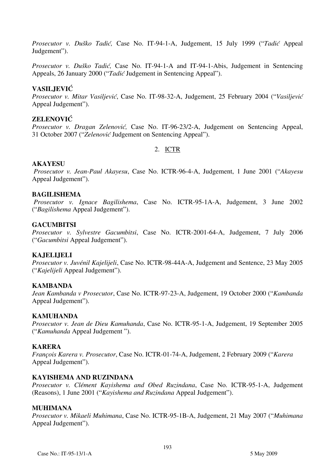*Prosecutor v. Duško Tadić,* Case No. IT-94-1-A, Judgement, 15 July 1999 ("*Tadić* Appeal Judgement").

*Prosecutor v. Duško Tadić,* Case No. IT-94-1-A and IT-94-1-Abis, Judgement in Sentencing Appeals, 26 January 2000 ("*Tadić* Judgement in Sentencing Appeal").

### **VASILJEVIĆ**

*Prosecutor v. Mitar Vasiljević*, Case No. IT-98-32-A, Judgement, 25 February 2004 ("*Vasiljević* Appeal Judgement").

### **ZELENOVIĆ**

*Prosecutor v. Dragan Zelenović*, Case No. IT-96-23/2-A, Judgement on Sentencing Appeal, 31 October 2007 ("*Zelenović* Judgement on Sentencing Appeal").

## 2. ICTR

### **AKAYESU**

 *Prosecutor v. Jean-Paul Akayesu*, Case No. ICTR-96-4-A, Judgement, 1 June 2001 ("*Akayesu* Appeal Judgement").

### **BAGILISHEMA**

 *Prosecutor v. Ignace Bagilishema*, Case No. ICTR-95-1A-A, Judgement, 3 June 2002 ("*Bagilishema* Appeal Judgement").

### **GACUMBITSI**

*Prosecutor v. Sylvestre Gacumbitsi*, Case No. ICTR-2001-64-A, Judgement, 7 July 2006 ("*Gacumbitsi* Appeal Judgement").

### **KAJELIJELI**

*Prosecutor v. Juvénil Kajelijeli*, Case No. ICTR-98-44A-A, Judgement and Sentence, 23 May 2005 ("*Kajelijeli* Appeal Judgement").

### **KAMBANDA**

*Jean Kambanda v Prosecutor*, Case No. ICTR-97-23-A, Judgement, 19 October 2000 ("*Kambanda* Appeal Judgement").

#### **KAMUHANDA**

*Prosecutor v. Jean de Dieu Kamuhanda*, Case No. ICTR-95-1-A, Judgement, 19 September 2005 ("*Kamuhanda* Appeal Judgement ").

### **KARERA**

*François Karera v. Prosecutor*, Case No. ICTR-01-74-A, Judgement, 2 February 2009 ("*Karera*  Appeal Judgement").

#### **KAYISHEMA AND RUZINDANA**

*Prosecutor v. Clément Kayishema and Obed Ruzindana*, Case No. ICTR-95-1-A, Judgement (Reasons), 1 June 2001 ("*Kayishema and Ruzindana* Appeal Judgement").

#### **MUHIMANA**

*Prosecutor v. Mikaeli Muhimana*, Case No. ICTR-95-1B-A, Judgement, 21 May 2007 ("*Muhimana* Appeal Judgement").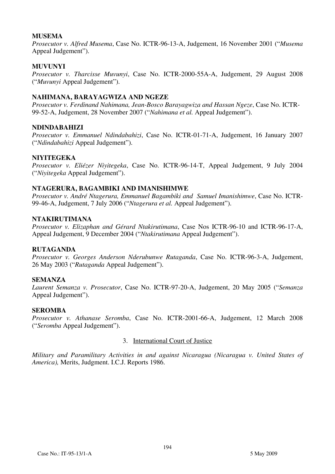### **MUSEMA**

*Prosecutor v. Alfred Musema*, Case No. ICTR-96-13-A, Judgement, 16 November 2001 ("*Musema* Appeal Judgement").

### **MUVUNYI**

*Prosecutor v. Tharcisse Muvunyi*, Case No. ICTR-2000-55A-A, Judgement, 29 August 2008 ("*Muvunyi* Appeal Judgement").

### **NAHIMANA, BARAYAGWIZA AND NGEZE**

*Prosecutor v. Ferdinand Nahimana, Jean-Bosco Barayagwiza and Hassan Ngeze*, Case No. ICTR-99-52-A, Judgement, 28 November 2007 ("*Nahimana et al.* Appeal Judgement").

### **NDINDABAHIZI**

*Prosecutor v. Emmanuel Ndindabahizi*, Case No. ICTR-01-71-A, Judgement, 16 January 2007 ("*Ndindabahizi* Appeal Judgement").

### **NIYITEGEKA**

*Prosecutor v. Eliézer Niyitegeka*, Case No. ICTR-96-14-T, Appeal Judgement, 9 July 2004 ("*Niyitegeka* Appeal Judgement").

### **NTAGERURA, BAGAMBIKI AND IMANISHIMWE**

*Prosecutor v. André Ntagerura, Emmanuel Bagambiki and Samuel Imanishimwe*, Case No. ICTR-99-46-A, Judgement, 7 July 2006 ("*Ntagerura et al.* Appeal Judgement").

#### **NTAKIRUTIMANA**

*Prosecutor v. Elizaphan and Gérard Ntakirutimana*, Case Nos ICTR-96-10 and ICTR-96-17-A, Appeal Judgement, 9 December 2004 ("*Ntakirutimana* Appeal Judgement").

### **RUTAGANDA**

*Prosecutor v. Georges Anderson Nderubunwe Rutaganda*, Case No. ICTR-96-3-A, Judgement, 26 May 2003 ("*Rutaganda* Appeal Judgement").

### **SEMANZA**

*Laurent Semanza v. Prosecutor*, Case No. ICTR-97-20-A, Judgement, 20 May 2005 ("*Semanza*  Appeal Judgement").

### **SEROMBA**

*Prosecutor v. Athanase Seromba*, Case No. ICTR-2001-66-A, Judgement, 12 March 2008 ("*Seromba* Appeal Judgement").

### 3. International Court of Justice

*Military and Paramilitary Activities in and against Nicaragua (Nicaragua v. United States of America),* Merits, Judgment. I.C.J. Reports 1986.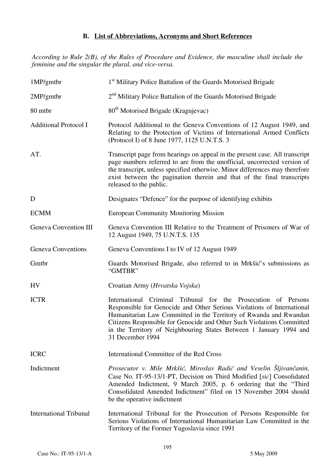## **B. List of Abbreviations, Acronyms and Short References**

*According to Rule 2(B), of the Rules of Procedure and Evidence, the masculine shall include the feminine and the singular the plural, and vice-versa.* 

| 1MP/gmtbr                    | 1 <sup>st</sup> Military Police Battalion of the Guards Motorised Brigade                                                                                                                                                                                                                                                                                                        |
|------------------------------|----------------------------------------------------------------------------------------------------------------------------------------------------------------------------------------------------------------------------------------------------------------------------------------------------------------------------------------------------------------------------------|
| 2MP/gm <sub>th</sub>         | 2 <sup>nd</sup> Military Police Battalion of the Guards Motorised Brigade                                                                                                                                                                                                                                                                                                        |
| 80 mtbr                      | 80 <sup>th</sup> Motorised Brigade (Kragujevac)                                                                                                                                                                                                                                                                                                                                  |
| <b>Additional Protocol I</b> | Protocol Additional to the Geneva Conventions of 12 August 1949, and<br>Relating to the Protection of Victims of International Armed Conflicts<br>(Protocol I) of 8 June 1977, 1125 U.N.T.S. 3                                                                                                                                                                                   |
| AT.                          | Transcript page from hearings on appeal in the present case. All transcript<br>page numbers referred to are from the unofficial, uncorrected version of<br>the transcript, unless specified otherwise. Minor differences may therefore<br>exist between the pagination therein and that of the final transcripts<br>released to the public.                                      |
| D                            | Designates "Defence" for the purpose of identifying exhibits                                                                                                                                                                                                                                                                                                                     |
| <b>ECMM</b>                  | <b>European Community Monitoring Mission</b>                                                                                                                                                                                                                                                                                                                                     |
| Geneva Convention III        | Geneva Convention III Relative to the Treatment of Prisoners of War of<br>12 August 1949, 75 U.N.T.S. 135                                                                                                                                                                                                                                                                        |
| Geneva Conventions           | Geneva Conventions I to IV of 12 August 1949                                                                                                                                                                                                                                                                                                                                     |
| Gmtbr                        | Guards Motorised Brigade, also referred to in Mrkšić's submissions as<br>"GMTBR"                                                                                                                                                                                                                                                                                                 |
| <b>HV</b>                    | Croatian Army (Hrvatska Vojska)                                                                                                                                                                                                                                                                                                                                                  |
| <b>ICTR</b>                  | International Criminal Tribunal for the Prosecution of Persons<br>Responsible for Genocide and Other Serious Violations of International<br>Humanitarian Law Committed in the Territory of Rwanda and Rwandan<br>Citizens Responsible for Genocide and Other Such Violations Committed<br>in the Territory of Neighbouring States Between 1 January 1994 and<br>31 December 1994 |
| <b>ICRC</b>                  | International Committee of the Red Cross                                                                                                                                                                                                                                                                                                                                         |
| Indictment                   |                                                                                                                                                                                                                                                                                                                                                                                  |
|                              | Prosecutor v. Mile Mrkšić, Miroslav Radić and Veselin Sljivančanin,<br>Case No. IT-95-13/1-PT, Decision on Third Modified [sic] Consolidated<br>Amended Indictment, 9 March 2005, p. 6 ordering that the "Third<br>Consolidated Amended Indictment" filed on 15 November 2004 should<br>be the operative indictment                                                              |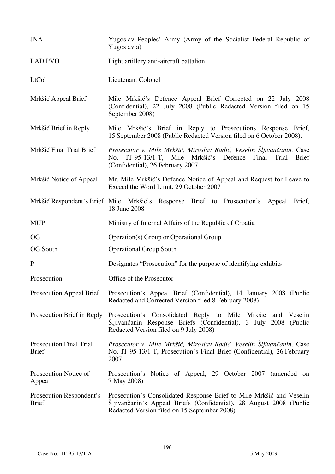| <b>JNA</b>                                     | Yugoslav Peoples' Army (Army of the Socialist Federal Republic of<br>Yugoslavia)                                                                                                            |
|------------------------------------------------|---------------------------------------------------------------------------------------------------------------------------------------------------------------------------------------------|
| <b>LAD PVO</b>                                 | Light artillery anti-aircraft battalion                                                                                                                                                     |
| LtCol                                          | Lieutenant Colonel                                                                                                                                                                          |
| Mrkšić Appeal Brief                            | Mile Mrkšić's Defence Appeal Brief Corrected on 22 July 2008<br>(Confidential), 22 July 2008 (Public Redacted Version filed on 15<br>September 2008)                                        |
| Mrkšić Brief in Reply                          | Mile Mrkšić's Brief in Reply to Prosecutions Response Brief,<br>15 September 2008 (Public Redacted Version filed on 6 October 2008).                                                        |
| Mrkšić Final Trial Brief                       | Prosecutor v. Mile Mrkšić, Miroslav Radić, Veselin Šljivančanin, Case<br>No. IT-95-13/1-T, Mile Mrkšić's Defence Final<br>Trial<br><b>Brief</b><br>(Confidential), 26 February 2007         |
| Mrkšić Notice of Appeal                        | Mr. Mile Mrkšić's Defence Notice of Appeal and Request for Leave to<br>Exceed the Word Limit, 29 October 2007                                                                               |
|                                                | Mrkšić Respondent's Brief Mile Mrkšić's Response Brief to Prosecution's Appeal Brief,<br>18 June 2008                                                                                       |
| <b>MUP</b>                                     | Ministry of Internal Affairs of the Republic of Croatia                                                                                                                                     |
| <b>OG</b>                                      | Operation(s) Group or Operational Group                                                                                                                                                     |
| <b>OG South</b>                                | <b>Operational Group South</b>                                                                                                                                                              |
| $\mathbf{P}$                                   | Designates "Prosecution" for the purpose of identifying exhibits                                                                                                                            |
| Prosecution                                    | Office of the Prosecutor                                                                                                                                                                    |
| Prosecution Appeal Brief                       | Prosecution's Appeal Brief (Confidential), 14 January 2008 (Public<br>Redacted and Corrected Version filed 8 February 2008)                                                                 |
| Prosecution Brief in Reply                     | Prosecution's Consolidated Reply to Mile Mrkšić<br>Veselin<br>and<br>Šljivančanin Response Briefs (Confidential), 3 July 2008<br>(Public<br>Redacted Version filed on 9 July 2008)          |
| <b>Prosecution Final Trial</b><br><b>Brief</b> | Prosecutor v. Mile Mrkšić, Miroslav Radić, Veselin Šljivančanin, Case<br>No. IT-95-13/1-T, Prosecution's Final Brief (Confidential), 26 February<br>2007                                    |
| Prosecution Notice of<br>Appeal                | Prosecution's Notice of Appeal, 29 October 2007 (amended on<br>7 May 2008)                                                                                                                  |
| Prosecution Respondent's<br><b>Brief</b>       | Prosecution's Consolidated Response Brief to Mile Mrkšić and Veselin<br>Šljivančanin's Appeal Briefs (Confidential), 28 August 2008 (Public<br>Redacted Version filed on 15 September 2008) |